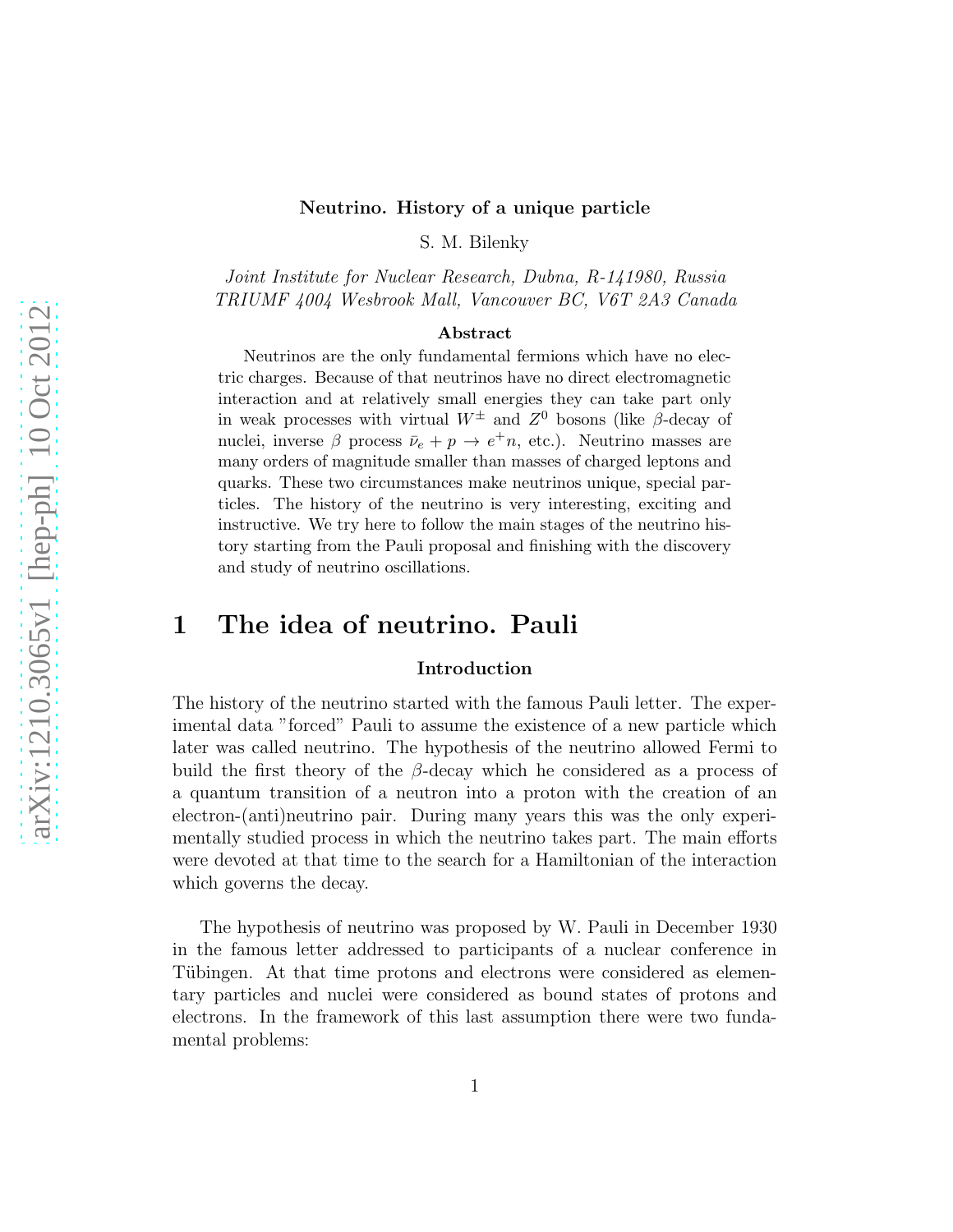#### Neutrino. History of a unique particle

S. M. Bilenky

Joint Institute for Nuclear Research, Dubna, R-141980, Russia TRIUMF 4004 Wesbrook Mall, Vancouver BC, V6T 2A3 Canada

#### Abstract

Neutrinos are the only fundamental fermions which have no electric charges. Because of that neutrinos have no direct electromagnetic interaction and at relatively small energies they can take part only in weak processes with virtual  $W^{\pm}$  and  $Z^{0}$  bosons (like  $\beta$ -decay of nuclei, inverse  $\beta$  process  $\bar{\nu}_e + p \to e^+ n$ , etc.). Neutrino masses are many orders of magnitude smaller than masses of charged leptons and quarks. These two circumstances make neutrinos unique, special particles. The history of the neutrino is very interesting, exciting and instructive. We try here to follow the main stages of the neutrino history starting from the Pauli proposal and finishing with the discovery and study of neutrino oscillations.

### 1 The idea of neutrino. Pauli

### Introduction

The history of the neutrino started with the famous Pauli letter. The experimental data "forced" Pauli to assume the existence of a new particle which later was called neutrino. The hypothesis of the neutrino allowed Fermi to build the first theory of the  $\beta$ -decay which he considered as a process of a quantum transition of a neutron into a proton with the creation of an electron-(anti)neutrino pair. During many years this was the only experimentally studied process in which the neutrino takes part. The main efforts were devoted at that time to the search for a Hamiltonian of the interaction which governs the decay.

The hypothesis of neutrino was proposed by W. Pauli in December 1930 in the famous letter addressed to participants of a nuclear conference in Tübingen. At that time protons and electrons were considered as elementary particles and nuclei were considered as bound states of protons and electrons. In the framework of this last assumption there were two fundamental problems: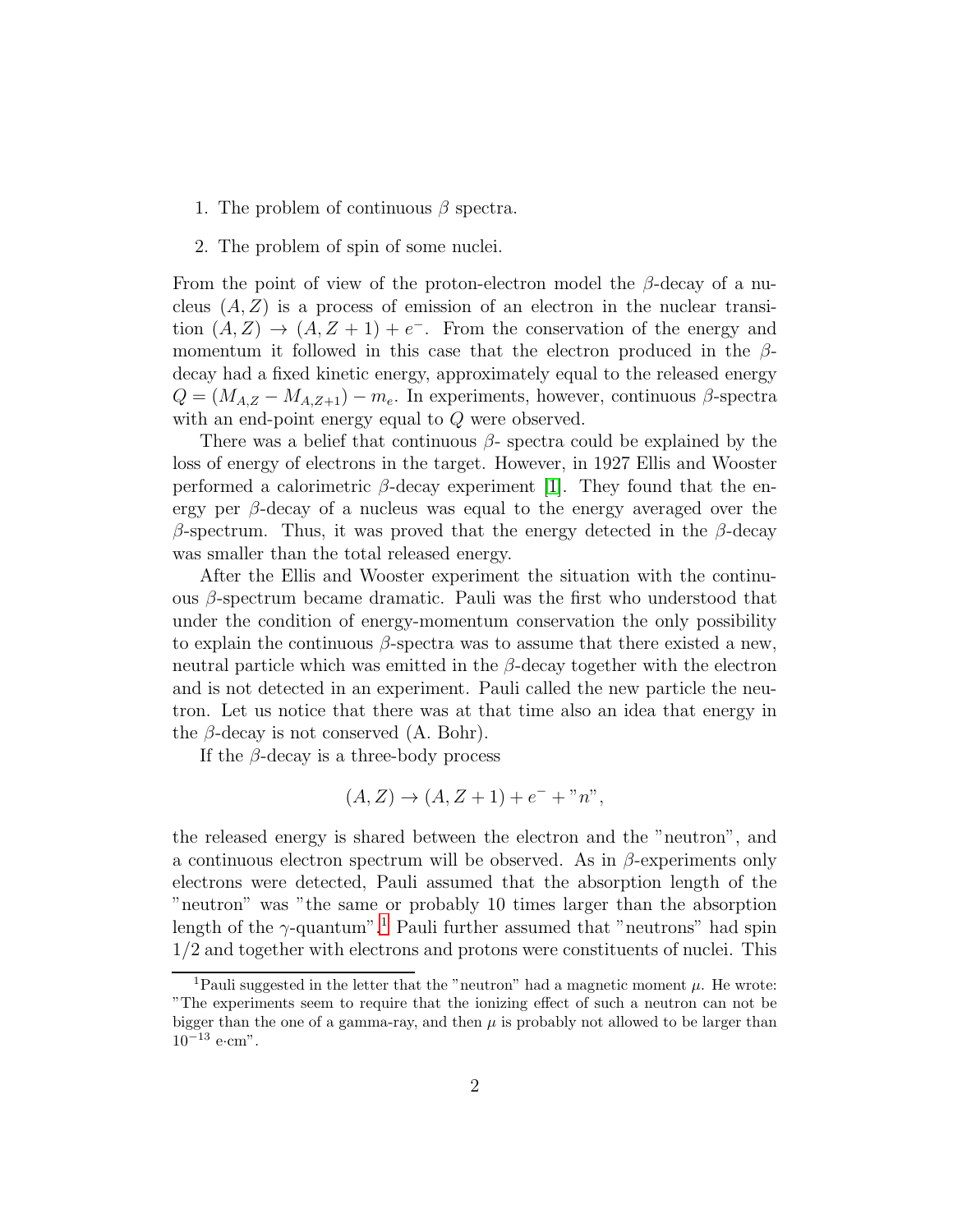- 1. The problem of continuous  $\beta$  spectra.
- 2. The problem of spin of some nuclei.

From the point of view of the proton-electron model the  $\beta$ -decay of a nucleus  $(A, Z)$  is a process of emission of an electron in the nuclear transition  $(A, Z) \rightarrow (A, Z + 1) + e^{-}$ . From the conservation of the energy and momentum it followed in this case that the electron produced in the  $\beta$ decay had a fixed kinetic energy, approximately equal to the released energy  $Q = (M_{A,Z} - M_{A,Z+1}) - m_e$ . In experiments, however, continuous  $\beta$ -spectra with an end-point energy equal to  $Q$  were observed.

There was a belief that continuous  $\beta$ - spectra could be explained by the loss of energy of electrons in the target. However, in 1927 Ellis and Wooster performed a calorimetric β-decay experiment [\[1\]](#page-85-0). They found that the energy per  $\beta$ -decay of a nucleus was equal to the energy averaged over the β-spectrum. Thus, it was proved that the energy detected in the β-decay was smaller than the total released energy.

After the Ellis and Wooster experiment the situation with the continuous β-spectrum became dramatic. Pauli was the first who understood that under the condition of energy-momentum conservation the only possibility to explain the continuous  $\beta$ -spectra was to assume that there existed a new, neutral particle which was emitted in the  $\beta$ -decay together with the electron and is not detected in an experiment. Pauli called the new particle the neutron. Let us notice that there was at that time also an idea that energy in the  $\beta$ -decay is not conserved (A. Bohr).

If the  $\beta$ -decay is a three-body process

$$
(A, Z) \to (A, Z + 1) + e^- + "n",
$$

the released energy is shared between the electron and the "neutron", and a continuous electron spectrum will be observed. As in  $\beta$ -experiments only electrons were detected, Pauli assumed that the absorption length of the "neutron" was "the same or probably 10 times larger than the absorption length of the  $\gamma$ -quantum".<sup>[1](#page-1-0)</sup> Pauli further assumed that "neutrons" had spin 1/2 and together with electrons and protons were constituents of nuclei. This

<span id="page-1-0"></span><sup>&</sup>lt;sup>1</sup>Pauli suggested in the letter that the "neutron" had a magnetic moment  $\mu$ . He wrote: "The experiments seem to require that the ionizing effect of such a neutron can not be bigger than the one of a gamma-ray, and then  $\mu$  is probably not allowed to be larger than  $10^{-13}$  e·cm".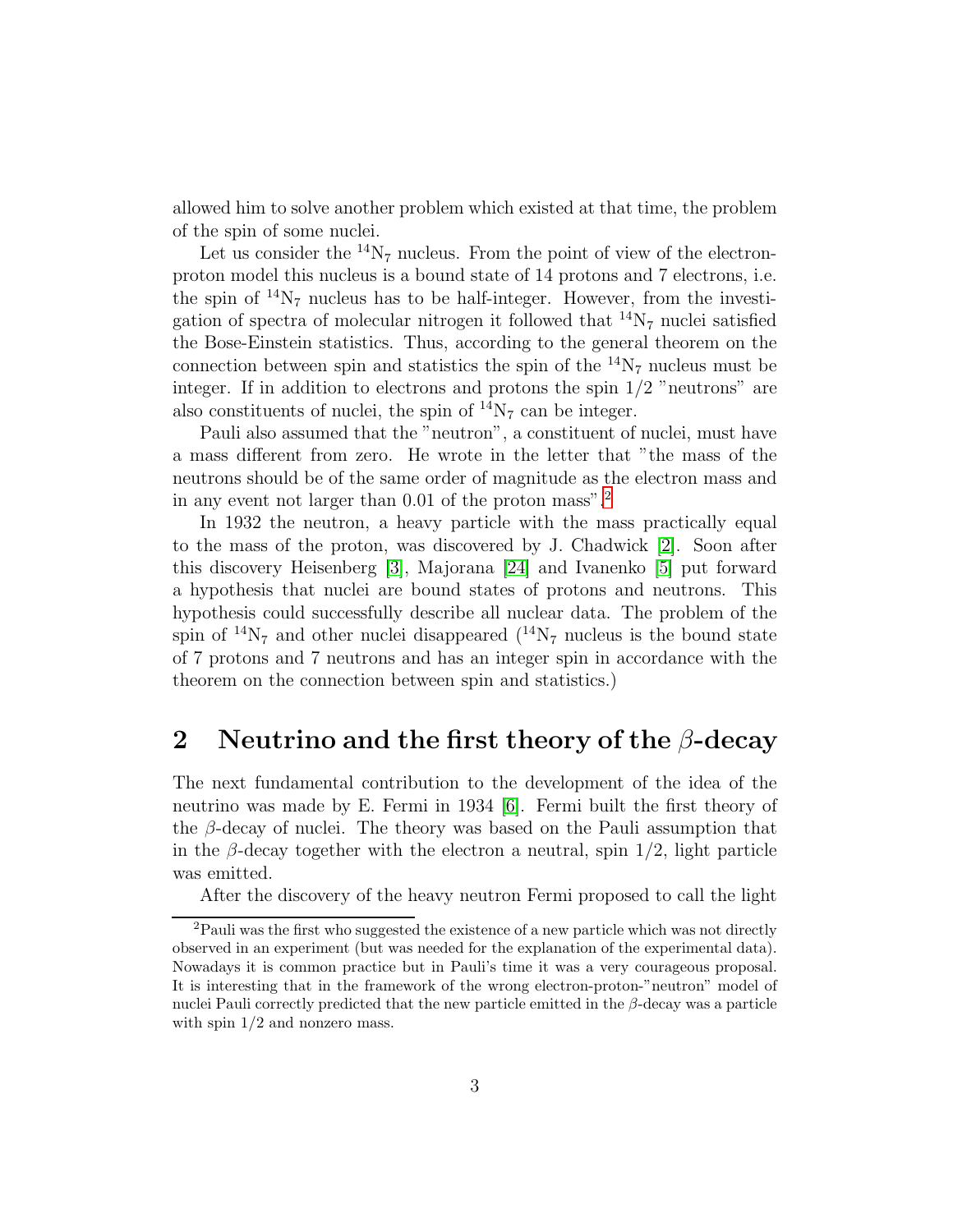allowed him to solve another problem which existed at that time, the problem of the spin of some nuclei.

Let us consider the  $^{14}N_7$  nucleus. From the point of view of the electronproton model this nucleus is a bound state of 14 protons and 7 electrons, i.e. the spin of  $14N_7$  nucleus has to be half-integer. However, from the investigation of spectra of molecular nitrogen it followed that  ${}^{14}N_7$  nuclei satisfied the Bose-Einstein statistics. Thus, according to the general theorem on the connection between spin and statistics the spin of the  ${}^{14}N_7$  nucleus must be integer. If in addition to electrons and protons the spin 1/2 "neutrons" are also constituents of nuclei, the spin of  $^{14}N_7$  can be integer.

Pauli also assumed that the "neutron", a constituent of nuclei, must have a mass different from zero. He wrote in the letter that "the mass of the neutrons should be of the same order of magnitude as the electron mass and in any event not larger than 0.01 of the proton mass".[2](#page-2-0)

In 1932 the neutron, a heavy particle with the mass practically equal to the mass of the proton, was discovered by J. Chadwick [\[2\]](#page-85-1). Soon after this discovery Heisenberg [\[3\]](#page-85-2), Majorana [\[24\]](#page-86-0) and Ivanenko [\[5\]](#page-85-3) put forward a hypothesis that nuclei are bound states of protons and neutrons. This hypothesis could successfully describe all nuclear data. The problem of the spin of  $^{14}N_7$  and other nuclei disappeared  $(^{14}N_7$  nucleus is the bound state of 7 protons and 7 neutrons and has an integer spin in accordance with the theorem on the connection between spin and statistics.)

## 2 Neutrino and the first theory of the  $\beta$ -decay

The next fundamental contribution to the development of the idea of the neutrino was made by E. Fermi in 1934 [\[6\]](#page-85-4). Fermi built the first theory of the  $\beta$ -decay of nuclei. The theory was based on the Pauli assumption that in the  $\beta$ -decay together with the electron a neutral, spin  $1/2$ , light particle was emitted.

After the discovery of the heavy neutron Fermi proposed to call the light

<span id="page-2-0"></span><sup>&</sup>lt;sup>2</sup>Pauli was the first who suggested the existence of a new particle which was not directly observed in an experiment (but was needed for the explanation of the experimental data). Nowadays it is common practice but in Pauli's time it was a very courageous proposal. It is interesting that in the framework of the wrong electron-proton-"neutron" model of nuclei Pauli correctly predicted that the new particle emitted in the  $\beta$ -decay was a particle with spin  $1/2$  and nonzero mass.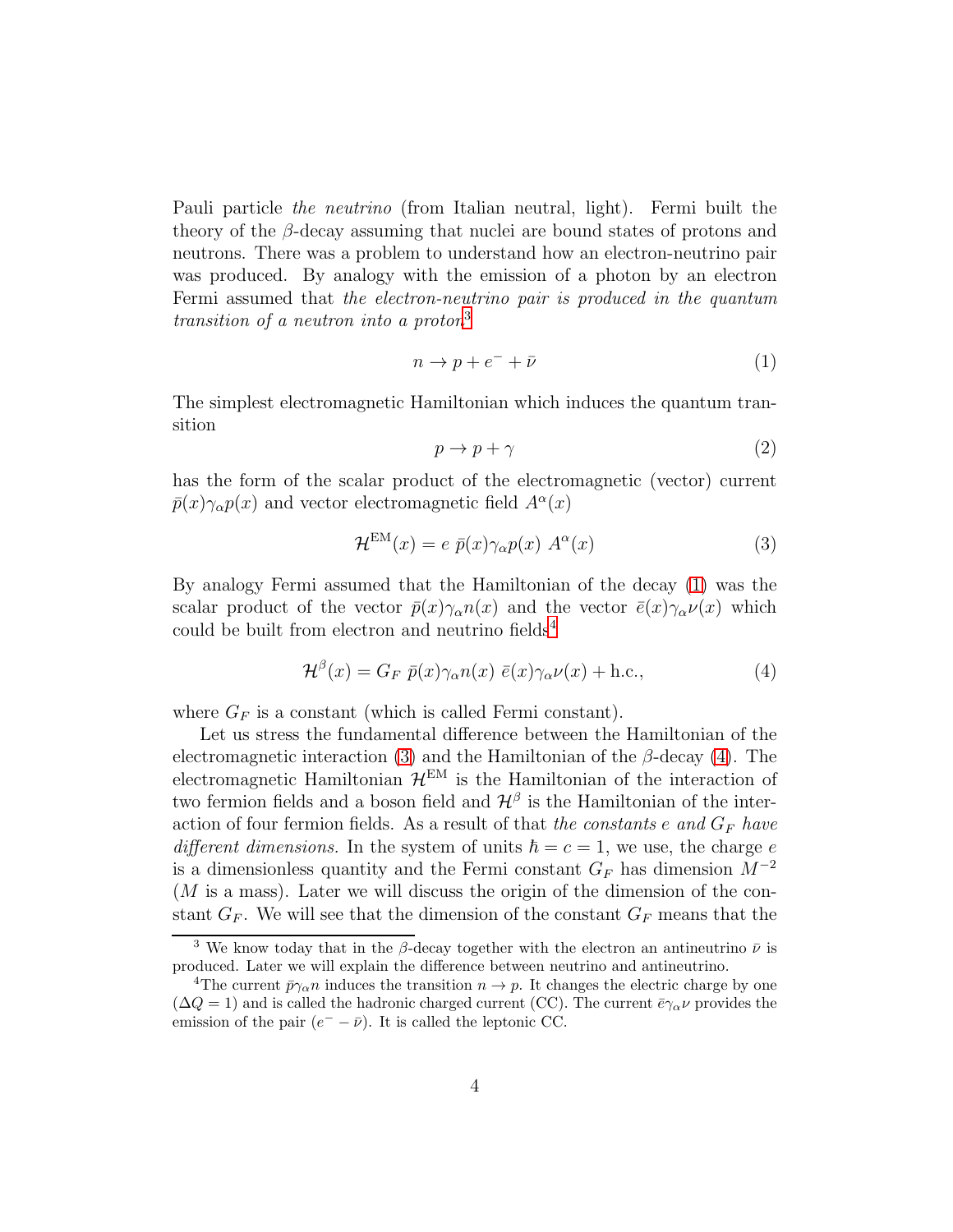Pauli particle the neutrino (from Italian neutral, light). Fermi built the theory of the  $\beta$ -decay assuming that nuclei are bound states of protons and neutrons. There was a problem to understand how an electron-neutrino pair was produced. By analogy with the emission of a photon by an electron Fermi assumed that the electron-neutrino pair is produced in the quantum transition of a neutron into a proton[3](#page-3-0)

<span id="page-3-1"></span>
$$
n \to p + e^- + \bar{\nu} \tag{1}
$$

The simplest electromagnetic Hamiltonian which induces the quantum transition

$$
p \to p + \gamma \tag{2}
$$

has the form of the scalar product of the electromagnetic (vector) current  $\bar{p}(x)\gamma_{\alpha}p(x)$  and vector electromagnetic field  $A^{\alpha}(x)$ 

<span id="page-3-3"></span>
$$
\mathcal{H}^{EM}(x) = e \ \bar{p}(x)\gamma_{\alpha}p(x) \ A^{\alpha}(x) \tag{3}
$$

By analogy Fermi assumed that the Hamiltonian of the decay [\(1\)](#page-3-1) was the scalar product of the vector  $\bar{p}(x)\gamma_\alpha n(x)$  and the vector  $\bar{e}(x)\gamma_\alpha \nu(x)$  which could be built from electron and neutrino fields<sup>[4](#page-3-2)</sup>

<span id="page-3-4"></span>
$$
\mathcal{H}^{\beta}(x) = G_F \ \bar{p}(x) \gamma_{\alpha} n(x) \ \bar{e}(x) \gamma_{\alpha} \nu(x) + \text{h.c.},\tag{4}
$$

where  $G_F$  is a constant (which is called Fermi constant).

Let us stress the fundamental difference between the Hamiltonian of the electromagnetic interaction [\(3\)](#page-3-3) and the Hamiltonian of the  $\beta$ -decay [\(4\)](#page-3-4). The electromagnetic Hamiltonian  $\mathcal{H}^{\text{EM}}$  is the Hamiltonian of the interaction of two fermion fields and a boson field and  $\mathcal{H}^{\beta}$  is the Hamiltonian of the interaction of four fermion fields. As a result of that the constants e and  $G_F$  have different dimensions. In the system of units  $\hbar = c = 1$ , we use, the charge e is a dimensionless quantity and the Fermi constant  $G_F$  has dimension  $M^{-2}$  $(M \t{is a mass})$ . Later we will discuss the origin of the dimension of the constant  $G_F$ . We will see that the dimension of the constant  $G_F$  means that the

<span id="page-3-0"></span><sup>&</sup>lt;sup>3</sup> We know today that in the β-decay together with the electron an antineutrino  $\bar{\nu}$  is produced. Later we will explain the difference between neutrino and antineutrino.

<span id="page-3-2"></span><sup>&</sup>lt;sup>4</sup>The current  $\bar{p}\gamma_{\alpha}n$  induces the transition  $n \to p$ . It changes the electric charge by one  $(\Delta Q = 1)$  and is called the hadronic charged current (CC). The current  $\bar{e}\gamma_{\alpha}\nu$  provides the emission of the pair  $(e^- - \bar{\nu})$ . It is called the leptonic CC.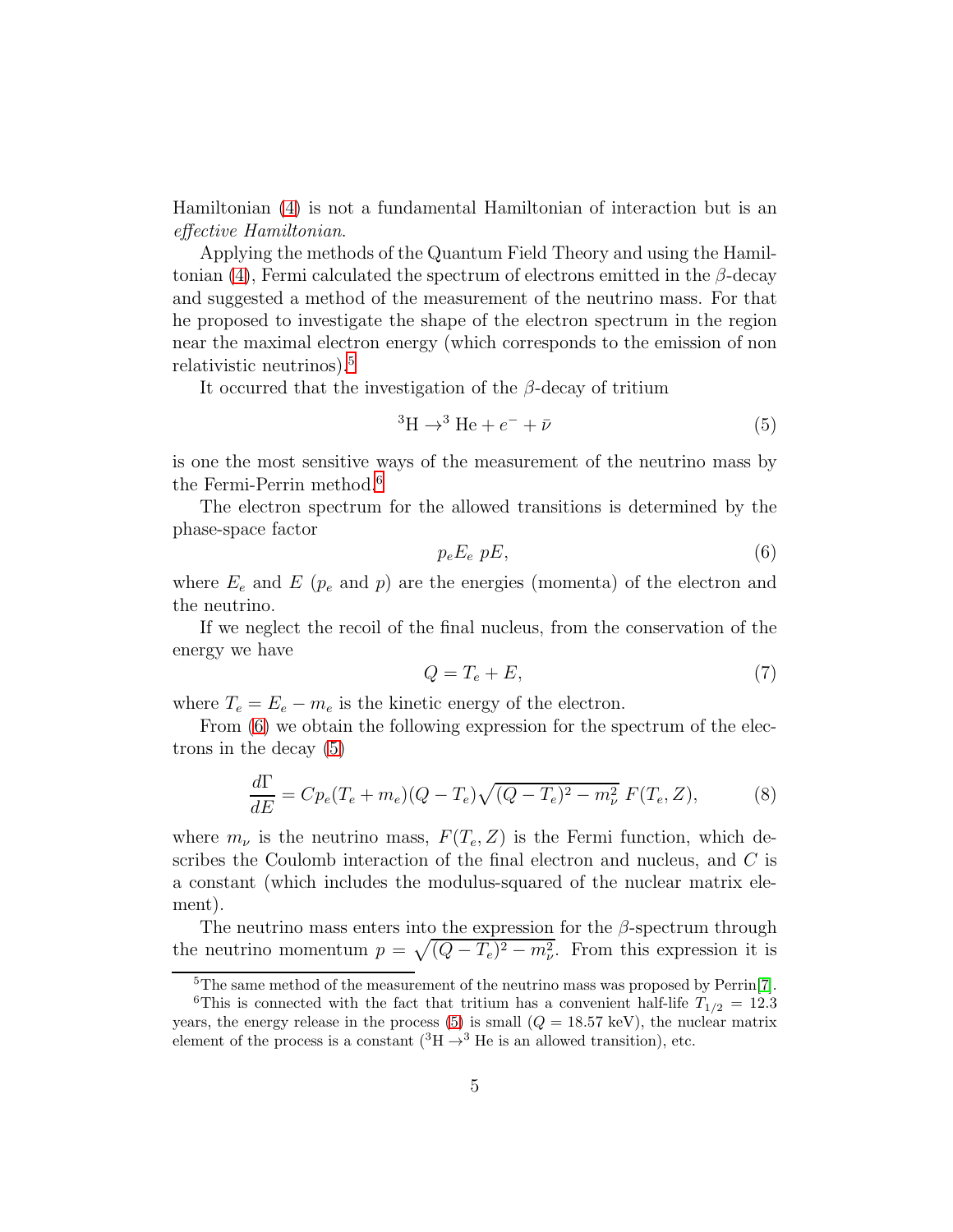Hamiltonian [\(4\)](#page-3-4) is not a fundamental Hamiltonian of interaction but is an effective Hamiltonian.

Applying the methods of the Quantum Field Theory and using the Hamil-tonian [\(4\)](#page-3-4), Fermi calculated the spectrum of electrons emitted in the  $\beta$ -decay and suggested a method of the measurement of the neutrino mass. For that he proposed to investigate the shape of the electron spectrum in the region near the maximal electron energy (which corresponds to the emission of non relativistic neutrinos).<sup>[5](#page-4-0)</sup>

It occurred that the investigation of the  $\beta$ -decay of tritium

<span id="page-4-3"></span>
$$
{}^{3}\text{H} \rightarrow {}^{3}\text{He} + e^{-} + \bar{\nu}
$$
 (5)

is one the most sensitive ways of the measurement of the neutrino mass by the Fermi-Perrin method.<sup>[6](#page-4-1)</sup>

The electron spectrum for the allowed transitions is determined by the phase-space factor

<span id="page-4-2"></span>
$$
p_e E_e \ pE, \tag{6}
$$

where  $E_e$  and  $E$  ( $p_e$  and  $p$ ) are the energies (momenta) of the electron and the neutrino.

If we neglect the recoil of the final nucleus, from the conservation of the energy we have

$$
Q = T_e + E,\t\t(7)
$$

where  $T_e = E_e - m_e$  is the kinetic energy of the electron.

From  $(6)$  we obtain the following expression for the spectrum of the electrons in the decay [\(5\)](#page-4-3)

$$
\frac{d\Gamma}{dE} = C p_e (T_e + m_e)(Q - T_e) \sqrt{(Q - T_e)^2 - m_\nu^2} F(T_e, Z),\tag{8}
$$

where  $m_{\nu}$  is the neutrino mass,  $F(T_e, Z)$  is the Fermi function, which describes the Coulomb interaction of the final electron and nucleus, and C is a constant (which includes the modulus-squared of the nuclear matrix element).

The neutrino mass enters into the expression for the  $\beta$ -spectrum through the neutrino momentum  $p = \sqrt{(Q - T_e)^2 - m_\nu^2}$ . From this expression it is

<span id="page-4-0"></span><sup>&</sup>lt;sup>5</sup>The same method of the measurement of the neutrino mass was proposed by Perrin<sup>[\[7\]](#page-85-5)</sup>.

<span id="page-4-1"></span><sup>&</sup>lt;sup>6</sup>This is connected with the fact that tritium has a convenient half-life  $T_{1/2} = 12.3$ years, the energy release in the process [\(5\)](#page-4-3) is small  $(Q = 18.57 \text{ keV})$ , the nuclear matrix element of the process is a constant  $({}^{3}H \rightarrow {}^{3}He$  is an allowed transition), etc.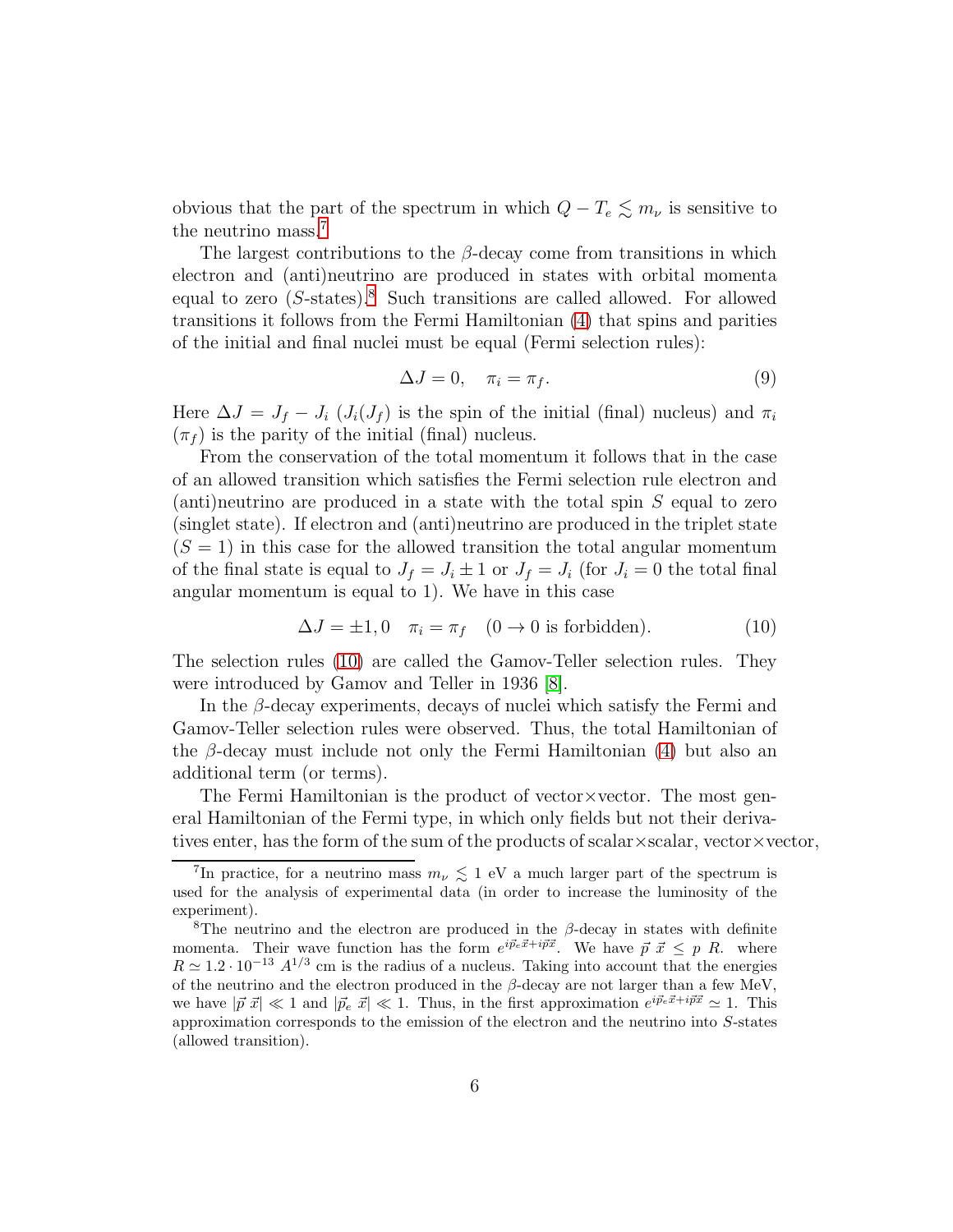obvious that the part of the spectrum in which  $Q - T_e \lesssim m_{\nu}$  is sensitive to the neutrino mass.[7](#page-5-0)

The largest contributions to the  $\beta$ -decay come from transitions in which electron and (anti)neutrino are produced in states with orbital momenta equal to zero  $(S\text{-states})$ .<sup>[8](#page-5-1)</sup> Such transitions are called allowed. For allowed transitions it follows from the Fermi Hamiltonian [\(4\)](#page-3-4) that spins and parities of the initial and final nuclei must be equal (Fermi selection rules):

$$
\Delta J = 0, \quad \pi_i = \pi_f. \tag{9}
$$

Here  $\Delta J = J_f - J_i$   $(J_i(J_f))$  is the spin of the initial (final) nucleus) and  $\pi_i$  $(\pi_f)$  is the parity of the initial (final) nucleus.

From the conservation of the total momentum it follows that in the case of an allowed transition which satisfies the Fermi selection rule electron and (anti)neutrino are produced in a state with the total spin S equal to zero (singlet state). If electron and (anti)neutrino are produced in the triplet state  $(S = 1)$  in this case for the allowed transition the total angular momentum of the final state is equal to  $J_f = J_i \pm 1$  or  $J_f = J_i$  (for  $J_i = 0$  the total final angular momentum is equal to 1). We have in this case

<span id="page-5-2"></span>
$$
\Delta J = \pm 1, 0 \quad \pi_i = \pi_f \quad (0 \to 0 \text{ is forbidden}). \tag{10}
$$

The selection rules [\(10\)](#page-5-2) are called the Gamov-Teller selection rules. They were introduced by Gamov and Teller in 1936 [\[8\]](#page-85-6).

In the  $\beta$ -decay experiments, decays of nuclei which satisfy the Fermi and Gamov-Teller selection rules were observed. Thus, the total Hamiltonian of the  $\beta$ -decay must include not only the Fermi Hamiltonian [\(4\)](#page-3-4) but also an additional term (or terms).

The Fermi Hamiltonian is the product of vector $\times$ vector. The most general Hamiltonian of the Fermi type, in which only fields but not their derivatives enter, has the form of the sum of the products of scalar  $\times$  scalar, vector $\times$ vector,

<span id="page-5-0"></span><sup>&</sup>lt;sup>7</sup>In practice, for a neutrino mass  $m_{\nu} \lesssim 1$  eV a much larger part of the spectrum is used for the analysis of experimental data (in order to increase the luminosity of the experiment).

<span id="page-5-1"></span><sup>&</sup>lt;sup>8</sup>The neutrino and the electron are produced in the  $\beta$ -decay in states with definite momenta. Their wave function has the form  $e^{i\vec{p}_e\vec{x}+i\vec{p}\vec{x}}$ . We have  $\vec{p} \ \vec{x} \leq p R$ . where  $R \simeq 1.2 \cdot 10^{-13}$   $A^{1/3}$  cm is the radius of a nucleus. Taking into account that the energies of the neutrino and the electron produced in the  $\beta$ -decay are not larger than a few MeV, we have  $|\vec{p} \cdot \vec{x}| \ll 1$  and  $|\vec{p}_e \cdot \vec{x}| \ll 1$ . Thus, in the first approximation  $e^{i\vec{p}_e\vec{x}+i\vec{p}\vec{x}} \approx 1$ . This approximation corresponds to the emission of the electron and the neutrino into S-states (allowed transition).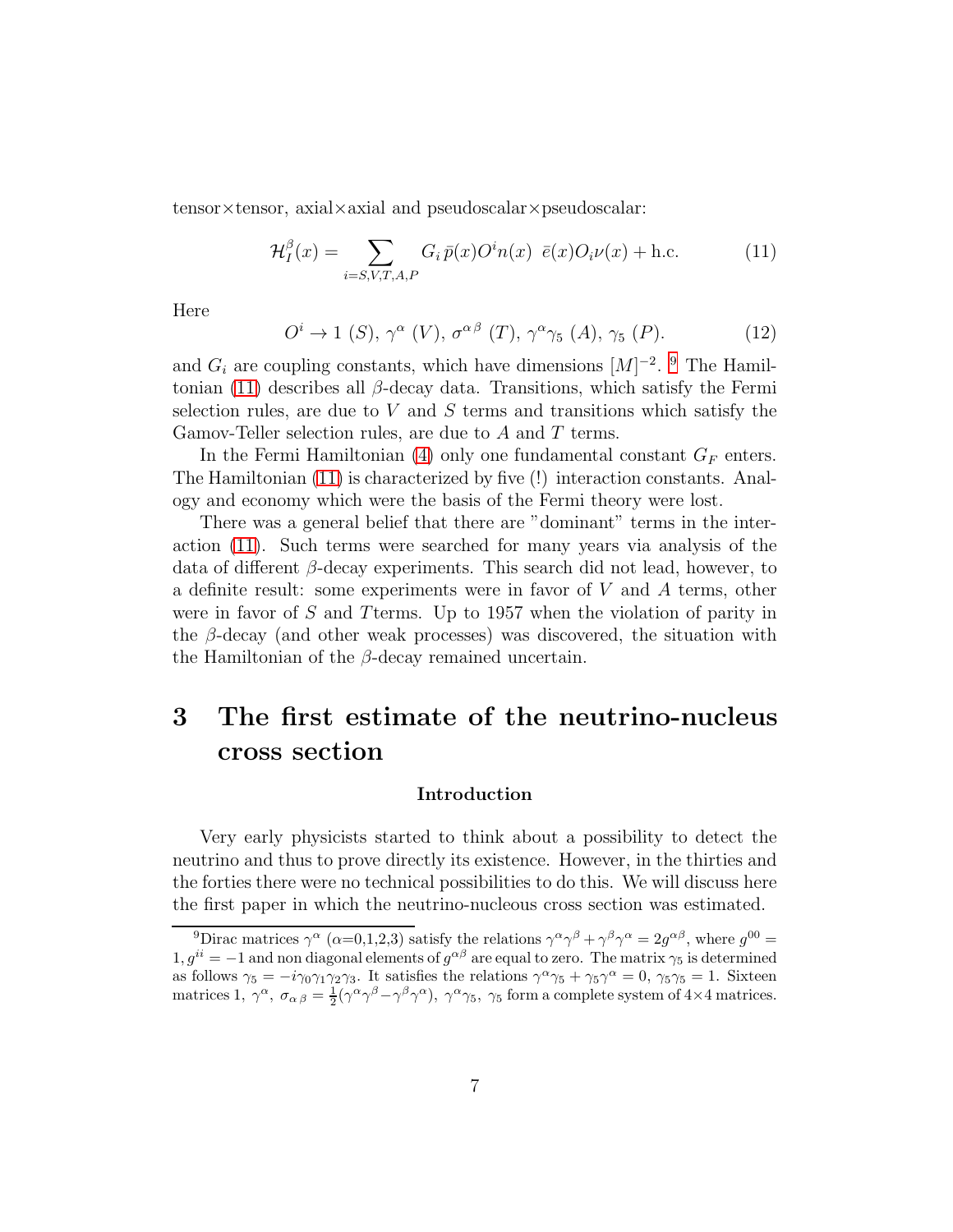tensor×tensor, axial×axial and pseudoscalar×pseudoscalar:

<span id="page-6-1"></span>
$$
\mathcal{H}_I^{\beta}(x) = \sum_{i=S,V,T,A,P} G_i \,\bar{p}(x) O^i n(x) \quad \bar{e}(x) O_i \nu(x) + \text{h.c.} \tag{11}
$$

Here

<span id="page-6-2"></span>
$$
O^i \to 1 \ (S), \ \gamma^{\alpha} \ (V), \ \sigma^{\alpha \beta} \ (T), \ \gamma^{\alpha} \gamma_5 \ (A), \ \gamma_5 \ (P). \tag{12}
$$

and  $G_i$  are coupling constants, which have dimensions  $[M]^{-2}$ . <sup>[9](#page-6-0)</sup> The Hamil-tonian [\(11\)](#page-6-1) describes all  $\beta$ -decay data. Transitions, which satisfy the Fermi selection rules, are due to  $V$  and  $S$  terms and transitions which satisfy the Gamov-Teller selection rules, are due to A and T terms.

In the Fermi Hamiltonian [\(4\)](#page-3-4) only one fundamental constant  $G_F$  enters. The Hamiltonian [\(11\)](#page-6-1) is characterized by five (!) interaction constants. Analogy and economy which were the basis of the Fermi theory were lost.

There was a general belief that there are "dominant" terms in the interaction [\(11\)](#page-6-1). Such terms were searched for many years via analysis of the data of different  $\beta$ -decay experiments. This search did not lead, however, to a definite result: some experiments were in favor of  $V$  and  $A$  terms, other were in favor of S and T terms. Up to 1957 when the violation of parity in the  $\beta$ -decay (and other weak processes) was discovered, the situation with the Hamiltonian of the  $\beta$ -decay remained uncertain.

## 3 The first estimate of the neutrino-nucleus cross section

### Introduction

Very early physicists started to think about a possibility to detect the neutrino and thus to prove directly its existence. However, in the thirties and the forties there were no technical possibilities to do this. We will discuss here the first paper in which the neutrino-nucleous cross section was estimated.

<span id="page-6-0"></span><sup>&</sup>lt;sup>9</sup>Dirac matrices  $\gamma^{\alpha}$  ( $\alpha=0,1,2,3$ ) satisfy the relations  $\gamma^{\alpha}\gamma^{\beta}+\gamma^{\beta}\gamma^{\alpha}=2g^{\alpha\beta}$ , where  $g^{00}=$  $1, g^{ii} = -1$  and non diagonal elements of  $g^{\alpha\beta}$  are equal to zero. The matrix  $\gamma_5$  is determined as follows  $\gamma_5 = -i\gamma_0\gamma_1\gamma_2\gamma_3$ . It satisfies the relations  $\gamma^{\alpha}\gamma_5 + \gamma_5\gamma^{\alpha} = 0$ ,  $\gamma_5\gamma_5 = 1$ . Sixteen matrices 1,  $\gamma^{\alpha}$ ,  $\sigma_{\alpha\beta} = \frac{1}{2}(\gamma^{\alpha}\gamma^{\beta} - \gamma^{\beta}\gamma^{\alpha})$ ,  $\gamma^{\alpha}\gamma_5$ ,  $\gamma_5$  form a complete system of 4×4 matrices.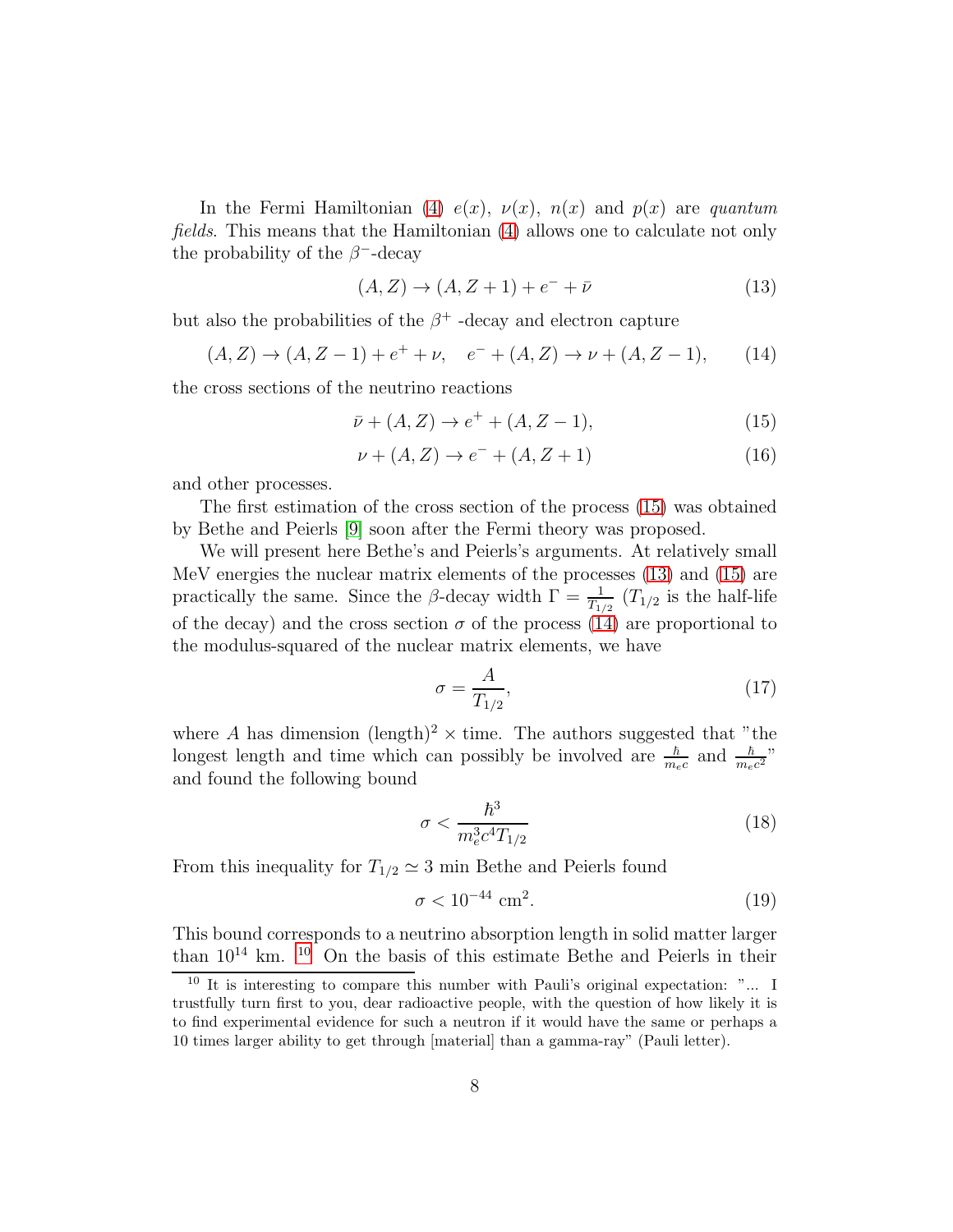In the Fermi Hamiltonian [\(4\)](#page-3-4)  $e(x)$ ,  $\nu(x)$ ,  $n(x)$  and  $p(x)$  are quantum fields. This means that the Hamiltonian [\(4\)](#page-3-4) allows one to calculate not only the probability of the  $\beta^-$ -decay

<span id="page-7-1"></span>
$$
(A, Z) \to (A, Z + 1) + e^- + \bar{\nu}
$$
 (13)

but also the probabilities of the  $\beta^+$  -decay and electron capture

<span id="page-7-2"></span>
$$
(A, Z) \to (A, Z - 1) + e^+ + \nu, \quad e^- + (A, Z) \to \nu + (A, Z - 1), \tag{14}
$$

the cross sections of the neutrino reactions

<span id="page-7-0"></span>
$$
\bar{\nu} + (A, Z) \to e^+ + (A, Z - 1),\tag{15}
$$

$$
\nu + (A, Z) \to e^- + (A, Z + 1) \tag{16}
$$

and other processes.

The first estimation of the cross section of the process [\(15\)](#page-7-0) was obtained by Bethe and Peierls [\[9\]](#page-85-7) soon after the Fermi theory was proposed.

We will present here Bethe's and Peierls's arguments. At relatively small MeV energies the nuclear matrix elements of the processes [\(13\)](#page-7-1) and [\(15\)](#page-7-0) are practically the same. Since the  $\beta$ -decay width  $\Gamma = \frac{1}{T_{1/2}} (T_{1/2}$  is the half-life of the decay) and the cross section  $\sigma$  of the process [\(14\)](#page-7-2) are proportional to the modulus-squared of the nuclear matrix elements, we have

$$
\sigma = \frac{A}{T_{1/2}},\tag{17}
$$

where A has dimension  $(\text{length})^2 \times \text{time}$ . The authors suggested that "the longest length and time which can possibly be involved are  $\frac{\hbar}{m_e c}$  and  $\frac{\hbar}{m_e c^2}$ " and found the following bound

$$
\sigma < \frac{\hbar^3}{m_e^3 c^4 T_{1/2}}\tag{18}
$$

From this inequality for  $T_{1/2} \simeq 3$  min Bethe and Peierls found

$$
\sigma < 10^{-44} \, \text{cm}^2. \tag{19}
$$

This bound corresponds to a neutrino absorption length in solid matter larger than  $10^{14}$  $10^{14}$  km.  $10$  On the basis of this estimate Bethe and Peierls in their

<span id="page-7-3"></span><sup>&</sup>lt;sup>10</sup> It is interesting to compare this number with Pauli's original expectation: "... I trustfully turn first to you, dear radioactive people, with the question of how likely it is to find experimental evidence for such a neutron if it would have the same or perhaps a 10 times larger ability to get through [material] than a gamma-ray" (Pauli letter).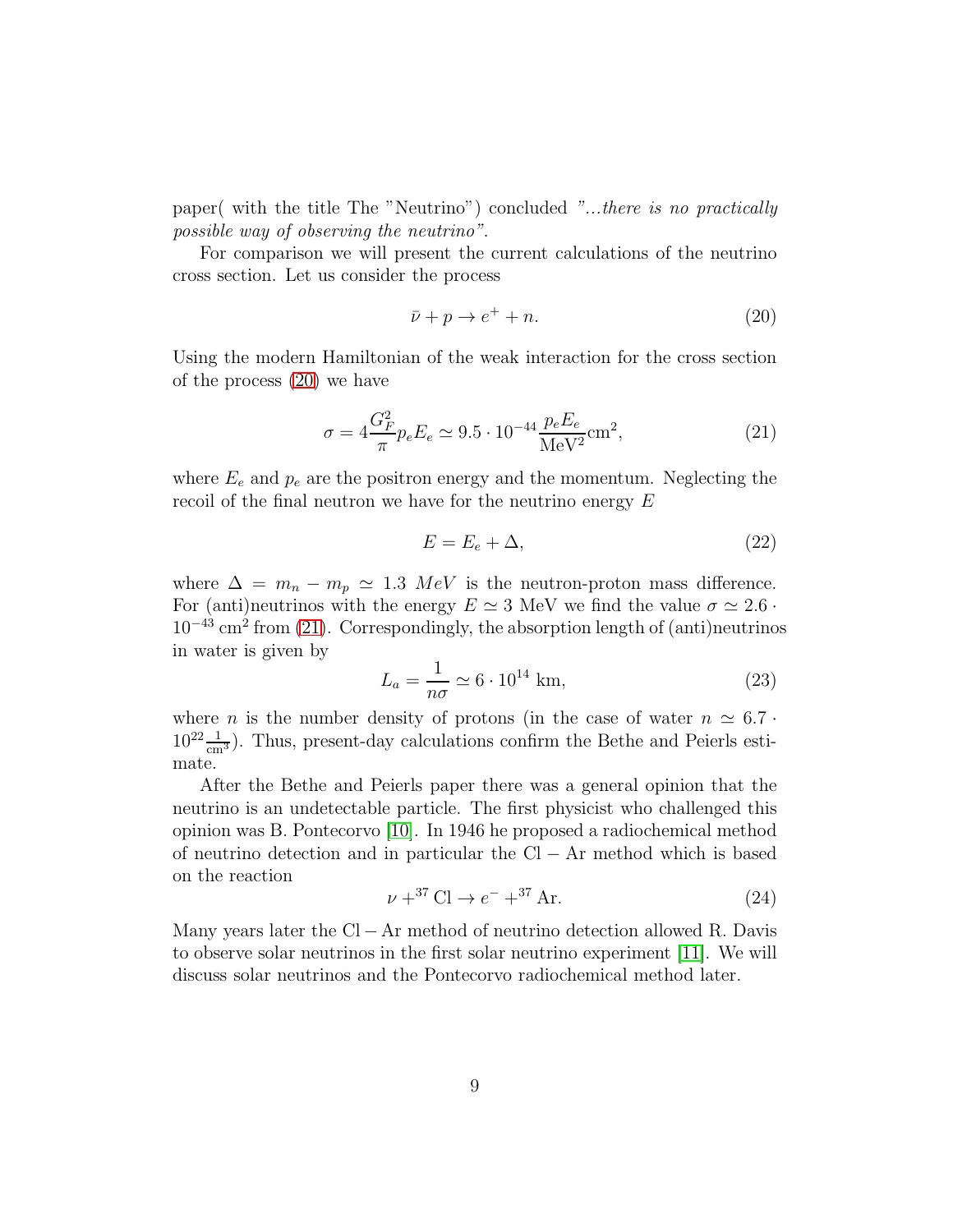paper( with the title The "Neutrino") concluded "...there is no practically possible way of observing the neutrino".

For comparison we will present the current calculations of the neutrino cross section. Let us consider the process

<span id="page-8-0"></span>
$$
\bar{\nu} + p \to e^+ + n. \tag{20}
$$

Using the modern Hamiltonian of the weak interaction for the cross section of the process [\(20\)](#page-8-0) we have

<span id="page-8-1"></span>
$$
\sigma = 4 \frac{G_F^2}{\pi} p_e E_e \simeq 9.5 \cdot 10^{-44} \frac{p_e E_e}{\text{MeV}^2} \text{cm}^2,
$$
\n(21)

where  $E_e$  and  $p_e$  are the positron energy and the momentum. Neglecting the recoil of the final neutron we have for the neutrino energy  $E$ 

$$
E = E_e + \Delta,\tag{22}
$$

where  $\Delta = m_n - m_p \simeq 1.3 \; MeV$  is the neutron-proton mass difference. For (anti)neutrinos with the energy  $E \simeq 3$  MeV we find the value  $\sigma \simeq 2.6$ . 10−<sup>43</sup> cm<sup>2</sup> from [\(21\)](#page-8-1). Correspondingly, the absorption length of (anti)neutrinos in water is given by

$$
L_a = \frac{1}{n\sigma} \simeq 6 \cdot 10^{14} \text{ km},\tag{23}
$$

where *n* is the number density of protons (in the case of water  $n \approx 6.7$ .  $10^{22} \frac{1}{\text{cm}^3}$ ). Thus, present-day calculations confirm the Bethe and Peierls estimate.

After the Bethe and Peierls paper there was a general opinion that the neutrino is an undetectable particle. The first physicist who challenged this opinion was B. Pontecorvo [\[10\]](#page-86-1). In 1946 he proposed a radiochemical method of neutrino detection and in particular the Cl − Ar method which is based on the reaction

$$
\nu + ^{37}Cl \to e^- + ^{37}Ar. \tag{24}
$$

Many years later the  $Cl - Ar$  method of neutrino detection allowed R. Davis to observe solar neutrinos in the first solar neutrino experiment [\[11\]](#page-86-2). We will discuss solar neutrinos and the Pontecorvo radiochemical method later.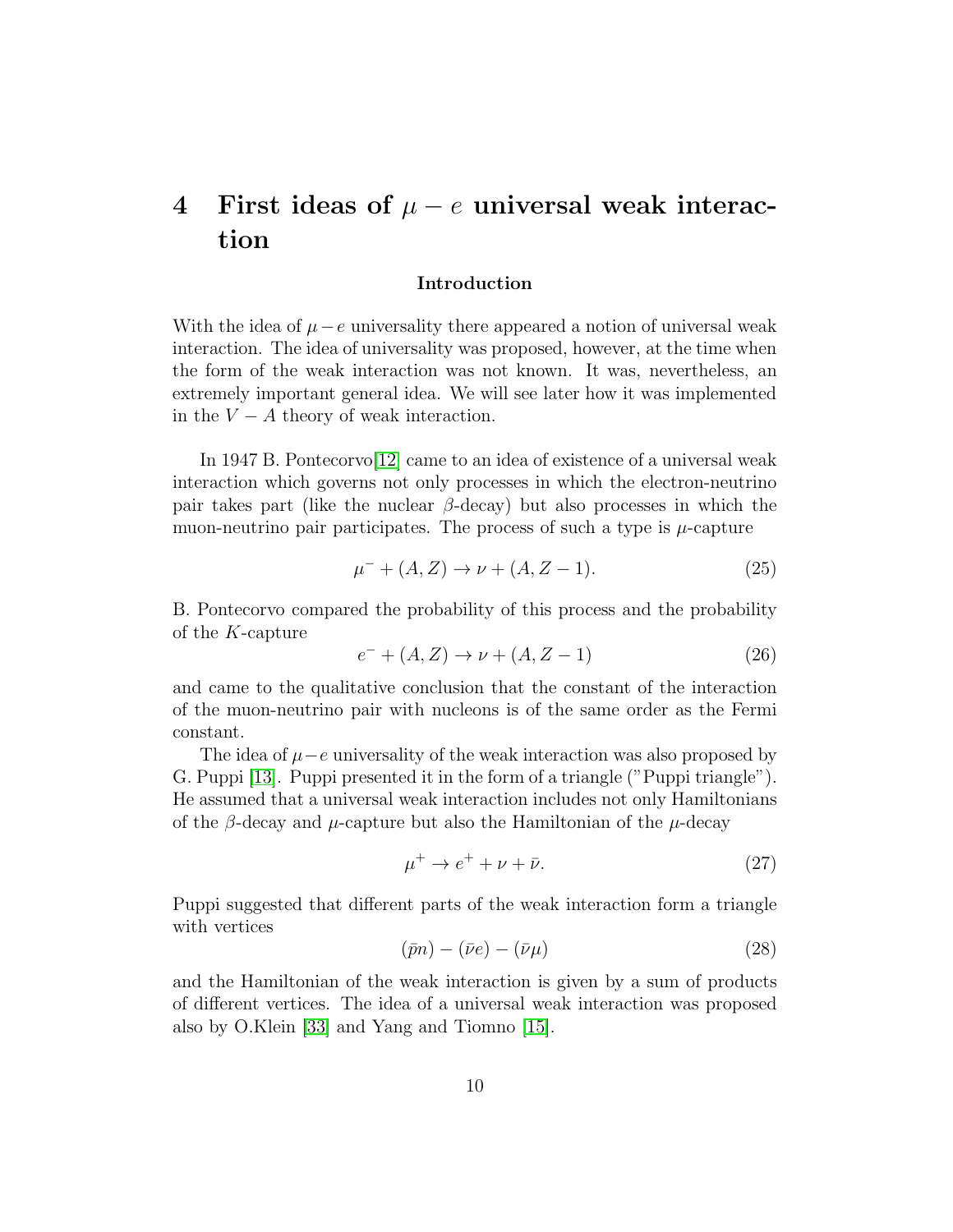## 4 First ideas of  $\mu - e$  universal weak interaction

### Introduction

With the idea of  $\mu - e$  universality there appeared a notion of universal weak interaction. The idea of universality was proposed, however, at the time when the form of the weak interaction was not known. It was, nevertheless, an extremely important general idea. We will see later how it was implemented in the  $V - A$  theory of weak interaction.

In 1947 B. Pontecorvo[\[12\]](#page-86-3) came to an idea of existence of a universal weak interaction which governs not only processes in which the electron-neutrino pair takes part (like the nuclear  $\beta$ -decay) but also processes in which the muon-neutrino pair participates. The process of such a type is  $\mu$ -capture

$$
\mu^- + (A, Z) \to \nu + (A, Z - 1). \tag{25}
$$

B. Pontecorvo compared the probability of this process and the probability of the K-capture

$$
e^- + (A, Z) \to \nu + (A, Z - 1) \tag{26}
$$

and came to the qualitative conclusion that the constant of the interaction of the muon-neutrino pair with nucleons is of the same order as the Fermi constant.

The idea of  $\mu - e$  universality of the weak interaction was also proposed by G. Puppi [\[13\]](#page-86-4). Puppi presented it in the form of a triangle ("Puppi triangle"). He assumed that a universal weak interaction includes not only Hamiltonians of the  $\beta$ -decay and  $\mu$ -capture but also the Hamiltonian of the  $\mu$ -decay

$$
\mu^+ \to e^+ + \nu + \bar{\nu}.\tag{27}
$$

Puppi suggested that different parts of the weak interaction form a triangle with vertices

$$
(\bar{p}n) - (\bar{\nu}e) - (\bar{\nu}\mu) \tag{28}
$$

and the Hamiltonian of the weak interaction is given by a sum of products of different vertices. The idea of a universal weak interaction was proposed also by O.Klein [\[33\]](#page-87-0) and Yang and Tiomno [\[15\]](#page-86-5).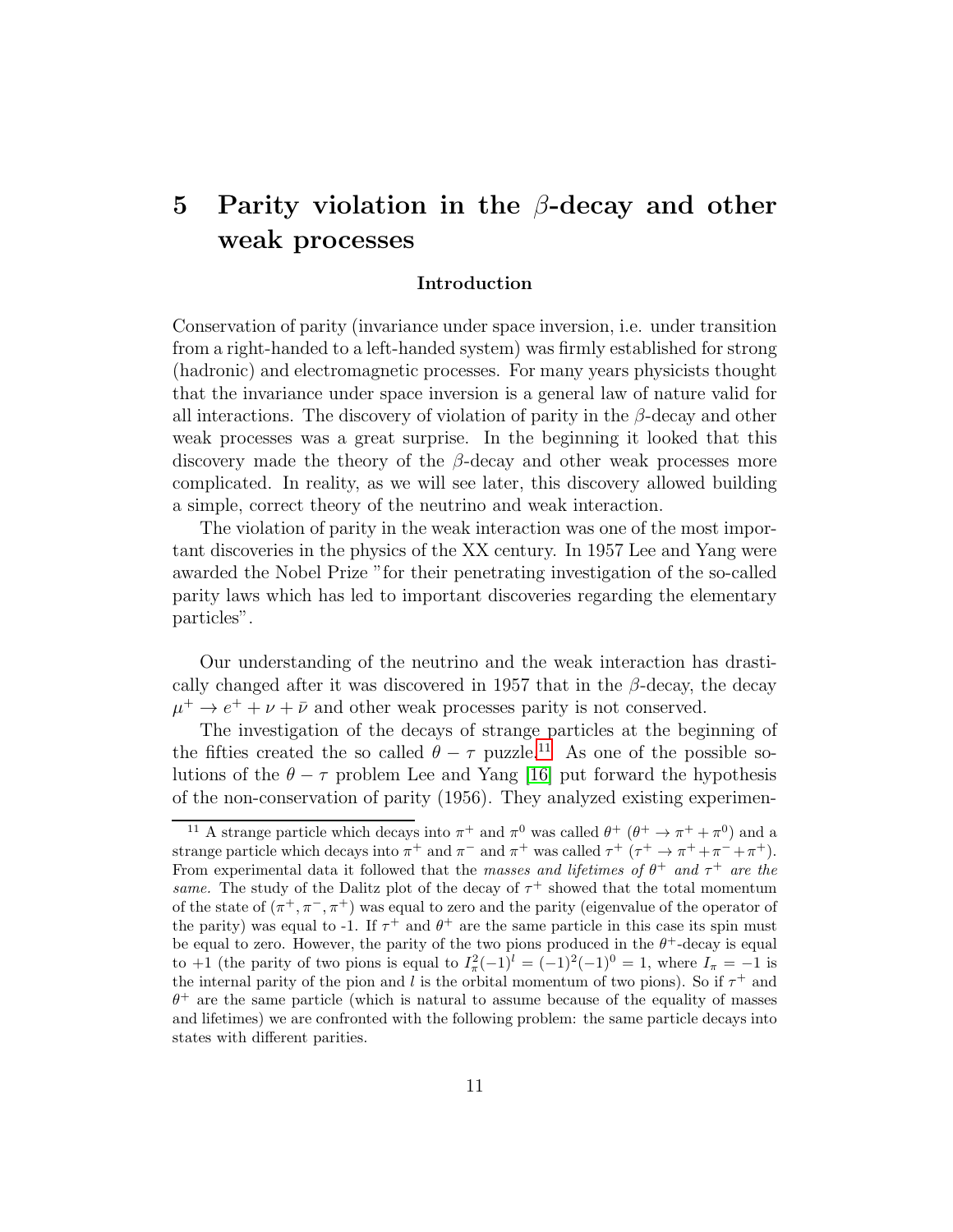## 5 Parity violation in the  $\beta$ -decay and other weak processes

#### Introduction

Conservation of parity (invariance under space inversion, i.e. under transition from a right-handed to a left-handed system) was firmly established for strong (hadronic) and electromagnetic processes. For many years physicists thought that the invariance under space inversion is a general law of nature valid for all interactions. The discovery of violation of parity in the  $\beta$ -decay and other weak processes was a great surprise. In the beginning it looked that this discovery made the theory of the  $\beta$ -decay and other weak processes more complicated. In reality, as we will see later, this discovery allowed building a simple, correct theory of the neutrino and weak interaction.

The violation of parity in the weak interaction was one of the most important discoveries in the physics of the XX century. In 1957 Lee and Yang were awarded the Nobel Prize "for their penetrating investigation of the so-called parity laws which has led to important discoveries regarding the elementary particles".

Our understanding of the neutrino and the weak interaction has drastically changed after it was discovered in 1957 that in the  $\beta$ -decay, the decay  $\mu^+ \to e^+ + \nu + \bar{\nu}$  and other weak processes parity is not conserved.

The investigation of the decays of strange particles at the beginning of the fifties created the so called  $\theta - \tau$  puzzle.<sup>[11](#page-10-0)</sup> As one of the possible solutions of the  $\theta - \tau$  problem Lee and Yang [\[16\]](#page-86-6) put forward the hypothesis of the non-conservation of parity (1956). They analyzed existing experimen-

<span id="page-10-0"></span><sup>&</sup>lt;sup>11</sup> A strange particle which decays into  $\pi^+$  and  $\pi^0$  was called  $\theta^+$  ( $\theta^+$   $\rightarrow \pi^+ + \pi^0$ ) and a strange particle which decays into  $\pi^+$  and  $\pi^-$  and  $\pi^+$  was called  $\tau^+$  ( $\tau^+ \to \pi^+ + \pi^- + \pi^+$ ). From experimental data it followed that the masses and lifetimes of  $\theta^+$  and  $\tau^+$  are the same. The study of the Dalitz plot of the decay of  $\tau^+$  showed that the total momentum of the state of  $(\pi^+,\pi^-,\pi^+)$  was equal to zero and the parity (eigenvalue of the operator of the parity) was equal to -1. If  $\tau^+$  and  $\theta^+$  are the same particle in this case its spin must be equal to zero. However, the parity of the two pions produced in the  $\theta^+$ -decay is equal to +1 (the parity of two pions is equal to  $I_{\pi}^2(-1)^l = (-1)^2(-1)^0 = 1$ , where  $I_{\pi} = -1$  is the internal parity of the pion and l is the orbital momentum of two pions). So if  $\tau^+$  and  $\theta^+$  are the same particle (which is natural to assume because of the equality of masses and lifetimes) we are confronted with the following problem: the same particle decays into states with different parities.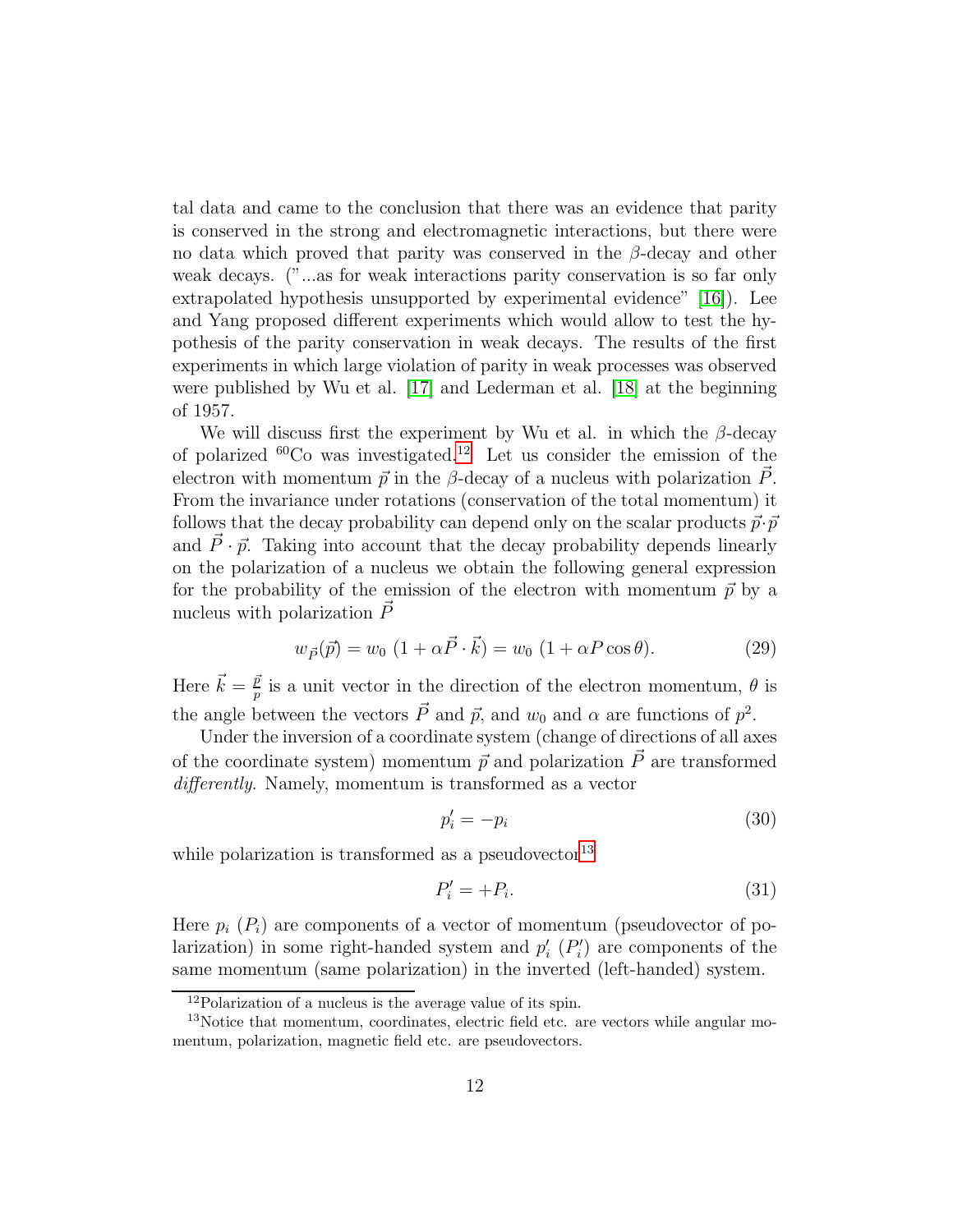tal data and came to the conclusion that there was an evidence that parity is conserved in the strong and electromagnetic interactions, but there were no data which proved that parity was conserved in the  $\beta$ -decay and other weak decays. ("...as for weak interactions parity conservation is so far only extrapolated hypothesis unsupported by experimental evidence" [\[16\]](#page-86-6)). Lee and Yang proposed different experiments which would allow to test the hypothesis of the parity conservation in weak decays. The results of the first experiments in which large violation of parity in weak processes was observed were published by Wu et al. [\[17\]](#page-86-7) and Lederman et al. [\[18\]](#page-86-8) at the beginning of 1957.

We will discuss first the experiment by Wu et al. in which the  $\beta$ -decay of polarized  ${}^{60}Co$  was investigated.<sup>[12](#page-11-0)</sup> Let us consider the emission of the electron with momentum  $\vec{p}$  in the β-decay of a nucleus with polarization P. From the invariance under rotations (conservation of the total momentum) it follows that the decay probability can depend only on the scalar products  $\vec{p}\cdot\vec{p}$ and  $\vec{P} \cdot \vec{p}$ . Taking into account that the decay probability depends linearly on the polarization of a nucleus we obtain the following general expression for the probability of the emission of the electron with momentum  $\vec{p}$  by a nucleus with polarization  $\vec{P}$ 

<span id="page-11-4"></span>
$$
w_{\vec{P}}(\vec{p}) = w_0 \left(1 + \alpha \vec{P} \cdot \vec{k}\right) = w_0 \left(1 + \alpha P \cos \theta\right). \tag{29}
$$

Here  $\vec{k} = \frac{\vec{p}}{n}$  $\frac{p}{p}$  is a unit vector in the direction of the electron momentum,  $\theta$  is the angle between the vectors  $\vec{P}$  and  $\vec{p}$ , and  $w_0$  and  $\alpha$  are functions of  $p^2$ .

Under the inversion of a coordinate system (change of directions of all axes of the coordinate system) momentum  $\vec{p}$  and polarization  $\vec{P}$  are transformed differently. Namely, momentum is transformed as a vector

<span id="page-11-2"></span>
$$
p_i' = -p_i \tag{30}
$$

while polarization is transformed as a pseudovector  $13$ 

<span id="page-11-3"></span>
$$
P_i' = +P_i. \tag{31}
$$

Here  $p_i$  ( $P_i$ ) are components of a vector of momentum (pseudovector of polarization) in some right-handed system and  $p'_{i}$  ( $P'_{i}$ ) are components of the same momentum (same polarization) in the inverted (left-handed) system.

<span id="page-11-0"></span><sup>&</sup>lt;sup>12</sup>Polarization of a nucleus is the average value of its spin.

<span id="page-11-1"></span><sup>&</sup>lt;sup>13</sup>Notice that momentum, coordinates, electric field etc. are vectors while angular momentum, polarization, magnetic field etc. are pseudovectors.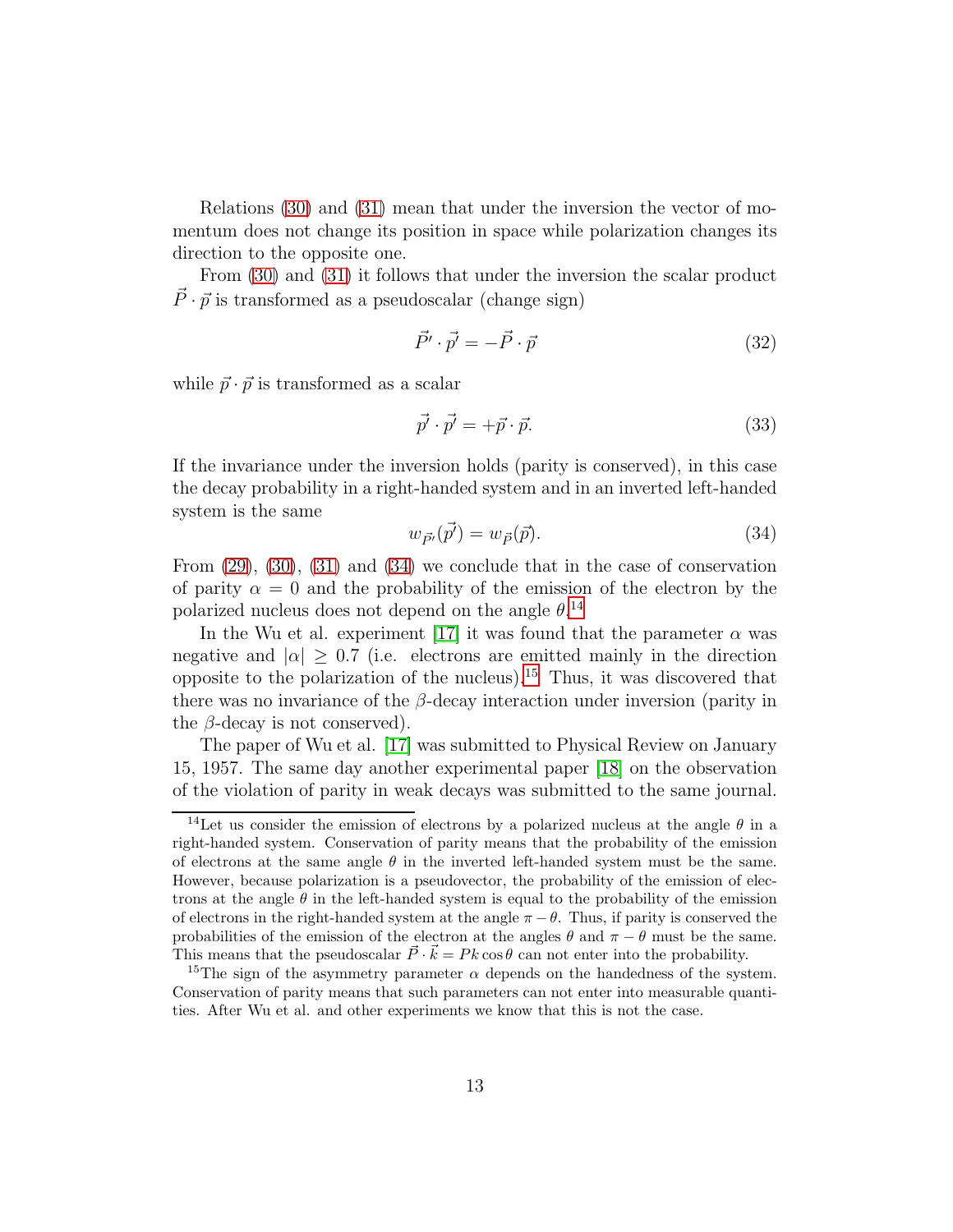Relations [\(30\)](#page-11-2) and [\(31\)](#page-11-3) mean that under the inversion the vector of momentum does not change its position in space while polarization changes its direction to the opposite one.

From [\(30\)](#page-11-2) and [\(31\)](#page-11-3) it follows that under the inversion the scalar product  $\vec{P} \cdot \vec{p}$  is transformed as a pseudoscalar (change sign)

$$
\vec{P'} \cdot \vec{p'} = -\vec{P} \cdot \vec{p} \tag{32}
$$

while  $\vec{p} \cdot \vec{p}$  is transformed as a scalar

$$
\vec{p'} \cdot \vec{p'} = +\vec{p} \cdot \vec{p}.\tag{33}
$$

If the invariance under the inversion holds (parity is conserved), in this case the decay probability in a right-handed system and in an inverted left-handed system is the same

<span id="page-12-0"></span>
$$
w_{\vec{P}'}(\vec{p'}) = w_{\vec{P}}(\vec{p}).
$$
\n(34)

From  $(29)$ ,  $(30)$ ,  $(31)$  and  $(34)$  we conclude that in the case of conservation of parity  $\alpha = 0$  and the probability of the emission of the electron by the polarized nucleus does not depend on the angle  $\theta$ .<sup>[14](#page-12-1)</sup>

In the Wu et al. experiment [\[17\]](#page-86-7) it was found that the parameter  $\alpha$  was negative and  $|\alpha| > 0.7$  (i.e. electrons are emitted mainly in the direction opposite to the polarization of the nucleus).<sup>[15](#page-12-2)</sup> Thus, it was discovered that there was no invariance of the  $\beta$ -decay interaction under inversion (parity in the  $\beta$ -decay is not conserved).

The paper of Wu et al. [\[17\]](#page-86-7) was submitted to Physical Review on January 15, 1957. The same day another experimental paper [\[18\]](#page-86-8) on the observation of the violation of parity in weak decays was submitted to the same journal.

<span id="page-12-1"></span><sup>&</sup>lt;sup>14</sup>Let us consider the emission of electrons by a polarized nucleus at the angle  $\theta$  in a right-handed system. Conservation of parity means that the probability of the emission of electrons at the same angle  $\theta$  in the inverted left-handed system must be the same. However, because polarization is a pseudovector, the probability of the emission of electrons at the angle  $\theta$  in the left-handed system is equal to the probability of the emission of electrons in the right-handed system at the angle  $\pi - \theta$ . Thus, if parity is conserved the probabilities of the emission of the electron at the angles  $\theta$  and  $\pi - \theta$  must be the same. This means that the pseudoscalar  $\vec{P} \cdot \vec{k} = Pk \cos \theta$  can not enter into the probability.

<span id="page-12-2"></span><sup>&</sup>lt;sup>15</sup>The sign of the asymmetry parameter  $\alpha$  depends on the handedness of the system. Conservation of parity means that such parameters can not enter into measurable quantities. After Wu et al. and other experiments we know that this is not the case.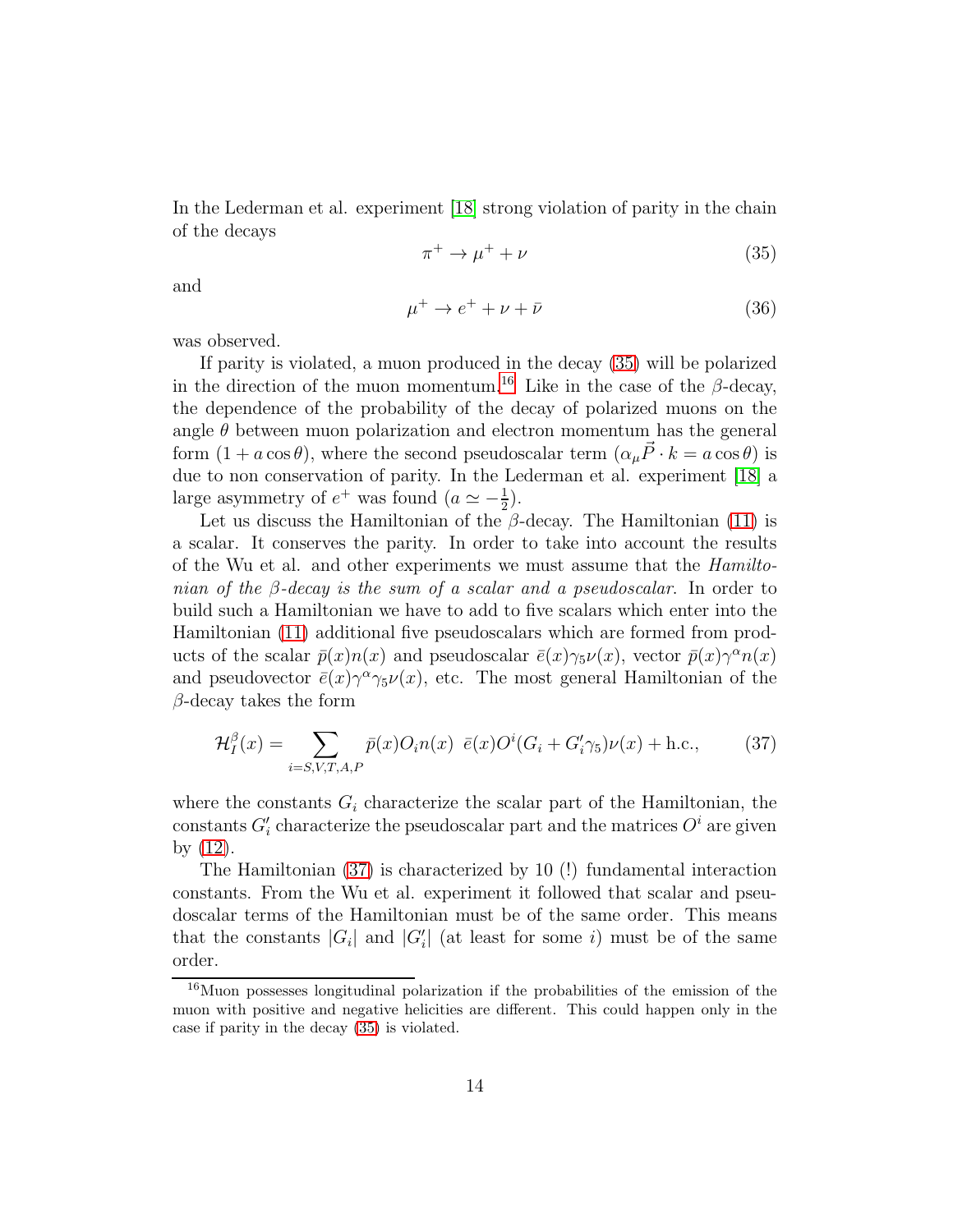In the Lederman et al. experiment [\[18\]](#page-86-8) strong violation of parity in the chain of the decays

<span id="page-13-0"></span>
$$
\pi^+ \to \mu^+ + \nu \tag{35}
$$

and

$$
\mu^+ \to e^+ + \nu + \bar{\nu} \tag{36}
$$

was observed.

If parity is violated, a muon produced in the decay [\(35\)](#page-13-0) will be polarized in the direction of the muon momentum.<sup>[16](#page-13-1)</sup> Like in the case of the  $\beta$ -decay, the dependence of the probability of the decay of polarized muons on the angle  $\theta$  between muon polarization and electron momentum has the general form  $(1 + a \cos \theta)$ , where the second pseudoscalar term  $(\alpha_{\mu} P \cdot k = a \cos \theta)$  is due to non conservation of parity. In the Lederman et al. experiment [\[18\]](#page-86-8) a large asymmetry of  $e^+$  was found  $(a \simeq -\frac{1}{2})$ .

Let us discuss the Hamiltonian of the  $\beta$ -decay. The Hamiltonian [\(11\)](#page-6-1) is a scalar. It conserves the parity. In order to take into account the results of the Wu et al. and other experiments we must assume that the Hamiltonian of the  $\beta$ -decay is the sum of a scalar and a pseudoscalar. In order to build such a Hamiltonian we have to add to five scalars which enter into the Hamiltonian [\(11\)](#page-6-1) additional five pseudoscalars which are formed from products of the scalar  $\bar{p}(x)n(x)$  and pseudoscalar  $\bar{e}(x)\gamma_5\nu(x)$ , vector  $\bar{p}(x)\gamma^{\alpha}n(x)$ and pseudovector  $\bar{e}(x)\gamma^{\alpha}\gamma_5\nu(x)$ , etc. The most general Hamiltonian of the  $\beta$ -decay takes the form

<span id="page-13-2"></span>
$$
\mathcal{H}_I^{\beta}(x) = \sum_{i=S,V,T,A,P} \bar{p}(x) O_i n(x) \quad \bar{e}(x) O^i(G_i + G'_i \gamma_5) \nu(x) + \text{h.c.}, \tag{37}
$$

where the constants  $G_i$  characterize the scalar part of the Hamiltonian, the constants  $G'_{i}$  characterize the pseudoscalar part and the matrices  $O^{i}$  are given by [\(12\)](#page-6-2).

The Hamiltonian [\(37\)](#page-13-2) is characterized by 10 (!) fundamental interaction constants. From the Wu et al. experiment it followed that scalar and pseudoscalar terms of the Hamiltonian must be of the same order. This means that the constants  $|G_i|$  and  $|G'_i|$  (at least for some i) must be of the same order.

<span id="page-13-1"></span><sup>&</sup>lt;sup>16</sup>Muon possesses longitudinal polarization if the probabilities of the emission of the muon with positive and negative helicities are different. This could happen only in the case if parity in the decay [\(35\)](#page-13-0) is violated.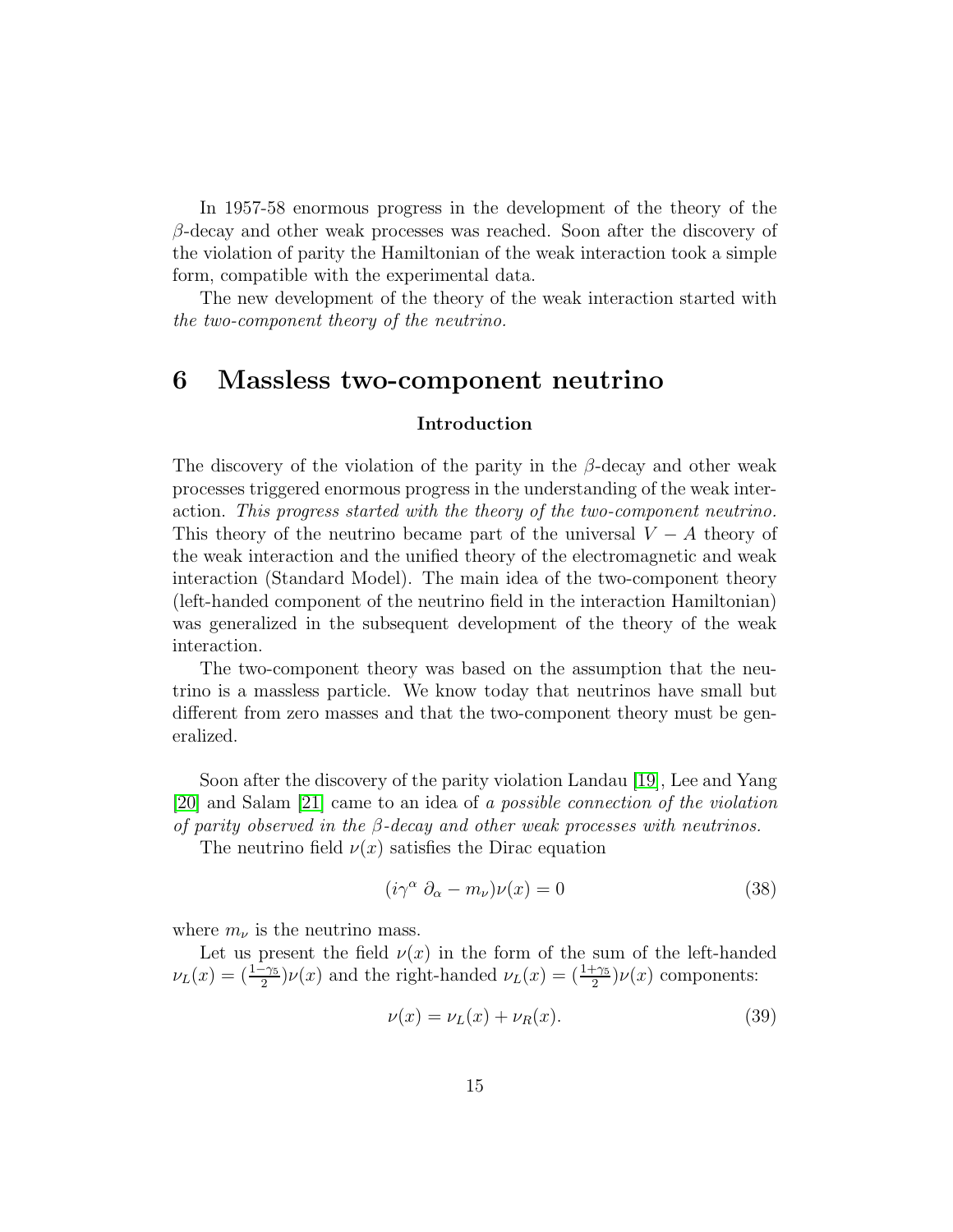In 1957-58 enormous progress in the development of the theory of the  $\beta$ -decay and other weak processes was reached. Soon after the discovery of the violation of parity the Hamiltonian of the weak interaction took a simple form, compatible with the experimental data.

The new development of the theory of the weak interaction started with the two-component theory of the neutrino.

### 6 Massless two-component neutrino

#### Introduction

The discovery of the violation of the parity in the  $\beta$ -decay and other weak processes triggered enormous progress in the understanding of the weak interaction. This progress started with the theory of the two-component neutrino. This theory of the neutrino became part of the universal  $V - A$  theory of the weak interaction and the unified theory of the electromagnetic and weak interaction (Standard Model). The main idea of the two-component theory (left-handed component of the neutrino field in the interaction Hamiltonian) was generalized in the subsequent development of the theory of the weak interaction.

The two-component theory was based on the assumption that the neutrino is a massless particle. We know today that neutrinos have small but different from zero masses and that the two-component theory must be generalized.

Soon after the discovery of the parity violation Landau [\[19\]](#page-86-9), Lee and Yang [\[20\]](#page-86-10) and Salam [\[21\]](#page-86-11) came to an idea of a possible connection of the violation of parity observed in the  $\beta$ -decay and other weak processes with neutrinos.

The neutrino field  $\nu(x)$  satisfies the Dirac equation

<span id="page-14-0"></span>
$$
(i\gamma^{\alpha} \partial_{\alpha} - m_{\nu})\nu(x) = 0 \tag{38}
$$

where  $m_{\nu}$  is the neutrino mass.

Let us present the field  $\nu(x)$  in the form of the sum of the left-handed  $\nu_L(x) = \left(\frac{1-\gamma_5}{2}\right)\nu(x)$  and the right-handed  $\nu_L(x) = \left(\frac{1+\gamma_5}{2}\right)\nu(x)$  components:

<span id="page-14-1"></span>
$$
\nu(x) = \nu_L(x) + \nu_R(x). \tag{39}
$$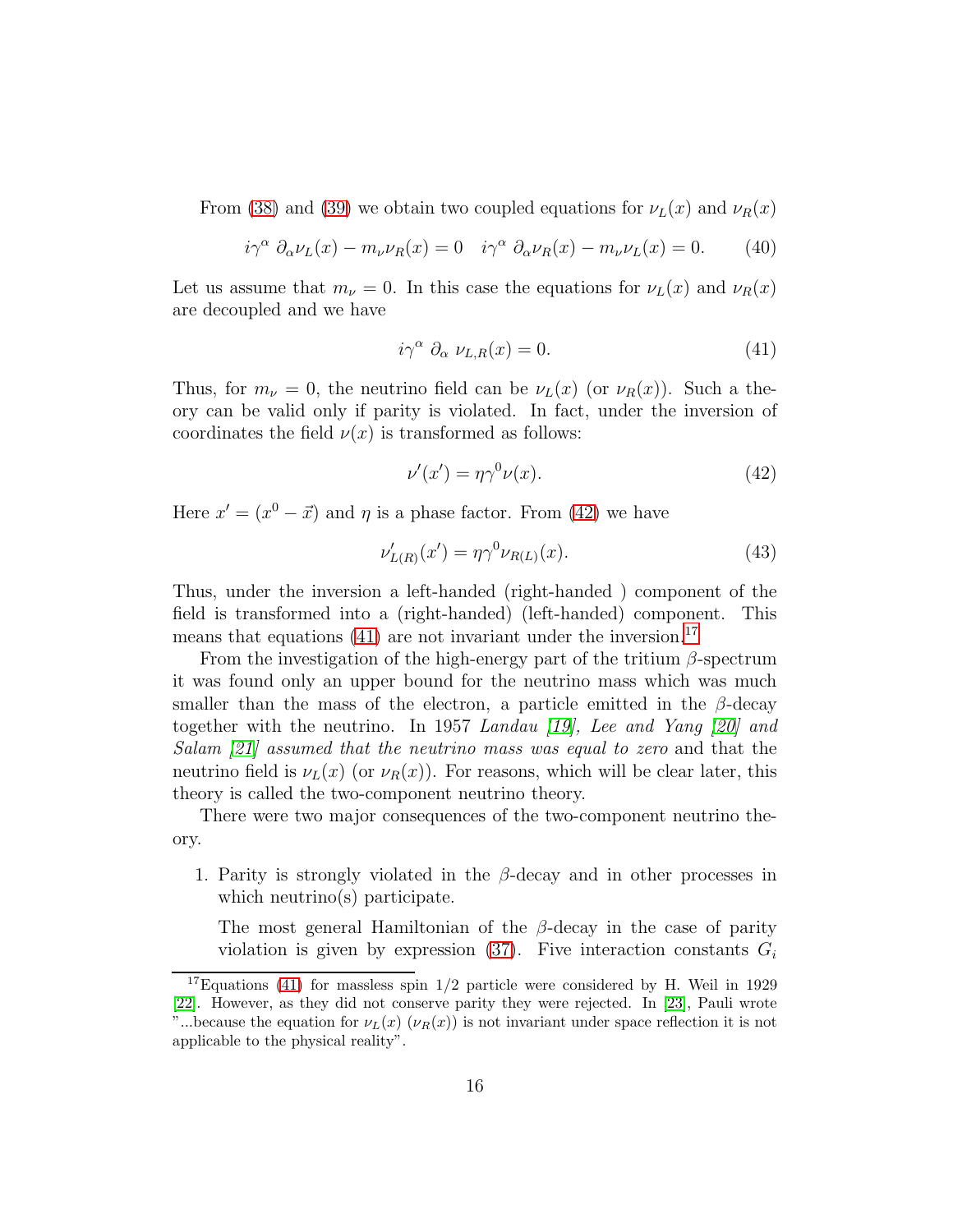From [\(38\)](#page-14-0) and [\(39\)](#page-14-1) we obtain two coupled equations for  $\nu_L(x)$  and  $\nu_R(x)$ 

$$
i\gamma^{\alpha} \partial_{\alpha} \nu_L(x) - m_{\nu} \nu_R(x) = 0 \quad i\gamma^{\alpha} \partial_{\alpha} \nu_R(x) - m_{\nu} \nu_L(x) = 0. \tag{40}
$$

Let us assume that  $m_{\nu} = 0$ . In this case the equations for  $\nu_L(x)$  and  $\nu_R(x)$ are decoupled and we have

<span id="page-15-1"></span>
$$
i\gamma^{\alpha} \partial_{\alpha} \nu_{L,R}(x) = 0. \tag{41}
$$

Thus, for  $m_{\nu} = 0$ , the neutrino field can be  $\nu_L(x)$  (or  $\nu_R(x)$ ). Such a theory can be valid only if parity is violated. In fact, under the inversion of coordinates the field  $\nu(x)$  is transformed as follows:

<span id="page-15-0"></span>
$$
\nu'(x') = \eta \gamma^0 \nu(x). \tag{42}
$$

Here  $x' = (x^0 - \vec{x})$  and  $\eta$  is a phase factor. From [\(42\)](#page-15-0) we have

$$
\nu'_{L(R)}(x') = \eta \gamma^0 \nu_{R(L)}(x). \tag{43}
$$

Thus, under the inversion a left-handed (right-handed ) component of the field is transformed into a (right-handed) (left-handed) component. This means that equations  $(41)$  are not invariant under the inversion.<sup>[17](#page-15-2)</sup>

From the investigation of the high-energy part of the tritium  $\beta$ -spectrum it was found only an upper bound for the neutrino mass which was much smaller than the mass of the electron, a particle emitted in the  $\beta$ -decay together with the neutrino. In 1957 Landau [\[19\]](#page-86-9), Lee and Yang [\[20\]](#page-86-10) and Salam  $\left|21\right|$  assumed that the neutrino mass was equal to zero and that the neutrino field is  $\nu_L(x)$  (or  $\nu_R(x)$ ). For reasons, which will be clear later, this theory is called the two-component neutrino theory.

There were two major consequences of the two-component neutrino theory.

1. Parity is strongly violated in the  $\beta$ -decay and in other processes in which neutrino(s) participate.

The most general Hamiltonian of the  $\beta$ -decay in the case of parity violation is given by expression [\(37\)](#page-13-2). Five interaction constants  $G_i$ 

<span id="page-15-2"></span> $17$ Equations [\(41\)](#page-15-1) for massless spin  $1/2$  particle were considered by H. Weil in 1929 [\[22\]](#page-86-12). However, as they did not conserve parity they were rejected. In [\[23\]](#page-86-13), Pauli wrote "...because the equation for  $\nu_L(x)$  ( $\nu_R(x)$ ) is not invariant under space reflection it is not applicable to the physical reality".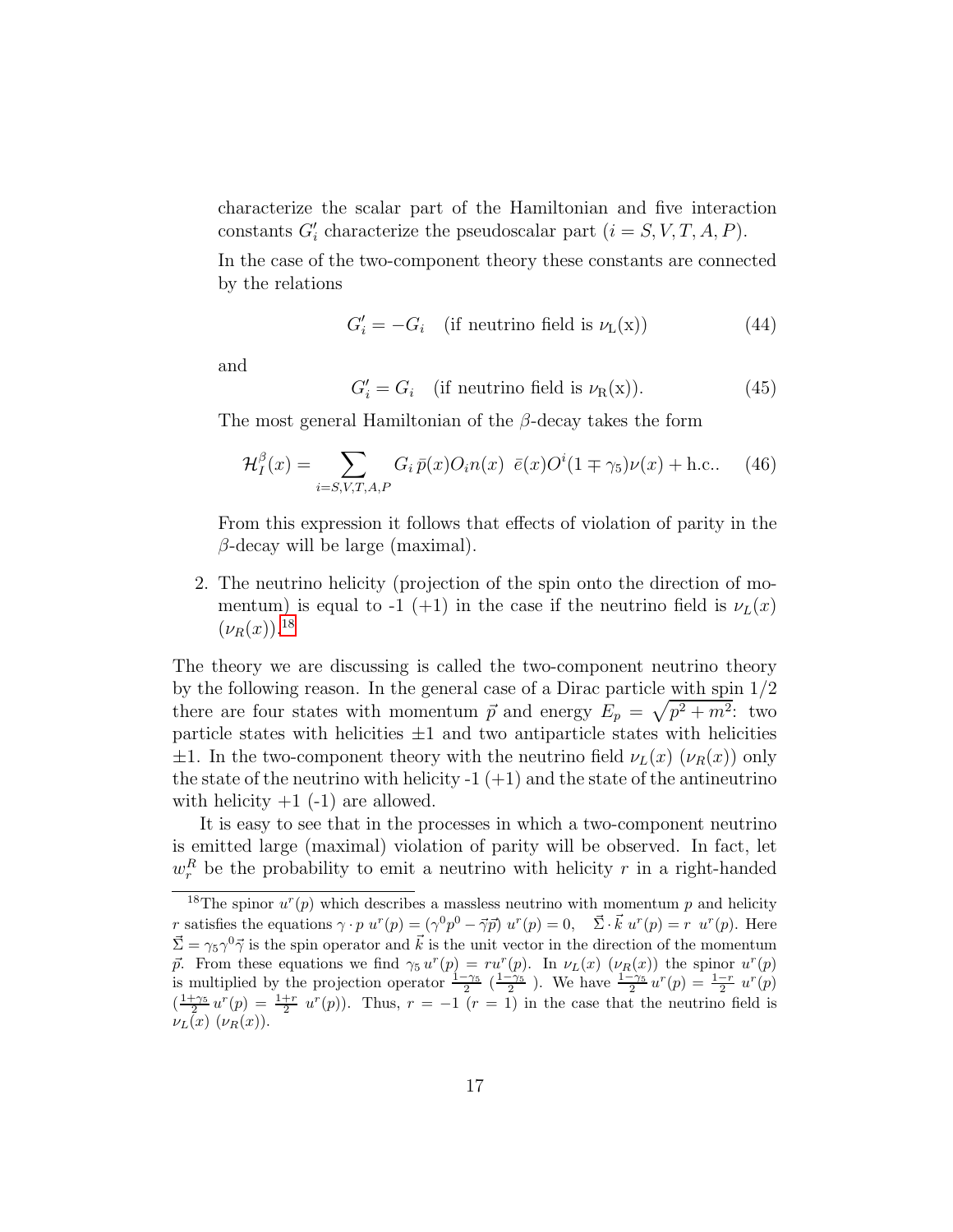characterize the scalar part of the Hamiltonian and five interaction constants  $G'_{i}$  characterize the pseudoscalar part  $(i = S, V, T, A, P)$ .

In the case of the two-component theory these constants are connected by the relations

$$
G_i' = -G_i \quad \text{(if neutrino field is } \nu_{\mathcal{L}}(\mathbf{x})) \tag{44}
$$

and

$$
G_i' = G_i \quad \text{(if neutrino field is } \nu_{\mathcal{R}}(\mathbf{x})).\tag{45}
$$

The most general Hamiltonian of the  $\beta$ -decay takes the form

<span id="page-16-1"></span>
$$
\mathcal{H}_I^{\beta}(x) = \sum_{i=S,V,T,A,P} G_i \,\bar{p}(x) O_i n(x) \quad \bar{e}(x) O^i (1 \mp \gamma_5) \nu(x) + \text{h.c.}. \tag{46}
$$

From this expression it follows that effects of violation of parity in the  $\beta$ -decay will be large (maximal).

2. The neutrino helicity (projection of the spin onto the direction of momentum) is equal to -1 (+1) in the case if the neutrino field is  $\nu_L(x)$  $(\nu_R(x))$ <sup>[18](#page-16-0)</sup>

The theory we are discussing is called the two-component neutrino theory by the following reason. In the general case of a Dirac particle with spin 1/2 there are four states with momentum  $\vec{p}$  and energy  $E_p = \sqrt{p^2 + m^2}$ : two particle states with helicities  $\pm 1$  and two antiparticle states with helicities  $\pm 1$ . In the two-component theory with the neutrino field  $\nu_L(x)$  ( $\nu_R(x)$ ) only the state of the neutrino with helicity  $-1$  ( $+1$ ) and the state of the antineutrino with helicity  $+1$  (-1) are allowed.

It is easy to see that in the processes in which a two-component neutrino is emitted large (maximal) violation of parity will be observed. In fact, let  $w_r^R$  be the probability to emit a neutrino with helicity r in a right-handed

<span id="page-16-0"></span><sup>&</sup>lt;sup>18</sup>The spinor  $u^r(p)$  which describes a massless neutrino with momentum p and helicity r satisfies the equations  $\gamma \cdot p \ u^r(p) = (\gamma^0 p^0 - \vec{\gamma} \vec{p}) \ u^r(p) = 0, \quad \vec{\Sigma} \cdot \vec{k} \ u^r(p) = r \ u^r(p).$  Here  $\vec{\Sigma} = \gamma_5 \gamma^0 \vec{\gamma}$  is the spin operator and  $\vec{k}$  is the unit vector in the direction of the momentum  $\vec{p}$ . From these equations we find  $\gamma_5 u^r(p) = ru^r(p)$ . In  $\nu_L(x) (\nu_R(x))$  the spinor  $u^r(p)$ is multiplied by the projection operator  $\frac{1-\gamma_5}{2}$  ( $\frac{1-\gamma_5}{2}$ ). We have  $\frac{1-\gamma_5}{2}u^r(p) = \frac{1-r}{2}u^r(p)$  $(\frac{1+\gamma_5}{2}u^r(p) = \frac{1+r}{2}u^r(p)$ . Thus,  $r = -1$  ( $r = 1$ ) in the case that the neutrino field is  $\nu_L(x)$  ( $\nu_R(x)$ ).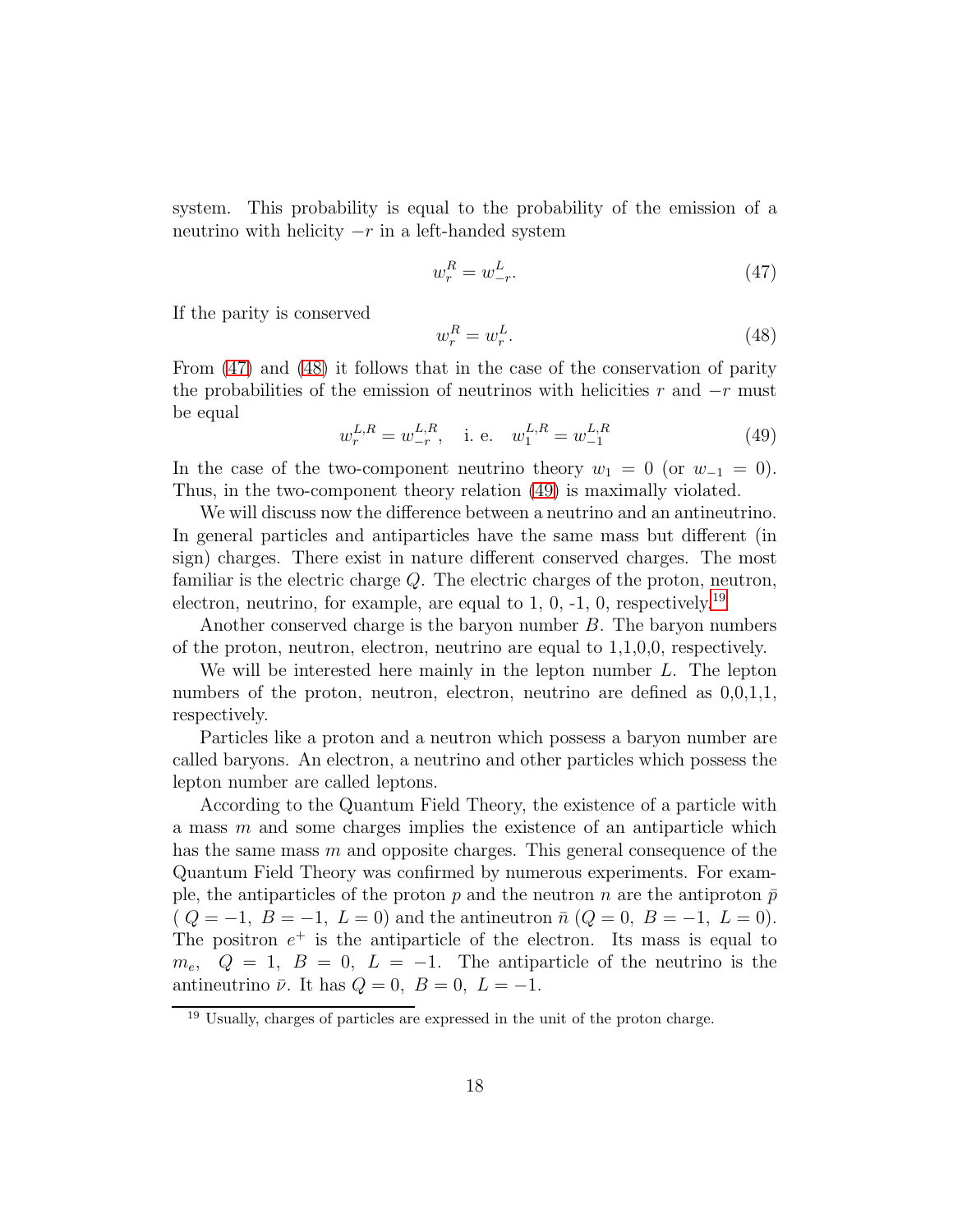system. This probability is equal to the probability of the emission of a neutrino with helicity  $-r$  in a left-handed system

<span id="page-17-0"></span>
$$
w_r^R = w_{-r}^L.\tag{47}
$$

If the parity is conserved

<span id="page-17-1"></span>
$$
w_r^R = w_r^L. \tag{48}
$$

From [\(47\)](#page-17-0) and [\(48\)](#page-17-1) it follows that in the case of the conservation of parity the probabilities of the emission of neutrinos with helicities r and  $-r$  must be equal

<span id="page-17-2"></span>
$$
w_r^{L,R} = w_{-r}^{L,R}, \quad \text{i. e.} \quad w_1^{L,R} = w_{-1}^{L,R} \tag{49}
$$

In the case of the two-component neutrino theory  $w_1 = 0$  (or  $w_{-1} = 0$ ). Thus, in the two-component theory relation [\(49\)](#page-17-2) is maximally violated.

We will discuss now the difference between a neutrino and an antineutrino. In general particles and antiparticles have the same mass but different (in sign) charges. There exist in nature different conserved charges. The most familiar is the electric charge Q. The electric charges of the proton, neutron, electron, neutrino, for example, are equal to 1, 0,  $-1$ , 0, respectively.<sup>[19](#page-17-3)</sup>

Another conserved charge is the baryon number B. The baryon numbers of the proton, neutron, electron, neutrino are equal to 1,1,0,0, respectively.

We will be interested here mainly in the lepton number L. The lepton numbers of the proton, neutron, electron, neutrino are defined as  $0,0,1,1$ , respectively.

Particles like a proton and a neutron which possess a baryon number are called baryons. An electron, a neutrino and other particles which possess the lepton number are called leptons.

According to the Quantum Field Theory, the existence of a particle with a mass  $m$  and some charges implies the existence of an antiparticle which has the same mass m and opposite charges. This general consequence of the Quantum Field Theory was confirmed by numerous experiments. For example, the antiparticles of the proton p and the neutron n are the antiproton  $\bar{p}$  $(Q = -1, B = -1, L = 0)$  and the antineutron  $\bar{n} (Q = 0, B = -1, L = 0)$ . The positron  $e^+$  is the antiparticle of the electron. Its mass is equal to  $m_e$ ,  $Q = 1$ ,  $B = 0$ ,  $L = -1$ . The antiparticle of the neutrino is the antineutrino  $\bar{\nu}$ . It has  $Q = 0$ ,  $B = 0$ ,  $L = -1$ .

<span id="page-17-3"></span><sup>&</sup>lt;sup>19</sup> Usually, charges of particles are expressed in the unit of the proton charge.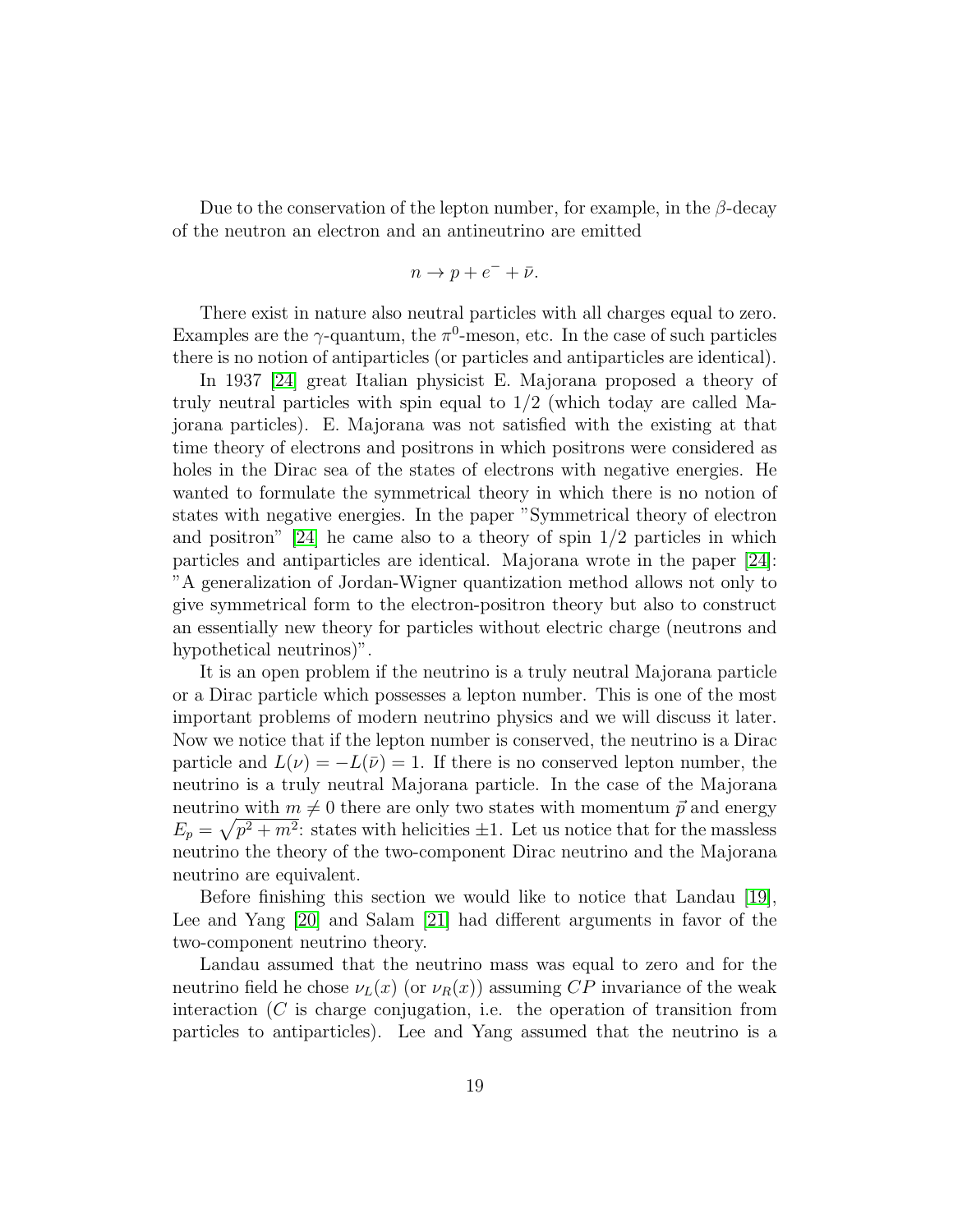Due to the conservation of the lepton number, for example, in the  $\beta$ -decay of the neutron an electron and an antineutrino are emitted

$$
n \to p + e^- + \bar{\nu}.
$$

There exist in nature also neutral particles with all charges equal to zero. Examples are the  $\gamma$ -quantum, the  $\pi$ <sup>0</sup>-meson, etc. In the case of such particles there is no notion of antiparticles (or particles and antiparticles are identical).

In 1937 [\[24\]](#page-86-0) great Italian physicist E. Majorana proposed a theory of truly neutral particles with spin equal to 1/2 (which today are called Majorana particles). E. Majorana was not satisfied with the existing at that time theory of electrons and positrons in which positrons were considered as holes in the Dirac sea of the states of electrons with negative energies. He wanted to formulate the symmetrical theory in which there is no notion of states with negative energies. In the paper "Symmetrical theory of electron and positron" [\[24\]](#page-86-0) he came also to a theory of spin 1/2 particles in which particles and antiparticles are identical. Majorana wrote in the paper [\[24\]](#page-86-0): "A generalization of Jordan-Wigner quantization method allows not only to give symmetrical form to the electron-positron theory but also to construct an essentially new theory for particles without electric charge (neutrons and hypothetical neutrinos)".

It is an open problem if the neutrino is a truly neutral Majorana particle or a Dirac particle which possesses a lepton number. This is one of the most important problems of modern neutrino physics and we will discuss it later. Now we notice that if the lepton number is conserved, the neutrino is a Dirac particle and  $L(\nu) = -L(\bar{\nu}) = 1$ . If there is no conserved lepton number, the neutrino is a truly neutral Majorana particle. In the case of the Majorana neutrino with  $m \neq 0$  there are only two states with momentum  $\vec{p}$  and energy  $E_p = \sqrt{p^2 + m^2}$ : states with helicities  $\pm 1$ . Let us notice that for the massless neutrino the theory of the two-component Dirac neutrino and the Majorana neutrino are equivalent.

Before finishing this section we would like to notice that Landau [\[19\]](#page-86-9), Lee and Yang [\[20\]](#page-86-10) and Salam [\[21\]](#page-86-11) had different arguments in favor of the two-component neutrino theory.

Landau assumed that the neutrino mass was equal to zero and for the neutrino field he chose  $\nu_L(x)$  (or  $\nu_R(x)$ ) assuming CP invariance of the weak interaction  $(C$  is charge conjugation, i.e. the operation of transition from particles to antiparticles). Lee and Yang assumed that the neutrino is a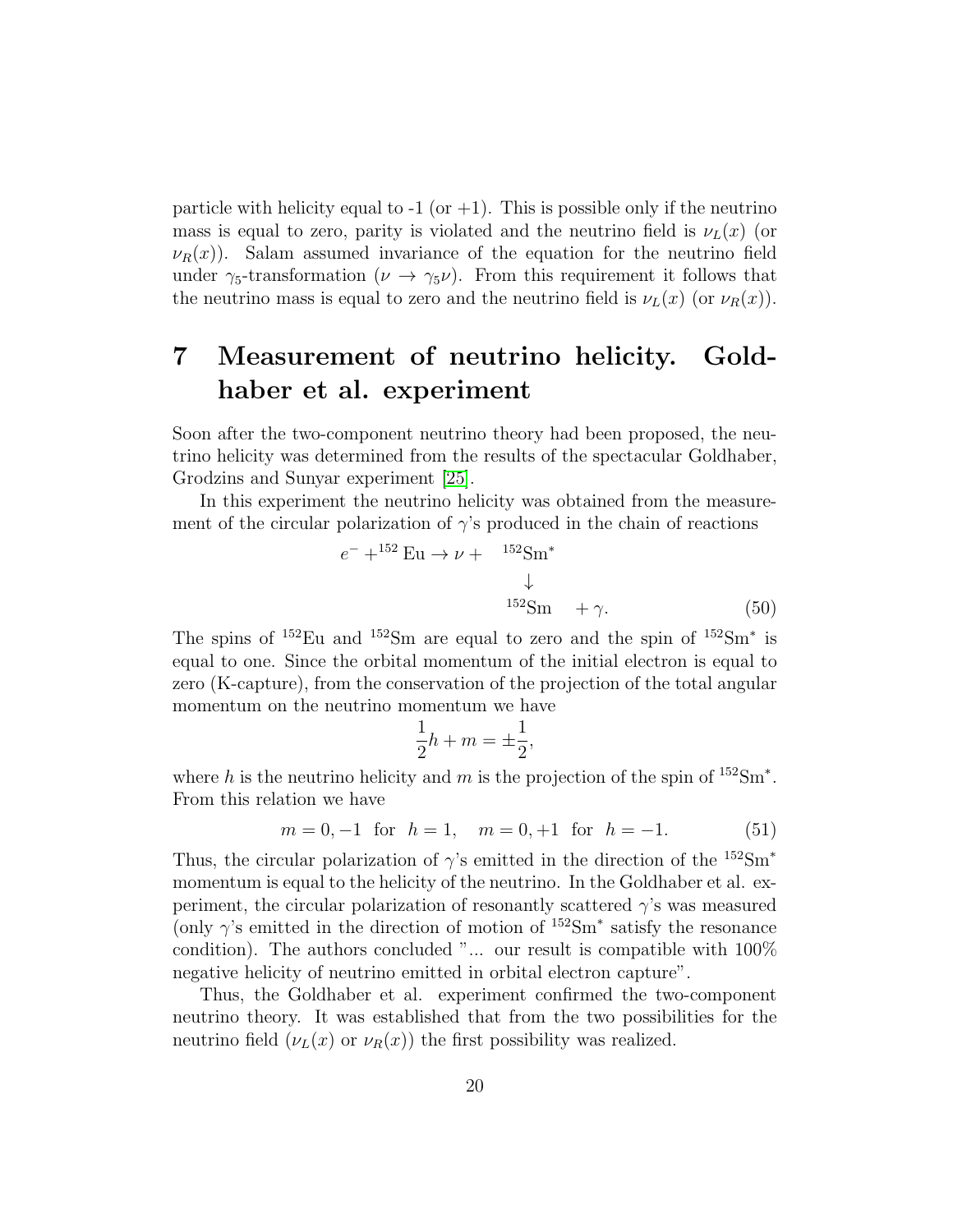particle with helicity equal to -1 (or  $+1$ ). This is possible only if the neutrino mass is equal to zero, parity is violated and the neutrino field is  $\nu_L(x)$  (or  $\nu_R(x)$ . Salam assumed invariance of the equation for the neutrino field under  $\gamma_5$ -transformation  $(\nu \to \gamma_5 \nu)$ . From this requirement it follows that the neutrino mass is equal to zero and the neutrino field is  $\nu_L(x)$  (or  $\nu_R(x)$ ).

# 7 Measurement of neutrino helicity. Goldhaber et al. experiment

Soon after the two-component neutrino theory had been proposed, the neutrino helicity was determined from the results of the spectacular Goldhaber, Grodzins and Sunyar experiment [\[25\]](#page-86-14).

In this experiment the neutrino helicity was obtained from the measurement of the circular polarization of  $\gamma$ 's produced in the chain of reactions

$$
e^{-} + {}^{152}Eu \to \nu + {}^{152}Sm^* + {}^{152}Sm + \gamma.
$$
 (50)

The spins of  $152 \text{Eu}$  and  $152 \text{Sm}$  are equal to zero and the spin of  $152 \text{Sm}^*$  is equal to one. Since the orbital momentum of the initial electron is equal to zero (K-capture), from the conservation of the projection of the total angular momentum on the neutrino momentum we have

$$
\frac{1}{2}h + m = \pm \frac{1}{2},
$$

where h is the neutrino helicity and m is the projection of the spin of  $152 \text{Sm}^*$ . From this relation we have

$$
m = 0, -1
$$
 for  $h = 1$ ,  $m = 0, +1$  for  $h = -1$ . (51)

Thus, the circular polarization of  $\gamma$ 's emitted in the direction of the <sup>152</sup>Sm<sup>\*</sup> momentum is equal to the helicity of the neutrino. In the Goldhaber et al. experiment, the circular polarization of resonantly scattered  $\gamma$ 's was measured (only  $\gamma$ 's emitted in the direction of motion of  $152\text{Sm}^*$  satisfy the resonance condition). The authors concluded "... our result is compatible with 100% negative helicity of neutrino emitted in orbital electron capture".

Thus, the Goldhaber et al. experiment confirmed the two-component neutrino theory. It was established that from the two possibilities for the neutrino field  $(\nu_L(x)$  or  $\nu_R(x))$  the first possibility was realized.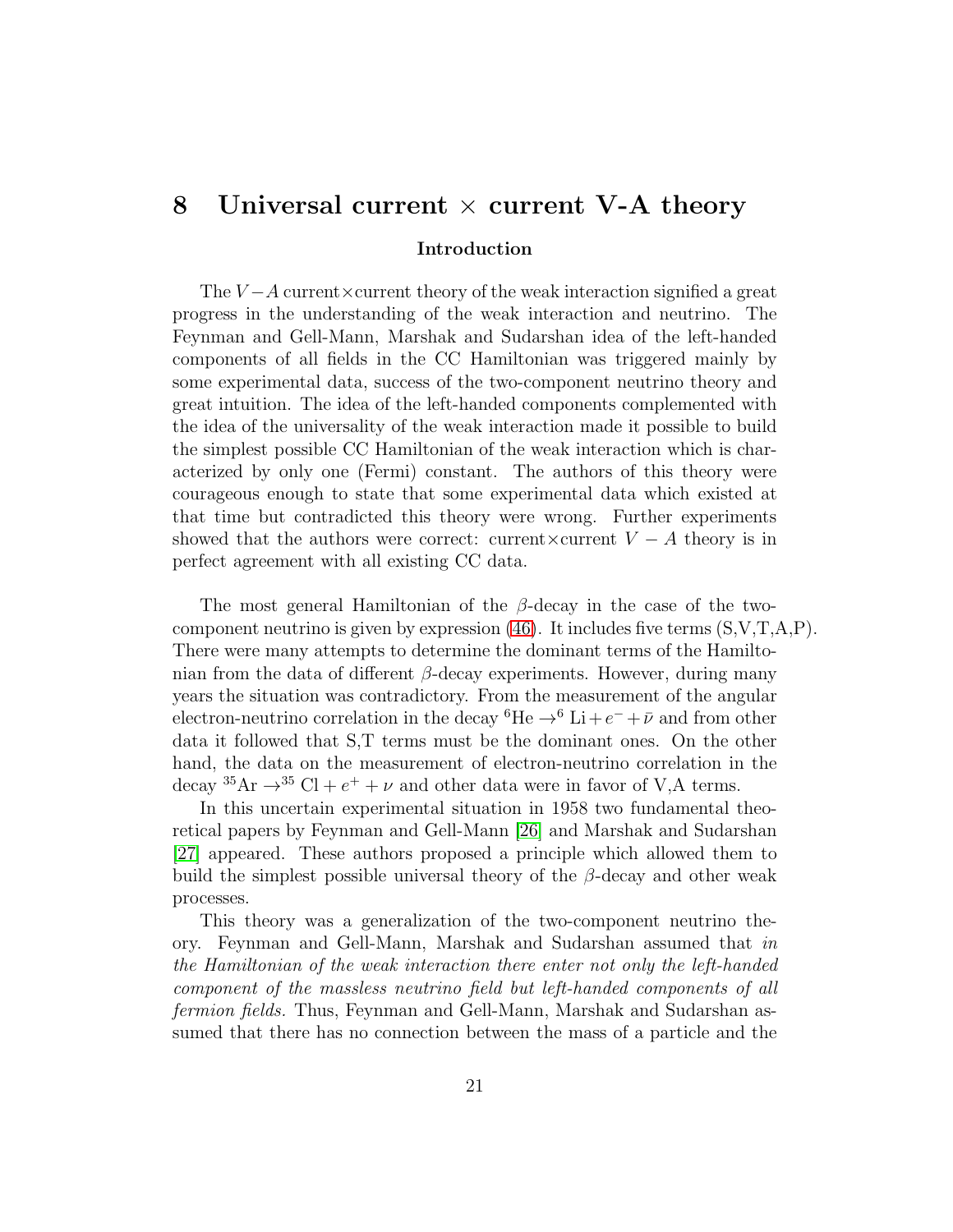# 8 Universal current  $\times$  current V-A theory

### Introduction

The  $V - A$  current×current theory of the weak interaction signified a great progress in the understanding of the weak interaction and neutrino. The Feynman and Gell-Mann, Marshak and Sudarshan idea of the left-handed components of all fields in the CC Hamiltonian was triggered mainly by some experimental data, success of the two-component neutrino theory and great intuition. The idea of the left-handed components complemented with the idea of the universality of the weak interaction made it possible to build the simplest possible CC Hamiltonian of the weak interaction which is characterized by only one (Fermi) constant. The authors of this theory were courageous enough to state that some experimental data which existed at that time but contradicted this theory were wrong. Further experiments showed that the authors were correct: current×current  $V - A$  theory is in perfect agreement with all existing CC data.

The most general Hamiltonian of the  $\beta$ -decay in the case of the twocomponent neutrino is given by expression  $(46)$ . It includes five terms  $(S, V, T, A, P)$ . There were many attempts to determine the dominant terms of the Hamiltonian from the data of different  $\beta$ -decay experiments. However, during many years the situation was contradictory. From the measurement of the angular electron-neutrino correlation in the decay  ${}^{6}$ He  $\rightarrow {}^{6}$  Li +  $e^{-}$  +  $\bar{\nu}$  and from other data it followed that S,T terms must be the dominant ones. On the other hand, the data on the measurement of electron-neutrino correlation in the decay <sup>35</sup>Ar  $\rightarrow$ <sup>35</sup> Cl +  $e^+ + \nu$  and other data were in favor of V,A terms.

In this uncertain experimental situation in 1958 two fundamental theoretical papers by Feynman and Gell-Mann [\[26\]](#page-86-15) and Marshak and Sudarshan [\[27\]](#page-86-16) appeared. These authors proposed a principle which allowed them to build the simplest possible universal theory of the  $\beta$ -decay and other weak processes.

This theory was a generalization of the two-component neutrino theory. Feynman and Gell-Mann, Marshak and Sudarshan assumed that in the Hamiltonian of the weak interaction there enter not only the left-handed component of the massless neutrino field but left-handed components of all fermion fields. Thus, Feynman and Gell-Mann, Marshak and Sudarshan assumed that there has no connection between the mass of a particle and the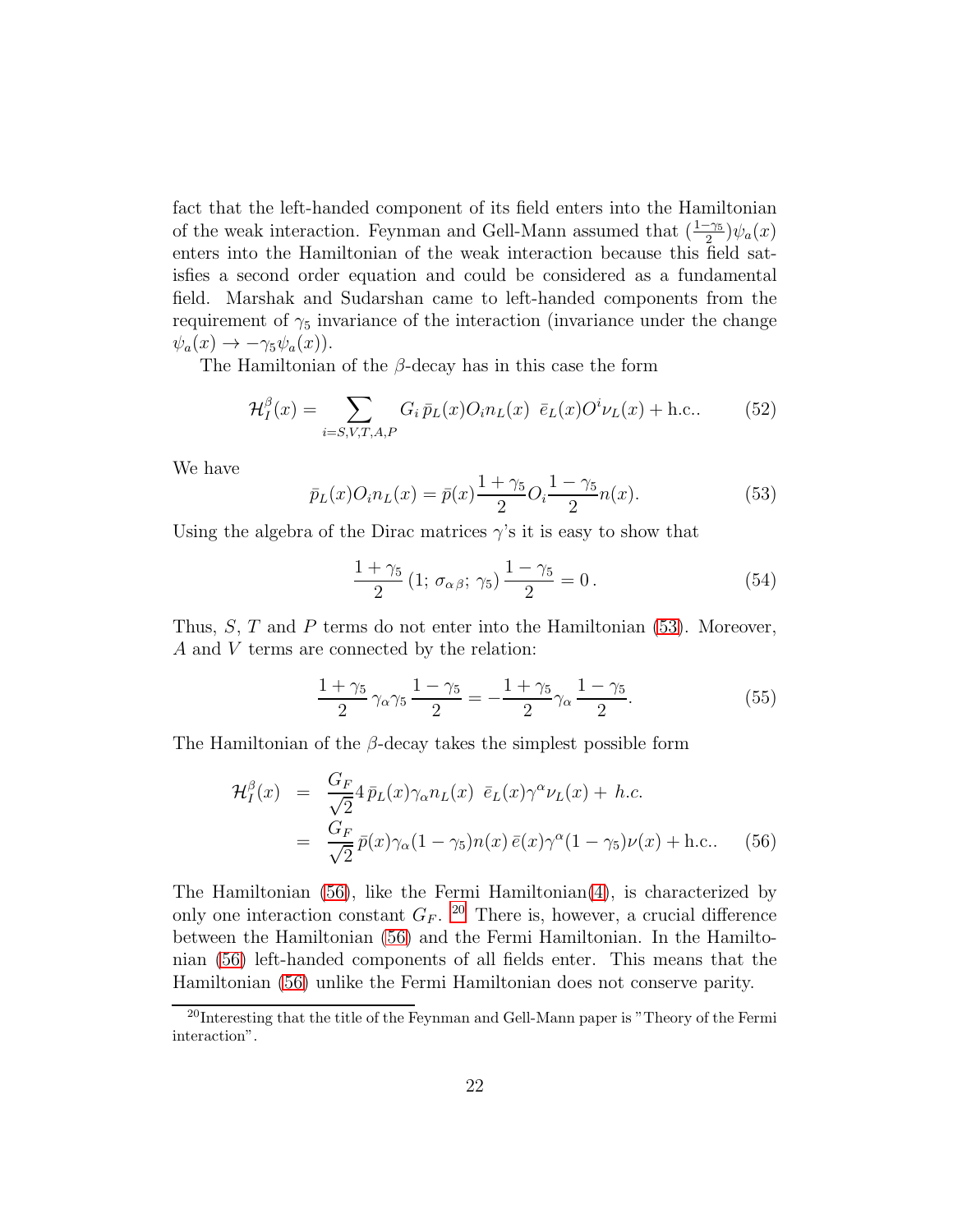fact that the left-handed component of its field enters into the Hamiltonian of the weak interaction. Feynman and Gell-Mann assumed that  $\left(\frac{1-\gamma_5}{2}\right)\psi_a(x)$ enters into the Hamiltonian of the weak interaction because this field satisfies a second order equation and could be considered as a fundamental field. Marshak and Sudarshan came to left-handed components from the requirement of  $\gamma_5$  invariance of the interaction (invariance under the change  $\psi_a(x) \rightarrow -\gamma_5 \psi_a(x)$ .

The Hamiltonian of the  $\beta$ -decay has in this case the form

$$
\mathcal{H}_I^{\beta}(x) = \sum_{i=S,V,T,A,P} G_i \,\bar{p}_L(x) O_i n_L(x) \quad \bar{e}_L(x) O^i \nu_L(x) + \text{h.c.} \tag{52}
$$

We have

<span id="page-21-0"></span>
$$
\bar{p}_L(x)O_i n_L(x) = \bar{p}(x)\frac{1+\gamma_5}{2}O_i \frac{1-\gamma_5}{2} n(x).
$$
\n(53)

Using the algebra of the Dirac matrices  $\gamma$ 's it is easy to show that

$$
\frac{1+\gamma_5}{2}(1; \sigma_{\alpha\beta}; \gamma_5) \frac{1-\gamma_5}{2} = 0.
$$
 (54)

Thus, S, T and P terms do not enter into the Hamiltonian [\(53\)](#page-21-0). Moreover, A and V terms are connected by the relation:

$$
\frac{1+\gamma_5}{2}\gamma_\alpha\gamma_5\frac{1-\gamma_5}{2} = -\frac{1+\gamma_5}{2}\gamma_\alpha\frac{1-\gamma_5}{2}.\tag{55}
$$

The Hamiltonian of the  $\beta$ -decay takes the simplest possible form

<span id="page-21-1"></span>
$$
\mathcal{H}_I^{\beta}(x) = \frac{G_F}{\sqrt{2}} 4 \bar{p}_L(x) \gamma_\alpha n_L(x) \bar{e}_L(x) \gamma^\alpha \nu_L(x) + h.c.
$$
  
= 
$$
\frac{G_F}{\sqrt{2}} \bar{p}(x) \gamma_\alpha (1 - \gamma_5) n(x) \bar{e}(x) \gamma^\alpha (1 - \gamma_5) \nu(x) + h.c.
$$
 (56)

The Hamiltonian [\(56\)](#page-21-1), like the Fermi Hamiltonian[\(4\)](#page-3-4), is characterized by only one interaction constant  $G_F$ . <sup>[20](#page-21-2)</sup> There is, however, a crucial difference between the Hamiltonian [\(56\)](#page-21-1) and the Fermi Hamiltonian. In the Hamiltonian [\(56\)](#page-21-1) left-handed components of all fields enter. This means that the Hamiltonian [\(56\)](#page-21-1) unlike the Fermi Hamiltonian does not conserve parity.

<span id="page-21-2"></span><sup>&</sup>lt;sup>20</sup>Interesting that the title of the Feynman and Gell-Mann paper is "Theory of the Fermi interaction".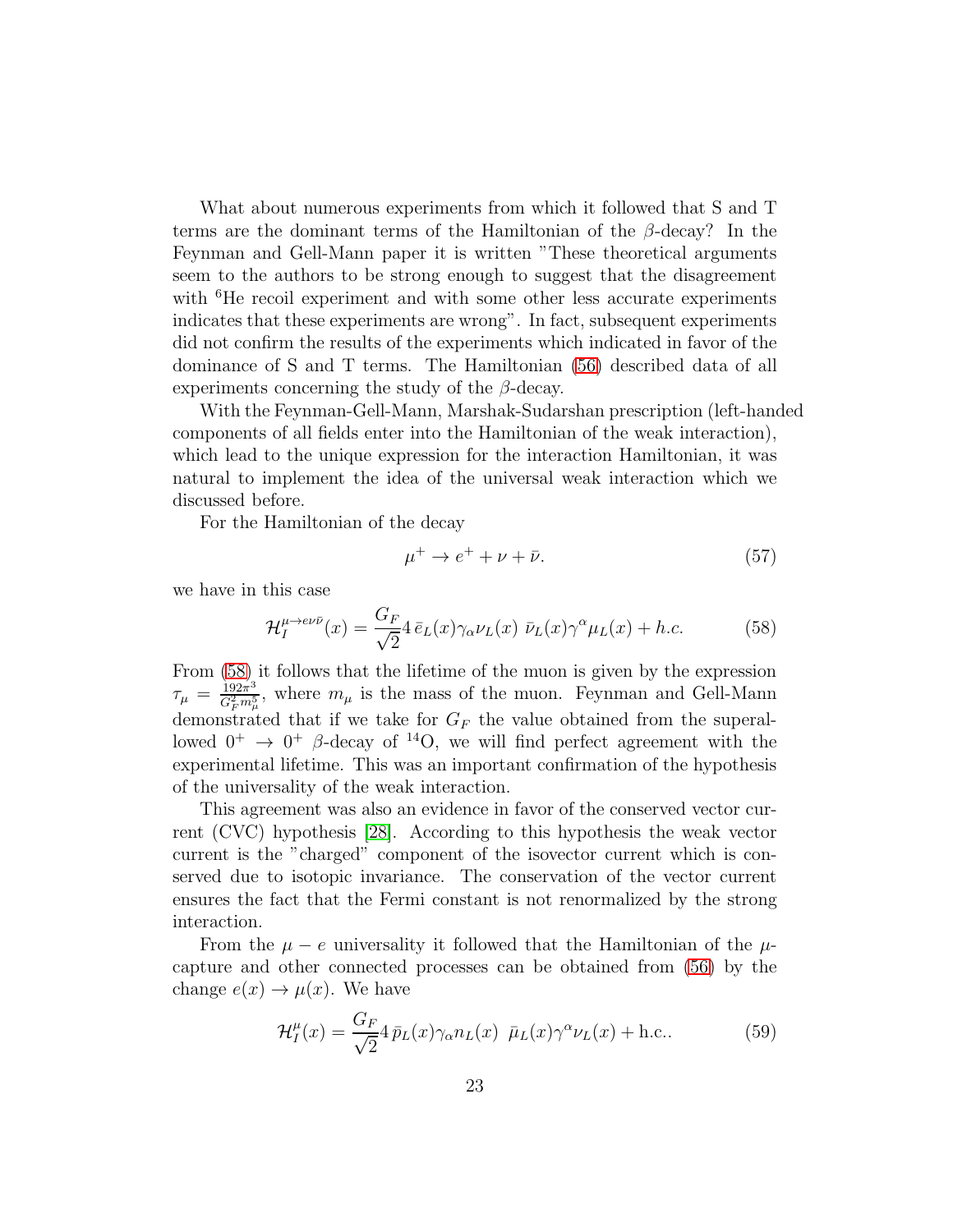What about numerous experiments from which it followed that S and T terms are the dominant terms of the Hamiltonian of the  $\beta$ -decay? In the Feynman and Gell-Mann paper it is written "These theoretical arguments seem to the authors to be strong enough to suggest that the disagreement with <sup>6</sup>He recoil experiment and with some other less accurate experiments indicates that these experiments are wrong". In fact, subsequent experiments did not confirm the results of the experiments which indicated in favor of the dominance of S and T terms. The Hamiltonian [\(56\)](#page-21-1) described data of all experiments concerning the study of the  $\beta$ -decay.

With the Feynman-Gell-Mann, Marshak-Sudarshan prescription (left-handed components of all fields enter into the Hamiltonian of the weak interaction), which lead to the unique expression for the interaction Hamiltonian, it was natural to implement the idea of the universal weak interaction which we discussed before.

For the Hamiltonian of the decay

<span id="page-22-2"></span>
$$
\mu^+ \to e^+ + \nu + \bar{\nu}.\tag{57}
$$

we have in this case

<span id="page-22-0"></span>
$$
\mathcal{H}_I^{\mu \to e\nu\bar{\nu}}(x) = \frac{G_F}{\sqrt{2}} 4 \,\bar{e}_L(x) \gamma_\alpha \nu_L(x) \,\,\bar{\nu}_L(x) \gamma^\alpha \mu_L(x) + h.c. \tag{58}
$$

From [\(58\)](#page-22-0) it follows that the lifetime of the muon is given by the expression  $\tau_{\mu} \, = \, \frac{\dot{1}92 \pi^3}{G_{\pi}^2 m^5}$  $\frac{192\pi^3}{G_F^2 m_\mu^5}$ , where  $m_\mu$  is the mass of the muon. Feynman and Gell-Mann demonstrated that if we take for  $G_F$  the value obtained from the superallowed  $0^+ \rightarrow 0^+$   $\beta$ -decay of <sup>14</sup>O, we will find perfect agreement with the experimental lifetime. This was an important confirmation of the hypothesis of the universality of the weak interaction.

This agreement was also an evidence in favor of the conserved vector current (CVC) hypothesis [\[28\]](#page-86-17). According to this hypothesis the weak vector current is the "charged" component of the isovector current which is conserved due to isotopic invariance. The conservation of the vector current ensures the fact that the Fermi constant is not renormalized by the strong interaction.

From the  $\mu - e$  universality it followed that the Hamiltonian of the  $\mu$ capture and other connected processes can be obtained from [\(56\)](#page-21-1) by the change  $e(x) \to \mu(x)$ . We have

<span id="page-22-1"></span>
$$
\mathcal{H}_I^{\mu}(x) = \frac{G_F}{\sqrt{2}} 4 \,\bar{p}_L(x) \gamma_\alpha n_L(x) \, \bar{\mu}_L(x) \gamma^\alpha \nu_L(x) + \text{h.c.} \tag{59}
$$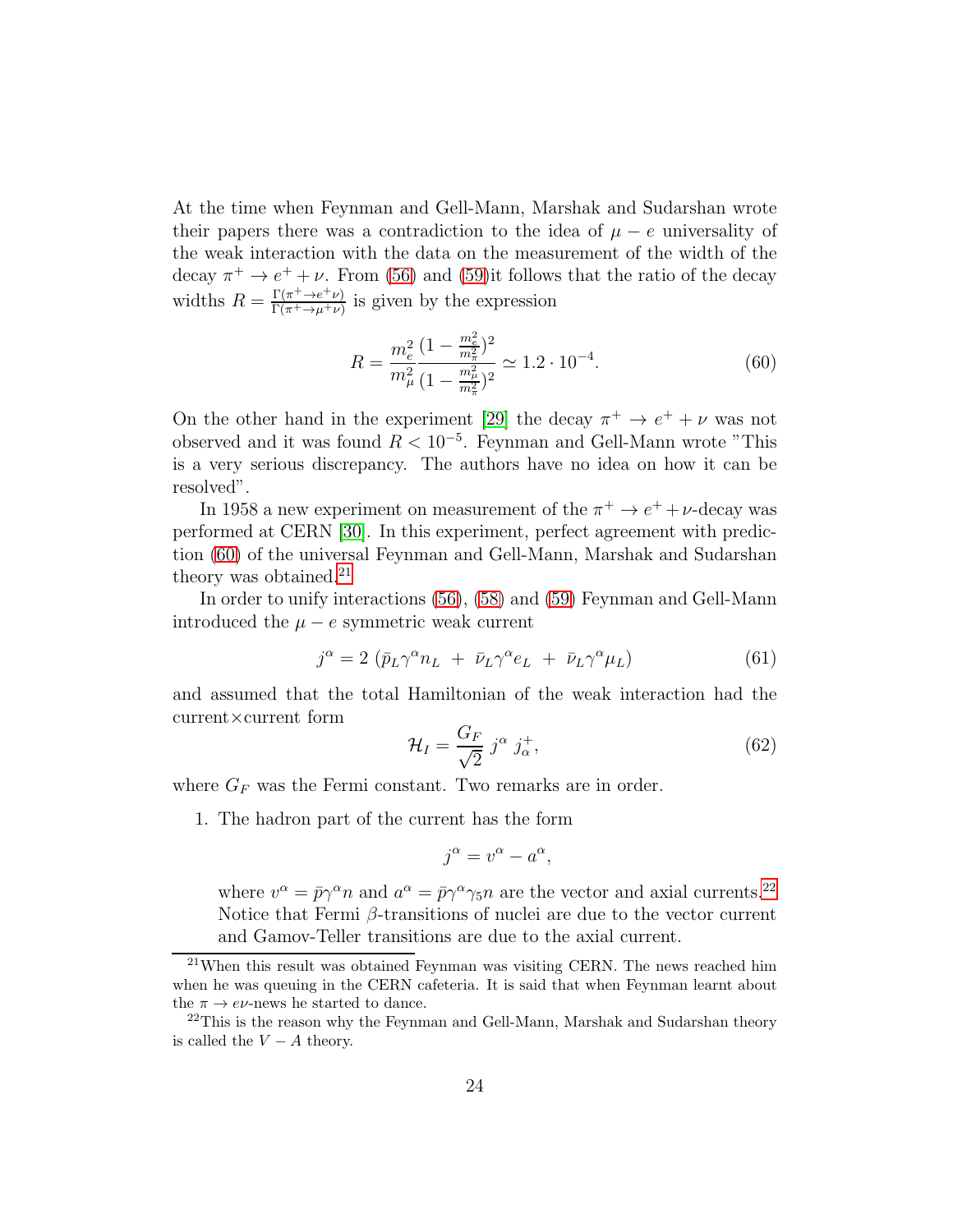At the time when Feynman and Gell-Mann, Marshak and Sudarshan wrote their papers there was a contradiction to the idea of  $\mu - e$  universality of the weak interaction with the data on the measurement of the width of the decay  $\pi^+ \to e^+ + \nu$ . From [\(56\)](#page-21-1) and [\(59\)](#page-22-1)it follows that the ratio of the decay widths  $R = \frac{\Gamma(\pi^+ \to e^+ \nu)}{\Gamma(\pi^+ \to \mu^+ \nu)}$  $\frac{\Gamma(\pi^+ \to e^+ \nu)}{\Gamma(\pi^+ \to \mu^+ \nu)}$  is given by the expression

<span id="page-23-0"></span>
$$
R = \frac{m_e^2}{m_\mu^2} \frac{(1 - \frac{m_e^2}{m_\pi^2})^2}{(1 - \frac{m_\mu^2}{m_\pi^2})^2} \simeq 1.2 \cdot 10^{-4}.
$$
 (60)

On the other hand in the experiment [\[29\]](#page-86-18) the decay  $\pi^+ \to e^+ + \nu$  was not observed and it was found  $R < 10^{-5}$ . Feynman and Gell-Mann wrote "This is a very serious discrepancy. The authors have no idea on how it can be resolved".

In 1958 a new experiment on measurement of the  $\pi^+ \to e^+ + \nu$ -decay was performed at CERN [\[30\]](#page-86-19). In this experiment, perfect agreement with prediction [\(60\)](#page-23-0) of the universal Feynman and Gell-Mann, Marshak and Sudarshan theory was obtained.<sup>[21](#page-23-1)</sup>

In order to unify interactions [\(56\)](#page-21-1), [\(58\)](#page-22-0) and [\(59\)](#page-22-1) Feynman and Gell-Mann introduced the  $\mu - e$  symmetric weak current

<span id="page-23-4"></span>
$$
j^{\alpha} = 2 \left( \bar{p}_L \gamma^{\alpha} n_L + \bar{\nu}_L \gamma^{\alpha} e_L + \bar{\nu}_L \gamma^{\alpha} \mu_L \right) \tag{61}
$$

and assumed that the total Hamiltonian of the weak interaction had the current×current form

<span id="page-23-3"></span>
$$
\mathcal{H}_I = \frac{G_F}{\sqrt{2}} j^{\alpha} j^+_{\alpha},\tag{62}
$$

where  $G_F$  was the Fermi constant. Two remarks are in order.

1. The hadron part of the current has the form

$$
j^{\alpha} = v^{\alpha} - a^{\alpha},
$$

where  $v^{\alpha} = \bar{p}\gamma^{\alpha}n$  and  $a^{\alpha} = \bar{p}\gamma^{\alpha}\gamma_5n$  are the vector and axial currents.<sup>[22](#page-23-2)</sup> Notice that Fermi  $\beta$ -transitions of nuclei are due to the vector current and Gamov-Teller transitions are due to the axial current.

<span id="page-23-1"></span><sup>&</sup>lt;sup>21</sup>When this result was obtained Feynman was visiting CERN. The news reached him when he was queuing in the CERN cafeteria. It is said that when Feynman learnt about the  $\pi \rightarrow e\nu$ -news he started to dance.

<span id="page-23-2"></span> $^{22}$ This is the reason why the Feynman and Gell-Mann, Marshak and Sudarshan theory is called the  $V - A$  theory.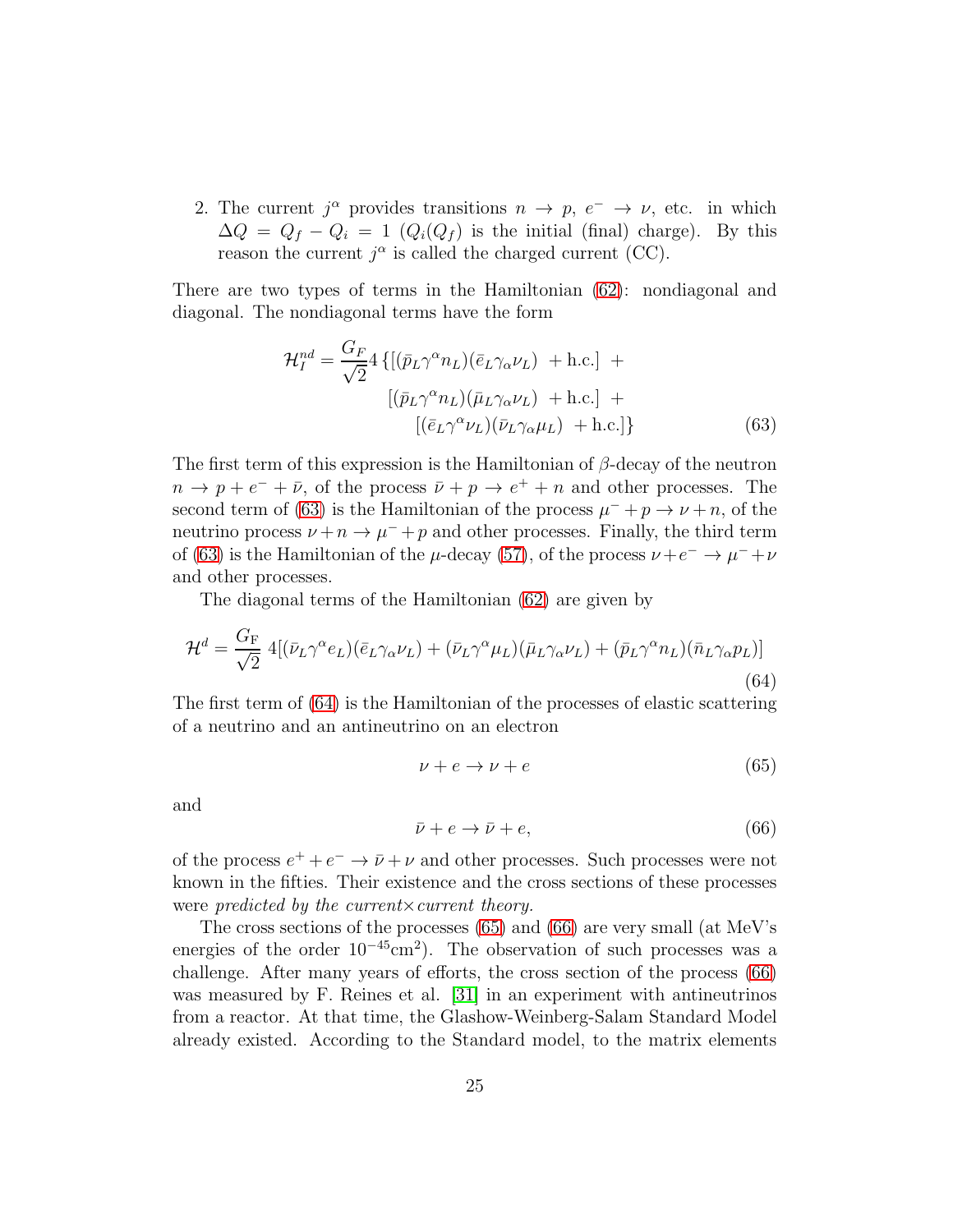2. The current  $j^{\alpha}$  provides transitions  $n \to p$ ,  $e^{-} \to \nu$ , etc. in which  $\Delta Q = Q_f - Q_i = 1$  ( $Q_i(Q_f)$ ) is the initial (final) charge). By this reason the current  $j^{\alpha}$  is called the charged current (CC).

There are two types of terms in the Hamiltonian [\(62\)](#page-23-3): nondiagonal and diagonal. The nondiagonal terms have the form

<span id="page-24-0"></span>
$$
\mathcal{H}_I^{nd} = \frac{G_F}{\sqrt{2}} 4 \left\{ \left[ (\bar{p}_L \gamma^\alpha n_L)(\bar{e}_L \gamma_\alpha \nu_L) + \text{h.c.} \right] + \right. \\ \left. \left[ (\bar{p}_L \gamma^\alpha n_L)(\bar{\mu}_L \gamma_\alpha \nu_L) + \text{h.c.} \right] + \right. \\ \left. \left[ (\bar{e}_L \gamma^\alpha \nu_L)(\bar{\nu}_L \gamma_\alpha \mu_L) + \text{h.c.} \right] \right\} \tag{63}
$$

The first term of this expression is the Hamiltonian of  $\beta$ -decay of the neutron  $n \to p + e^- + \bar{\nu}$ , of the process  $\bar{\nu} + p \to e^+ + n$  and other processes. The second term of [\(63\)](#page-24-0) is the Hamiltonian of the process  $\mu^- + p \to \nu + n$ , of the neutrino process  $\nu + n \rightarrow \mu^- + p$  and other processes. Finally, the third term of [\(63\)](#page-24-0) is the Hamiltonian of the  $\mu$ -decay [\(57\)](#page-22-2), of the process  $\nu + e^- \rightarrow \mu^- + \nu$ and other processes.

The diagonal terms of the Hamiltonian [\(62\)](#page-23-3) are given by

<span id="page-24-1"></span>
$$
\mathcal{H}^{d} = \frac{G_{\rm F}}{\sqrt{2}} \ 4 [(\bar{\nu}_{L} \gamma^{\alpha} e_{L}) (\bar{e}_{L} \gamma_{\alpha} \nu_{L}) + (\bar{\nu}_{L} \gamma^{\alpha} \mu_{L}) (\bar{\mu}_{L} \gamma_{\alpha} \nu_{L}) + (\bar{\rho}_{L} \gamma^{\alpha} n_{L}) (\bar{n}_{L} \gamma_{\alpha} p_{L})]
$$
\n(64)

The first term of [\(64\)](#page-24-1) is the Hamiltonian of the processes of elastic scattering of a neutrino and an antineutrino on an electron

<span id="page-24-2"></span>
$$
\nu + e \to \nu + e \tag{65}
$$

and

<span id="page-24-3"></span>
$$
\bar{\nu} + e \to \bar{\nu} + e,\tag{66}
$$

of the process  $e^+ + e^- \rightarrow \bar{\nu} + \nu$  and other processes. Such processes were not known in the fifties. Their existence and the cross sections of these processes were *predicted by the current* x *current theory*.

The cross sections of the processes [\(65\)](#page-24-2) and [\(66\)](#page-24-3) are very small (at MeV's energies of the order  $10^{-45}$ cm<sup>2</sup>). The observation of such processes was a challenge. After many years of efforts, the cross section of the process [\(66\)](#page-24-3) was measured by F. Reines et al. [\[31\]](#page-87-1) in an experiment with antineutrinos from a reactor. At that time, the Glashow-Weinberg-Salam Standard Model already existed. According to the Standard model, to the matrix elements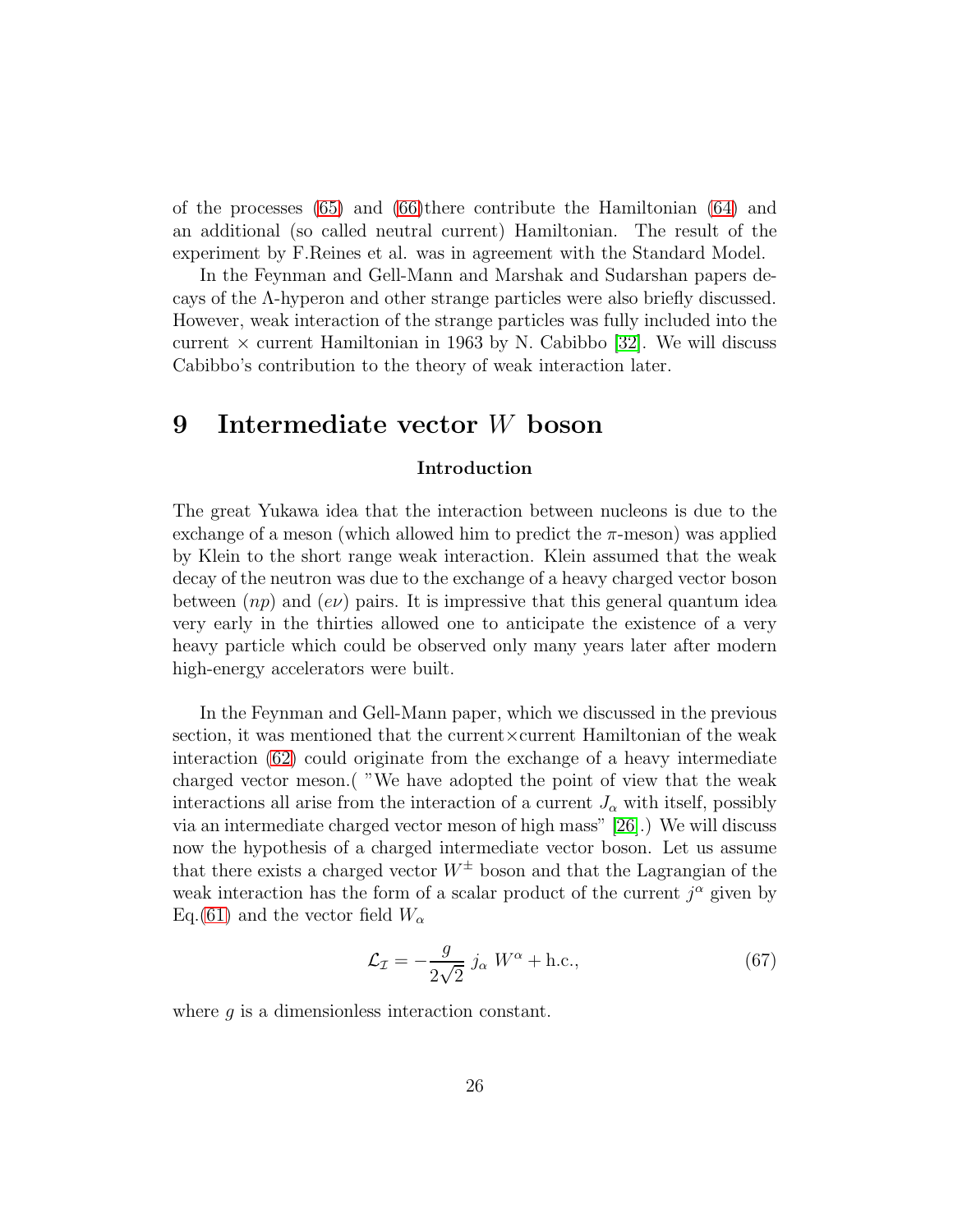of the processes  $(65)$  and  $(66)$ there contribute the Hamiltonian  $(64)$  and an additional (so called neutral current) Hamiltonian. The result of the experiment by F.Reines et al. was in agreement with the Standard Model.

In the Feynman and Gell-Mann and Marshak and Sudarshan papers decays of the Λ-hyperon and other strange particles were also briefly discussed. However, weak interaction of the strange particles was fully included into the current  $\times$  current Hamiltonian in 1963 by N. Cabibbo [\[32\]](#page-87-2). We will discuss Cabibbo's contribution to the theory of weak interaction later.

### 9 Intermediate vector W boson

#### Introduction

The great Yukawa idea that the interaction between nucleons is due to the exchange of a meson (which allowed him to predict the  $\pi$ -meson) was applied by Klein to the short range weak interaction. Klein assumed that the weak decay of the neutron was due to the exchange of a heavy charged vector boson between  $(np)$  and  $(ev)$  pairs. It is impressive that this general quantum idea very early in the thirties allowed one to anticipate the existence of a very heavy particle which could be observed only many years later after modern high-energy accelerators were built.

In the Feynman and Gell-Mann paper, which we discussed in the previous section, it was mentioned that the current × current Hamiltonian of the weak interaction [\(62\)](#page-23-3) could originate from the exchange of a heavy intermediate charged vector meson.( "We have adopted the point of view that the weak interactions all arise from the interaction of a current  $J_{\alpha}$  with itself, possibly via an intermediate charged vector meson of high mass" [\[26\]](#page-86-15).) We will discuss now the hypothesis of a charged intermediate vector boson. Let us assume that there exists a charged vector  $W^{\pm}$  boson and that the Lagrangian of the weak interaction has the form of a scalar product of the current  $j^{\alpha}$  given by Eq.[\(61\)](#page-23-4) and the vector field  $W_{\alpha}$ 

<span id="page-25-0"></span>
$$
\mathcal{L}_{\mathcal{I}} = -\frac{g}{2\sqrt{2}} j_{\alpha} W^{\alpha} + \text{h.c.},\tag{67}
$$

where  $g$  is a dimensionless interaction constant.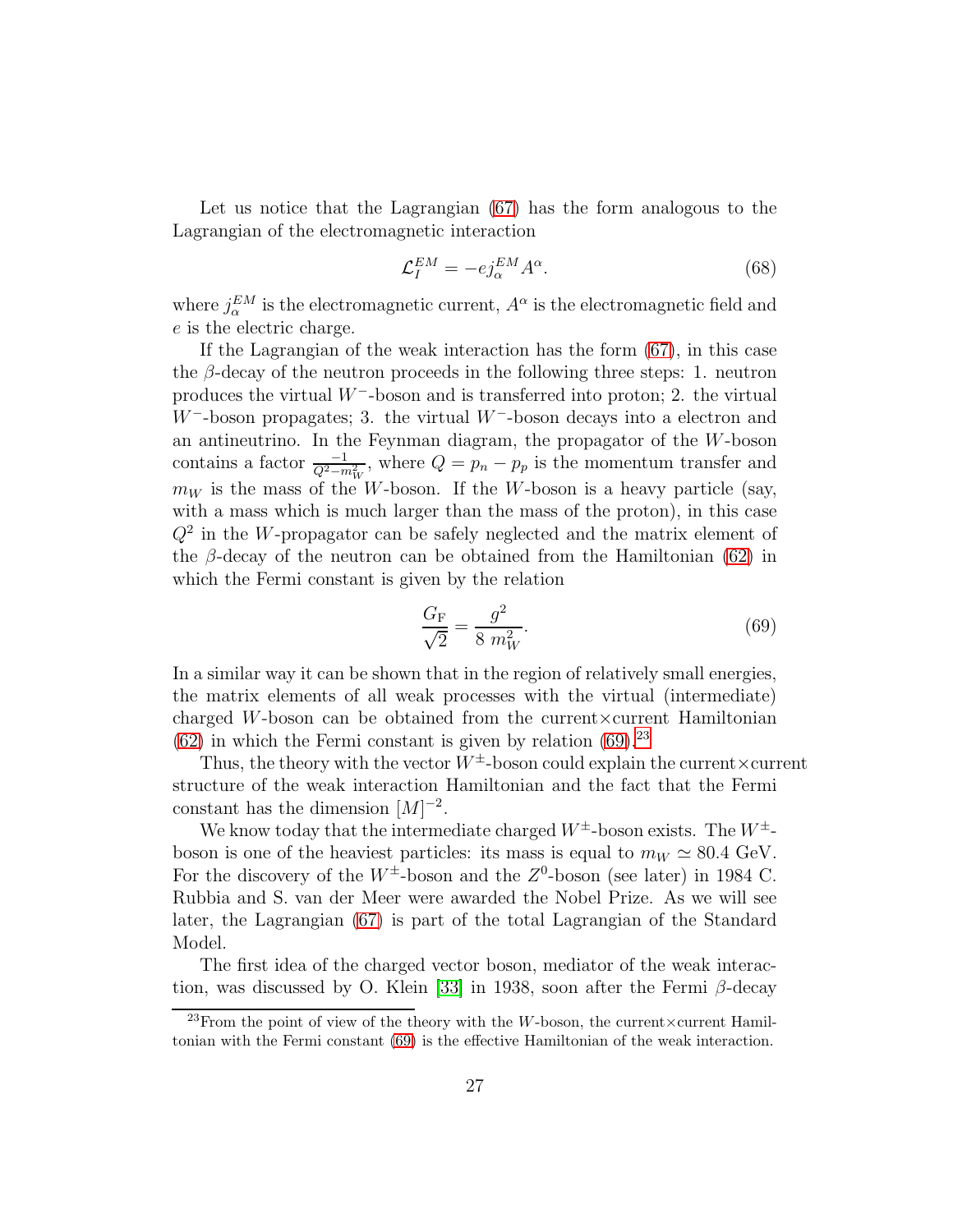Let us notice that the Lagrangian [\(67\)](#page-25-0) has the form analogous to the Lagrangian of the electromagnetic interaction

$$
\mathcal{L}_I^{EM} = -e j_\alpha^{EM} A^\alpha. \tag{68}
$$

where  $j_{\alpha}^{EM}$  is the electromagnetic current,  $A^{\alpha}$  is the electromagnetic field and e is the electric charge.

If the Lagrangian of the weak interaction has the form [\(67\)](#page-25-0), in this case the  $\beta$ -decay of the neutron proceeds in the following three steps: 1. neutron produces the virtual W−-boson and is transferred into proton; 2. the virtual  $W^-$ -boson propagates; 3. the virtual  $W^-$ -boson decays into a electron and an antineutrino. In the Feynman diagram, the propagator of the W-boson contains a factor  $\frac{-1}{Q^2 - m_W^2}$ , where  $Q = p_n - p_p$  is the momentum transfer and  $m_W$  is the mass of the W-boson. If the W-boson is a heavy particle (say, with a mass which is much larger than the mass of the proton), in this case  $Q^2$  in the W-propagator can be safely neglected and the matrix element of the  $\beta$ -decay of the neutron can be obtained from the Hamiltonian [\(62\)](#page-23-3) in which the Fermi constant is given by the relation

<span id="page-26-0"></span>
$$
\frac{G_{\rm F}}{\sqrt{2}} = \frac{g^2}{8 m_W^2}.
$$
\n(69)

In a similar way it can be shown that in the region of relatively small energies, the matrix elements of all weak processes with the virtual (intermediate) charged W-boson can be obtained from the current×current Hamiltonian  $(62)$  in which the Fermi constant is given by relation  $(69)$ <sup>[23](#page-26-1)</sup>

Thus, the theory with the vector  $W^{\pm}$ -boson could explain the current×current structure of the weak interaction Hamiltonian and the fact that the Fermi constant has the dimension  $[M]^{-2}$ .

We know today that the intermediate charged  $W^{\pm}$ -boson exists. The  $W^{\pm}$ boson is one of the heaviest particles: its mass is equal to  $m_W \simeq 80.4 \text{ GeV}$ . For the discovery of the  $W^{\pm}$ -boson and the  $Z^0$ -boson (see later) in 1984 C. Rubbia and S. van der Meer were awarded the Nobel Prize. As we will see later, the Lagrangian [\(67\)](#page-25-0) is part of the total Lagrangian of the Standard Model.

The first idea of the charged vector boson, mediator of the weak interac-tion, was discussed by O. Klein [\[33\]](#page-87-0) in 1938, soon after the Fermi  $\beta$ -decay

<span id="page-26-1"></span><sup>&</sup>lt;sup>23</sup>From the point of view of the theory with the W-boson, the current  $\tt{xcurrent Hamil}$ tonian with the Fermi constant [\(69\)](#page-26-0) is the effective Hamiltonian of the weak interaction.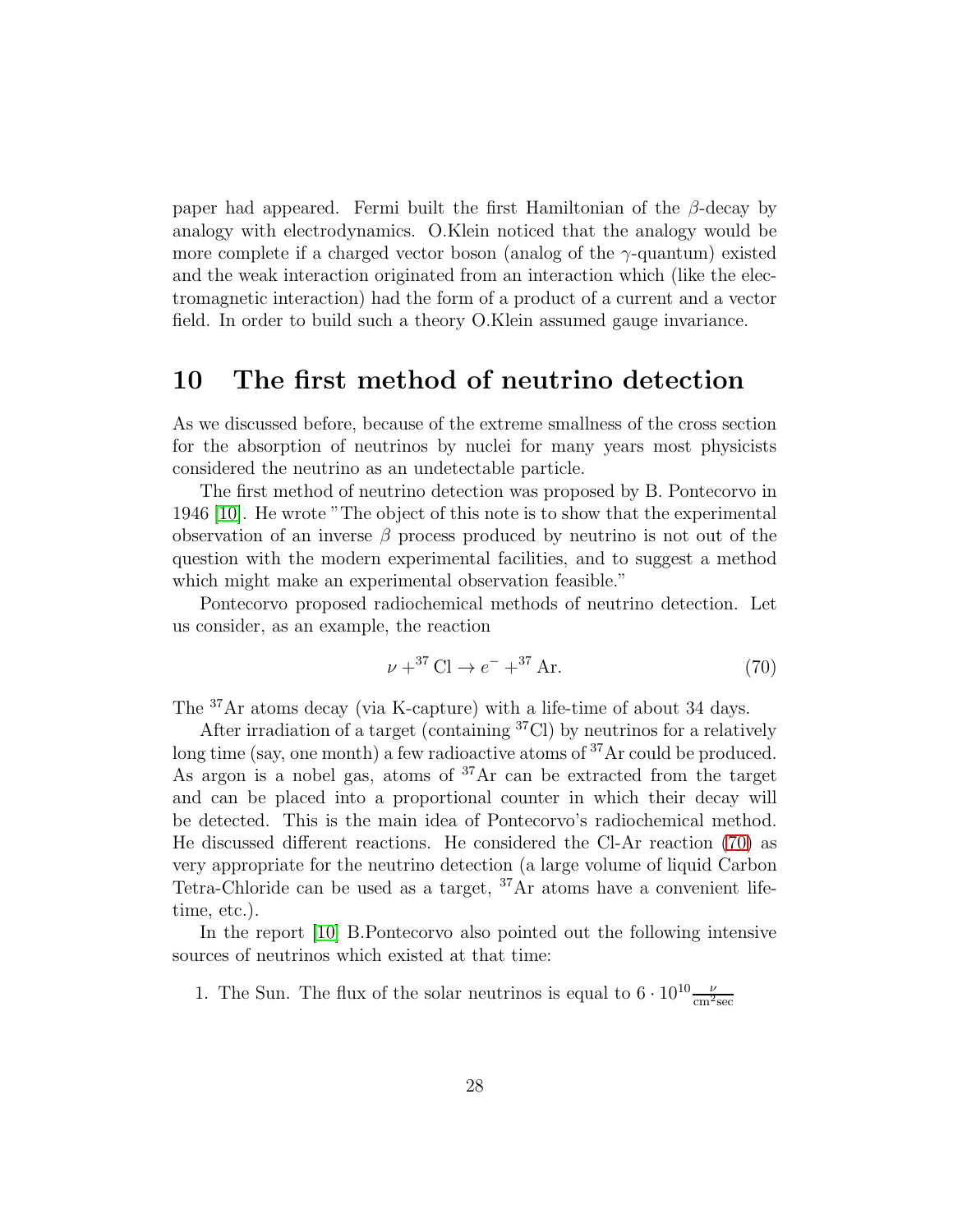paper had appeared. Fermi built the first Hamiltonian of the  $\beta$ -decay by analogy with electrodynamics. O.Klein noticed that the analogy would be more complete if a charged vector boson (analog of the  $\gamma$ -quantum) existed and the weak interaction originated from an interaction which (like the electromagnetic interaction) had the form of a product of a current and a vector field. In order to build such a theory O.Klein assumed gauge invariance.

## 10 The first method of neutrino detection

As we discussed before, because of the extreme smallness of the cross section for the absorption of neutrinos by nuclei for many years most physicists considered the neutrino as an undetectable particle.

The first method of neutrino detection was proposed by B. Pontecorvo in 1946 [\[10\]](#page-86-1). He wrote "The object of this note is to show that the experimental observation of an inverse  $\beta$  process produced by neutrino is not out of the question with the modern experimental facilities, and to suggest a method which might make an experimental observation feasible."

Pontecorvo proposed radiochemical methods of neutrino detection. Let us consider, as an example, the reaction

<span id="page-27-0"></span>
$$
\nu + ^{37}Cl \to e^- + ^{37}Ar. \tag{70}
$$

The <sup>37</sup>Ar atoms decay (via K-capture) with a life-time of about 34 days.

After irradiation of a target (containing  ${}^{37}$ Cl) by neutrinos for a relatively long time (say, one month) a few radioactive atoms of <sup>37</sup>Ar could be produced. As argon is a nobel gas, atoms of  $37\text{Ar}$  can be extracted from the target and can be placed into a proportional counter in which their decay will be detected. This is the main idea of Pontecorvo's radiochemical method. He discussed different reactions. He considered the Cl-Ar reaction [\(70\)](#page-27-0) as very appropriate for the neutrino detection (a large volume of liquid Carbon Tetra-Chloride can be used as a target,  ${}^{37}Ar$  atoms have a convenient lifetime, etc.).

In the report [\[10\]](#page-86-1) B.Pontecorvo also pointed out the following intensive sources of neutrinos which existed at that time:

1. The Sun. The flux of the solar neutrinos is equal to  $6 \cdot 10^{10} \frac{\nu}{\text{cm}^2 \text{sec}}$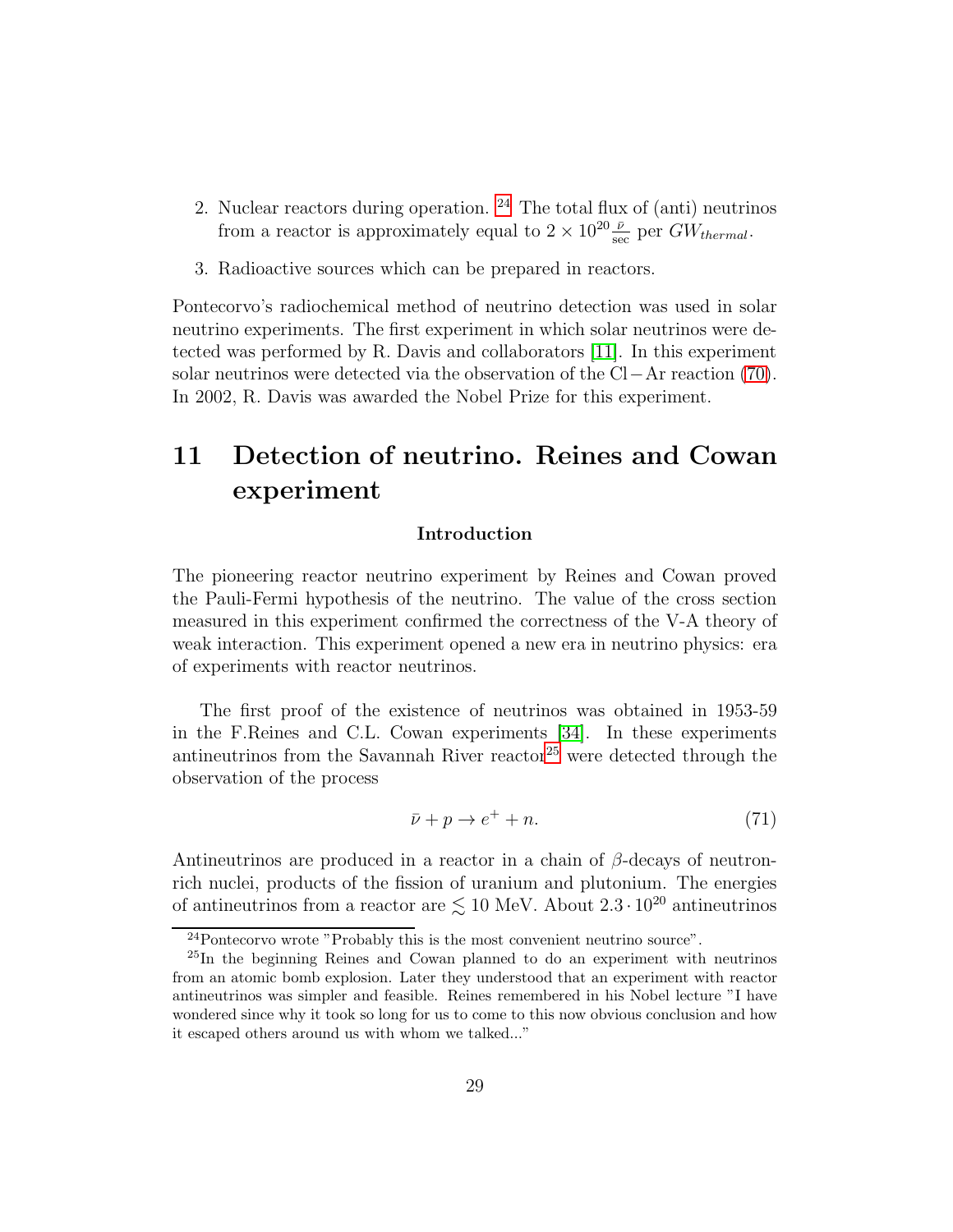- 2. Nuclear reactors during operation.  $24$  The total flux of (anti) neutrinos from a reactor is approximately equal to  $2 \times 10^{20} \frac{\bar{\nu}}{\text{sec}}$  per  $GW_{thermal}$ .
- 3. Radioactive sources which can be prepared in reactors.

Pontecorvo's radiochemical method of neutrino detection was used in solar neutrino experiments. The first experiment in which solar neutrinos were detected was performed by R. Davis and collaborators [\[11\]](#page-86-2). In this experiment solar neutrinos were detected via the observation of the Cl−Ar reaction [\(70\)](#page-27-0). In 2002, R. Davis was awarded the Nobel Prize for this experiment.

# 11 Detection of neutrino. Reines and Cowan experiment

#### Introduction

The pioneering reactor neutrino experiment by Reines and Cowan proved the Pauli-Fermi hypothesis of the neutrino. The value of the cross section measured in this experiment confirmed the correctness of the V-A theory of weak interaction. This experiment opened a new era in neutrino physics: era of experiments with reactor neutrinos.

The first proof of the existence of neutrinos was obtained in 1953-59 in the F.Reines and C.L. Cowan experiments [\[34\]](#page-87-3). In these experiments antineutrinos from the Savannah River reactor<sup>[25](#page-28-1)</sup> were detected through the observation of the process

<span id="page-28-2"></span>
$$
\bar{\nu} + p \to e^+ + n. \tag{71}
$$

Antineutrinos are produced in a reactor in a chain of  $\beta$ -decays of neutronrich nuclei, products of the fission of uranium and plutonium. The energies of antineutrinos from a reactor are  $\lesssim 10$  MeV. About  $2.3 \cdot 10^{20}$  antineutrinos

<span id="page-28-0"></span><sup>24</sup>Pontecorvo wrote "Probably this is the most convenient neutrino source".

<span id="page-28-1"></span><sup>25</sup>In the beginning Reines and Cowan planned to do an experiment with neutrinos from an atomic bomb explosion. Later they understood that an experiment with reactor antineutrinos was simpler and feasible. Reines remembered in his Nobel lecture "I have wondered since why it took so long for us to come to this now obvious conclusion and how it escaped others around us with whom we talked..."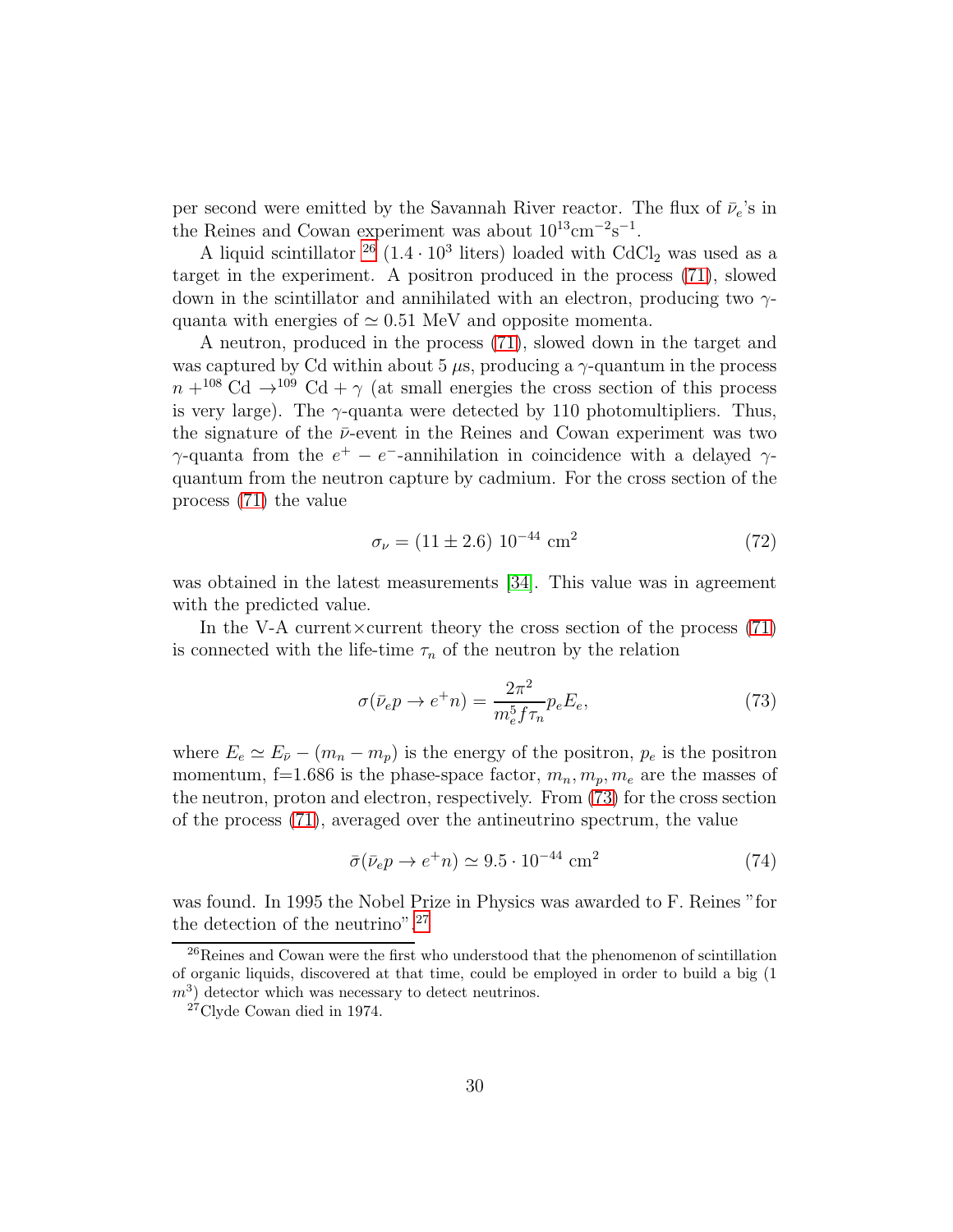per second were emitted by the Savannah River reactor. The flux of  $\bar{\nu}_e$ 's in the Reines and Cowan experiment was about  $10^{13} \text{cm}^{-2} \text{s}^{-1}$ .

A liquid scintillator  $^{26}$  $^{26}$  $^{26}$  (1.4 · 10<sup>3</sup> liters) loaded with CdCl<sub>2</sub> was used as a target in the experiment. A positron produced in the process [\(71\)](#page-28-2), slowed down in the scintillator and annihilated with an electron, producing two  $\gamma$ quanta with energies of  $\simeq 0.51$  MeV and opposite momenta.

A neutron, produced in the process [\(71\)](#page-28-2), slowed down in the target and was captured by Cd within about 5  $\mu$ s, producing a  $\gamma$ -quantum in the process  $n + 108$  Cd  $\rightarrow$  109 Cd +  $\gamma$  (at small energies the cross section of this process is very large). The  $\gamma$ -quanta were detected by 110 photomultipliers. Thus, the signature of the  $\bar{\nu}$ -event in the Reines and Cowan experiment was two  $\gamma$ -quanta from the  $e^+ - e^-$ -annihilation in coincidence with a delayed  $\gamma$ quantum from the neutron capture by cadmium. For the cross section of the process [\(71\)](#page-28-2) the value

$$
\sigma_{\nu} = (11 \pm 2.6) \, 10^{-44} \, \text{cm}^2 \tag{72}
$$

was obtained in the latest measurements [\[34\]](#page-87-3). This value was in agreement with the predicted value.

In the V-A current×current theory the cross section of the process  $(71)$ is connected with the life-time  $\tau_n$  of the neutron by the relation

<span id="page-29-1"></span>
$$
\sigma(\bar{\nu}_e p \to e^+ n) = \frac{2\pi^2}{m_e^5 f \tau_n} p_e E_e,\tag{73}
$$

where  $E_e \simeq E_{\bar{\nu}} - (m_n - m_p)$  is the energy of the positron,  $p_e$  is the positron momentum, f=1.686 is the phase-space factor,  $m_n, m_p, m_e$  are the masses of the neutron, proton and electron, respectively. From [\(73\)](#page-29-1) for the cross section of the process [\(71\)](#page-28-2), averaged over the antineutrino spectrum, the value

$$
\bar{\sigma}(\bar{\nu}_e p \to e^+ n) \simeq 9.5 \cdot 10^{-44} \text{ cm}^2 \tag{74}
$$

was found. In 1995 the Nobel Prize in Physics was awarded to F. Reines "for the detection of the neutrino".[27](#page-29-2)

<span id="page-29-0"></span><sup>&</sup>lt;sup>26</sup>Reines and Cowan were the first who understood that the phenomenon of scintillation of organic liquids, discovered at that time, could be employed in order to build a big (1  $(m<sup>3</sup>)$  detector which was necessary to detect neutrinos.

<span id="page-29-2"></span><sup>27</sup>Clyde Cowan died in 1974.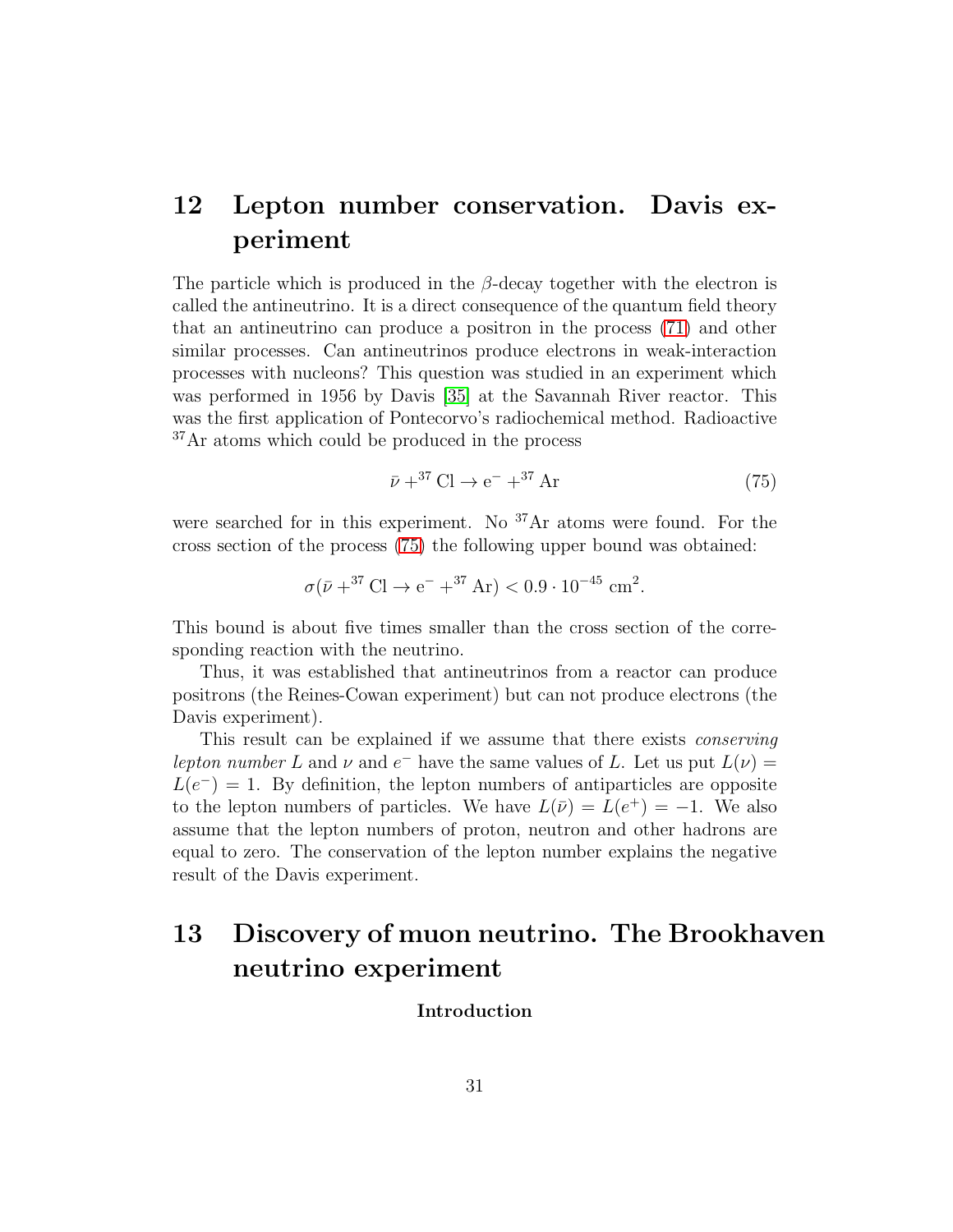# 12 Lepton number conservation. Davis experiment

The particle which is produced in the  $\beta$ -decay together with the electron is called the antineutrino. It is a direct consequence of the quantum field theory that an antineutrino can produce a positron in the process [\(71\)](#page-28-2) and other similar processes. Can antineutrinos produce electrons in weak-interaction processes with nucleons? This question was studied in an experiment which was performed in 1956 by Davis [\[35\]](#page-87-4) at the Savannah River reactor. This was the first application of Pontecorvo's radiochemical method. Radioactive <sup>37</sup>Ar atoms which could be produced in the process

<span id="page-30-0"></span>
$$
\bar{\nu} + ^{37}Cl \to e^- + ^{37}Ar
$$
 (75)

were searched for in this experiment. No <sup>37</sup>Ar atoms were found. For the cross section of the process [\(75\)](#page-30-0) the following upper bound was obtained:

$$
\sigma(\bar{\nu} + ^{37}Cl \to e^- + ^{37}Ar) < 0.9 \cdot 10^{-45} \text{ cm}^2.
$$

This bound is about five times smaller than the cross section of the corresponding reaction with the neutrino.

Thus, it was established that antineutrinos from a reactor can produce positrons (the Reines-Cowan experiment) but can not produce electrons (the Davis experiment).

This result can be explained if we assume that there exists *conserving* lepton number L and  $\nu$  and  $e^-$  have the same values of L. Let us put  $L(\nu)$  =  $L(e^-) = 1$ . By definition, the lepton numbers of antiparticles are opposite to the lepton numbers of particles. We have  $L(\bar{\nu}) = L(e^+) = -1$ . We also assume that the lepton numbers of proton, neutron and other hadrons are equal to zero. The conservation of the lepton number explains the negative result of the Davis experiment.

# 13 Discovery of muon neutrino. The Brookhaven neutrino experiment

### Introduction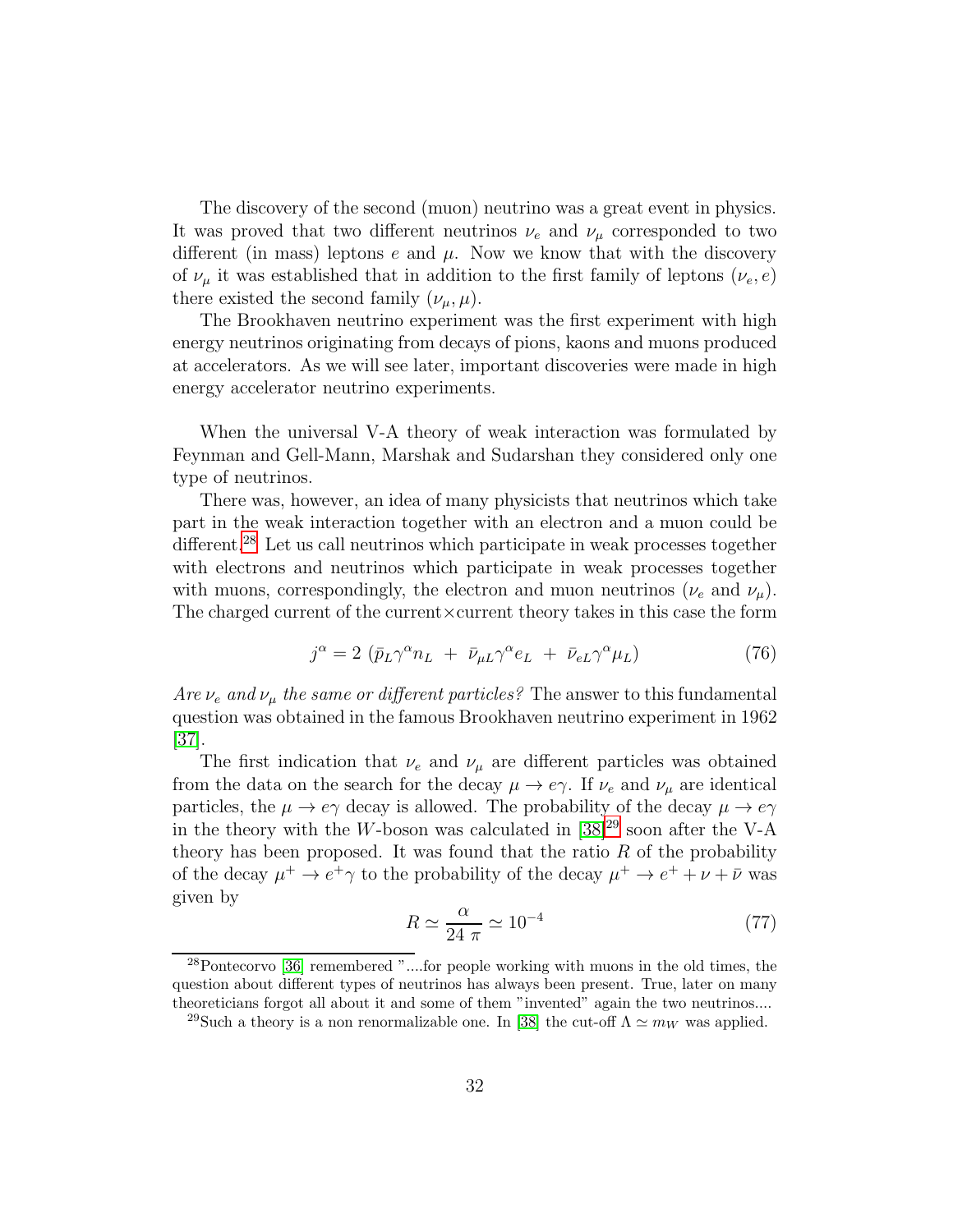The discovery of the second (muon) neutrino was a great event in physics. It was proved that two different neutrinos  $\nu_e$  and  $\nu_\mu$  corresponded to two different (in mass) leptons  $e$  and  $\mu$ . Now we know that with the discovery of  $\nu_{\mu}$  it was established that in addition to the first family of leptons  $(\nu_e, e)$ there existed the second family  $(\nu_{\mu}, \mu)$ .

The Brookhaven neutrino experiment was the first experiment with high energy neutrinos originating from decays of pions, kaons and muons produced at accelerators. As we will see later, important discoveries were made in high energy accelerator neutrino experiments.

When the universal V-A theory of weak interaction was formulated by Feynman and Gell-Mann, Marshak and Sudarshan they considered only one type of neutrinos.

There was, however, an idea of many physicists that neutrinos which take part in the weak interaction together with an electron and a muon could be different.[28](#page-31-0) Let us call neutrinos which participate in weak processes together with electrons and neutrinos which participate in weak processes together with muons, correspondingly, the electron and muon neutrinos  $(\nu_e \text{ and } \nu_\mu)$ . The charged current of the current  $\times$  current theory takes in this case the form

<span id="page-31-3"></span>
$$
j^{\alpha} = 2 \left( \bar{p}_L \gamma^{\alpha} n_L + \bar{\nu}_{\mu L} \gamma^{\alpha} e_L + \bar{\nu}_{e L} \gamma^{\alpha} \mu_L \right) \tag{76}
$$

Are  $\nu_e$  and  $\nu_\mu$  the same or different particles? The answer to this fundamental question was obtained in the famous Brookhaven neutrino experiment in 1962 [\[37\]](#page-87-5).

The first indication that  $\nu_e$  and  $\nu_\mu$  are different particles was obtained from the data on the search for the decay  $\mu \to e\gamma$ . If  $\nu_e$  and  $\nu_\mu$  are identical particles, the  $\mu \to e\gamma$  decay is allowed. The probability of the decay  $\mu \to e\gamma$ in the theory with the W-boson was calculated in  $[38]^{29}$  $[38]^{29}$  $[38]^{29}$  soon after the V-A theory has been proposed. It was found that the ratio  $R$  of the probability of the decay  $\mu^+ \to e^+ \gamma$  to the probability of the decay  $\mu^+ \to e^+ + \nu + \bar{\nu}$  was given by

<span id="page-31-2"></span>
$$
R \simeq \frac{\alpha}{24 \pi} \simeq 10^{-4} \tag{77}
$$

<span id="page-31-0"></span><sup>28</sup>Pontecorvo [\[36\]](#page-87-7) remembered "....for people working with muons in the old times, the question about different types of neutrinos has always been present. True, later on many theoreticians forgot all about it and some of them "invented" again the two neutrinos....

<span id="page-31-1"></span><sup>&</sup>lt;sup>29</sup>Such a theory is a non renormalizable one. In [\[38\]](#page-87-6) the cut-off  $\Lambda \simeq m_W$  was applied.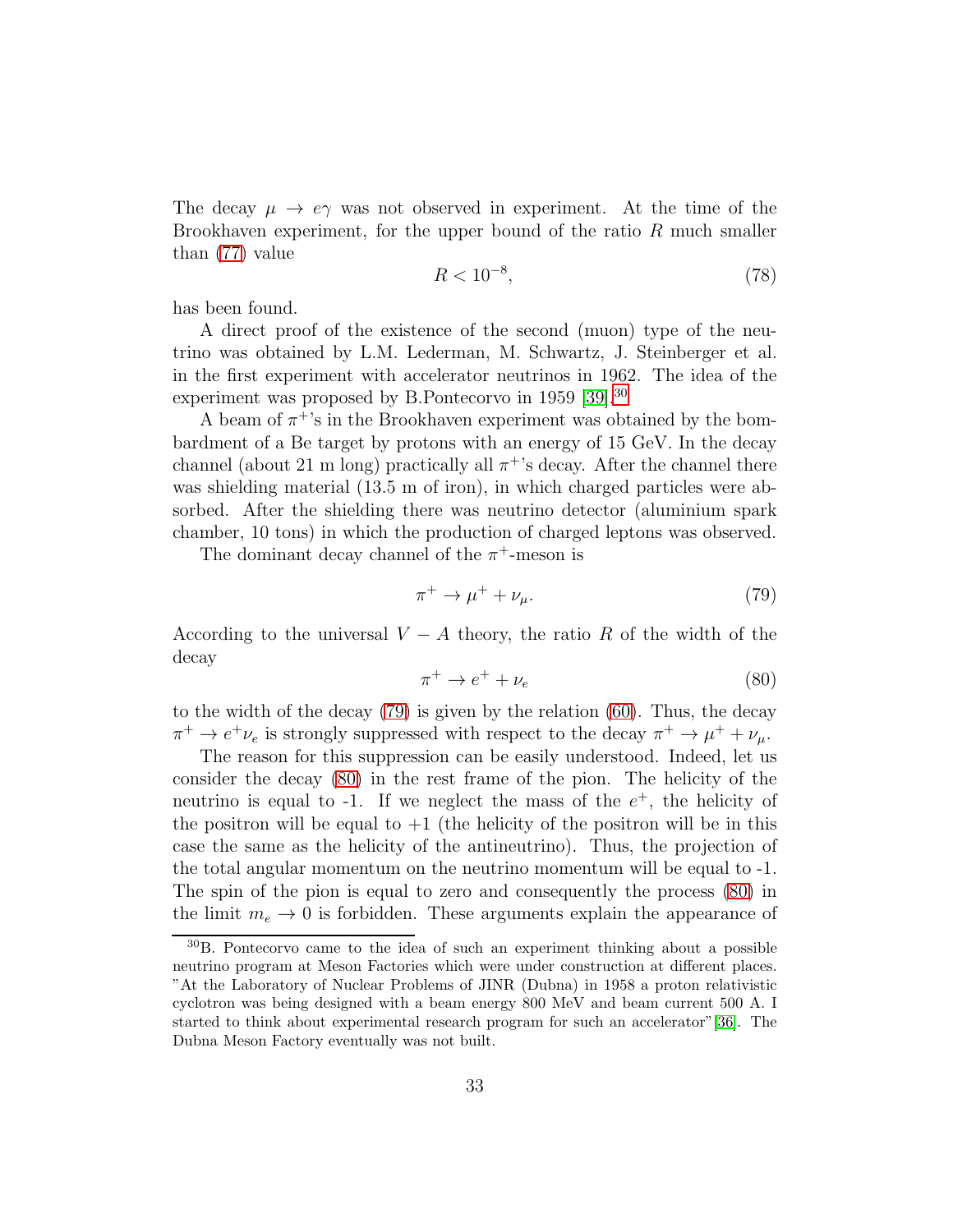The decay  $\mu \to e\gamma$  was not observed in experiment. At the time of the Brookhaven experiment, for the upper bound of the ratio R much smaller than [\(77\)](#page-31-2) value

$$
R < 10^{-8},\tag{78}
$$

has been found.

A direct proof of the existence of the second (muon) type of the neutrino was obtained by L.M. Lederman, M. Schwartz, J. Steinberger et al. in the first experiment with accelerator neutrinos in 1962. The idea of the experiment was proposed by B.Pontecorvo in 1959 [\[39\]](#page-87-8).<sup>[30](#page-32-0)</sup>

A beam of  $\pi^+$ 's in the Brookhaven experiment was obtained by the bombardment of a Be target by protons with an energy of 15 GeV. In the decay channel (about 21 m long) practically all  $\pi^+$ 's decay. After the channel there was shielding material (13.5 m of iron), in which charged particles were absorbed. After the shielding there was neutrino detector (aluminium spark chamber, 10 tons) in which the production of charged leptons was observed.

The dominant decay channel of the  $\pi^+$ -meson is

<span id="page-32-1"></span>
$$
\pi^+ \to \mu^+ + \nu_\mu. \tag{79}
$$

According to the universal  $V - A$  theory, the ratio R of the width of the decay

<span id="page-32-2"></span>
$$
\pi^+ \to e^+ + \nu_e \tag{80}
$$

to the width of the decay [\(79\)](#page-32-1) is given by the relation [\(60\)](#page-23-0). Thus, the decay  $\pi^+ \to e^+ \nu_e$  is strongly suppressed with respect to the decay  $\pi^+ \to \mu^+ + \nu_\mu$ .

The reason for this suppression can be easily understood. Indeed, let us consider the decay [\(80\)](#page-32-2) in the rest frame of the pion. The helicity of the neutrino is equal to  $-1$ . If we neglect the mass of the  $e^+$ , the helicity of the positron will be equal to  $+1$  (the helicity of the positron will be in this case the same as the helicity of the antineutrino). Thus, the projection of the total angular momentum on the neutrino momentum will be equal to -1. The spin of the pion is equal to zero and consequently the process [\(80\)](#page-32-2) in the limit  $m_e \to 0$  is forbidden. These arguments explain the appearance of

<span id="page-32-0"></span><sup>30</sup>B. Pontecorvo came to the idea of such an experiment thinking about a possible neutrino program at Meson Factories which were under construction at different places. "At the Laboratory of Nuclear Problems of JINR (Dubna) in 1958 a proton relativistic cyclotron was being designed with a beam energy 800 MeV and beam current 500 A. I started to think about experimental research program for such an accelerator"[\[36\]](#page-87-7). The Dubna Meson Factory eventually was not built.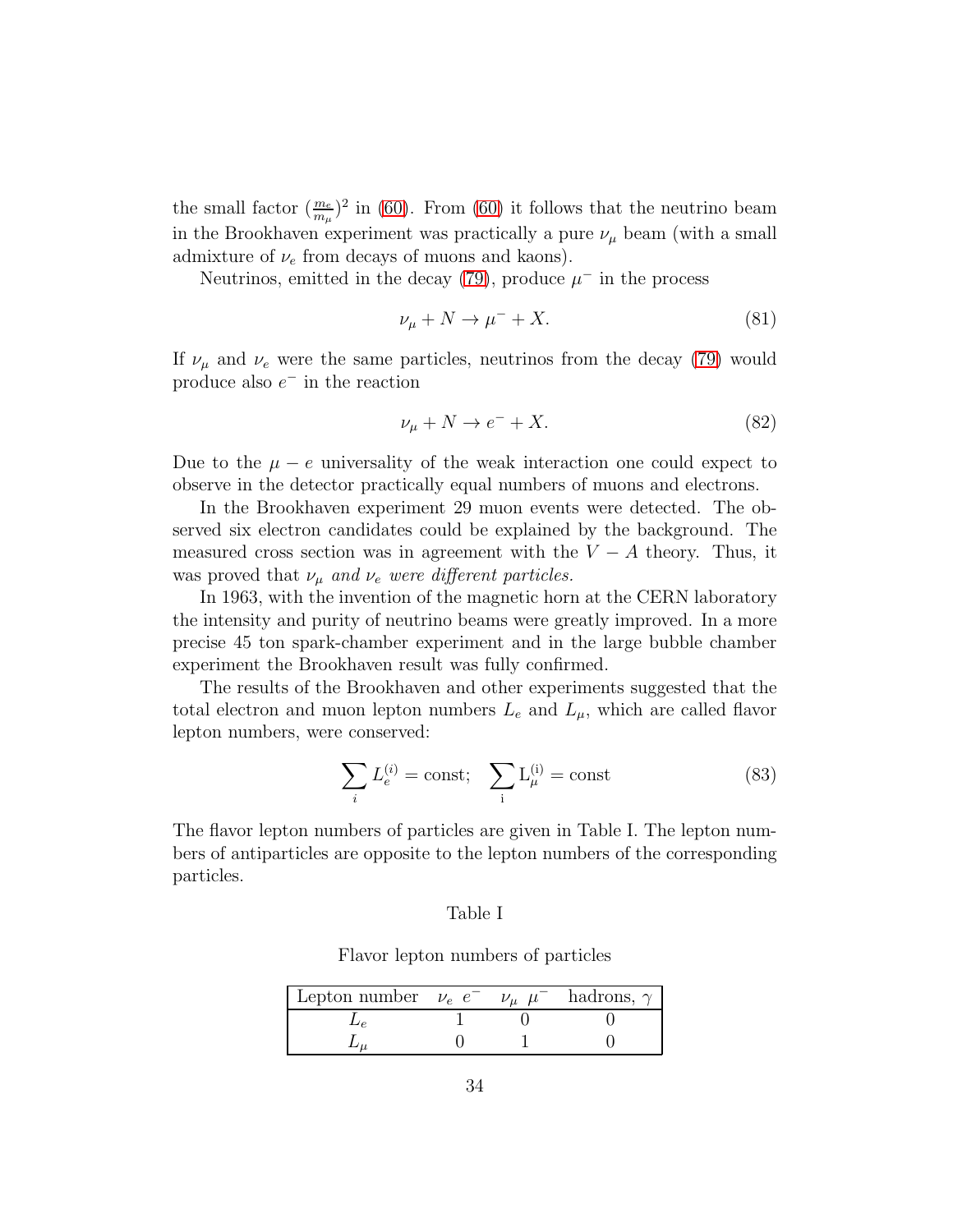the small factor  $(\frac{m_e}{m_\mu})^2$  in [\(60\)](#page-23-0). From (60) it follows that the neutrino beam in the Brookhaven experiment was practically a pure  $\nu_{\mu}$  beam (with a small admixture of  $\nu_e$  from decays of muons and kaons).

Neutrinos, emitted in the decay [\(79\)](#page-32-1), produce  $\mu^-$  in the process

$$
\nu_{\mu} + N \to \mu^{-} + X. \tag{81}
$$

If  $\nu_{\mu}$  and  $\nu_{e}$  were the same particles, neutrinos from the decay [\(79\)](#page-32-1) would produce also  $e^-$  in the reaction

$$
\nu_{\mu} + N \to e^- + X. \tag{82}
$$

Due to the  $\mu - e$  universality of the weak interaction one could expect to observe in the detector practically equal numbers of muons and electrons.

In the Brookhaven experiment 29 muon events were detected. The observed six electron candidates could be explained by the background. The measured cross section was in agreement with the  $V - A$  theory. Thus, it was proved that  $\nu_{\mu}$  and  $\nu_{e}$  were different particles.

In 1963, with the invention of the magnetic horn at the CERN laboratory the intensity and purity of neutrino beams were greatly improved. In a more precise 45 ton spark-chamber experiment and in the large bubble chamber experiment the Brookhaven result was fully confirmed.

The results of the Brookhaven and other experiments suggested that the total electron and muon lepton numbers  $L_e$  and  $L_\mu$ , which are called flavor lepton numbers, were conserved:

<span id="page-33-0"></span>
$$
\sum_{i} L_e^{(i)} = \text{const}; \quad \sum_{i} L_\mu^{(i)} = \text{const}
$$
 (83)

The flavor lepton numbers of particles are given in Table I. The lepton numbers of antiparticles are opposite to the lepton numbers of the corresponding particles.

#### Table I

Flavor lepton numbers of particles

| Lepton number $\nu_e$ e |  | hadrons, $\gamma$ |
|-------------------------|--|-------------------|
|                         |  |                   |
|                         |  |                   |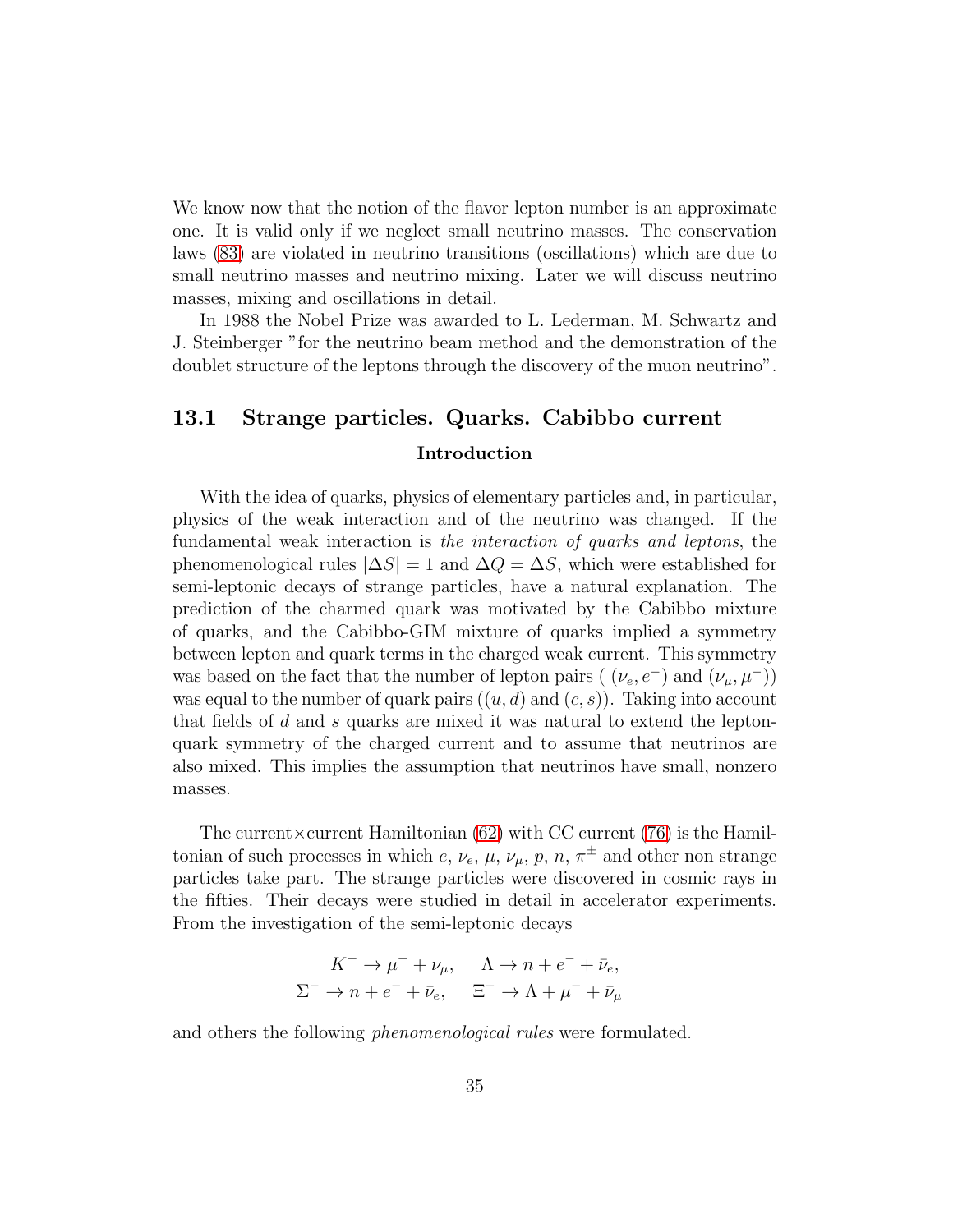We know now that the notion of the flavor lepton number is an approximate one. It is valid only if we neglect small neutrino masses. The conservation laws [\(83\)](#page-33-0) are violated in neutrino transitions (oscillations) which are due to small neutrino masses and neutrino mixing. Later we will discuss neutrino masses, mixing and oscillations in detail.

In 1988 the Nobel Prize was awarded to L. Lederman, M. Schwartz and J. Steinberger "for the neutrino beam method and the demonstration of the doublet structure of the leptons through the discovery of the muon neutrino".

## 13.1 Strange particles. Quarks. Cabibbo current Introduction

With the idea of quarks, physics of elementary particles and, in particular, physics of the weak interaction and of the neutrino was changed. If the fundamental weak interaction is the interaction of quarks and leptons, the phenomenological rules  $|\Delta S| = 1$  and  $\Delta Q = \Delta S$ , which were established for semi-leptonic decays of strange particles, have a natural explanation. The prediction of the charmed quark was motivated by the Cabibbo mixture of quarks, and the Cabibbo-GIM mixture of quarks implied a symmetry between lepton and quark terms in the charged weak current. This symmetry was based on the fact that the number of lepton pairs (  $(\nu_e, e^-)$  and  $(\nu_\mu, \mu^-)$ ) was equal to the number of quark pairs  $((u, d)$  and  $(c, s))$ . Taking into account that fields of d and s quarks are mixed it was natural to extend the leptonquark symmetry of the charged current and to assume that neutrinos are also mixed. This implies the assumption that neutrinos have small, nonzero masses.

The current  $\times$  current Hamiltonian [\(62\)](#page-23-3) with CC current [\(76\)](#page-31-3) is the Hamiltonian of such processes in which  $e, \nu_e, \mu, \nu_\mu, p, n, \pi^{\pm}$  and other non strange particles take part. The strange particles were discovered in cosmic rays in the fifties. Their decays were studied in detail in accelerator experiments. From the investigation of the semi-leptonic decays

$$
K^+ \to \mu^+ + \nu_\mu, \quad \Lambda \to n + e^- + \bar{\nu}_e,
$$
  

$$
\Sigma^- \to n + e^- + \bar{\nu}_e, \quad \Xi^- \to \Lambda + \mu^- + \bar{\nu}_\mu
$$

and others the following *phenomenological rules* were formulated.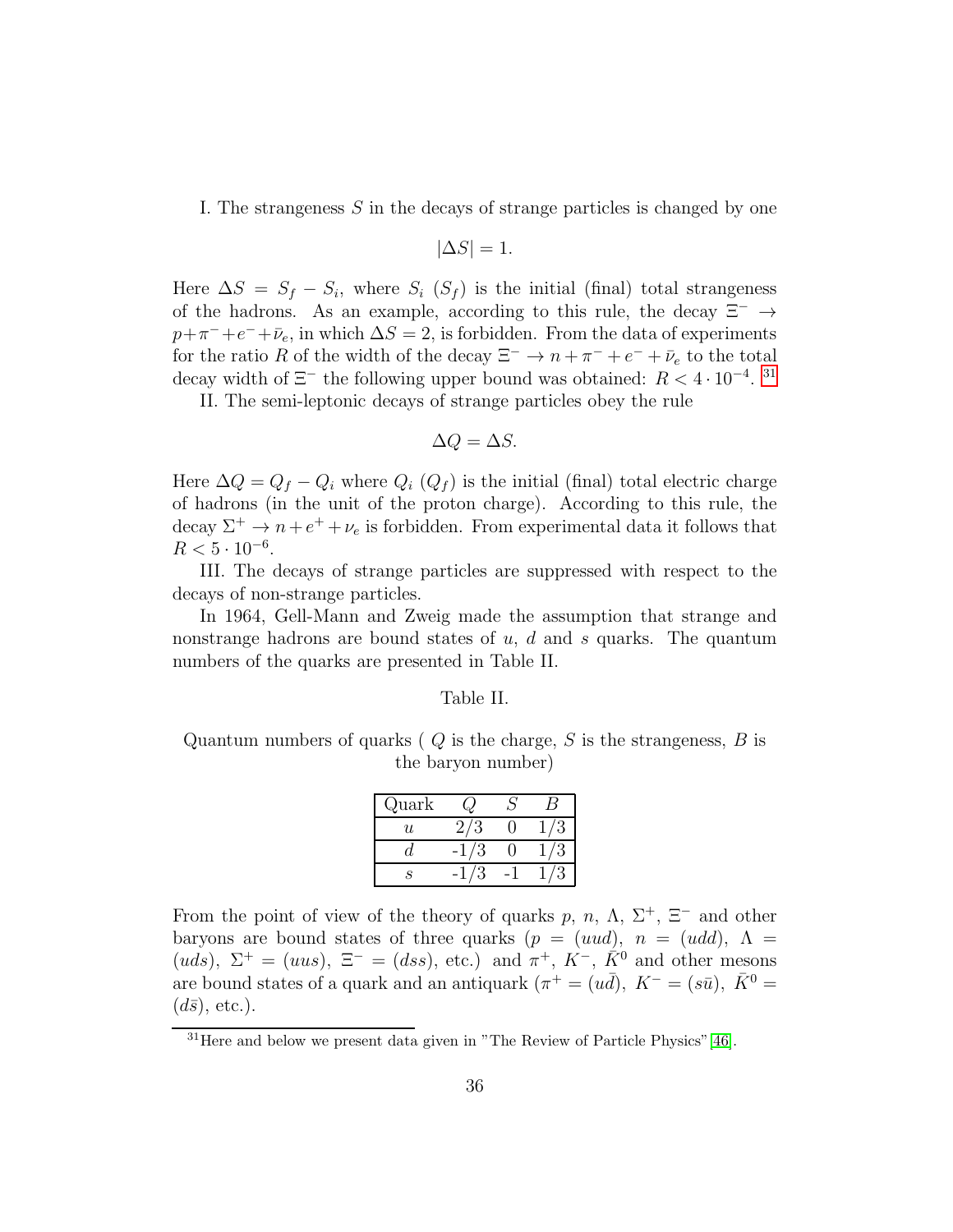I. The strangeness S in the decays of strange particles is changed by one

$$
|\Delta S| = 1.
$$

Here  $\Delta S = S_f - S_i$ , where  $S_i$  ( $S_f$ ) is the initial (final) total strangeness of the hadrons. As an example, according to this rule, the decay  $\Xi^-$  →  $p+\pi^-+e^-+\bar{\nu}_e$ , in which  $\Delta S=2$ , is forbidden. From the data of experiments for the ratio R of the width of the decay  $\Xi^- \to n + \pi^- + e^- + \bar{\nu}_e$  to the total decay width of  $\Xi^-$  the following upper bound was obtained:  $R < 4 \cdot 10^{-4}$ . <sup>[31](#page-35-0)</sup>

II. The semi-leptonic decays of strange particles obey the rule

$$
\Delta Q = \Delta S.
$$

Here  $\Delta Q = Q_f - Q_i$  where  $Q_i$  ( $Q_f$ ) is the initial (final) total electric charge of hadrons (in the unit of the proton charge). According to this rule, the decay  $\Sigma^+ \to n + e^+ + \nu_e$  is forbidden. From experimental data it follows that  $R < 5 \cdot 10^{-6}$ .

III. The decays of strange particles are suppressed with respect to the decays of non-strange particles.

In 1964, Gell-Mann and Zweig made the assumption that strange and nonstrange hadrons are bound states of  $u, d$  and  $s$  quarks. The quantum numbers of the quarks are presented in Table II.

#### Table II.

Quantum numbers of quarks  $(Q)$  is the charge, S is the strangeness, B is the baryon number)

| )uark                     |   |  |
|---------------------------|---|--|
| $\boldsymbol{\mathit{u}}$ | 3 |  |
| A.                        | 3 |  |
| S                         |   |  |

From the point of view of the theory of quarks p, n,  $\Lambda$ ,  $\Sigma^+$ ,  $\Xi^-$  and other baryons are bound states of three quarks  $(p = (uud), n = (udd), \Lambda =$ (uds),  $\Sigma^+ = (uus)$ ,  $\Xi^- = (dss)$ , etc.) and  $\pi^+$ ,  $K^-$ ,  $\overline{K}^0$  and other mesons are bound states of a quark and an antiquark  $(\pi^+ = (u\bar{d}), K^- = (s\bar{u}), \bar{K}^0 =$  $(d\bar{s})$ , etc.).

<span id="page-35-0"></span> $31$  Here and below we present data given in "The Review of Particle Physics" [\[46\]](#page-87-9).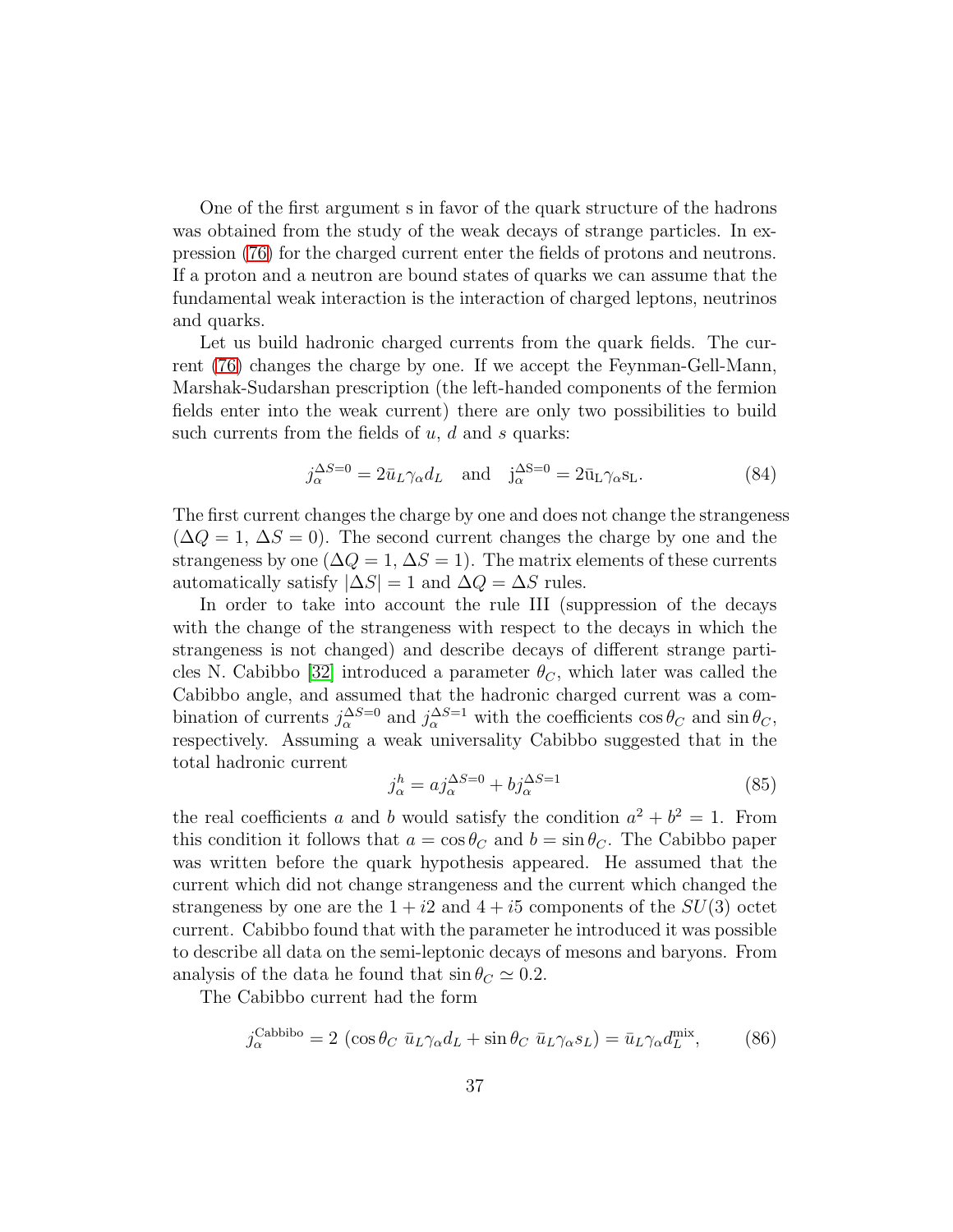One of the first argument s in favor of the quark structure of the hadrons was obtained from the study of the weak decays of strange particles. In expression [\(76\)](#page-31-0) for the charged current enter the fields of protons and neutrons. If a proton and a neutron are bound states of quarks we can assume that the fundamental weak interaction is the interaction of charged leptons, neutrinos and quarks.

Let us build hadronic charged currents from the quark fields. The current [\(76\)](#page-31-0) changes the charge by one. If we accept the Feynman-Gell-Mann, Marshak-Sudarshan prescription (the left-handed components of the fermion fields enter into the weak current) there are only two possibilities to build such currents from the fields of  $u, d$  and  $s$  quarks:

$$
j_{\alpha}^{\Delta S=0} = 2\bar{u}_L \gamma_{\alpha} d_L \quad \text{and} \quad j_{\alpha}^{\Delta S=0} = 2\bar{u}_L \gamma_{\alpha} s_L. \tag{84}
$$

The first current changes the charge by one and does not change the strangeness  $(\Delta Q = 1, \Delta S = 0)$ . The second current changes the charge by one and the strangeness by one ( $\Delta Q = 1, \Delta S = 1$ ). The matrix elements of these currents automatically satisfy  $|\Delta S| = 1$  and  $\Delta Q = \Delta S$  rules.

In order to take into account the rule III (suppression of the decays with the change of the strangeness with respect to the decays in which the strangeness is not changed) and describe decays of different strange parti-cles N. Cabibbo [\[32\]](#page-87-0) introduced a parameter  $\theta_C$ , which later was called the Cabibbo angle, and assumed that the hadronic charged current was a combination of currents  $j_{\alpha}^{\Delta S=0}$  and  $j_{\alpha}^{\Delta S=1}$  with the coefficients  $\cos \theta_C$  and  $\sin \theta_C$ , respectively. Assuming a weak universality Cabibbo suggested that in the total hadronic current

$$
j_{\alpha}^{h} = aj_{\alpha}^{\Delta S=0} + bj_{\alpha}^{\Delta S=1}
$$
\n(85)

the real coefficients a and b would satisfy the condition  $a^2 + b^2 = 1$ . From this condition it follows that  $a = \cos \theta_C$  and  $b = \sin \theta_C$ . The Cabibbo paper was written before the quark hypothesis appeared. He assumed that the current which did not change strangeness and the current which changed the strangeness by one are the  $1 + i2$  and  $4 + i5$  components of the  $SU(3)$  octet current. Cabibbo found that with the parameter he introduced it was possible to describe all data on the semi-leptonic decays of mesons and baryons. From analysis of the data he found that  $\sin \theta_C \simeq 0.2$ .

The Cabibbo current had the form

$$
j_{\alpha}^{\text{Cabbibo}} = 2 \left( \cos \theta_C \ \bar{u}_L \gamma_\alpha d_L + \sin \theta_C \ \bar{u}_L \gamma_\alpha s_L \right) = \bar{u}_L \gamma_\alpha d_L^{\text{mix}},\tag{86}
$$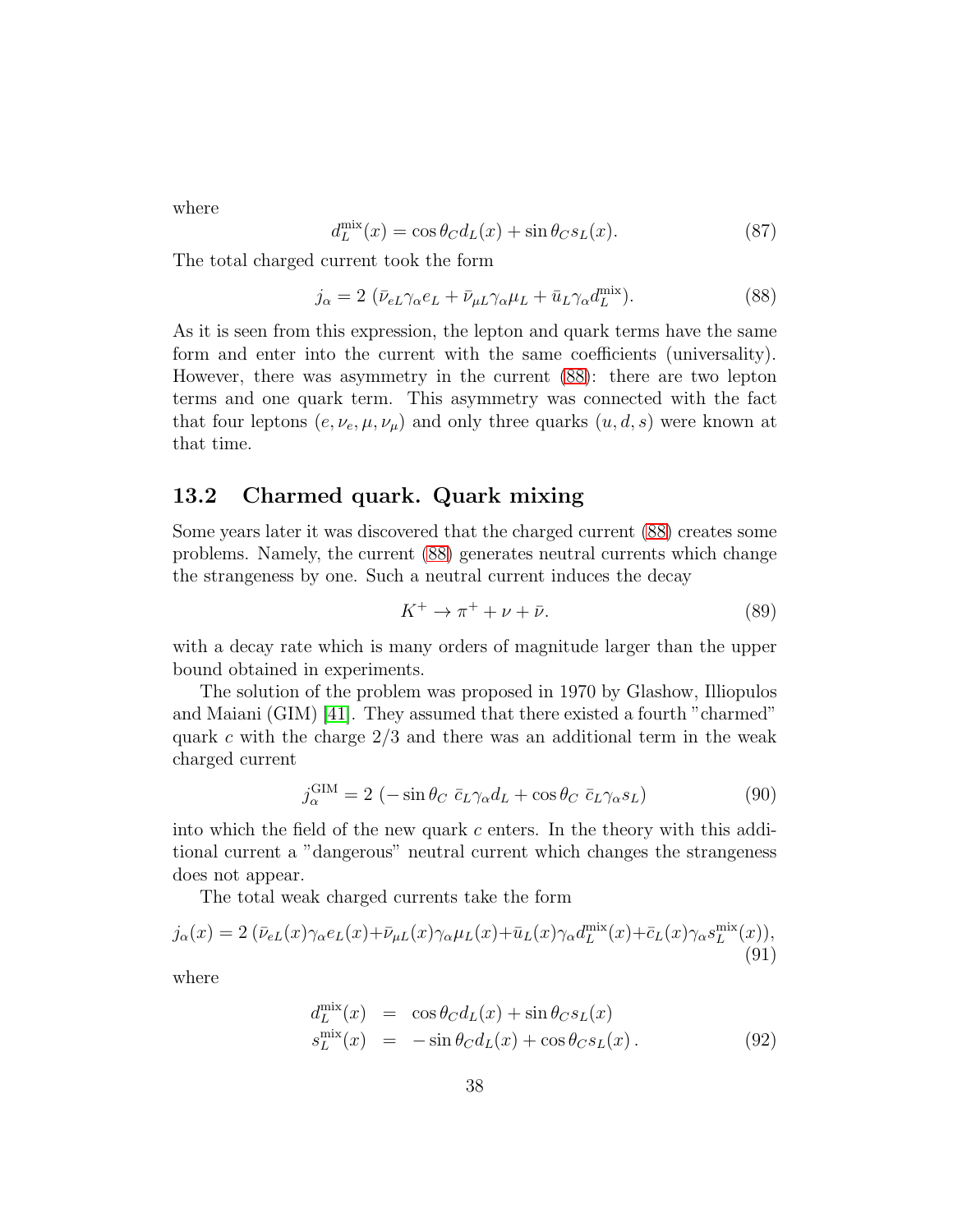where

$$
d_L^{\text{mix}}(x) = \cos \theta_C d_L(x) + \sin \theta_C s_L(x). \tag{87}
$$

The total charged current took the form

<span id="page-37-0"></span>
$$
j_{\alpha} = 2 \left( \bar{\nu}_{eL} \gamma_{\alpha} e_L + \bar{\nu}_{\mu L} \gamma_{\alpha} \mu_L + \bar{u}_L \gamma_{\alpha} d_L^{\text{mix}} \right).
$$
 (88)

As it is seen from this expression, the lepton and quark terms have the same form and enter into the current with the same coefficients (universality). However, there was asymmetry in the current [\(88\)](#page-37-0): there are two lepton terms and one quark term. This asymmetry was connected with the fact that four leptons  $(e, \nu_e, \mu, \nu_\mu)$  and only three quarks  $(u, d, s)$  were known at that time.

### 13.2 Charmed quark. Quark mixing

Some years later it was discovered that the charged current [\(88\)](#page-37-0) creates some problems. Namely, the current [\(88\)](#page-37-0) generates neutral currents which change the strangeness by one. Such a neutral current induces the decay

$$
K^+ \to \pi^+ + \nu + \bar{\nu}.\tag{89}
$$

with a decay rate which is many orders of magnitude larger than the upper bound obtained in experiments.

The solution of the problem was proposed in 1970 by Glashow, Illiopulos and Maiani (GIM) [\[41\]](#page-87-1). They assumed that there existed a fourth "charmed" quark c with the charge  $2/3$  and there was an additional term in the weak charged current

$$
j_{\alpha}^{\text{GIM}} = 2 \left( -\sin \theta_C \ \bar{c}_L \gamma_\alpha d_L + \cos \theta_C \ \bar{c}_L \gamma_\alpha s_L \right) \tag{90}
$$

into which the field of the new quark c enters. In the theory with this additional current a "dangerous" neutral current which changes the strangeness does not appear.

The total weak charged currents take the form

<span id="page-37-1"></span>
$$
j_{\alpha}(x) = 2 \left( \bar{\nu}_{eL}(x) \gamma_{\alpha} e_L(x) + \bar{\nu}_{\mu L}(x) \gamma_{\alpha} \mu_L(x) + \bar{u}_L(x) \gamma_{\alpha} d_L^{\text{mix}}(x) + \bar{c}_L(x) \gamma_{\alpha} s_L^{\text{mix}}(x) \right),\tag{91}
$$

where

<span id="page-37-2"></span>
$$
d_L^{\text{mix}}(x) = \cos \theta_C d_L(x) + \sin \theta_C s_L(x)
$$
  
\n
$$
s_L^{\text{mix}}(x) = -\sin \theta_C d_L(x) + \cos \theta_C s_L(x).
$$
 (92)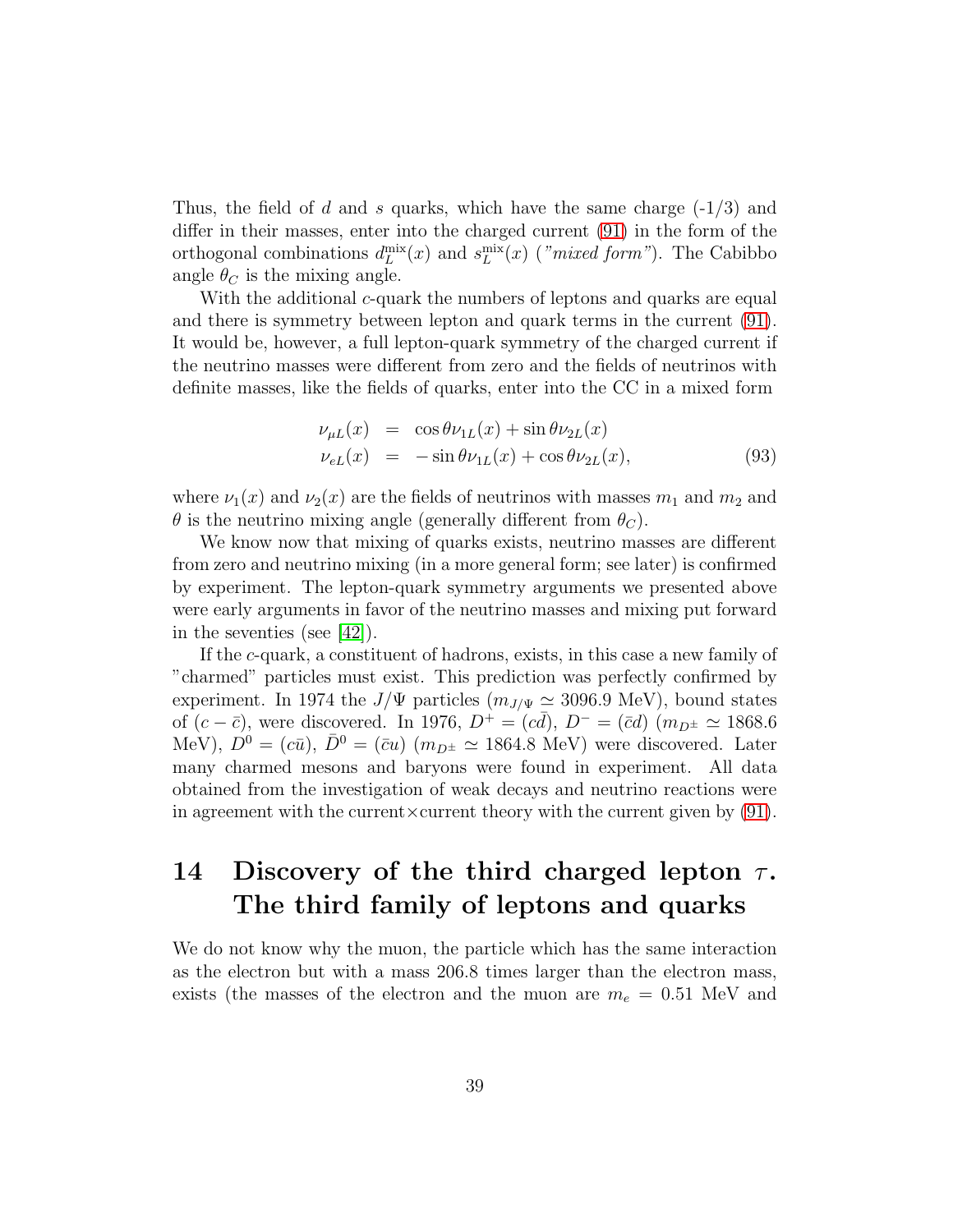Thus, the field of d and s quarks, which have the same charge  $(-1/3)$  and differ in their masses, enter into the charged current [\(91\)](#page-37-1) in the form of the orthogonal combinations  $d_L^{\text{mix}}(x)$  and  $s_L^{\text{mix}}(x)$  ("mixed form"). The Cabibbo angle  $\theta_C$  is the mixing angle.

With the additional c-quark the numbers of leptons and quarks are equal and there is symmetry between lepton and quark terms in the current [\(91\)](#page-37-1). It would be, however, a full lepton-quark symmetry of the charged current if the neutrino masses were different from zero and the fields of neutrinos with definite masses, like the fields of quarks, enter into the CC in a mixed form

$$
\nu_{\mu L}(x) = \cos \theta \nu_{1L}(x) + \sin \theta \nu_{2L}(x)
$$
  
\n
$$
\nu_{eL}(x) = -\sin \theta \nu_{1L}(x) + \cos \theta \nu_{2L}(x),
$$
\n(93)

where  $\nu_1(x)$  and  $\nu_2(x)$  are the fields of neutrinos with masses  $m_1$  and  $m_2$  and  $\theta$  is the neutrino mixing angle (generally different from  $\theta_C$ ).

We know now that mixing of quarks exists, neutrino masses are different from zero and neutrino mixing (in a more general form; see later) is confirmed by experiment. The lepton-quark symmetry arguments we presented above were early arguments in favor of the neutrino masses and mixing put forward in the seventies (see [\[42\]](#page-87-2)).

If the c-quark, a constituent of hadrons, exists, in this case a new family of "charmed" particles must exist. This prediction was perfectly confirmed by experiment. In 1974 the  $J/\Psi$  particles  $(m_{J/\Psi} \simeq 3096.9 \text{ MeV})$ , bound states of  $(c - \bar{c})$ , were discovered. In 1976,  $D^+ = (c\bar{d})$ ,  $D^- = (\bar{c}d)$   $(m_{D^{\pm}} \simeq 1868.6)$ MeV),  $D^0 = (c\bar{u})$ ,  $\bar{D}^0 = (\bar{c}u)(m_{D^{\pm}} \simeq 1864.8 \text{ MeV})$  were discovered. Later many charmed mesons and baryons were found in experiment. All data obtained from the investigation of weak decays and neutrino reactions were in agreement with the current  $\times$  current theory with the current given by [\(91\)](#page-37-1).

# 14 Discovery of the third charged lepton  $\tau$ . The third family of leptons and quarks

We do not know why the muon, the particle which has the same interaction as the electron but with a mass 206.8 times larger than the electron mass, exists (the masses of the electron and the muon are  $m_e = 0.51$  MeV and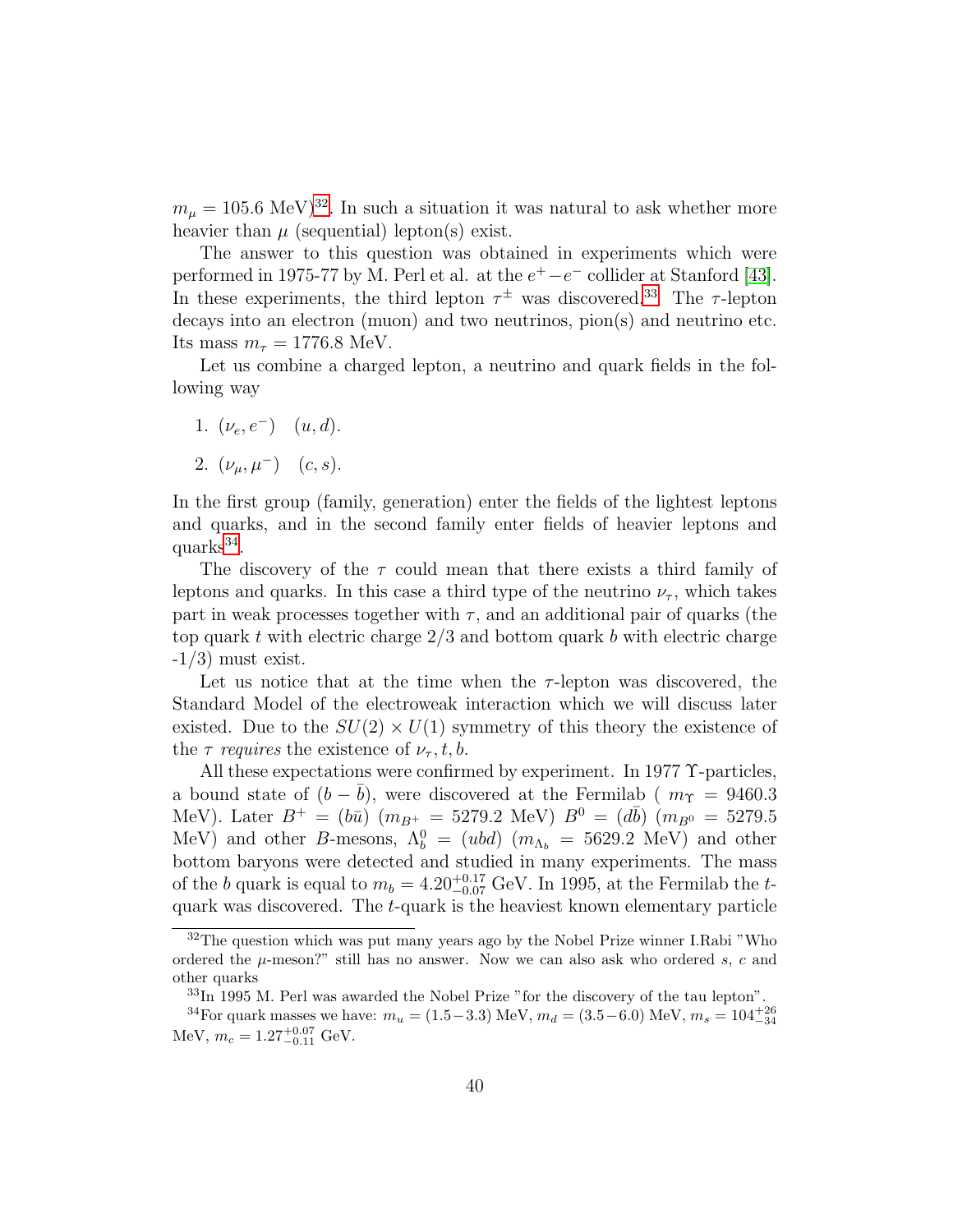$m_{\mu} = 105.6 \text{ MeV}$ <sup>[32](#page-39-0)</sup>. In such a situation it was natural to ask whether more heavier than  $\mu$  (sequential) lepton(s) exist.

The answer to this question was obtained in experiments which were performed in 1975-77 by M. Perl et al. at the  $e^+ - e^-$  collider at Stanford [\[43\]](#page-87-3). In these experiments, the third lepton  $\tau^{\pm}$  was discovered.<sup>[33](#page-39-1)</sup> The  $\tau$ -lepton decays into an electron (muon) and two neutrinos, pion(s) and neutrino etc. Its mass  $m_{\tau} = 1776.8$  MeV.

Let us combine a charged lepton, a neutrino and quark fields in the following way

1.  $(\nu_e, e^-)$   $(u, d)$ .

2.  $(\nu_{\mu}, \mu^{-})$   $(c, s)$ .

In the first group (family, generation) enter the fields of the lightest leptons and quarks, and in the second family enter fields of heavier leptons and quarks<sup>[34](#page-39-2)</sup>.

The discovery of the  $\tau$  could mean that there exists a third family of leptons and quarks. In this case a third type of the neutrino  $\nu_{\tau}$ , which takes part in weak processes together with  $\tau$ , and an additional pair of quarks (the top quark t with electric charge  $2/3$  and bottom quark b with electric charge  $-1/3$ ) must exist.

Let us notice that at the time when the  $\tau$ -lepton was discovered, the Standard Model of the electroweak interaction which we will discuss later existed. Due to the  $SU(2) \times U(1)$  symmetry of this theory the existence of the  $\tau$  requires the existence of  $\nu_{\tau}$ , t, b.

All these expectations were confirmed by experiment. In 1977 Υ-particles, a bound state of  $(b - b)$ , were discovered at the Fermilab (  $m_{\Upsilon} = 9460.3$ MeV). Later  $B^+ = (b\bar{u})^2 (m_{B^+} = 5279.2 \text{ MeV}) B^0 = (d\bar{b})^2 (m_{B^0} = 5279.5$ MeV) and other *B*-mesons,  $\Lambda_b^0 = (ubd)$   $(m_{\Lambda_b} = 5629.2 \text{ MeV})$  and other bottom baryons were detected and studied in many experiments. The mass of the b quark is equal to  $m_b = 4.20^{+0.17}_{-0.07}$  GeV. In 1995, at the Fermilab the tquark was discovered. The t-quark is the heaviest known elementary particle

<span id="page-39-0"></span><sup>&</sup>lt;sup>32</sup>The question which was put many years ago by the Nobel Prize winner I.Rabi "Who ordered the  $\mu$ -meson?" still has no answer. Now we can also ask who ordered s, c and other quarks

<span id="page-39-1"></span><sup>33</sup>In 1995 M. Perl was awarded the Nobel Prize "for the discovery of the tau lepton".

<span id="page-39-2"></span><sup>&</sup>lt;sup>34</sup>For quark masses we have:  $m_u = (1.5-3.3)$  MeV,  $m_d = (3.5-6.0)$  MeV,  $m_s = 104^{+26}_{-34}$ MeV,  $m_c = 1.27^{+0.07}_{-0.11}$  GeV.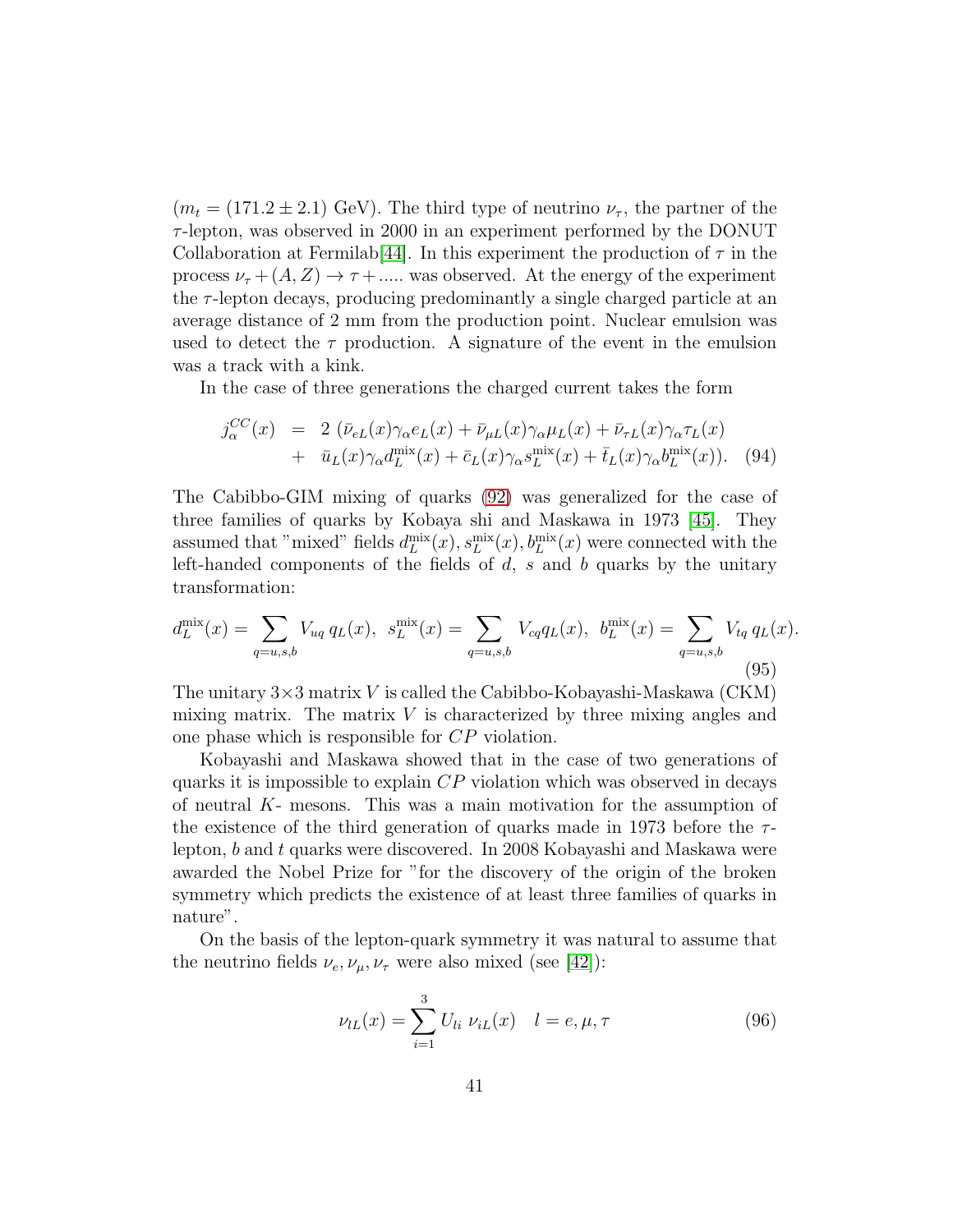$(m_t = (171.2 \pm 2.1) \text{ GeV})$ . The third type of neutrino  $\nu_{\tau}$ , the partner of the  $\tau$ -lepton, was observed in 2000 in an experiment performed by the DONUT Collaboration at Fermilab 44. In this experiment the production of  $\tau$  in the process  $\nu_{\tau} + (A, Z) \rightarrow \tau + \dots$  was observed. At the energy of the experiment the  $\tau$ -lepton decays, producing predominantly a single charged particle at an average distance of 2 mm from the production point. Nuclear emulsion was used to detect the  $\tau$  production. A signature of the event in the emulsion was a track with a kink.

In the case of three generations the charged current takes the form

<span id="page-40-0"></span>
$$
j_{\alpha}^{CC}(x) = 2 \left( \bar{\nu}_{eL}(x) \gamma_{\alpha} e_L(x) + \bar{\nu}_{\mu L}(x) \gamma_{\alpha} \mu_L(x) + \bar{\nu}_{\tau L}(x) \gamma_{\alpha} \tau_L(x) + \bar{u}_L(x) \gamma_{\alpha} d_L^{\text{mix}}(x) + \bar{c}_L(x) \gamma_{\alpha} s_L^{\text{mix}}(x) + \bar{t}_L(x) \gamma_{\alpha} b_L^{\text{mix}}(x) \right). \tag{94}
$$

The Cabibbo-GIM mixing of quarks [\(92\)](#page-37-2) was generalized for the case of three families of quarks by Kobaya shi and Maskawa in 1973 [\[45\]](#page-87-5). They assumed that "mixed" fields  $d_L^{\text{mix}}(x), s_L^{\text{mix}}(x), b_L^{\text{mix}}(x)$  were connected with the left-handed components of the fields of  $d$ ,  $s$  and  $b$  quarks by the unitary transformation:

$$
d_L^{\text{mix}}(x) = \sum_{q=u,s,b} V_{uq} q_L(x), \ \ s_L^{\text{mix}}(x) = \sum_{q=u,s,b} V_{cq} q_L(x), \ \ b_L^{\text{mix}}(x) = \sum_{q=u,s,b} V_{tq} q_L(x). \tag{95}
$$

The unitary  $3\times3$  matrix V is called the Cabibbo-Kobayashi-Maskawa (CKM) mixing matrix. The matrix  $V$  is characterized by three mixing angles and one phase which is responsible for CP violation.

Kobayashi and Maskawa showed that in the case of two generations of quarks it is impossible to explain  $\mathbb{CP}$  violation which was observed in decays of neutral K- mesons. This was a main motivation for the assumption of the existence of the third generation of quarks made in 1973 before the  $\tau$ lepton, b and t quarks were discovered. In 2008 Kobayashi and Maskawa were awarded the Nobel Prize for "for the discovery of the origin of the broken symmetry which predicts the existence of at least three families of quarks in nature".

On the basis of the lepton-quark symmetry it was natural to assume that the neutrino fields  $\nu_e, \nu_\mu, \nu_\tau$  were also mixed (see [\[42\]](#page-87-2)):

$$
\nu_{lL}(x) = \sum_{i=1}^{3} U_{li} \nu_{iL}(x) \quad l = e, \mu, \tau \tag{96}
$$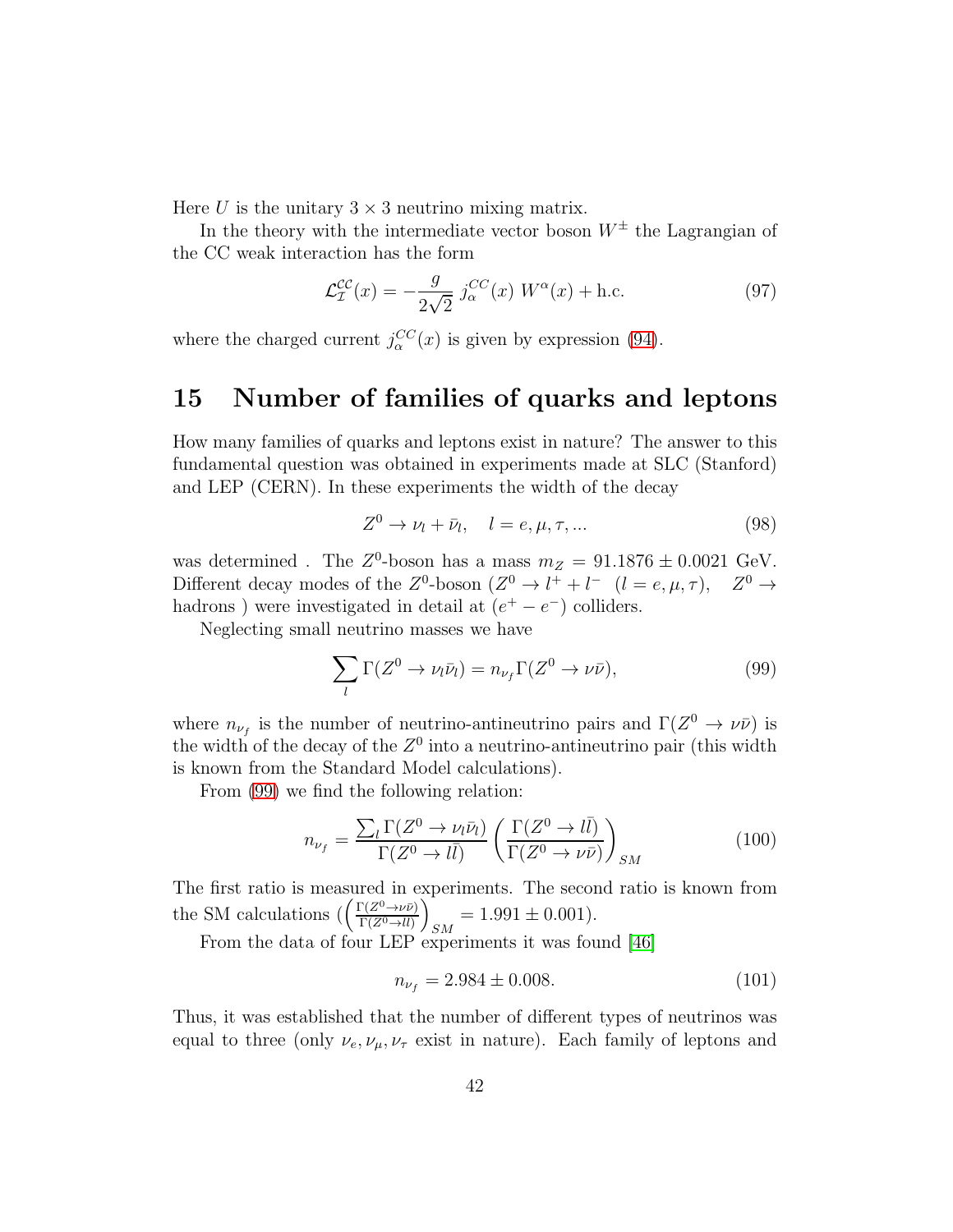Here U is the unitary  $3 \times 3$  neutrino mixing matrix.

In the theory with the intermediate vector boson  $W^{\pm}$  the Lagrangian of the CC weak interaction has the form

$$
\mathcal{L}_\mathcal{I}^{CC}(x) = -\frac{g}{2\sqrt{2}} j_\alpha^{CC}(x) W^\alpha(x) + \text{h.c.}
$$
 (97)

where the charged current  $j_{\alpha}^{CC}(x)$  is given by expression [\(94\)](#page-40-0).

## 15 Number of families of quarks and leptons

How many families of quarks and leptons exist in nature? The answer to this fundamental question was obtained in experiments made at SLC (Stanford) and LEP (CERN). In these experiments the width of the decay

$$
Z^0 \to \nu_l + \bar{\nu}_l, \quad l = e, \mu, \tau, \dots \tag{98}
$$

was determined. The  $Z^0$ -boson has a mass  $m_Z = 91.1876 \pm 0.0021$  GeV. Different decay modes of the  $Z^0$ -boson  $(Z^0 \to l^+ + l^- \ (l = e, \mu, \tau), \quad Z^0 \to \tau$ hadrons) were investigated in detail at  $(e^+ - e^-)$  colliders.

Neglecting small neutrino masses we have

<span id="page-41-0"></span>
$$
\sum_{l} \Gamma(Z^0 \to \nu_l \bar{\nu}_l) = n_{\nu_f} \Gamma(Z^0 \to \nu \bar{\nu}), \tag{99}
$$

where  $n_{\nu_f}$  is the number of neutrino-antineutrino pairs and  $\Gamma(Z^0 \to \nu \bar{\nu})$  is the width of the decay of the  $Z^0$  into a neutrino-antineutrino pair (this width is known from the Standard Model calculations).

From [\(99\)](#page-41-0) we find the following relation:

$$
n_{\nu_f} = \frac{\sum_l \Gamma(Z^0 \to \nu_l \bar{\nu}_l)}{\Gamma(Z^0 \to l\bar{l})} \left( \frac{\Gamma(Z^0 \to l\bar{l})}{\Gamma(Z^0 \to \nu \bar{\nu})} \right)_{SM} \tag{100}
$$

The first ratio is measured in experiments. The second ratio is known from the SM calculations  $(\int \frac{\Gamma(Z^0 \to \nu \bar{\nu})}{\Gamma(Z^0 \to \nu \bar{\nu})}$  $\Gamma(Z^0 \rightarrow l\bar{l})$  $\setminus$  $_{SM} = 1.991 \pm 0.001$ .

From the data of four LEP experiments it was found [\[46\]](#page-87-6)

$$
n_{\nu_f} = 2.984 \pm 0.008. \tag{101}
$$

Thus, it was established that the number of different types of neutrinos was equal to three (only  $\nu_e, \nu_\mu, \nu_\tau$  exist in nature). Each family of leptons and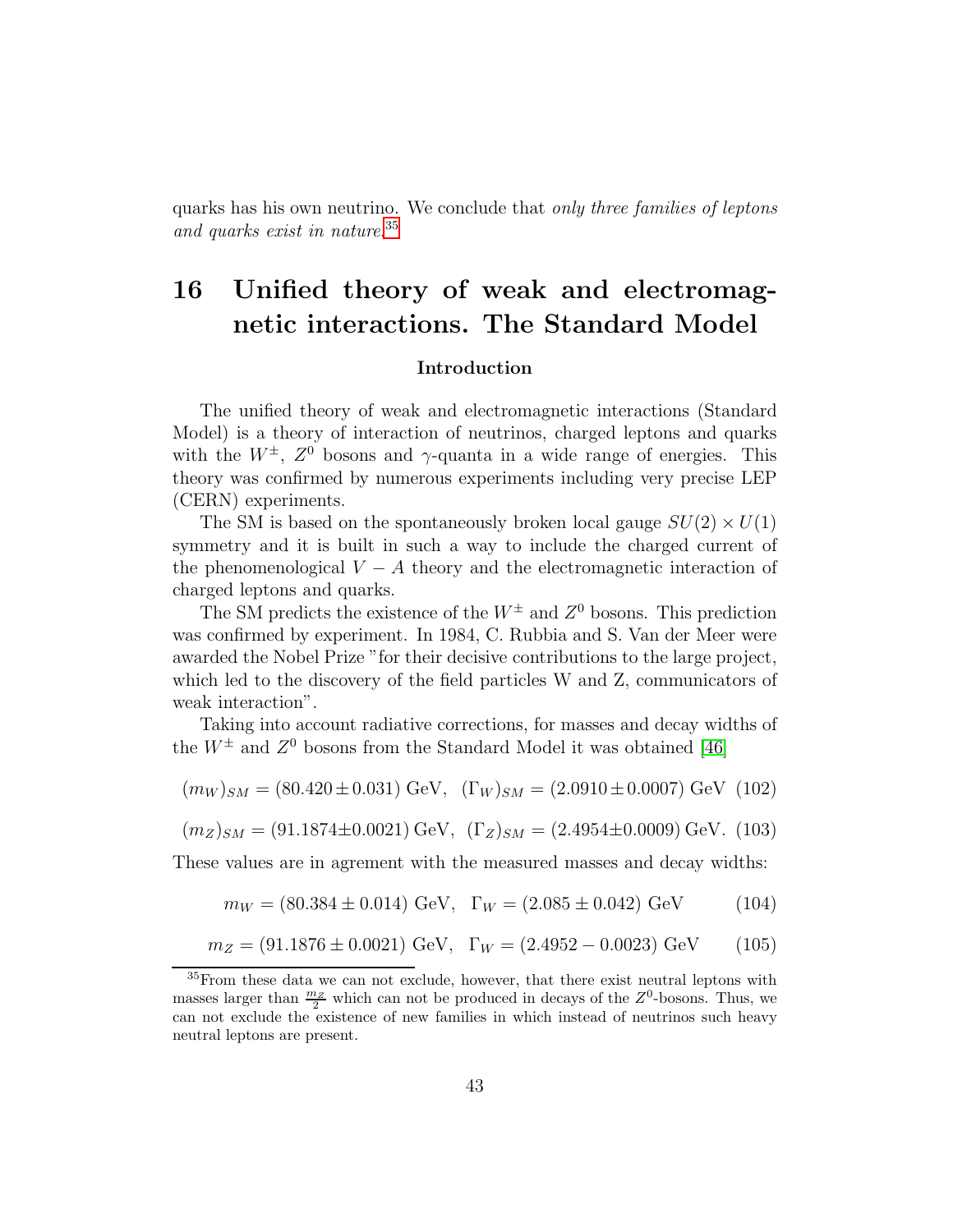quarks has his own neutrino. We conclude that only three families of leptons and quarks exist in nature. [35](#page-42-0)

# 16 Unified theory of weak and electromagnetic interactions. The Standard Model

#### Introduction

The unified theory of weak and electromagnetic interactions (Standard Model) is a theory of interaction of neutrinos, charged leptons and quarks with the  $W^{\pm}$ ,  $Z^0$  bosons and  $\gamma$ -quanta in a wide range of energies. This theory was confirmed by numerous experiments including very precise LEP (CERN) experiments.

The SM is based on the spontaneously broken local gauge  $SU(2) \times U(1)$ symmetry and it is built in such a way to include the charged current of the phenomenological  $V - A$  theory and the electromagnetic interaction of charged leptons and quarks.

The SM predicts the existence of the  $W^{\pm}$  and  $Z^{0}$  bosons. This prediction was confirmed by experiment. In 1984, C. Rubbia and S. Van der Meer were awarded the Nobel Prize "for their decisive contributions to the large project, which led to the discovery of the field particles W and Z, communicators of weak interaction".

Taking into account radiative corrections, for masses and decay widths of the  $W^{\pm}$  and  $Z^{0}$  bosons from the Standard Model it was obtained [\[46\]](#page-87-6)

$$
(m_W)_{SM} = (80.420 \pm 0.031) \text{ GeV}, \quad (\Gamma_W)_{SM} = (2.0910 \pm 0.0007) \text{ GeV} \tag{102}
$$

$$
(m_Z)_{SM} = (91.1874 \pm 0.0021) \,\text{GeV}, \, (\Gamma_Z)_{SM} = (2.4954 \pm 0.0009) \,\text{GeV}. \, (103)
$$

These values are in agrement with the measured masses and decay widths:

$$
m_W = (80.384 \pm 0.014) \text{ GeV}, \quad \Gamma_W = (2.085 \pm 0.042) \text{ GeV} \tag{104}
$$

$$
m_Z = (91.1876 \pm 0.0021) \text{ GeV}, \Gamma_W = (2.4952 - 0.0023) \text{ GeV} \tag{105}
$$

<span id="page-42-0"></span><sup>35</sup>From these data we can not exclude, however, that there exist neutral leptons with masses larger than  $\frac{m_Z}{2}$  which can not be produced in decays of the  $Z^0$ -bosons. Thus, we can not exclude the existence of new families in which instead of neutrinos such heavy neutral leptons are present.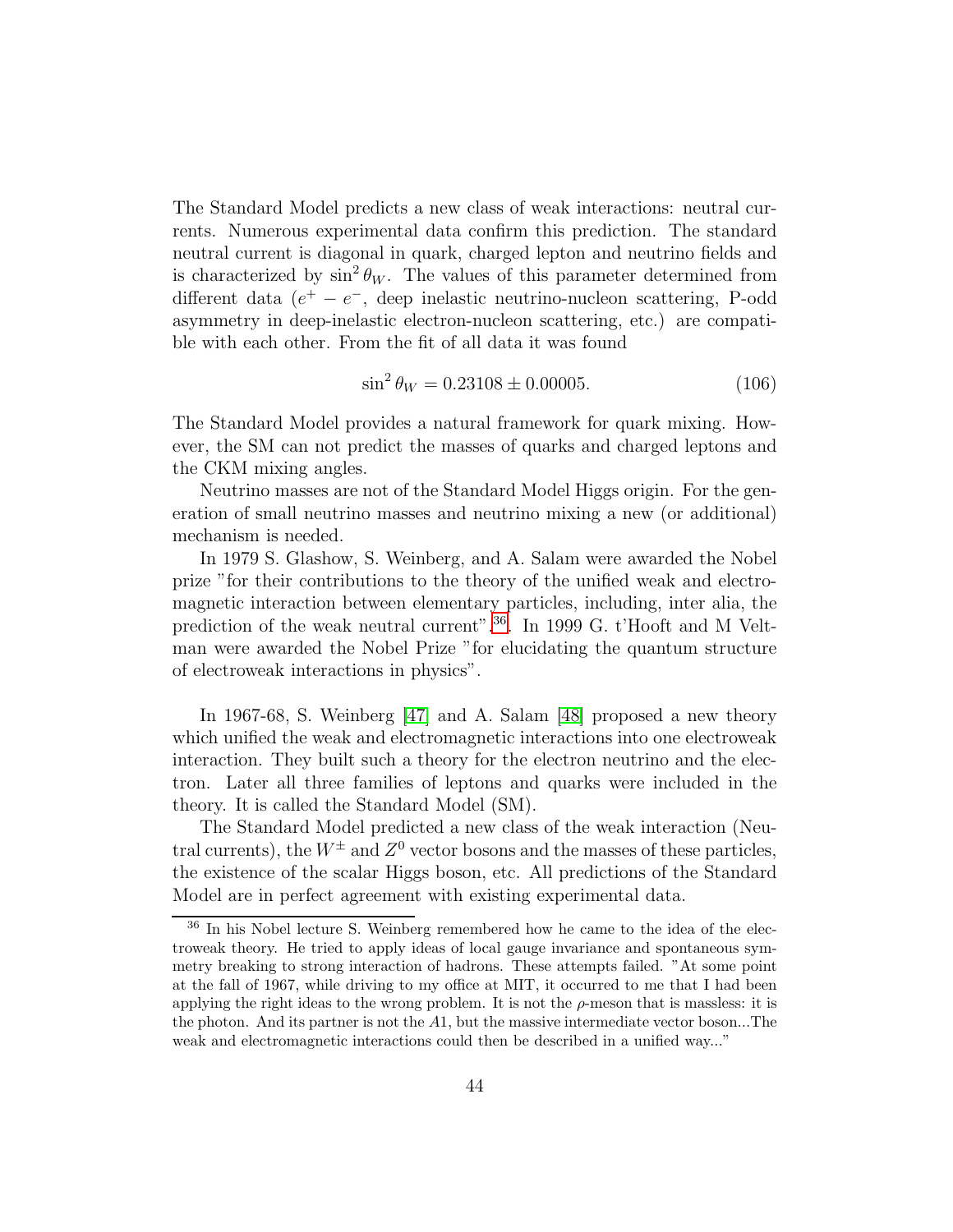The Standard Model predicts a new class of weak interactions: neutral currents. Numerous experimental data confirm this prediction. The standard neutral current is diagonal in quark, charged lepton and neutrino fields and is characterized by  $\sin^2 \theta_W$ . The values of this parameter determined from different data  $(e^+ - e^-$ , deep inelastic neutrino-nucleon scattering, P-odd asymmetry in deep-inelastic electron-nucleon scattering, etc.) are compatible with each other. From the fit of all data it was found

$$
\sin^2 \theta_W = 0.23108 \pm 0.00005. \tag{106}
$$

The Standard Model provides a natural framework for quark mixing. However, the SM can not predict the masses of quarks and charged leptons and the CKM mixing angles.

Neutrino masses are not of the Standard Model Higgs origin. For the generation of small neutrino masses and neutrino mixing a new (or additional) mechanism is needed.

In 1979 S. Glashow, S. Weinberg, and A. Salam were awarded the Nobel prize "for their contributions to the theory of the unified weak and electromagnetic interaction between elementary particles, including, inter alia, the prediction of the weak neutral current".[36](#page-43-0). In 1999 G. t'Hooft and M Veltman were awarded the Nobel Prize "for elucidating the quantum structure of electroweak interactions in physics".

In 1967-68, S. Weinberg [\[47\]](#page-87-7) and A. Salam [\[48\]](#page-88-0) proposed a new theory which unified the weak and electromagnetic interactions into one electroweak interaction. They built such a theory for the electron neutrino and the electron. Later all three families of leptons and quarks were included in the theory. It is called the Standard Model (SM).

The Standard Model predicted a new class of the weak interaction (Neutral currents), the  $W^{\pm}$  and  $Z^{0}$  vector bosons and the masses of these particles, the existence of the scalar Higgs boson, etc. All predictions of the Standard Model are in perfect agreement with existing experimental data.

<span id="page-43-0"></span><sup>36</sup> In his Nobel lecture S. Weinberg remembered how he came to the idea of the electroweak theory. He tried to apply ideas of local gauge invariance and spontaneous symmetry breaking to strong interaction of hadrons. These attempts failed. "At some point at the fall of 1967, while driving to my office at MIT, it occurred to me that I had been applying the right ideas to the wrong problem. It is not the  $\rho$ -meson that is massless: it is the photon. And its partner is not the A1, but the massive intermediate vector boson...The weak and electromagnetic interactions could then be described in a unified way..."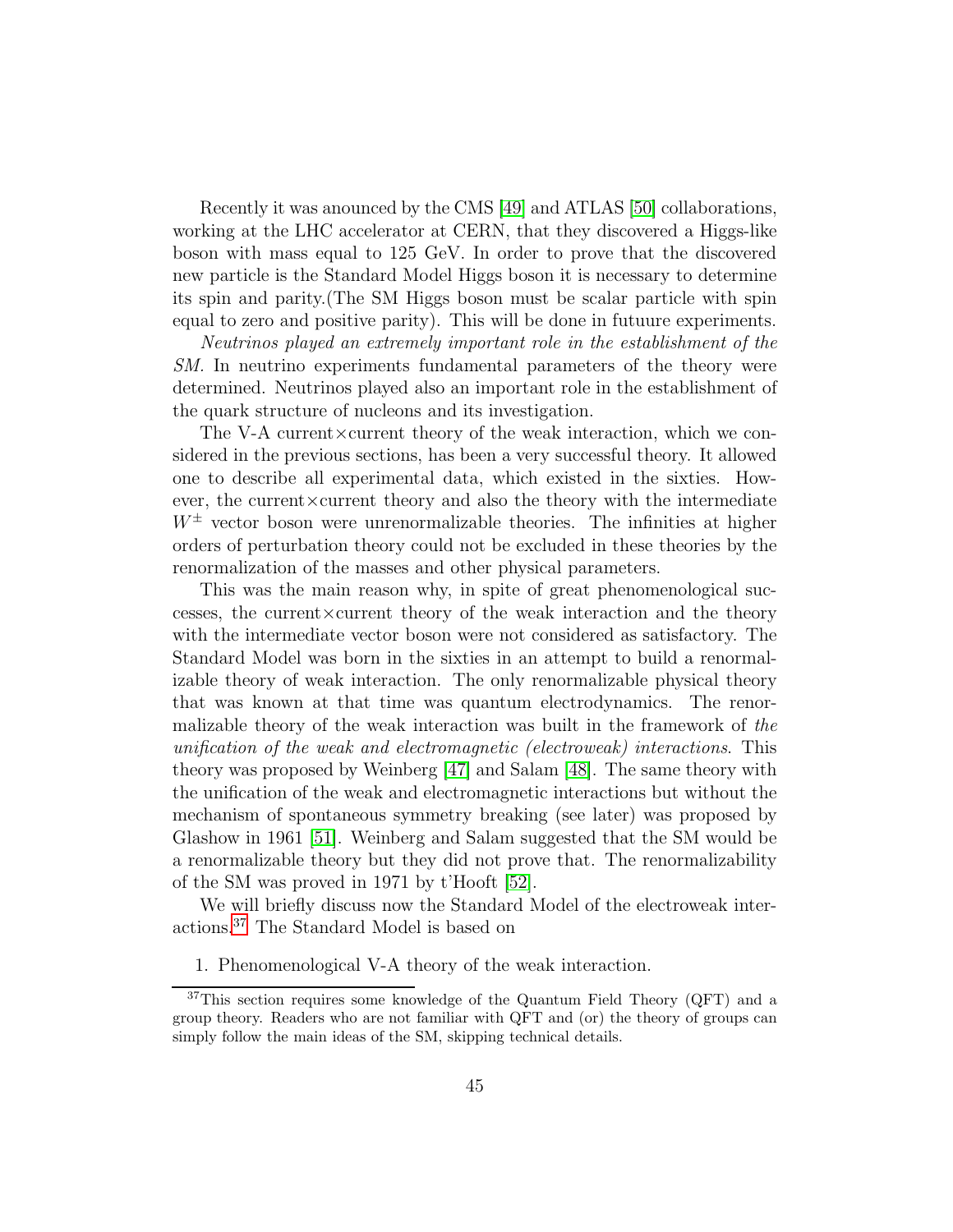Recently it was anounced by the CMS [\[49\]](#page-88-1) and ATLAS [\[50\]](#page-88-2) collaborations, working at the LHC accelerator at CERN, that they discovered a Higgs-like boson with mass equal to 125 GeV. In order to prove that the discovered new particle is the Standard Model Higgs boson it is necessary to determine its spin and parity.(The SM Higgs boson must be scalar particle with spin equal to zero and positive parity). This will be done in futuure experiments.

Neutrinos played an extremely important role in the establishment of the SM. In neutrino experiments fundamental parameters of the theory were determined. Neutrinos played also an important role in the establishment of the quark structure of nucleons and its investigation.

The V-A current  $\times$  current theory of the weak interaction, which we considered in the previous sections, has been a very successful theory. It allowed one to describe all experimental data, which existed in the sixties. However, the current×current theory and also the theory with the intermediate  $W^{\pm}$  vector boson were unrenormalizable theories. The infinities at higher orders of perturbation theory could not be excluded in these theories by the renormalization of the masses and other physical parameters.

This was the main reason why, in spite of great phenomenological successes, the current  $\times$ current theory of the weak interaction and the theory with the intermediate vector boson were not considered as satisfactory. The Standard Model was born in the sixties in an attempt to build a renormalizable theory of weak interaction. The only renormalizable physical theory that was known at that time was quantum electrodynamics. The renormalizable theory of the weak interaction was built in the framework of the unification of the weak and electromagnetic (electroweak) interactions. This theory was proposed by Weinberg [\[47\]](#page-87-7) and Salam [\[48\]](#page-88-0). The same theory with the unification of the weak and electromagnetic interactions but without the mechanism of spontaneous symmetry breaking (see later) was proposed by Glashow in 1961 [\[51\]](#page-88-3). Weinberg and Salam suggested that the SM would be a renormalizable theory but they did not prove that. The renormalizability of the SM was proved in 1971 by t'Hooft [\[52\]](#page-88-4).

We will briefly discuss now the Standard Model of the electroweak interactions.[37](#page-44-0) The Standard Model is based on

1. Phenomenological V-A theory of the weak interaction.

<span id="page-44-0"></span><sup>&</sup>lt;sup>37</sup>This section requires some knowledge of the Quantum Field Theory (QFT) and a group theory. Readers who are not familiar with QFT and (or) the theory of groups can simply follow the main ideas of the SM, skipping technical details.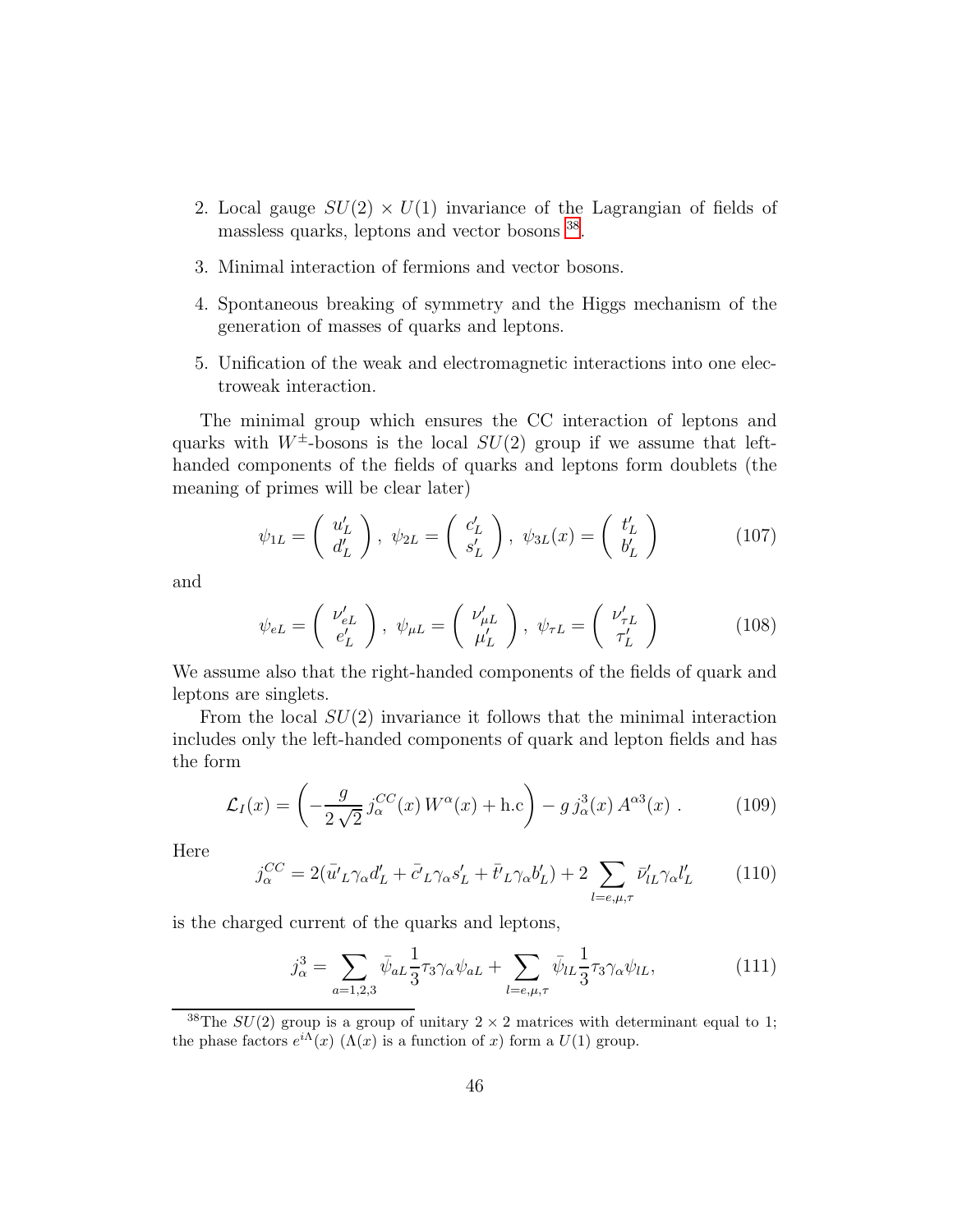- 2. Local gauge  $SU(2) \times U(1)$  invariance of the Lagrangian of fields of massless quarks, leptons and vector bosons [38](#page-45-0) .
- 3. Minimal interaction of fermions and vector bosons.
- 4. Spontaneous breaking of symmetry and the Higgs mechanism of the generation of masses of quarks and leptons.
- 5. Unification of the weak and electromagnetic interactions into one electroweak interaction.

The minimal group which ensures the CC interaction of leptons and quarks with  $W^{\pm}$ -bosons is the local  $SU(2)$  group if we assume that lefthanded components of the fields of quarks and leptons form doublets (the meaning of primes will be clear later)

$$
\psi_{1L} = \begin{pmatrix} u'_L \\ d'_L \end{pmatrix}, \ \psi_{2L} = \begin{pmatrix} c'_L \\ s'_L \end{pmatrix}, \ \psi_{3L}(x) = \begin{pmatrix} t'_L \\ b'_L \end{pmatrix} \tag{107}
$$

and

$$
\psi_{eL} = \begin{pmatrix} \nu'_{eL} \\ e'_L \end{pmatrix}, \ \psi_{\mu L} = \begin{pmatrix} \nu'_{\mu L} \\ \mu'_{L} \end{pmatrix}, \ \psi_{\tau L} = \begin{pmatrix} \nu'_{\tau L} \\ \tau'_{L} \end{pmatrix}
$$
 (108)

We assume also that the right-handed components of the fields of quark and leptons are singlets.

From the local  $SU(2)$  invariance it follows that the minimal interaction includes only the left-handed components of quark and lepton fields and has the form

<span id="page-45-1"></span>
$$
\mathcal{L}_I(x) = \left(-\frac{g}{2\sqrt{2}}j_\alpha^{CC}(x)W^\alpha(x) + \text{h.c}\right) - g j_\alpha^3(x) A^{\alpha 3}(x) . \tag{109}
$$

Here

<span id="page-45-2"></span>
$$
j_{\alpha}^{CC} = 2(\bar{u'}_L \gamma_\alpha d'_L + \bar{c'}_L \gamma_\alpha s'_L + \bar{t'}_L \gamma_\alpha b'_L) + 2 \sum_{l=e,\mu,\tau} \bar{\nu}'_L \gamma_\alpha l'_L \tag{110}
$$

is the charged current of the quarks and leptons,

$$
j_{\alpha}^3 = \sum_{a=1,2,3} \bar{\psi}_{aL} \frac{1}{3} \tau_3 \gamma_{\alpha} \psi_{aL} + \sum_{l=e,\mu,\tau} \bar{\psi}_{lL} \frac{1}{3} \tau_3 \gamma_{\alpha} \psi_{lL},\tag{111}
$$

<span id="page-45-0"></span><sup>&</sup>lt;sup>38</sup>The  $SU(2)$  group is a group of unitary  $2 \times 2$  matrices with determinant equal to 1; the phase factors  $e^{i\Lambda}(x)$  ( $\Lambda(x)$  is a function of x) form a  $U(1)$  group.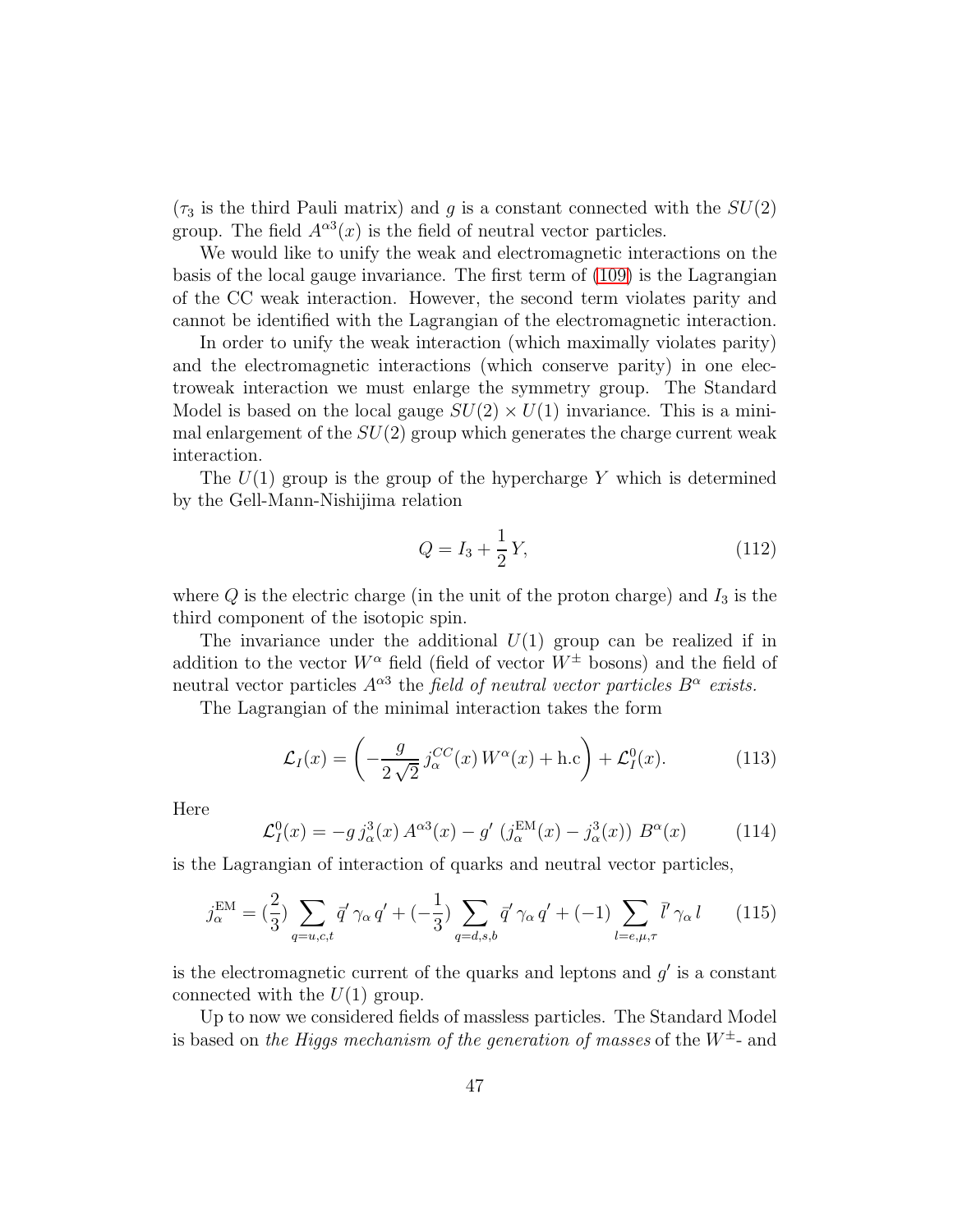$(\tau_3)$  is the third Pauli matrix) and g is a constant connected with the  $SU(2)$ group. The field  $A^{\alpha 3}(x)$  is the field of neutral vector particles.

We would like to unify the weak and electromagnetic interactions on the basis of the local gauge invariance. The first term of [\(109\)](#page-45-1) is the Lagrangian of the CC weak interaction. However, the second term violates parity and cannot be identified with the Lagrangian of the electromagnetic interaction.

In order to unify the weak interaction (which maximally violates parity) and the electromagnetic interactions (which conserve parity) in one electroweak interaction we must enlarge the symmetry group. The Standard Model is based on the local gauge  $SU(2) \times U(1)$  invariance. This is a minimal enlargement of the  $SU(2)$  group which generates the charge current weak interaction.

The  $U(1)$  group is the group of the hypercharge Y which is determined by the Gell-Mann-Nishijima relation

$$
Q = I_3 + \frac{1}{2}Y,\t(112)
$$

where  $Q$  is the electric charge (in the unit of the proton charge) and  $I_3$  is the third component of the isotopic spin.

The invariance under the additional  $U(1)$  group can be realized if in addition to the vector  $W^{\alpha}$  field (field of vector  $W^{\pm}$  bosons) and the field of neutral vector particles  $A^{\alpha 3}$  the field of neutral vector particles  $B^{\alpha}$  exists.

The Lagrangian of the minimal interaction takes the form

$$
\mathcal{L}_I(x) = \left(-\frac{g}{2\sqrt{2}}j_\alpha^{CC}(x)W^\alpha(x) + \text{h.c}\right) + \mathcal{L}_I^0(x). \tag{113}
$$

Here

<span id="page-46-0"></span>
$$
\mathcal{L}_I^0(x) = -g \, j^3_\alpha(x) \, A^{\alpha 3}(x) - g' \, (j^{\text{EM}}_\alpha(x) - j^3_\alpha(x)) \, B^\alpha(x) \tag{114}
$$

is the Lagrangian of interaction of quarks and neutral vector particles,

$$
j_{\alpha}^{\text{EM}} = \left(\frac{2}{3}\right) \sum_{q=u,c,t} \bar{q}' \,\gamma_{\alpha} \, q' + \left(-\frac{1}{3}\right) \sum_{q=d,s,b} \bar{q}' \,\gamma_{\alpha} \, q' + \left(-1\right) \sum_{l=e,\mu,\tau} \bar{l}' \,\gamma_{\alpha} \, l \tag{115}
$$

is the electromagnetic current of the quarks and leptons and  $g'$  is a constant connected with the  $U(1)$  group.

Up to now we considered fields of massless particles. The Standard Model is based on the Higgs mechanism of the generation of masses of the  $W^{\pm}$ - and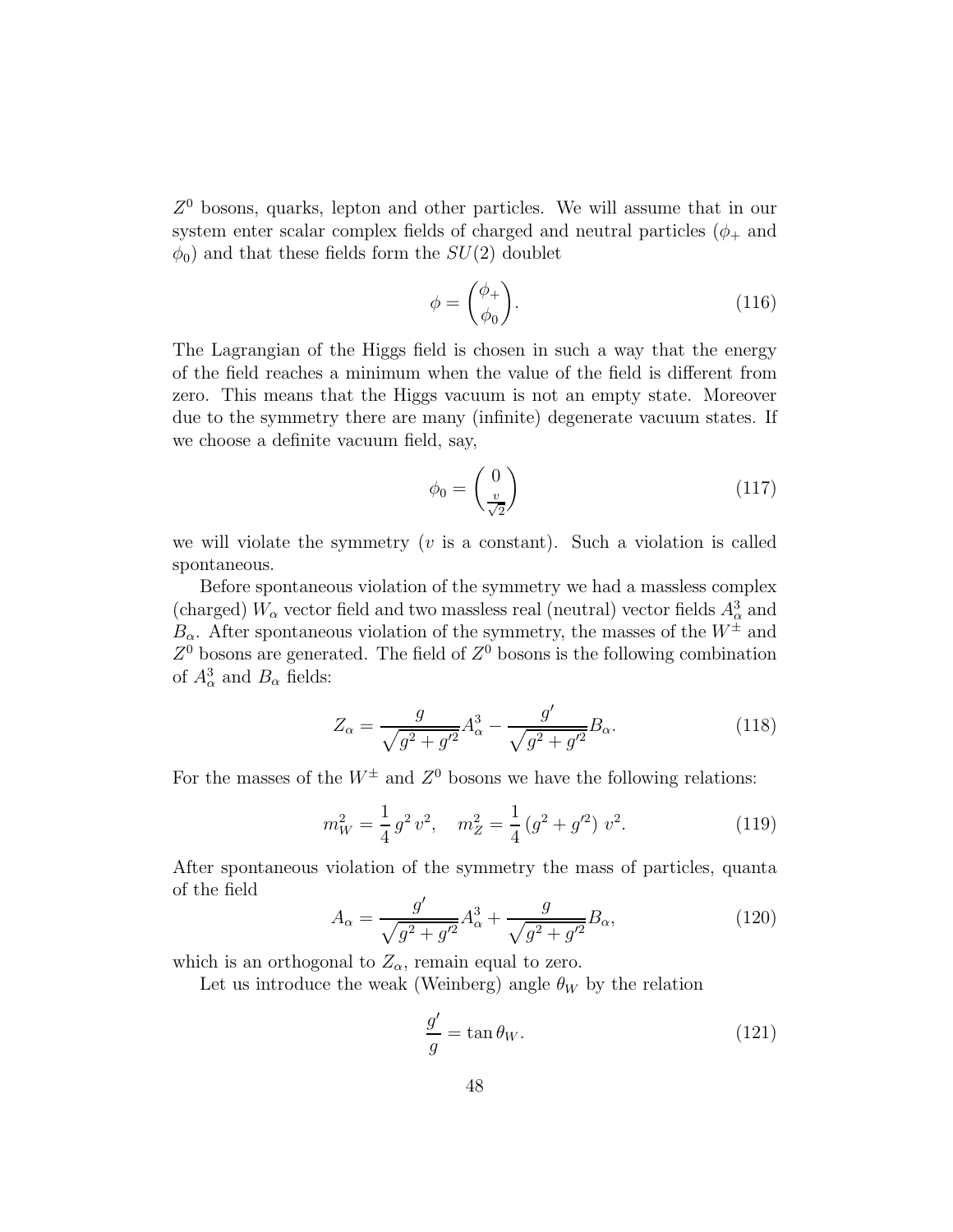$Z<sup>0</sup>$  bosons, quarks, lepton and other particles. We will assume that in our system enter scalar complex fields of charged and neutral particles ( $\phi_+$  and  $\phi_0$ ) and that these fields form the  $SU(2)$  doublet

$$
\phi = \begin{pmatrix} \phi_+ \\ \phi_0 \end{pmatrix} . \tag{116}
$$

The Lagrangian of the Higgs field is chosen in such a way that the energy of the field reaches a minimum when the value of the field is different from zero. This means that the Higgs vacuum is not an empty state. Moreover due to the symmetry there are many (infinite) degenerate vacuum states. If we choose a definite vacuum field, say,

$$
\phi_0 = \begin{pmatrix} 0\\ \frac{v}{\sqrt{2}} \end{pmatrix} \tag{117}
$$

we will violate the symmetry  $(v$  is a constant). Such a violation is called spontaneous.

Before spontaneous violation of the symmetry we had a massless complex (charged)  $W_\alpha$  vector field and two massless real (neutral) vector fields  $A^3_\alpha$  and  $B_{\alpha}$ . After spontaneous violation of the symmetry, the masses of the  $W^{\frac{\alpha}{2}}$  and  $Z^0$  bosons are generated. The field of  $Z^0$  bosons is the following combination of  $A^3_\alpha$  and  $B_\alpha$  fields:

$$
Z_{\alpha} = \frac{g}{\sqrt{g^2 + g'^2}} A_{\alpha}^3 - \frac{g'}{\sqrt{g^2 + g'^2}} B_{\alpha}.
$$
 (118)

For the masses of the  $W^{\pm}$  and  $Z^{0}$  bosons we have the following relations:

<span id="page-47-0"></span>
$$
m_W^2 = \frac{1}{4} g^2 v^2, \quad m_Z^2 = \frac{1}{4} (g^2 + g'^2) v^2.
$$
 (119)

After spontaneous violation of the symmetry the mass of particles, quanta of the field

$$
A_{\alpha} = \frac{g'}{\sqrt{g^2 + g'^2}} A_{\alpha}^3 + \frac{g}{\sqrt{g^2 + g'^2}} B_{\alpha},
$$
\n(120)

which is an orthogonal to  $Z_{\alpha}$ , remain equal to zero.

Let us introduce the weak (Weinberg) angle  $\theta_W$  by the relation

$$
\frac{g'}{g} = \tan \theta_W. \tag{121}
$$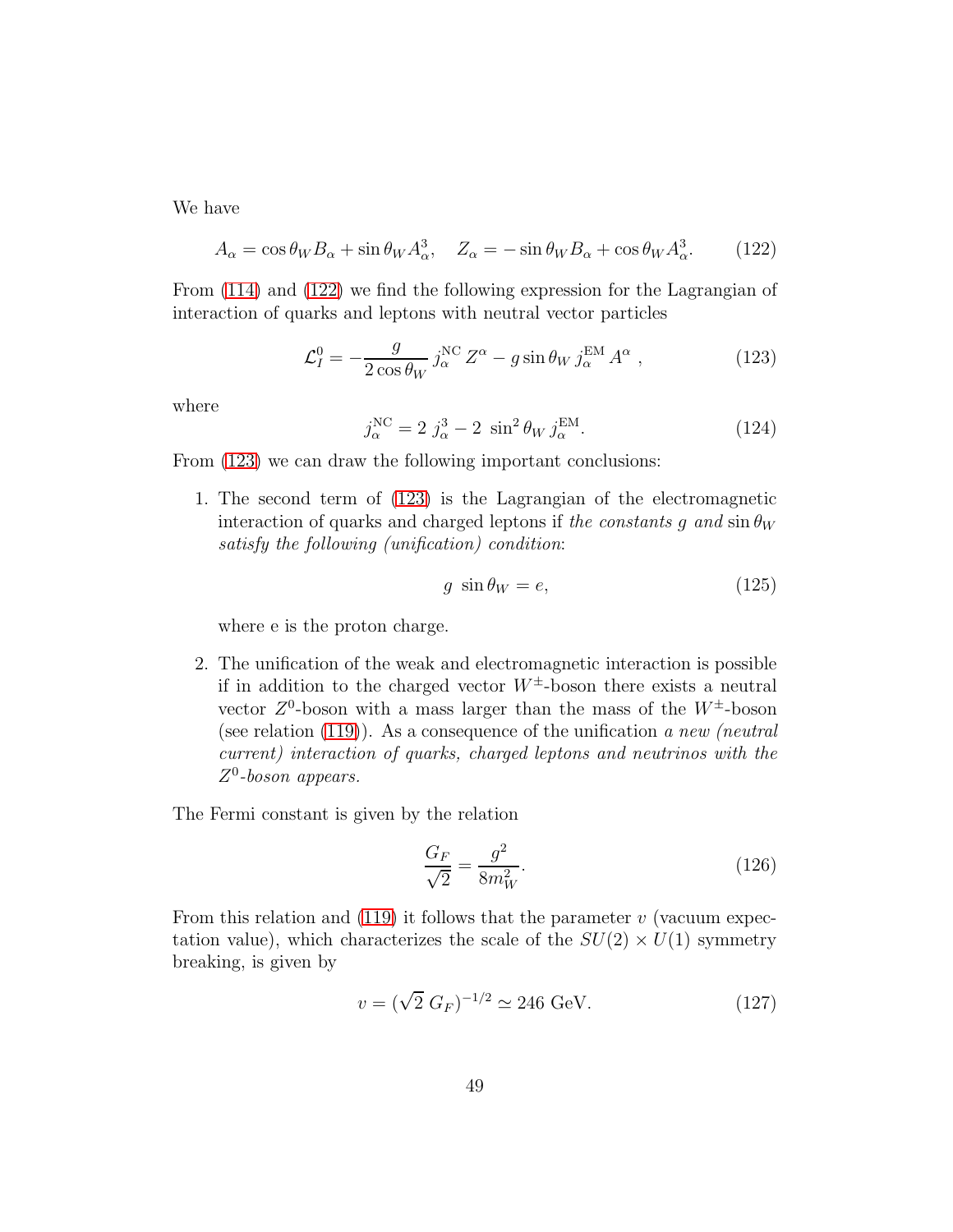We have

<span id="page-48-0"></span>
$$
A_{\alpha} = \cos \theta_W B_{\alpha} + \sin \theta_W A_{\alpha}^3, \quad Z_{\alpha} = -\sin \theta_W B_{\alpha} + \cos \theta_W A_{\alpha}^3. \tag{122}
$$

From [\(114\)](#page-46-0) and [\(122\)](#page-48-0) we find the following expression for the Lagrangian of interaction of quarks and leptons with neutral vector particles

<span id="page-48-1"></span>
$$
\mathcal{L}_I^0 = -\frac{g}{2\cos\theta_W} j_\alpha^{\text{NC}} Z^\alpha - g\sin\theta_W j_\alpha^{\text{EM}} A^\alpha \,, \tag{123}
$$

where

$$
j_{\alpha}^{\text{NC}} = 2 j_{\alpha}^3 - 2 \sin^2 \theta_W j_{\alpha}^{\text{EM}}.
$$
 (124)

From [\(123\)](#page-48-1) we can draw the following important conclusions:

1. The second term of [\(123\)](#page-48-1) is the Lagrangian of the electromagnetic interaction of quarks and charged leptons if the constants g and  $\sin \theta_W$ satisfy the following (unification) condition:

<span id="page-48-2"></span>
$$
g \sin \theta_W = e,\tag{125}
$$

where e is the proton charge.

2. The unification of the weak and electromagnetic interaction is possible if in addition to the charged vector  $W^{\pm}$ -boson there exists a neutral vector  $Z^0$ -boson with a mass larger than the mass of the  $W^{\pm}$ -boson (see relation  $(119)$ ). As a consequence of the unification a new (neutral current) interaction of quarks, charged leptons and neutrinos with the  $Z^0$ -boson appears.

The Fermi constant is given by the relation

$$
\frac{G_F}{\sqrt{2}} = \frac{g^2}{8m_W^2}.\tag{126}
$$

From this relation and  $(119)$  it follows that the parameter v (vacuum expectation value), which characterizes the scale of the  $SU(2) \times U(1)$  symmetry breaking, is given by

$$
v = (\sqrt{2} G_F)^{-1/2} \simeq 246 \text{ GeV}.
$$
 (127)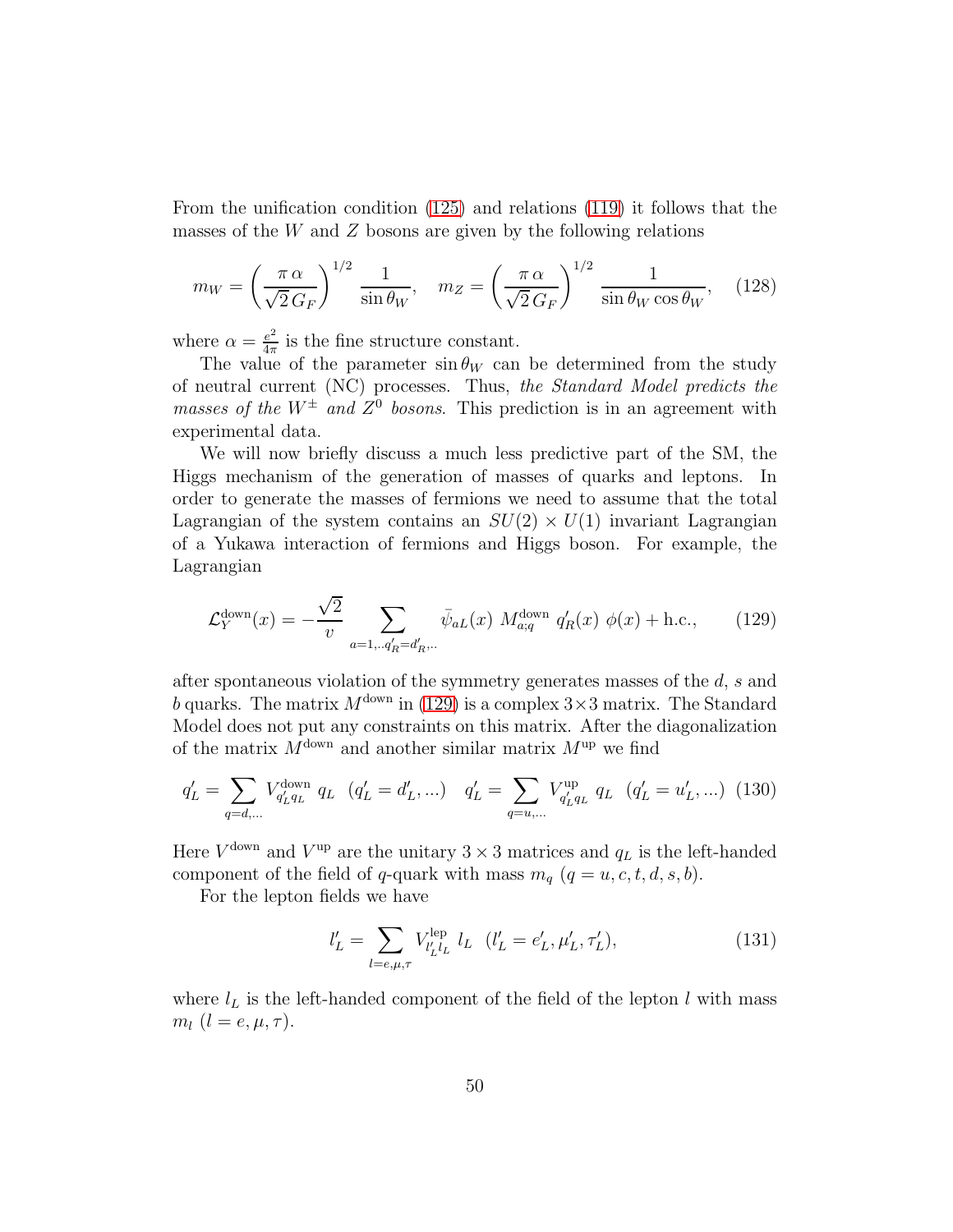From the unification condition [\(125\)](#page-48-2) and relations [\(119\)](#page-47-0) it follows that the masses of the  $W$  and  $Z$  bosons are given by the following relations

$$
m_W = \left(\frac{\pi \alpha}{\sqrt{2} \, G_F}\right)^{1/2} \frac{1}{\sin \theta_W}, \quad m_Z = \left(\frac{\pi \alpha}{\sqrt{2} \, G_F}\right)^{1/2} \frac{1}{\sin \theta_W \cos \theta_W}, \quad (128)
$$

where  $\alpha = \frac{e^2}{4\pi}$  $\frac{e^2}{4\pi}$  is the fine structure constant.

The value of the parameter  $\sin \theta_W$  can be determined from the study of neutral current (NC) processes. Thus, the Standard Model predicts the masses of the  $W^{\pm}$  and  $Z^{0}$  bosons. This prediction is in an agreement with experimental data.

We will now briefly discuss a much less predictive part of the SM, the Higgs mechanism of the generation of masses of quarks and leptons. In order to generate the masses of fermions we need to assume that the total Lagrangian of the system contains an  $SU(2) \times U(1)$  invariant Lagrangian of a Yukawa interaction of fermions and Higgs boson. For example, the Lagrangian

<span id="page-49-0"></span>
$$
\mathcal{L}_Y^{\text{down}}(x) = -\frac{\sqrt{2}}{v} \sum_{a=1...q_R'=d_R'\dots} \bar{\psi}_{aL}(x) M_{a;q}^{\text{down}} q'_R(x) \phi(x) + \text{h.c.}, \qquad (129)
$$

after spontaneous violation of the symmetry generates masses of the  $d$ ,  $s$  and b quarks. The matrix  $M^{\text{down}}$  in [\(129\)](#page-49-0) is a complex  $3\times3$  matrix. The Standard Model does not put any constraints on this matrix. After the diagonalization of the matrix  $M^{\text{down}}$  and another similar matrix  $M^{\text{up}}$  we find

<span id="page-49-1"></span>
$$
q'_{L} = \sum_{q=d,...} V_{q'_{L}q_{L}}^{\text{down}} q_{L} \quad (q'_{L} = d'_{L},...)
$$
 
$$
q'_{L} = \sum_{q=u,...} V_{q'_{L}q_{L}}^{\text{up}} q_{L} \quad (q'_{L} = u'_{L},...)
$$
 (130)

Here  $V^{\text{down}}$  and  $V^{\text{up}}$  are the unitary  $3 \times 3$  matrices and  $q_L$  is the left-handed component of the field of q-quark with mass  $m_q$   $(q = u, c, t, d, s, b)$ .

For the lepton fields we have

<span id="page-49-2"></span>
$$
l'_{L} = \sum_{l=e,\mu,\tau} V^{\text{lep}}_{l'_{L}l_{L}} l_{L} \quad (l'_{L} = e'_{L}, \mu'_{L}, \tau'_{L}), \tag{131}
$$

where  $l_L$  is the left-handed component of the field of the lepton  $l$  with mass  $m_l$   $(l = e, \mu, \tau)$ .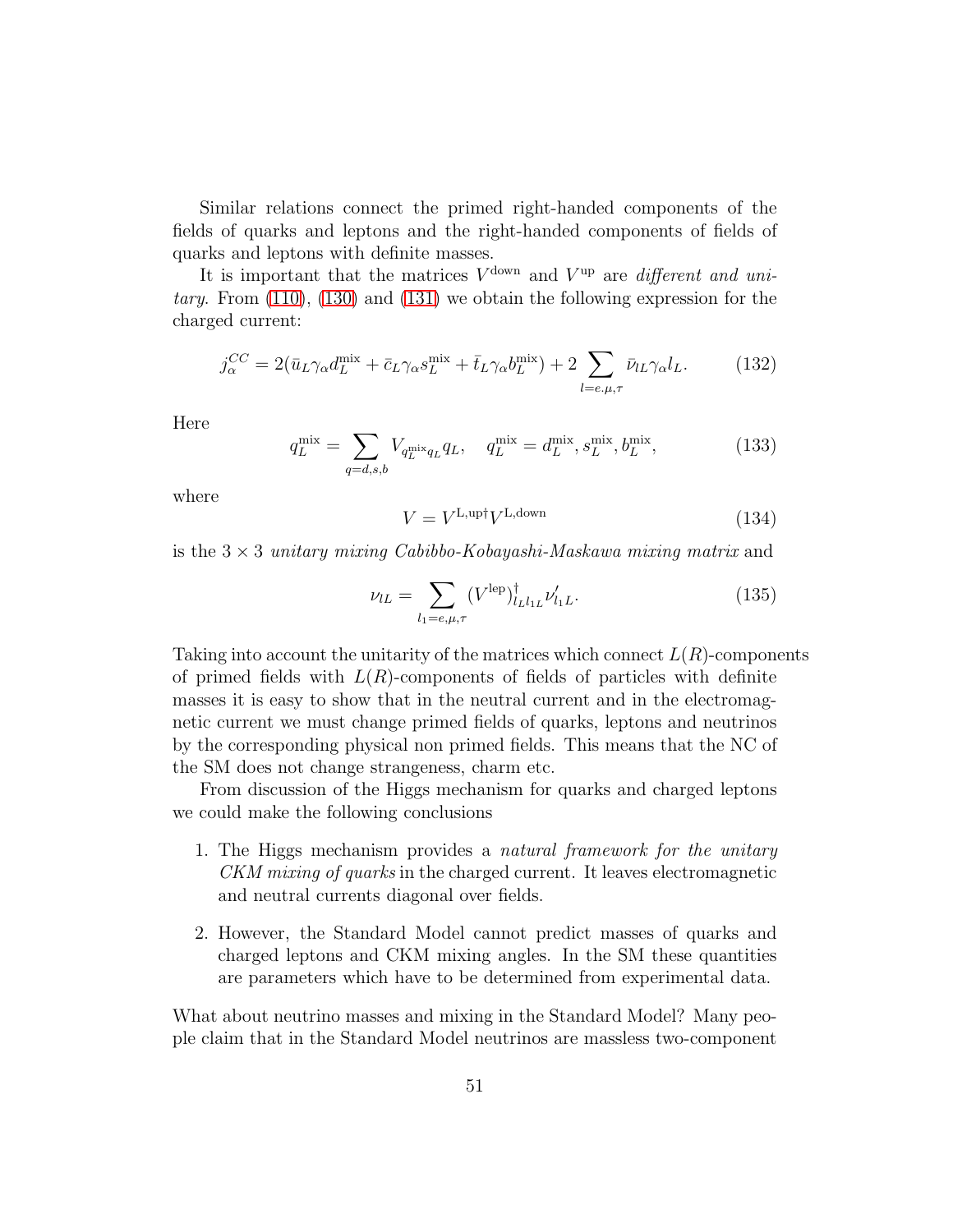Similar relations connect the primed right-handed components of the fields of quarks and leptons and the right-handed components of fields of quarks and leptons with definite masses.

It is important that the matrices  $V^{\text{down}}$  and  $V^{\text{up}}$  are *different and uni*tary. From  $(110)$ ,  $(130)$  and  $(131)$  we obtain the following expression for the charged current:

$$
j_{\alpha}^{CC} = 2(\bar{u}_L \gamma_\alpha d_L^{\text{mix}} + \bar{c}_L \gamma_\alpha s_L^{\text{mix}} + \bar{t}_L \gamma_\alpha b_L^{\text{mix}}) + 2 \sum_{l=e,\mu,\tau} \bar{\nu}_{lL} \gamma_\alpha l_L. \tag{132}
$$

Here

$$
q_L^{\text{mix}} = \sum_{q=d,s,b} V_{q_L^{\text{mix}}q_L} q_L, \quad q_L^{\text{mix}} = d_L^{\text{mix}}, s_L^{\text{mix}}, b_L^{\text{mix}}, \tag{133}
$$

where

$$
V = V^{\text{L,up} \dagger} V^{\text{L,down}} \tag{134}
$$

is the  $3 \times 3$  unitary mixing Cabibbo-Kobayashi-Maskawa mixing matrix and

$$
\nu_{lL} = \sum_{l_1 = e, \mu, \tau} (V^{\text{lep}})_{l_L l_{1L}}^{\dagger} \nu'_{l_1 L}.
$$
\n(135)

Taking into account the unitarity of the matrices which connect  $L(R)$ -components of primed fields with  $L(R)$ -components of fields of particles with definite masses it is easy to show that in the neutral current and in the electromagnetic current we must change primed fields of quarks, leptons and neutrinos by the corresponding physical non primed fields. This means that the NC of the SM does not change strangeness, charm etc.

From discussion of the Higgs mechanism for quarks and charged leptons we could make the following conclusions

- 1. The Higgs mechanism provides a natural framework for the unitary CKM mixing of quarks in the charged current. It leaves electromagnetic and neutral currents diagonal over fields.
- 2. However, the Standard Model cannot predict masses of quarks and charged leptons and CKM mixing angles. In the SM these quantities are parameters which have to be determined from experimental data.

What about neutrino masses and mixing in the Standard Model? Many people claim that in the Standard Model neutrinos are massless two-component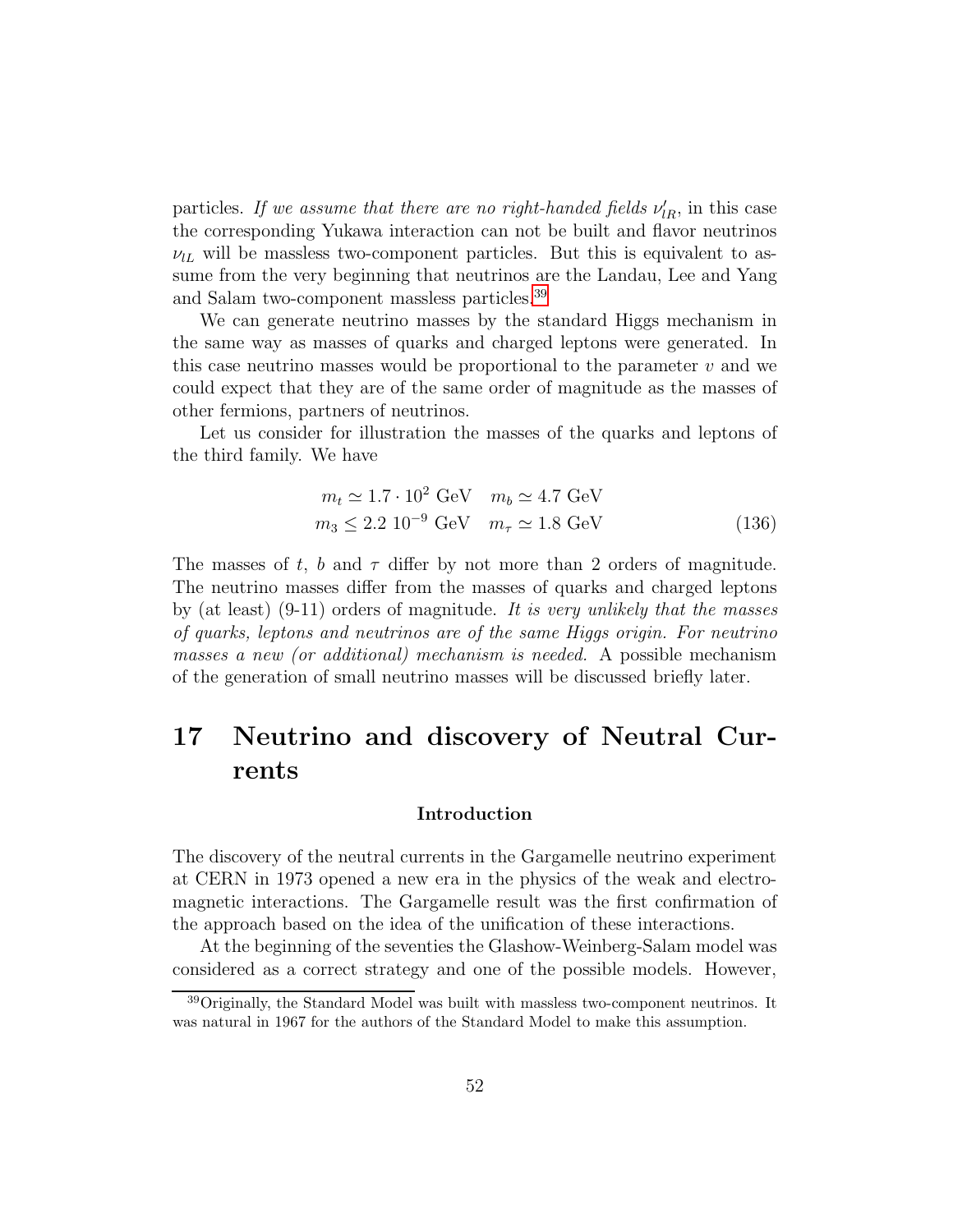particles. If we assume that there are no right-handed fields  $\nu'_{IR}$ , in this case the corresponding Yukawa interaction can not be built and flavor neutrinos  $\nu_{LL}$  will be massless two-component particles. But this is equivalent to assume from the very beginning that neutrinos are the Landau, Lee and Yang and Salam two-component massless particles.[39](#page-51-0)

We can generate neutrino masses by the standard Higgs mechanism in the same way as masses of quarks and charged leptons were generated. In this case neutrino masses would be proportional to the parameter  $v$  and we could expect that they are of the same order of magnitude as the masses of other fermions, partners of neutrinos.

Let us consider for illustration the masses of the quarks and leptons of the third family. We have

$$
m_t \approx 1.7 \cdot 10^2 \text{ GeV}
$$
  $m_b \approx 4.7 \text{ GeV}$   
 $m_3 \le 2.2 \text{ 10}^{-9} \text{ GeV}$   $m_\tau \approx 1.8 \text{ GeV}$  (136)

The masses of t, b and  $\tau$  differ by not more than 2 orders of magnitude. The neutrino masses differ from the masses of quarks and charged leptons by (at least)  $(9-11)$  orders of magnitude. It is very unlikely that the masses of quarks, leptons and neutrinos are of the same Higgs origin. For neutrino masses a new (or additional) mechanism is needed. A possible mechanism of the generation of small neutrino masses will be discussed briefly later.

# 17 Neutrino and discovery of Neutral Currents

#### Introduction

The discovery of the neutral currents in the Gargamelle neutrino experiment at CERN in 1973 opened a new era in the physics of the weak and electromagnetic interactions. The Gargamelle result was the first confirmation of the approach based on the idea of the unification of these interactions.

At the beginning of the seventies the Glashow-Weinberg-Salam model was considered as a correct strategy and one of the possible models. However,

<span id="page-51-0"></span><sup>39</sup>Originally, the Standard Model was built with massless two-component neutrinos. It was natural in 1967 for the authors of the Standard Model to make this assumption.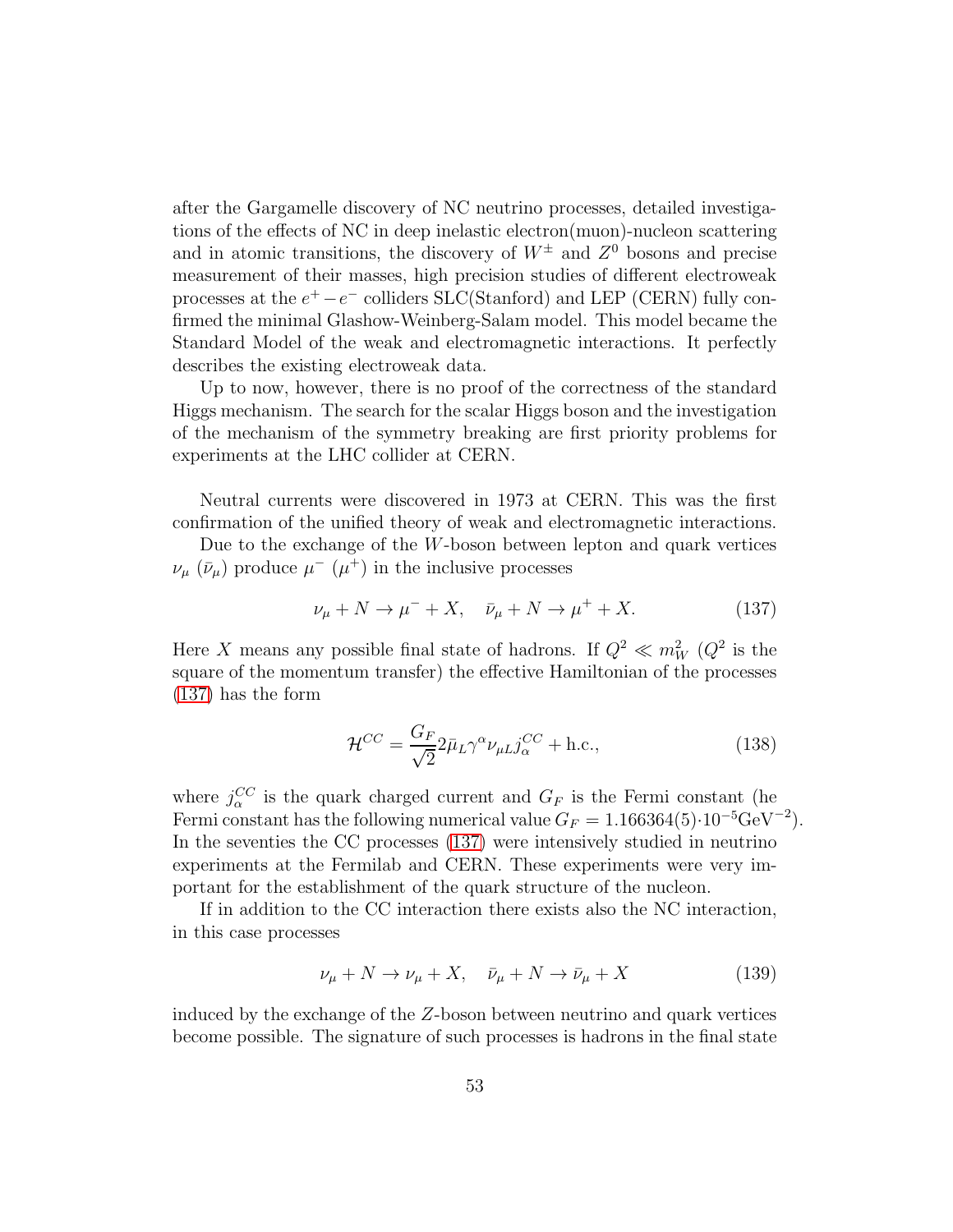after the Gargamelle discovery of NC neutrino processes, detailed investigations of the effects of NC in deep inelastic electron(muon)-nucleon scattering and in atomic transitions, the discovery of  $W^{\pm}$  and  $Z^{0}$  bosons and precise measurement of their masses, high precision studies of different electroweak processes at the  $e^+ - e^-$  colliders SLC(Stanford) and LEP (CERN) fully confirmed the minimal Glashow-Weinberg-Salam model. This model became the Standard Model of the weak and electromagnetic interactions. It perfectly describes the existing electroweak data.

Up to now, however, there is no proof of the correctness of the standard Higgs mechanism. The search for the scalar Higgs boson and the investigation of the mechanism of the symmetry breaking are first priority problems for experiments at the LHC collider at CERN.

Neutral currents were discovered in 1973 at CERN. This was the first confirmation of the unified theory of weak and electromagnetic interactions.

Due to the exchange of the  $W$ -boson between lepton and quark vertices  $\nu_{\mu}$  ( $\bar{\nu}_{\mu}$ ) produce  $\mu^{-}$  ( $\mu^{+}$ ) in the inclusive processes

<span id="page-52-0"></span>
$$
\nu_{\mu} + N \to \mu^{-} + X, \quad \bar{\nu}_{\mu} + N \to \mu^{+} + X. \tag{137}
$$

Here X means any possible final state of hadrons. If  $Q^2 \ll m_W^2$  ( $Q^2$  is the square of the momentum transfer) the effective Hamiltonian of the processes [\(137\)](#page-52-0) has the form

$$
\mathcal{H}^{CC} = \frac{G_F}{\sqrt{2}} 2\bar{\mu}_L \gamma^\alpha \nu_{\mu L} j_\alpha^{CC} + \text{h.c.},\tag{138}
$$

where  $j_{\alpha}^{CC}$  is the quark charged current and  $G_F$  is the Fermi constant (he Fermi constant has the following numerical value  $G_F = 1.166364(5) \cdot 10^{-5} \text{GeV}^{-2}$ . In the seventies the CC processes [\(137\)](#page-52-0) were intensively studied in neutrino experiments at the Fermilab and CERN. These experiments were very important for the establishment of the quark structure of the nucleon.

If in addition to the CC interaction there exists also the NC interaction, in this case processes

<span id="page-52-1"></span>
$$
\nu_{\mu} + N \to \nu_{\mu} + X, \quad \bar{\nu}_{\mu} + N \to \bar{\nu}_{\mu} + X \tag{139}
$$

induced by the exchange of the Z-boson between neutrino and quark vertices become possible. The signature of such processes is hadrons in the final state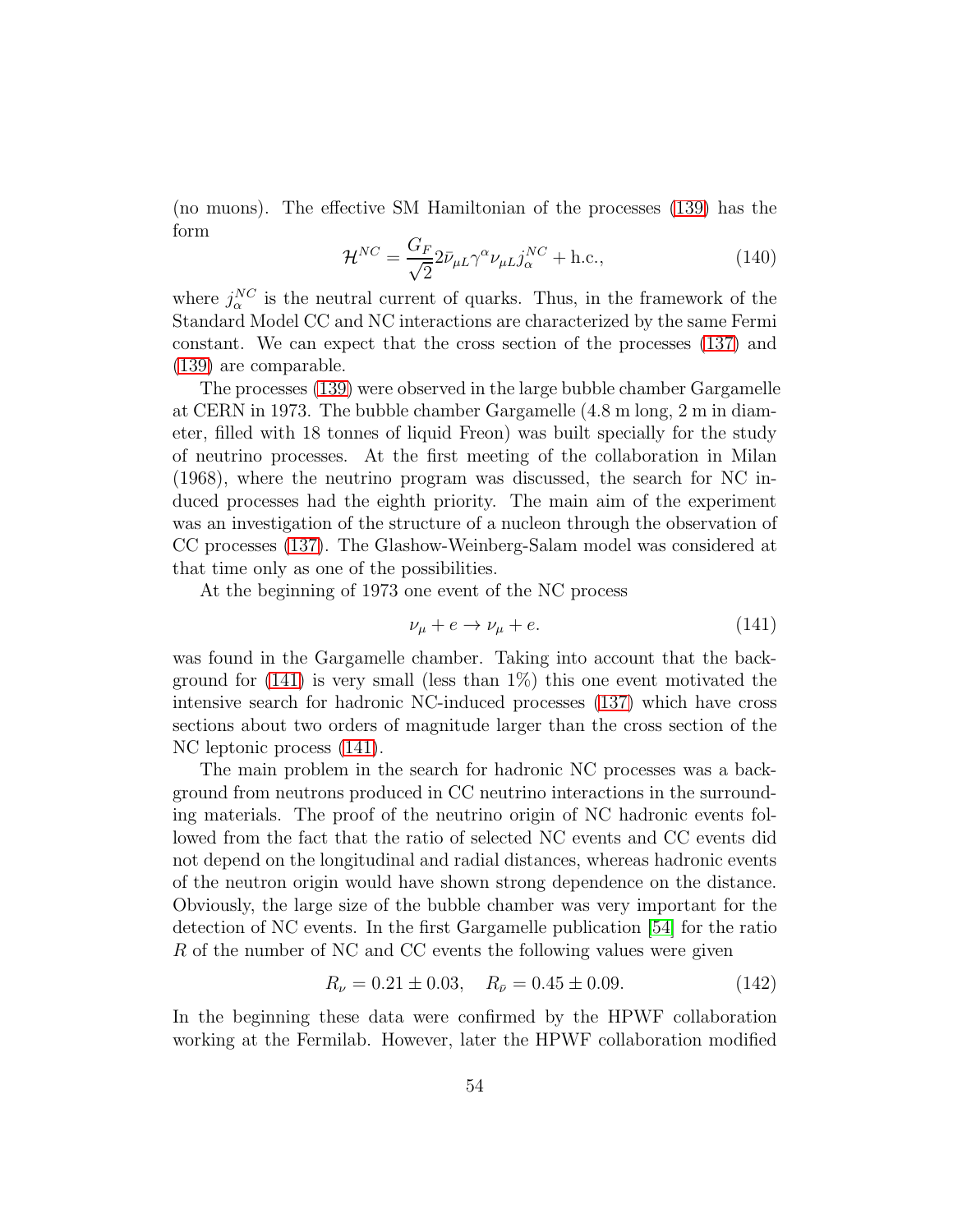(no muons). The effective SM Hamiltonian of the processes [\(139\)](#page-52-1) has the form

$$
\mathcal{H}^{NC} = \frac{G_F}{\sqrt{2}} 2\bar{\nu}_{\mu L} \gamma^{\alpha} \nu_{\mu L} j_{\alpha}^{NC} + \text{h.c.},\tag{140}
$$

where  $j_{\alpha}^{NC}$  is the neutral current of quarks. Thus, in the framework of the Standard Model CC and NC interactions are characterized by the same Fermi constant. We can expect that the cross section of the processes [\(137\)](#page-52-0) and [\(139\)](#page-52-1) are comparable.

The processes [\(139\)](#page-52-1) were observed in the large bubble chamber Gargamelle at CERN in 1973. The bubble chamber Gargamelle (4.8 m long, 2 m in diameter, filled with 18 tonnes of liquid Freon) was built specially for the study of neutrino processes. At the first meeting of the collaboration in Milan (1968), where the neutrino program was discussed, the search for NC induced processes had the eighth priority. The main aim of the experiment was an investigation of the structure of a nucleon through the observation of CC processes [\(137\)](#page-52-0). The Glashow-Weinberg-Salam model was considered at that time only as one of the possibilities.

At the beginning of 1973 one event of the NC process

<span id="page-53-0"></span>
$$
\nu_{\mu} + e \rightarrow \nu_{\mu} + e. \tag{141}
$$

was found in the Gargamelle chamber. Taking into account that the background for  $(141)$  is very small (less than  $1\%$ ) this one event motivated the intensive search for hadronic NC-induced processes [\(137\)](#page-52-0) which have cross sections about two orders of magnitude larger than the cross section of the NC leptonic process [\(141\)](#page-53-0).

The main problem in the search for hadronic NC processes was a background from neutrons produced in CC neutrino interactions in the surrounding materials. The proof of the neutrino origin of NC hadronic events followed from the fact that the ratio of selected NC events and CC events did not depend on the longitudinal and radial distances, whereas hadronic events of the neutron origin would have shown strong dependence on the distance. Obviously, the large size of the bubble chamber was very important for the detection of NC events. In the first Gargamelle publication [\[54\]](#page-88-5) for the ratio R of the number of NC and CC events the following values were given

$$
R_{\nu} = 0.21 \pm 0.03, \quad R_{\bar{\nu}} = 0.45 \pm 0.09. \tag{142}
$$

In the beginning these data were confirmed by the HPWF collaboration working at the Fermilab. However, later the HPWF collaboration modified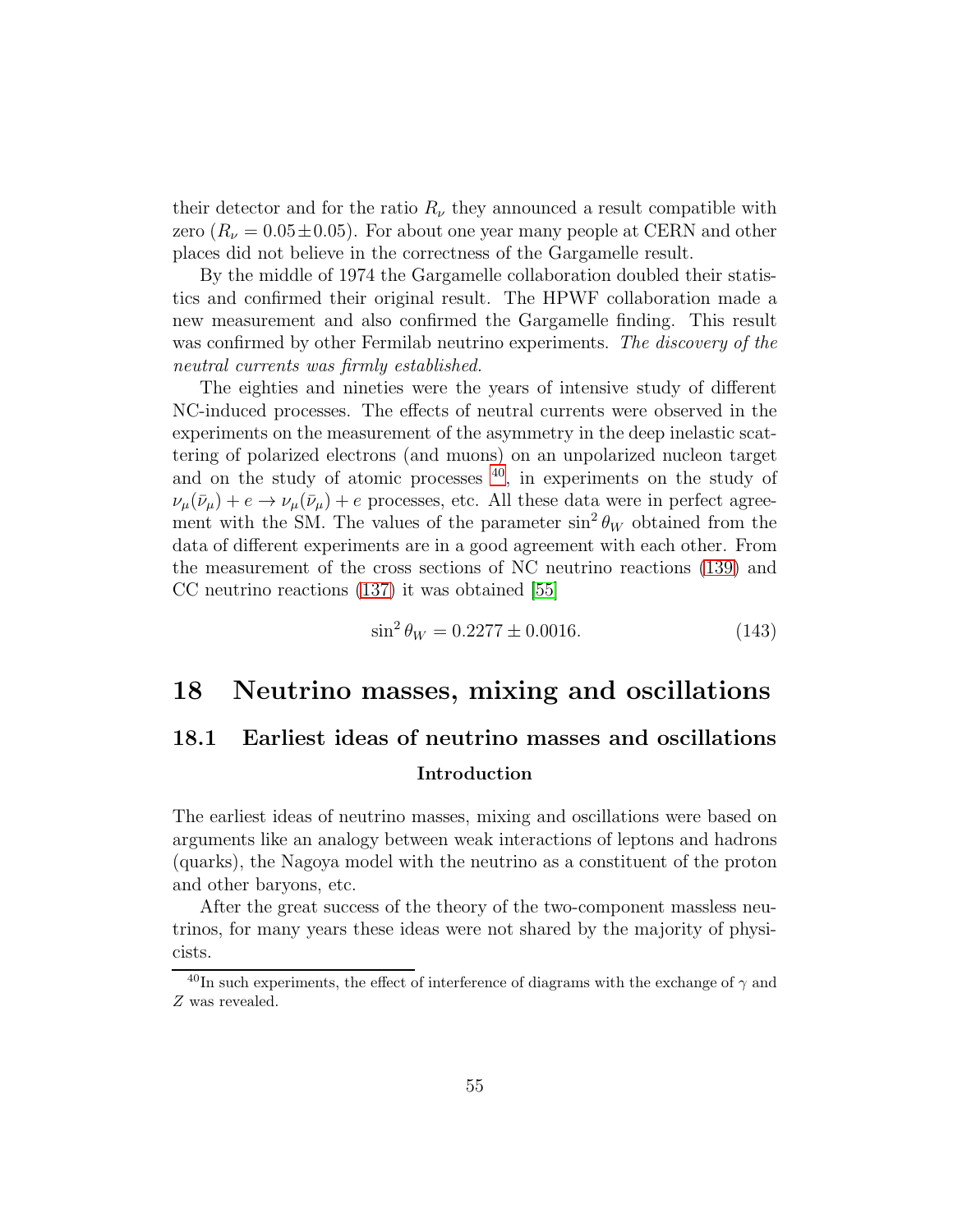their detector and for the ratio  $R_{\nu}$  they announced a result compatible with zero  $(R_{\nu} = 0.05 \pm 0.05)$ . For about one year many people at CERN and other places did not believe in the correctness of the Gargamelle result.

By the middle of 1974 the Gargamelle collaboration doubled their statistics and confirmed their original result. The HPWF collaboration made a new measurement and also confirmed the Gargamelle finding. This result was confirmed by other Fermilab neutrino experiments. The discovery of the neutral currents was firmly established.

The eighties and nineties were the years of intensive study of different NC-induced processes. The effects of neutral currents were observed in the experiments on the measurement of the asymmetry in the deep inelastic scattering of polarized electrons (and muons) on an unpolarized nucleon target and on the study of atomic processes  $40$ , in experiments on the study of  $\nu_\mu(\bar{\nu}_\mu) + e \rightarrow \nu_\mu(\bar{\nu}_\mu) + e$  processes, etc. All these data were in perfect agreement with the SM. The values of the parameter  $\sin^2 \theta_W$  obtained from the data of different experiments are in a good agreement with each other. From the measurement of the cross sections of NC neutrino reactions [\(139\)](#page-52-1) and CC neutrino reactions [\(137\)](#page-52-0) it was obtained [\[55\]](#page-88-6)

$$
\sin^2 \theta_W = 0.2277 \pm 0.0016. \tag{143}
$$

## 18 Neutrino masses, mixing and oscillations

## 18.1 Earliest ideas of neutrino masses and oscillations Introduction

The earliest ideas of neutrino masses, mixing and oscillations were based on arguments like an analogy between weak interactions of leptons and hadrons (quarks), the Nagoya model with the neutrino as a constituent of the proton and other baryons, etc.

After the great success of the theory of the two-component massless neutrinos, for many years these ideas were not shared by the majority of physicists.

<span id="page-54-0"></span><sup>&</sup>lt;sup>40</sup>In such experiments, the effect of interference of diagrams with the exchange of  $\gamma$  and Z was revealed.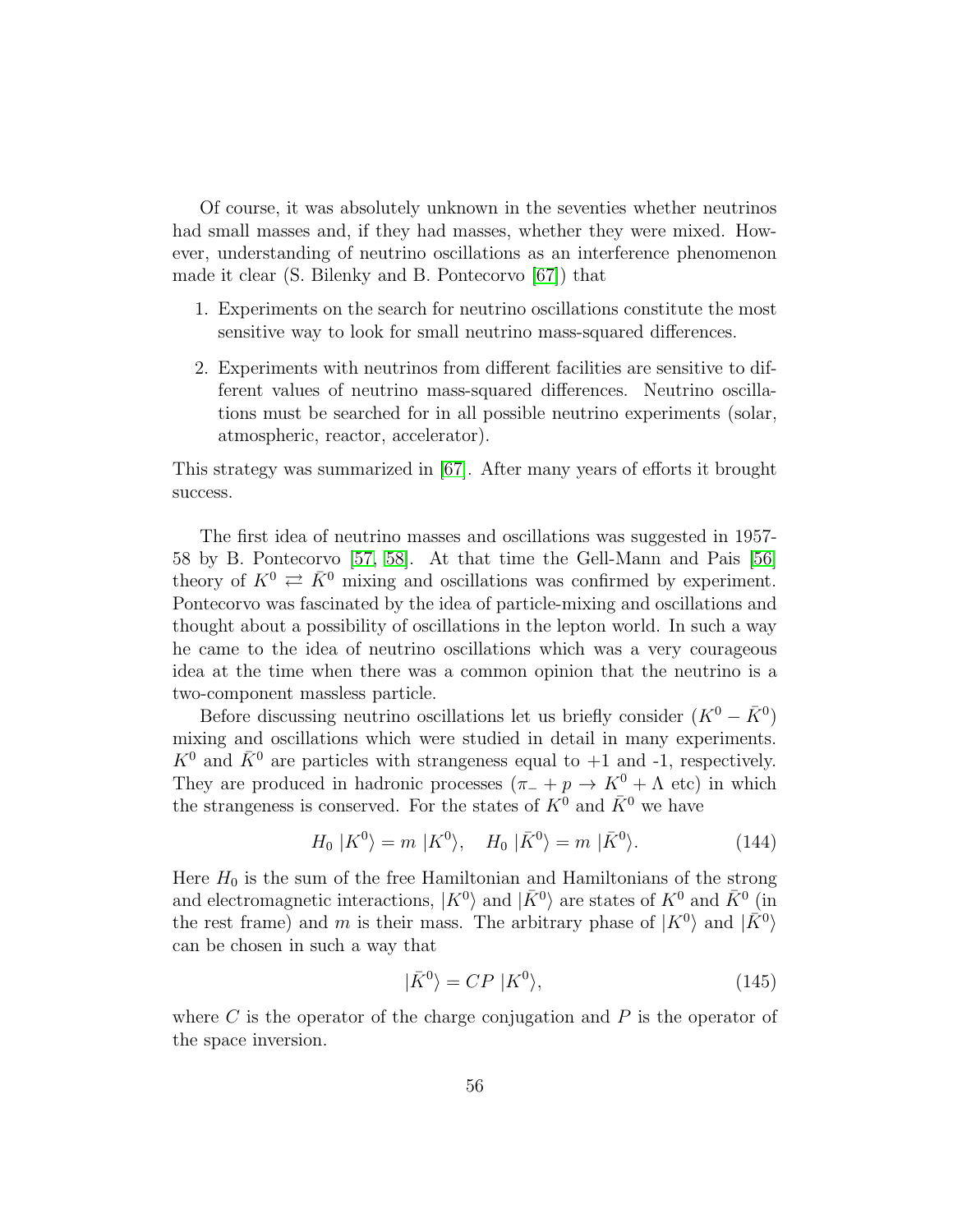Of course, it was absolutely unknown in the seventies whether neutrinos had small masses and, if they had masses, whether they were mixed. However, understanding of neutrino oscillations as an interference phenomenon made it clear (S. Bilenky and B. Pontecorvo [\[67\]](#page-88-7)) that

- 1. Experiments on the search for neutrino oscillations constitute the most sensitive way to look for small neutrino mass-squared differences.
- 2. Experiments with neutrinos from different facilities are sensitive to different values of neutrino mass-squared differences. Neutrino oscillations must be searched for in all possible neutrino experiments (solar, atmospheric, reactor, accelerator).

This strategy was summarized in [\[67\]](#page-88-7). After many years of efforts it brought success.

The first idea of neutrino masses and oscillations was suggested in 1957- 58 by B. Pontecorvo [\[57,](#page-88-8) [58\]](#page-88-9). At that time the Gell-Mann and Pais [\[56\]](#page-88-10) theory of  $K^0 \rightleftarrows \overline{K}^0$  mixing and oscillations was confirmed by experiment. Pontecorvo was fascinated by the idea of particle-mixing and oscillations and thought about a possibility of oscillations in the lepton world. In such a way he came to the idea of neutrino oscillations which was a very courageous idea at the time when there was a common opinion that the neutrino is a two-component massless particle.

Before discussing neutrino oscillations let us briefly consider  $(K^0 - \bar{K}^0)$ mixing and oscillations which were studied in detail in many experiments.  $K^0$  and  $\bar{K}^0$  are particles with strangeness equal to +1 and -1, respectively. They are produced in hadronic processes  $(\pi_- + p \to K^0 + \Lambda$  etc) in which the strangeness is conserved. For the states of  $K^0$  and  $\bar{K}^0$  we have

$$
H_0 \mid K^0 \rangle = m \mid K^0 \rangle, \quad H_0 \mid \bar{K}^0 \rangle = m \mid \bar{K}^0 \rangle. \tag{144}
$$

Here  $H_0$  is the sum of the free Hamiltonian and Hamiltonians of the strong and electromagnetic interactions,  $|K^0\rangle$  and  $|\bar{K}^0\rangle$  are states of  $K^0$  and  $\bar{K}^0$  (in the rest frame) and m is their mass. The arbitrary phase of  $|K^0\rangle$  and  $|\bar{K}^0\rangle$ can be chosen in such a way that

$$
|\bar{K}^0\rangle = CP \; |K^0\rangle,\tag{145}
$$

where  $C$  is the operator of the charge conjugation and  $P$  is the operator of the space inversion.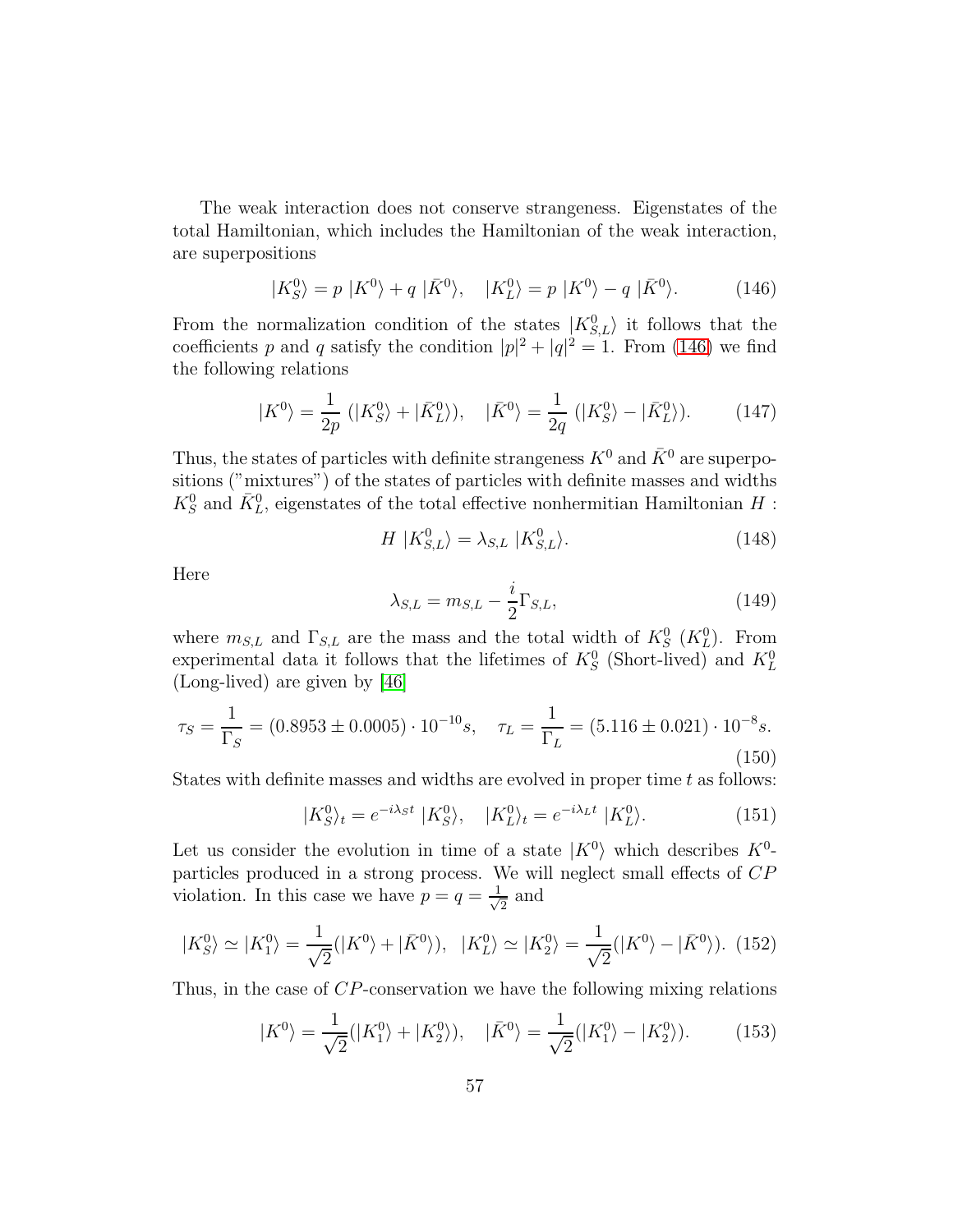The weak interaction does not conserve strangeness. Eigenstates of the total Hamiltonian, which includes the Hamiltonian of the weak interaction, are superpositions

<span id="page-56-0"></span>
$$
|K_S^0\rangle = p |K^0\rangle + q |\bar{K}^0\rangle, \quad |K_L^0\rangle = p |K^0\rangle - q |\bar{K}^0\rangle. \tag{146}
$$

From the normalization condition of the states  $|K_{S,L}^0\rangle$  it follows that the coefficients p and q satisfy the condition  $|p|^2 + |q|^2 = 1$ . From [\(146\)](#page-56-0) we find the following relations

<span id="page-56-3"></span>
$$
|K^0\rangle = \frac{1}{2p} \left( |K_S^0\rangle + |\bar{K}_L^0\rangle \right), \quad |\bar{K}^0\rangle = \frac{1}{2q} \left( |K_S^0\rangle - |\bar{K}_L^0\rangle \right). \tag{147}
$$

Thus, the states of particles with definite strangeness  $K^0$  and  $\bar{K}^0$  are superpositions ("mixtures") of the states of particles with definite masses and widths  $K^0_S$  and  $\bar{K}^0_L$ , eigenstates of the total effective nonhermitian Hamiltonian  $H$ :

$$
H \mid K_{S,L}^0 \rangle = \lambda_{S,L} \mid K_{S,L}^0 \rangle. \tag{148}
$$

Here

$$
\lambda_{S,L} = m_{S,L} - \frac{i}{2} \Gamma_{S,L},\tag{149}
$$

where  $m_{S,L}$  and  $\Gamma_{S,L}$  are the mass and the total width of  $K_S^0$  ( $K_L^0$ ). From experimental data it follows that the lifetimes of  $K_S^0$  (Short-lived) and  $K_L^0$ (Long-lived) are given by [\[46\]](#page-87-6)

$$
\tau_S = \frac{1}{\Gamma_S} = (0.8953 \pm 0.0005) \cdot 10^{-10} s, \quad \tau_L = \frac{1}{\Gamma_L} = (5.116 \pm 0.021) \cdot 10^{-8} s.
$$
\n(150)

States with definite masses and widths are evolved in proper time  $t$  as follows:

<span id="page-56-1"></span>
$$
|K_S^0\rangle_t = e^{-i\lambda_S t} |K_S^0\rangle, \quad |K_L^0\rangle_t = e^{-i\lambda_L t} |K_L^0\rangle.
$$
 (151)

Let us consider the evolution in time of a state  $|K^0\rangle$  which describes  $K^0$ particles produced in a strong process. We will neglect small effects of CP violation. In this case we have  $p = q = \frac{1}{\sqrt{2}}$  $\frac{1}{2}$  and

$$
|K_S^0\rangle \simeq |K_1^0\rangle = \frac{1}{\sqrt{2}}(|K^0\rangle + |\bar{K}^0\rangle), \ |K_L^0\rangle \simeq |K_2^0\rangle = \frac{1}{\sqrt{2}}(|K^0\rangle - |\bar{K}^0\rangle). \tag{152}
$$

Thus, in the case of CP-conservation we have the following mixing relations

<span id="page-56-2"></span>
$$
|K^{0}\rangle = \frac{1}{\sqrt{2}}(|K_{1}^{0}\rangle + |K_{2}^{0}\rangle), \quad |\bar{K}^{0}\rangle = \frac{1}{\sqrt{2}}(|K_{1}^{0}\rangle - |K_{2}^{0}\rangle). \tag{153}
$$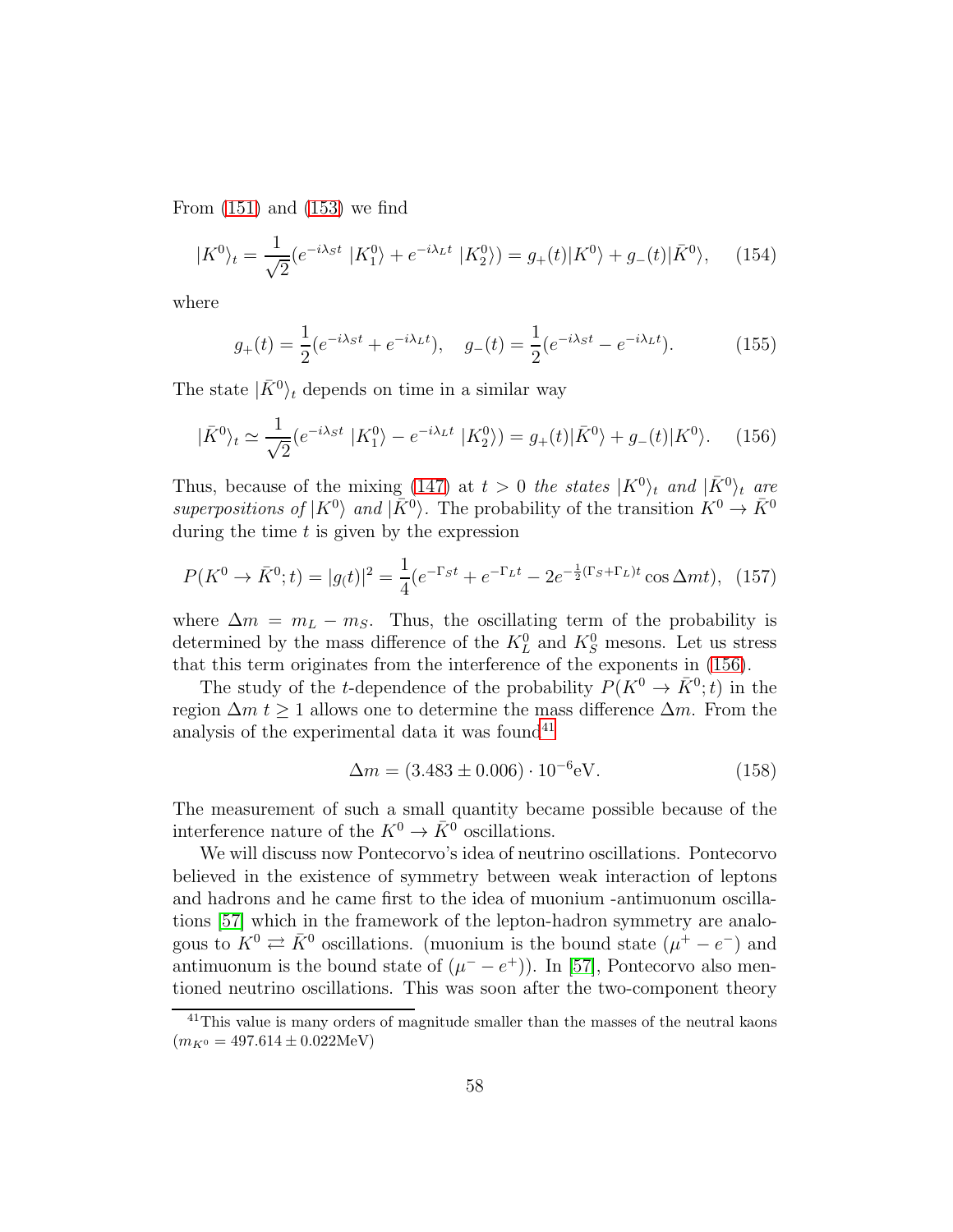From [\(151\)](#page-56-1) and [\(153\)](#page-56-2) we find

$$
|K^{0}\rangle_{t} = \frac{1}{\sqrt{2}} (e^{-i\lambda_{S}t} |K_{1}^{0}\rangle + e^{-i\lambda_{L}t} |K_{2}^{0}\rangle) = g_{+}(t)|K^{0}\rangle + g_{-}(t)|\bar{K}^{0}\rangle, \quad (154)
$$

where

$$
g_{+}(t) = \frac{1}{2}(e^{-i\lambda_{S}t} + e^{-i\lambda_{L}t}), \quad g_{-}(t) = \frac{1}{2}(e^{-i\lambda_{S}t} - e^{-i\lambda_{L}t}).
$$
 (155)

The state  $|\bar{K}^0\rangle_t$  depends on time in a similar way

<span id="page-57-0"></span>
$$
|\bar{K}^0\rangle_t \simeq \frac{1}{\sqrt{2}} (e^{-i\lambda_S t} |K_1^0\rangle - e^{-i\lambda_L t} |K_2^0\rangle) = g_+(t) |\bar{K}^0\rangle + g_-(t) |K^0\rangle. \tag{156}
$$

Thus, because of the mixing [\(147\)](#page-56-3) at  $t > 0$  the states  $|K^0\rangle_t$  and  $|\bar{K}^0\rangle_t$  are superpositions of  $|K^0\rangle$  and  $|\bar{K}^0\rangle$ . The probability of the transition  $K^0 \to \bar{K}^0$ during the time  $t$  is given by the expression

$$
P(K^{0} \to \bar{K}^{0}; t) = |g(t)|^{2} = \frac{1}{4} (e^{-\Gamma_{S}t} + e^{-\Gamma_{L}t} - 2e^{-\frac{1}{2}(\Gamma_{S} + \Gamma_{L})t} \cos \Delta mt), \tag{157}
$$

where  $\Delta m = m_L - m_S$ . Thus, the oscillating term of the probability is determined by the mass difference of the  $K^0_L$  and  $K^0_S$  mesons. Let us stress that this term originates from the interference of the exponents in [\(156\)](#page-57-0).

The study of the t-dependence of the probability  $P(K^0 \to \bar{K}^0; t)$  in the region  $\Delta m t \geq 1$  allows one to determine the mass difference  $\Delta m$ . From the analysis of the experimental data it was found  $41$ 

$$
\Delta m = (3.483 \pm 0.006) \cdot 10^{-6} \text{eV}.
$$
 (158)

The measurement of such a small quantity became possible because of the interference nature of the  $K^0 \to \bar{K}^0$  oscillations.

We will discuss now Pontecorvo's idea of neutrino oscillations. Pontecorvo believed in the existence of symmetry between weak interaction of leptons and hadrons and he came first to the idea of muonium -antimuonum oscillations [\[57\]](#page-88-8) which in the framework of the lepton-hadron symmetry are analogous to  $K^0 \rightleftarrows \overline{K}^0$  oscillations. (muonium is the bound state  $(\mu^+ - e^-)$  and antimuonum is the bound state of  $(\mu^- - e^+)$ ). In [\[57\]](#page-88-8), Pontecorvo also mentioned neutrino oscillations. This was soon after the two-component theory

<span id="page-57-1"></span><sup>&</sup>lt;sup>41</sup>This value is many orders of magnitude smaller than the masses of the neutral kaons  $(m_{K^0} = 497.614 \pm 0.022 \text{MeV})$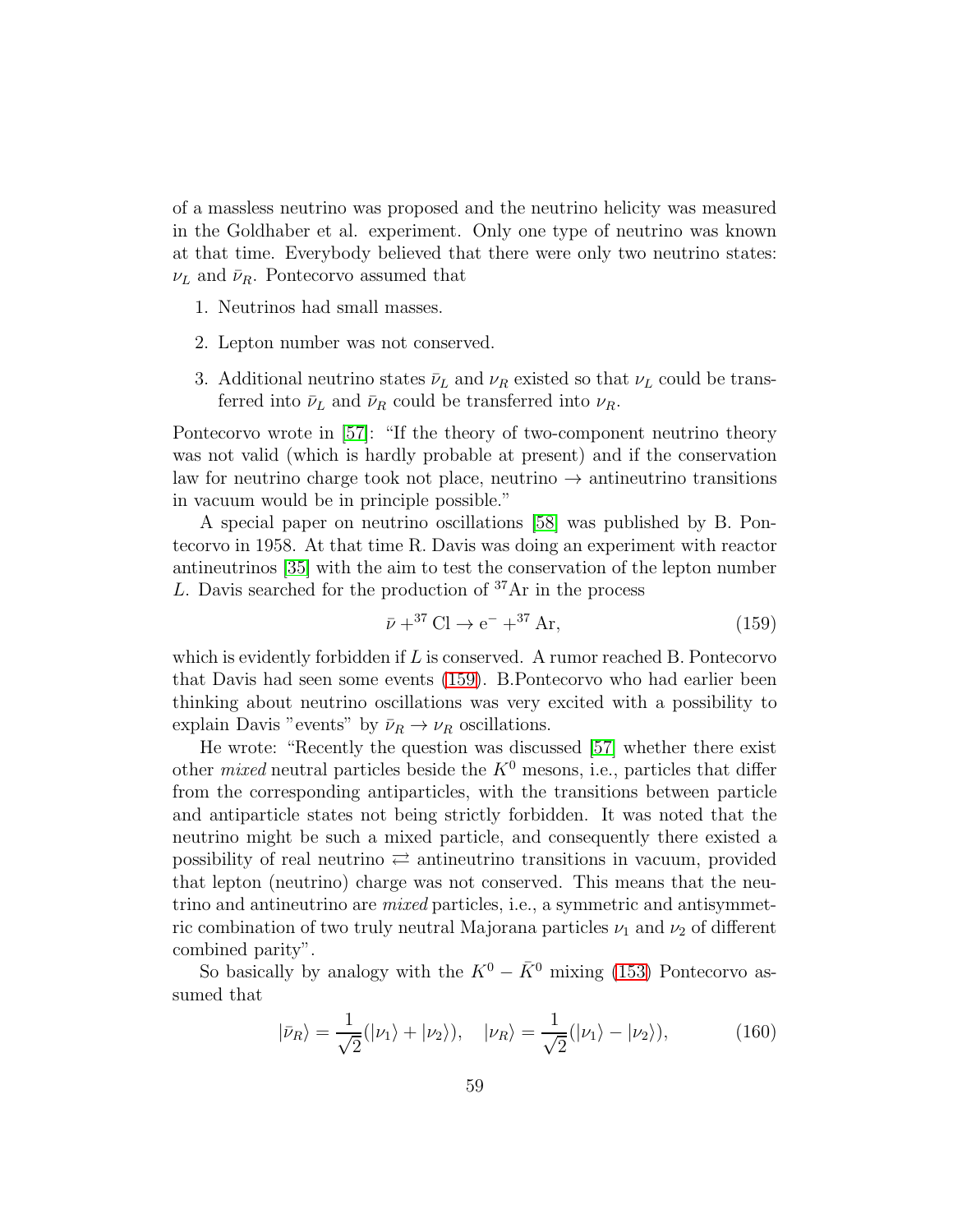of a massless neutrino was proposed and the neutrino helicity was measured in the Goldhaber et al. experiment. Only one type of neutrino was known at that time. Everybody believed that there were only two neutrino states:  $\nu_L$  and  $\bar{\nu}_R$ . Pontecorvo assumed that

- 1. Neutrinos had small masses.
- 2. Lepton number was not conserved.
- 3. Additional neutrino states  $\bar{\nu}_L$  and  $\nu_R$  existed so that  $\nu_L$  could be transferred into  $\bar{\nu}_L$  and  $\bar{\nu}_R$  could be transferred into  $\nu_R$ .

Pontecorvo wrote in [\[57\]](#page-88-8): "If the theory of two-component neutrino theory was not valid (which is hardly probable at present) and if the conservation law for neutrino charge took not place, neutrino  $\rightarrow$  antineutrino transitions in vacuum would be in principle possible."

A special paper on neutrino oscillations [\[58\]](#page-88-9) was published by B. Pontecorvo in 1958. At that time R. Davis was doing an experiment with reactor antineutrinos [\[35\]](#page-87-8) with the aim to test the conservation of the lepton number L. Davis searched for the production of  $37\text{Ar}$  in the process

<span id="page-58-0"></span>
$$
\bar{\nu} + ^{37}Cl \to e^- + ^{37}Ar, \tag{159}
$$

which is evidently forbidden if  $L$  is conserved. A rumor reached B. Pontecorvo that Davis had seen some events [\(159\)](#page-58-0). B.Pontecorvo who had earlier been thinking about neutrino oscillations was very excited with a possibility to explain Davis "events" by  $\bar{\nu}_R \rightarrow \nu_R$  oscillations.

He wrote: "Recently the question was discussed [\[57\]](#page-88-8) whether there exist other *mixed* neutral particles beside the  $K^0$  mesons, i.e., particles that differ from the corresponding antiparticles, with the transitions between particle and antiparticle states not being strictly forbidden. It was noted that the neutrino might be such a mixed particle, and consequently there existed a possibility of real neutrino  $\rightleftarrows$  antineutrino transitions in vacuum, provided that lepton (neutrino) charge was not conserved. This means that the neutrino and antineutrino are mixed particles, i.e., a symmetric and antisymmetric combination of two truly neutral Majorana particles  $\nu_1$  and  $\nu_2$  of different combined parity".

So basically by analogy with the  $K^0 - \bar{K}^0$  mixing [\(153\)](#page-56-2) Pontecorvo assumed that

<span id="page-58-1"></span>
$$
|\bar{\nu}_R\rangle = \frac{1}{\sqrt{2}}(|\nu_1\rangle + |\nu_2\rangle), \quad |\nu_R\rangle = \frac{1}{\sqrt{2}}(|\nu_1\rangle - |\nu_2\rangle), \tag{160}
$$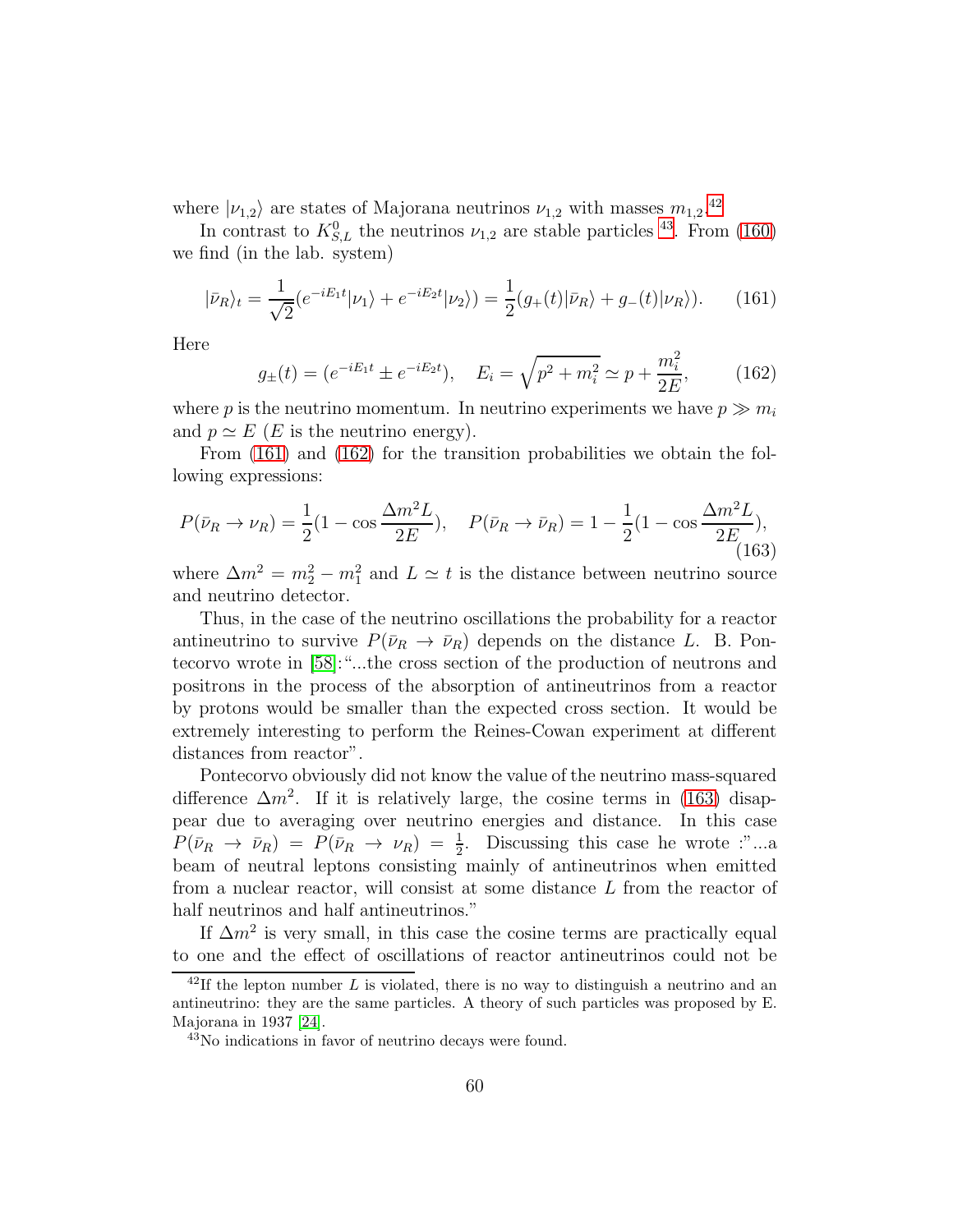where  $|\nu_{1,2}\rangle$  are states of Majorana neutrinos  $\nu_{1,2}$  with masses  $m_{1,2}$ .

In contrast to  $K_{S,L}^0$  the neutrinos  $\nu_{1,2}$  are stable particles <sup>[43](#page-59-1)</sup>. From [\(160\)](#page-58-1) we find (in the lab. system)

<span id="page-59-2"></span>
$$
|\bar{\nu}_R\rangle_t = \frac{1}{\sqrt{2}} (e^{-iE_1t}|\nu_1\rangle + e^{-iE_2t}|\nu_2\rangle) = \frac{1}{2}(g_+(t)|\bar{\nu}_R\rangle + g_-(t)|\nu_R\rangle). \tag{161}
$$

Here

<span id="page-59-3"></span>
$$
g_{\pm}(t) = (e^{-iE_1t} \pm e^{-iE_2t}), \quad E_i = \sqrt{p^2 + m_i^2} \simeq p + \frac{m_i^2}{2E}, \quad (162)
$$

where p is the neutrino momentum. In neutrino experiments we have  $p \gg m_i$ and  $p \simeq E$  (*E* is the neutrino energy).

From [\(161\)](#page-59-2) and [\(162\)](#page-59-3) for the transition probabilities we obtain the following expressions:

<span id="page-59-4"></span>
$$
P(\bar{\nu}_R \to \nu_R) = \frac{1}{2}(1 - \cos\frac{\Delta m^2 L}{2E}), \quad P(\bar{\nu}_R \to \bar{\nu}_R) = 1 - \frac{1}{2}(1 - \cos\frac{\Delta m^2 L}{2E}),
$$
\n(163)

where  $\Delta m^2 = m_2^2 - m_1^2$  and  $L \simeq t$  is the distance between neutrino source and neutrino detector.

Thus, in the case of the neutrino oscillations the probability for a reactor antineutrino to survive  $P(\bar{\nu}_R \to \bar{\nu}_R)$  depends on the distance L. B. Pontecorvo wrote in [\[58\]](#page-88-9):"...the cross section of the production of neutrons and positrons in the process of the absorption of antineutrinos from a reactor by protons would be smaller than the expected cross section. It would be extremely interesting to perform the Reines-Cowan experiment at different distances from reactor".

Pontecorvo obviously did not know the value of the neutrino mass-squared difference  $\Delta m^2$ . If it is relatively large, the cosine terms in [\(163\)](#page-59-4) disappear due to averaging over neutrino energies and distance. In this case  $P(\bar{\nu}_R \to \bar{\nu}_R) = P(\bar{\nu}_R \to \nu_R) = \frac{1}{2}$ . Discussing this case he wrote :"...a beam of neutral leptons consisting mainly of antineutrinos when emitted from a nuclear reactor, will consist at some distance L from the reactor of half neutrinos and half antineutrinos."

If  $\Delta m^2$  is very small, in this case the cosine terms are practically equal to one and the effect of oscillations of reactor antineutrinos could not be

<span id="page-59-0"></span><sup>&</sup>lt;sup>42</sup>If the lepton number L is violated, there is no way to distinguish a neutrino and an antineutrino: they are the same particles. A theory of such particles was proposed by E. Majorana in 1937 [\[24\]](#page-86-0).

<span id="page-59-1"></span><sup>43</sup>No indications in favor of neutrino decays were found.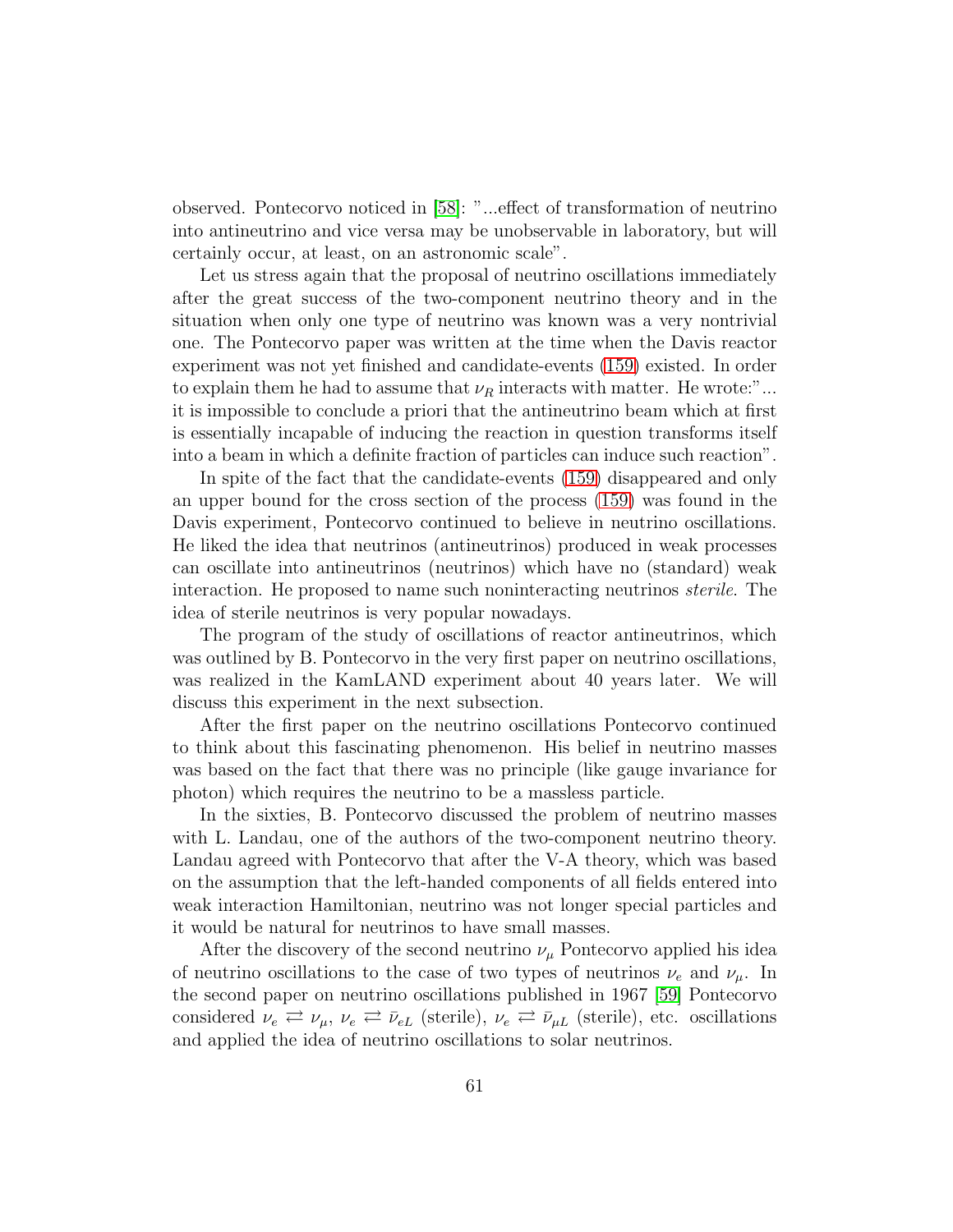observed. Pontecorvo noticed in [\[58\]](#page-88-9): "...effect of transformation of neutrino into antineutrino and vice versa may be unobservable in laboratory, but will certainly occur, at least, on an astronomic scale".

Let us stress again that the proposal of neutrino oscillations immediately after the great success of the two-component neutrino theory and in the situation when only one type of neutrino was known was a very nontrivial one. The Pontecorvo paper was written at the time when the Davis reactor experiment was not yet finished and candidate-events [\(159\)](#page-58-0) existed. In order to explain them he had to assume that  $\nu_R$  interacts with matter. He wrote:"... it is impossible to conclude a priori that the antineutrino beam which at first is essentially incapable of inducing the reaction in question transforms itself into a beam in which a definite fraction of particles can induce such reaction".

In spite of the fact that the candidate-events [\(159\)](#page-58-0) disappeared and only an upper bound for the cross section of the process [\(159\)](#page-58-0) was found in the Davis experiment, Pontecorvo continued to believe in neutrino oscillations. He liked the idea that neutrinos (antineutrinos) produced in weak processes can oscillate into antineutrinos (neutrinos) which have no (standard) weak interaction. He proposed to name such noninteracting neutrinos sterile. The idea of sterile neutrinos is very popular nowadays.

The program of the study of oscillations of reactor antineutrinos, which was outlined by B. Pontecorvo in the very first paper on neutrino oscillations, was realized in the KamLAND experiment about 40 years later. We will discuss this experiment in the next subsection.

After the first paper on the neutrino oscillations Pontecorvo continued to think about this fascinating phenomenon. His belief in neutrino masses was based on the fact that there was no principle (like gauge invariance for photon) which requires the neutrino to be a massless particle.

In the sixties, B. Pontecorvo discussed the problem of neutrino masses with L. Landau, one of the authors of the two-component neutrino theory. Landau agreed with Pontecorvo that after the V-A theory, which was based on the assumption that the left-handed components of all fields entered into weak interaction Hamiltonian, neutrino was not longer special particles and it would be natural for neutrinos to have small masses.

After the discovery of the second neutrino  $\nu_{\mu}$  Pontecorvo applied his idea of neutrino oscillations to the case of two types of neutrinos  $\nu_e$  and  $\nu_\mu$ . In the second paper on neutrino oscillations published in 1967 [\[59\]](#page-88-11) Pontecorvo considered  $\nu_e \rightleftarrows \nu_\mu$ ,  $\nu_e \rightleftarrows \bar{\nu}_{eL}$  (sterile),  $\nu_e \rightleftarrows \bar{\nu}_{\mu L}$  (sterile), etc. oscillations and applied the idea of neutrino oscillations to solar neutrinos.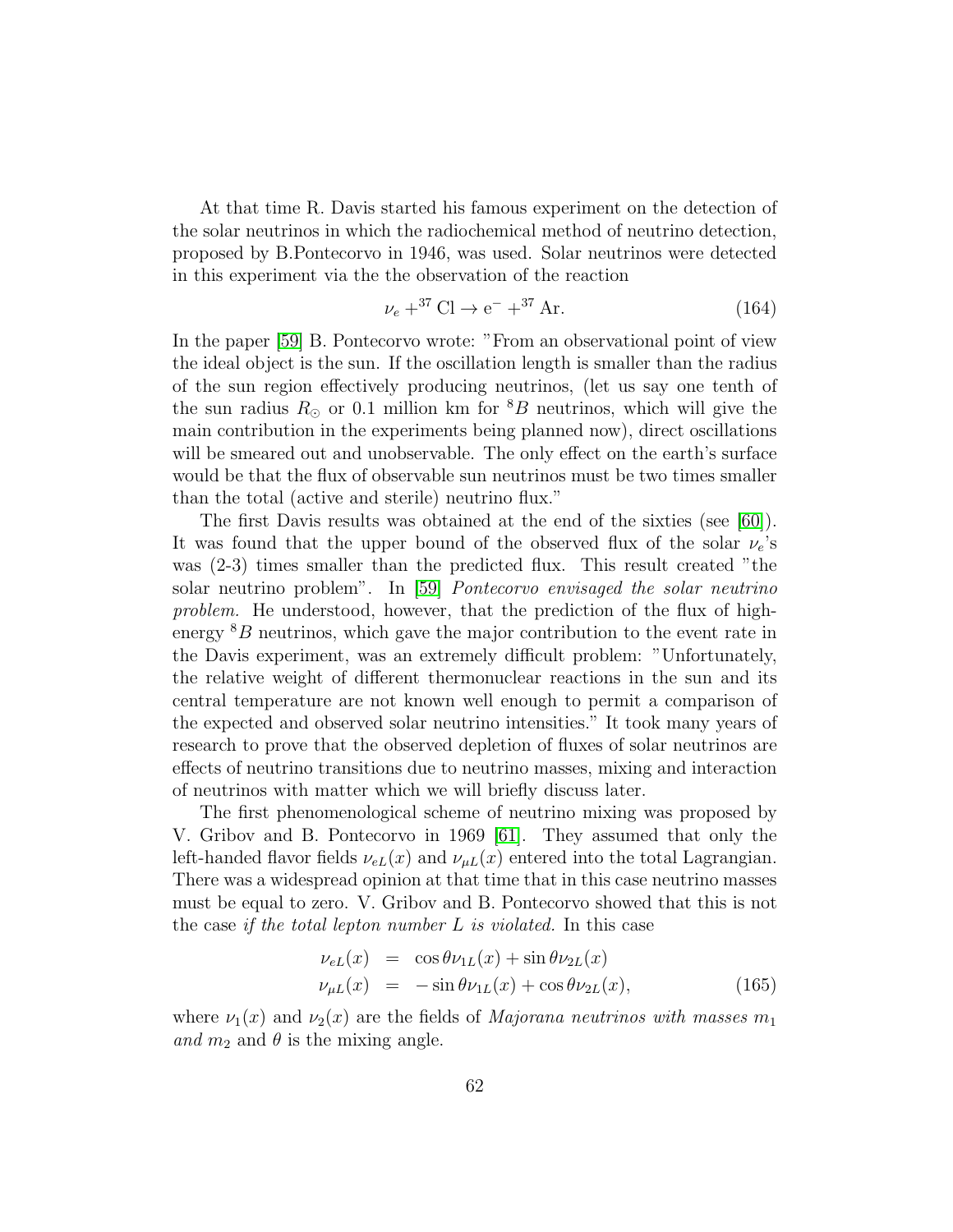At that time R. Davis started his famous experiment on the detection of the solar neutrinos in which the radiochemical method of neutrino detection, proposed by B.Pontecorvo in 1946, was used. Solar neutrinos were detected in this experiment via the the observation of the reaction

$$
\nu_e + ^{37}Cl \to e^- + ^{37}Ar. \tag{164}
$$

In the paper [\[59\]](#page-88-11) B. Pontecorvo wrote: "From an observational point of view the ideal object is the sun. If the oscillation length is smaller than the radius of the sun region effectively producing neutrinos, (let us say one tenth of the sun radius  $R_{\odot}$  or 0.1 million km for <sup>8</sup>B neutrinos, which will give the main contribution in the experiments being planned now), direct oscillations will be smeared out and unobservable. The only effect on the earth's surface would be that the flux of observable sun neutrinos must be two times smaller than the total (active and sterile) neutrino flux."

The first Davis results was obtained at the end of the sixties (see [\[60\]](#page-88-12)). It was found that the upper bound of the observed flux of the solar  $\nu_e$ 's was  $(2-3)$  times smaller than the predicted flux. This result created "the solar neutrino problem". In [\[59\]](#page-88-11) Pontecorvo envisaged the solar neutrino problem. He understood, however, that the prediction of the flux of highenergy  ${}^{8}B$  neutrinos, which gave the major contribution to the event rate in the Davis experiment, was an extremely difficult problem: "Unfortunately, the relative weight of different thermonuclear reactions in the sun and its central temperature are not known well enough to permit a comparison of the expected and observed solar neutrino intensities." It took many years of research to prove that the observed depletion of fluxes of solar neutrinos are effects of neutrino transitions due to neutrino masses, mixing and interaction of neutrinos with matter which we will briefly discuss later.

The first phenomenological scheme of neutrino mixing was proposed by V. Gribov and B. Pontecorvo in 1969 [\[61\]](#page-88-13). They assumed that only the left-handed flavor fields  $\nu_{eL}(x)$  and  $\nu_{\mu L}(x)$  entered into the total Lagrangian. There was a widespread opinion at that time that in this case neutrino masses must be equal to zero. V. Gribov and B. Pontecorvo showed that this is not the case if the total lepton number  $L$  is violated. In this case

<span id="page-61-0"></span>
$$
\nu_{eL}(x) = \cos \theta \nu_{1L}(x) + \sin \theta \nu_{2L}(x)
$$
  

$$
\nu_{\mu L}(x) = -\sin \theta \nu_{1L}(x) + \cos \theta \nu_{2L}(x),
$$
 (165)

where  $\nu_1(x)$  and  $\nu_2(x)$  are the fields of *Majorana neutrinos with masses*  $m_1$ and  $m_2$  and  $\theta$  is the mixing angle.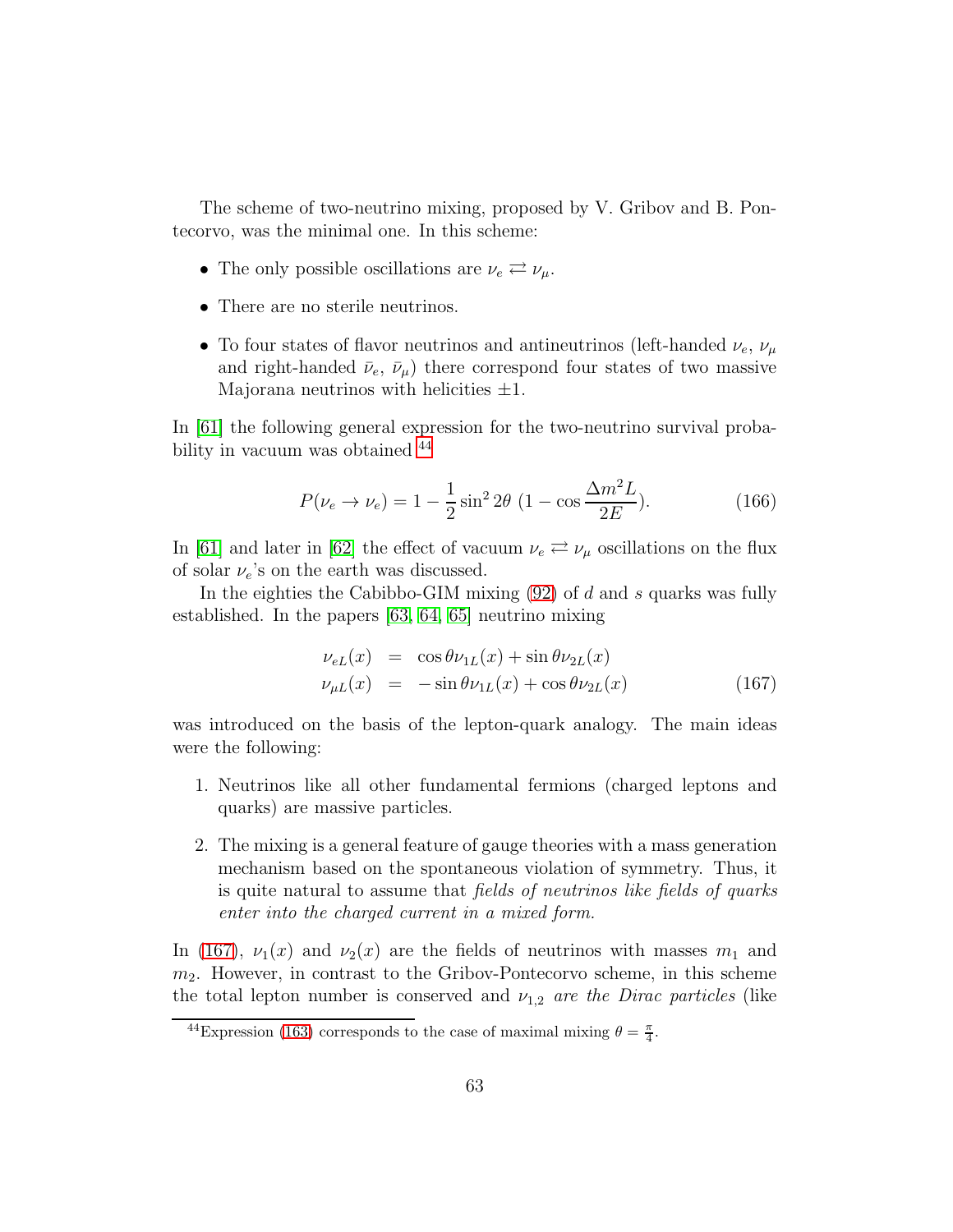The scheme of two-neutrino mixing, proposed by V. Gribov and B. Pontecorvo, was the minimal one. In this scheme:

- The only possible oscillations are  $\nu_e \rightleftarrows \nu_\mu$ .
- There are no sterile neutrinos.
- To four states of flavor neutrinos and antineutrinos (left-handed  $\nu_e$ ,  $\nu_\mu$ and right-handed  $\bar{\nu}_e$ ,  $\bar{\nu}_\mu$ ) there correspond four states of two massive Majorana neutrinos with helicities  $\pm 1$ .

In [\[61\]](#page-88-13) the following general expression for the two-neutrino survival probability in vacuum was obtained  $^{44}$  $^{44}$  $^{44}$ 

$$
P(\nu_e \to \nu_e) = 1 - \frac{1}{2}\sin^2 2\theta (1 - \cos \frac{\Delta m^2 L}{2E}).
$$
 (166)

In [\[61\]](#page-88-13) and later in [\[62\]](#page-88-14) the effect of vacuum  $\nu_e \rightleftarrows \nu_\mu$  oscillations on the flux of solar  $\nu_e$ 's on the earth was discussed.

In the eighties the Cabibbo-GIM mixing  $(92)$  of d and s quarks was fully established. In the papers [\[63,](#page-88-15) [64,](#page-88-16) [65\]](#page-88-17) neutrino mixing

<span id="page-62-1"></span>
$$
\nu_{eL}(x) = \cos \theta \nu_{1L}(x) + \sin \theta \nu_{2L}(x)
$$
  

$$
\nu_{\mu L}(x) = -\sin \theta \nu_{1L}(x) + \cos \theta \nu_{2L}(x) \qquad (167)
$$

was introduced on the basis of the lepton-quark analogy. The main ideas were the following:

- 1. Neutrinos like all other fundamental fermions (charged leptons and quarks) are massive particles.
- 2. The mixing is a general feature of gauge theories with a mass generation mechanism based on the spontaneous violation of symmetry. Thus, it is quite natural to assume that fields of neutrinos like fields of quarks enter into the charged current in a mixed form.

In [\(167\)](#page-62-1),  $\nu_1(x)$  and  $\nu_2(x)$  are the fields of neutrinos with masses  $m_1$  and  $m<sub>2</sub>$ . However, in contrast to the Gribov-Pontecorvo scheme, in this scheme the total lepton number is conserved and  $\nu_{1,2}$  are the Dirac particles (like

<span id="page-62-0"></span><sup>&</sup>lt;sup>44</sup>Expression [\(163\)](#page-59-4) corresponds to the case of maximal mixing  $\theta = \frac{\pi}{4}$ .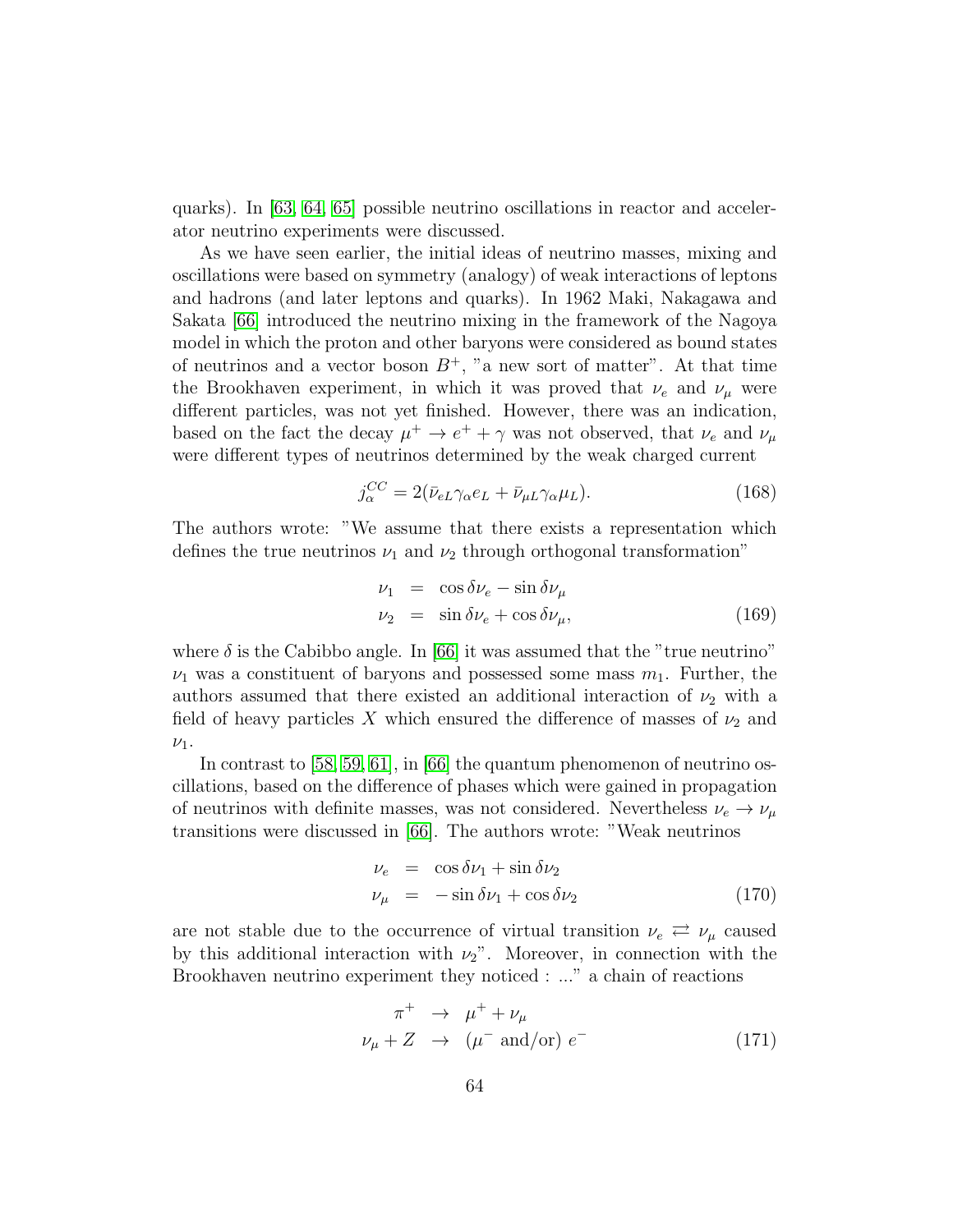quarks). In [\[63,](#page-88-15) [64,](#page-88-16) [65\]](#page-88-17) possible neutrino oscillations in reactor and accelerator neutrino experiments were discussed.

As we have seen earlier, the initial ideas of neutrino masses, mixing and oscillations were based on symmetry (analogy) of weak interactions of leptons and hadrons (and later leptons and quarks). In 1962 Maki, Nakagawa and Sakata [\[66\]](#page-88-18) introduced the neutrino mixing in the framework of the Nagoya model in which the proton and other baryons were considered as bound states of neutrinos and a vector boson  $B^+$ , "a new sort of matter". At that time the Brookhaven experiment, in which it was proved that  $\nu_e$  and  $\nu_\mu$  were different particles, was not yet finished. However, there was an indication, based on the fact the decay  $\mu^+ \to e^+ + \gamma$  was not observed, that  $\nu_e$  and  $\nu_\mu$ were different types of neutrinos determined by the weak charged current

$$
j_{\alpha}^{CC} = 2(\bar{\nu}_{eL}\gamma_{\alpha}e_L + \bar{\nu}_{\mu L}\gamma_{\alpha}\mu_L). \tag{168}
$$

The authors wrote: "We assume that there exists a representation which defines the true neutrinos  $\nu_1$  and  $\nu_2$  through orthogonal transformation"

$$
\nu_1 = \cos \delta \nu_e - \sin \delta \nu_\mu \n\nu_2 = \sin \delta \nu_e + \cos \delta \nu_\mu,
$$
\n(169)

where  $\delta$  is the Cabibbo angle. In [\[66\]](#page-88-18) it was assumed that the "true neutrino"  $\nu_1$  was a constituent of baryons and possessed some mass  $m_1$ . Further, the authors assumed that there existed an additional interaction of  $\nu_2$  with a field of heavy particles X which ensured the difference of masses of  $\nu_2$  and  $\nu_1$ .

In contrast to [\[58,](#page-88-9) [59,](#page-88-11) [61\]](#page-88-13), in [\[66\]](#page-88-18) the quantum phenomenon of neutrino oscillations, based on the difference of phases which were gained in propagation of neutrinos with definite masses, was not considered. Nevertheless  $\nu_e \rightarrow \nu_\mu$ transitions were discussed in [\[66\]](#page-88-18). The authors wrote: "Weak neutrinos

$$
\nu_e = \cos \delta \nu_1 + \sin \delta \nu_2 \n\nu_\mu = -\sin \delta \nu_1 + \cos \delta \nu_2
$$
\n(170)

are not stable due to the occurrence of virtual transition  $\nu_e \rightleftarrows \nu_\mu$  caused by this additional interaction with  $\nu_2$ ". Moreover, in connection with the Brookhaven neutrino experiment they noticed : ..." a chain of reactions

$$
\pi^+ \rightarrow \mu^+ + \nu_\mu
$$
  

$$
\nu_\mu + Z \rightarrow (\mu^- \text{ and/or}) e^-
$$
 (171)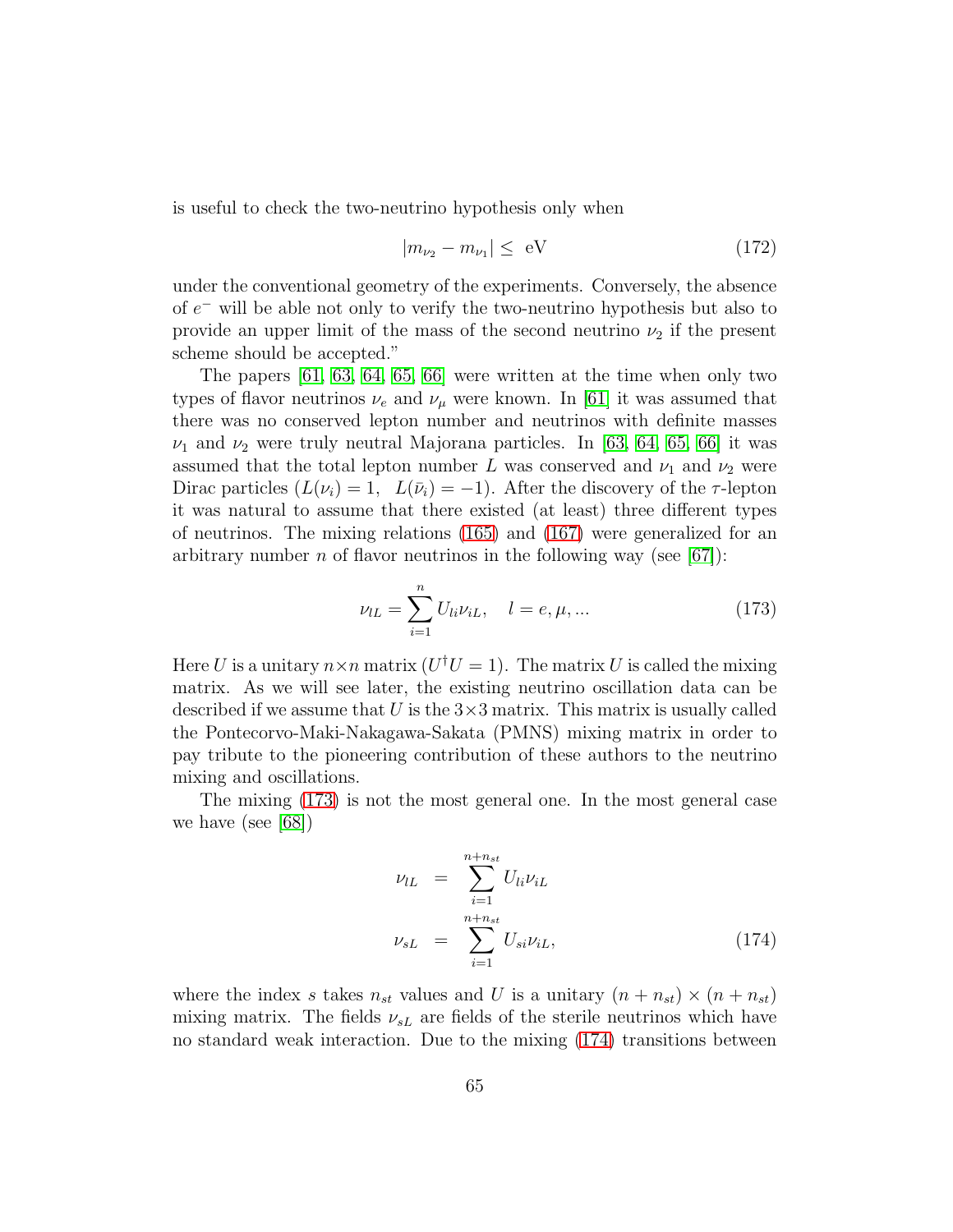is useful to check the two-neutrino hypothesis only when

$$
|m_{\nu_2} - m_{\nu_1}| \leq \text{ eV} \tag{172}
$$

under the conventional geometry of the experiments. Conversely, the absence of  $e^-$  will be able not only to verify the two-neutrino hypothesis but also to provide an upper limit of the mass of the second neutrino  $\nu_2$  if the present scheme should be accepted."

The papers [\[61,](#page-88-13) [63,](#page-88-15) [64,](#page-88-16) [65,](#page-88-17) [66\]](#page-88-18) were written at the time when only two types of flavor neutrinos  $\nu_e$  and  $\nu_\mu$  were known. In [\[61\]](#page-88-13) it was assumed that there was no conserved lepton number and neutrinos with definite masses  $\nu_1$  and  $\nu_2$  were truly neutral Majorana particles. In [\[63,](#page-88-15) [64,](#page-88-16) [65,](#page-88-17) [66\]](#page-88-18) it was assumed that the total lepton number L was conserved and  $\nu_1$  and  $\nu_2$  were Dirac particles  $(L(\nu_i) = 1, L(\bar{\nu}_i) = -1)$ . After the discovery of the  $\tau$ -lepton it was natural to assume that there existed (at least) three different types of neutrinos. The mixing relations [\(165\)](#page-61-0) and [\(167\)](#page-62-1) were generalized for an arbitrary number *n* of flavor neutrinos in the following way (see [\[67\]](#page-88-7)):

<span id="page-64-0"></span>
$$
\nu_{lL} = \sum_{i=1}^{n} U_{li} \nu_{iL}, \quad l = e, \mu, \dots \tag{173}
$$

Here U is a unitary  $n \times n$  matrix  $(U^{\dagger}U = 1)$ . The matrix U is called the mixing matrix. As we will see later, the existing neutrino oscillation data can be described if we assume that U is the  $3\times3$  matrix. This matrix is usually called the Pontecorvo-Maki-Nakagawa-Sakata (PMNS) mixing matrix in order to pay tribute to the pioneering contribution of these authors to the neutrino mixing and oscillations.

The mixing [\(173\)](#page-64-0) is not the most general one. In the most general case we have (see [\[68\]](#page-89-0))

<span id="page-64-1"></span>
$$
\nu_{lL} = \sum_{i=1}^{n+n_{st}} U_{li} \nu_{iL}
$$
\n
$$
\nu_{sL} = \sum_{i=1}^{n+n_{st}} U_{si} \nu_{iL}, \qquad (174)
$$

where the index s takes  $n_{st}$  values and U is a unitary  $(n + n_{st}) \times (n + n_{st})$ mixing matrix. The fields  $\nu_{sL}$  are fields of the sterile neutrinos which have no standard weak interaction. Due to the mixing [\(174\)](#page-64-1) transitions between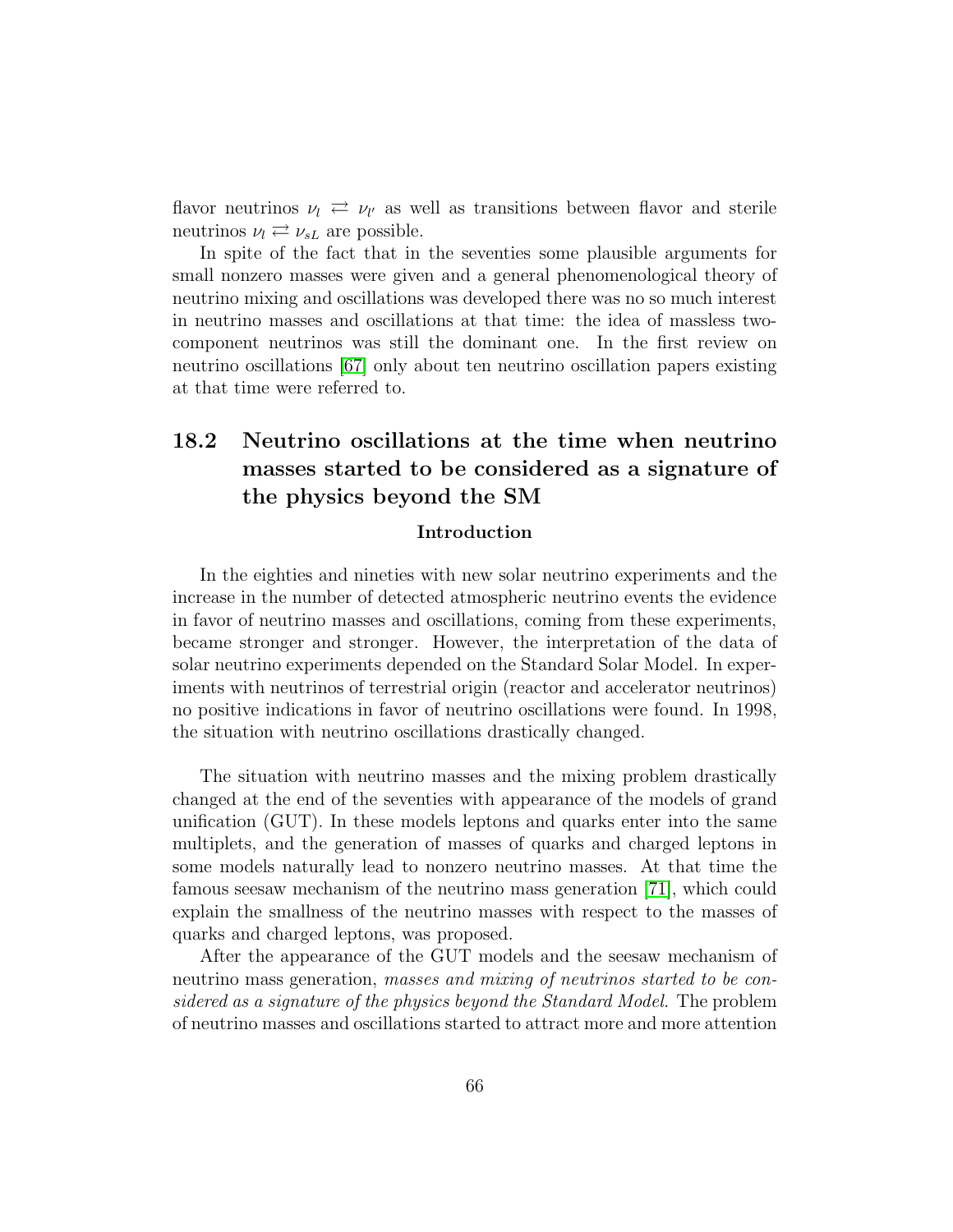flavor neutrinos  $\nu_l \rightleftarrows \nu_{l'}$  as well as transitions between flavor and sterile neutrinos  $\nu_l \rightleftarrows \nu_{sL}$  are possible.

In spite of the fact that in the seventies some plausible arguments for small nonzero masses were given and a general phenomenological theory of neutrino mixing and oscillations was developed there was no so much interest in neutrino masses and oscillations at that time: the idea of massless twocomponent neutrinos was still the dominant one. In the first review on neutrino oscillations [\[67\]](#page-88-7) only about ten neutrino oscillation papers existing at that time were referred to.

## 18.2 Neutrino oscillations at the time when neutrino masses started to be considered as a signature of the physics beyond the SM

#### Introduction

In the eighties and nineties with new solar neutrino experiments and the increase in the number of detected atmospheric neutrino events the evidence in favor of neutrino masses and oscillations, coming from these experiments, became stronger and stronger. However, the interpretation of the data of solar neutrino experiments depended on the Standard Solar Model. In experiments with neutrinos of terrestrial origin (reactor and accelerator neutrinos) no positive indications in favor of neutrino oscillations were found. In 1998, the situation with neutrino oscillations drastically changed.

The situation with neutrino masses and the mixing problem drastically changed at the end of the seventies with appearance of the models of grand unification (GUT). In these models leptons and quarks enter into the same multiplets, and the generation of masses of quarks and charged leptons in some models naturally lead to nonzero neutrino masses. At that time the famous seesaw mechanism of the neutrino mass generation [\[71\]](#page-89-1), which could explain the smallness of the neutrino masses with respect to the masses of quarks and charged leptons, was proposed.

After the appearance of the GUT models and the seesaw mechanism of neutrino mass generation, masses and mixing of neutrinos started to be considered as a signature of the physics beyond the Standard Model. The problem of neutrino masses and oscillations started to attract more and more attention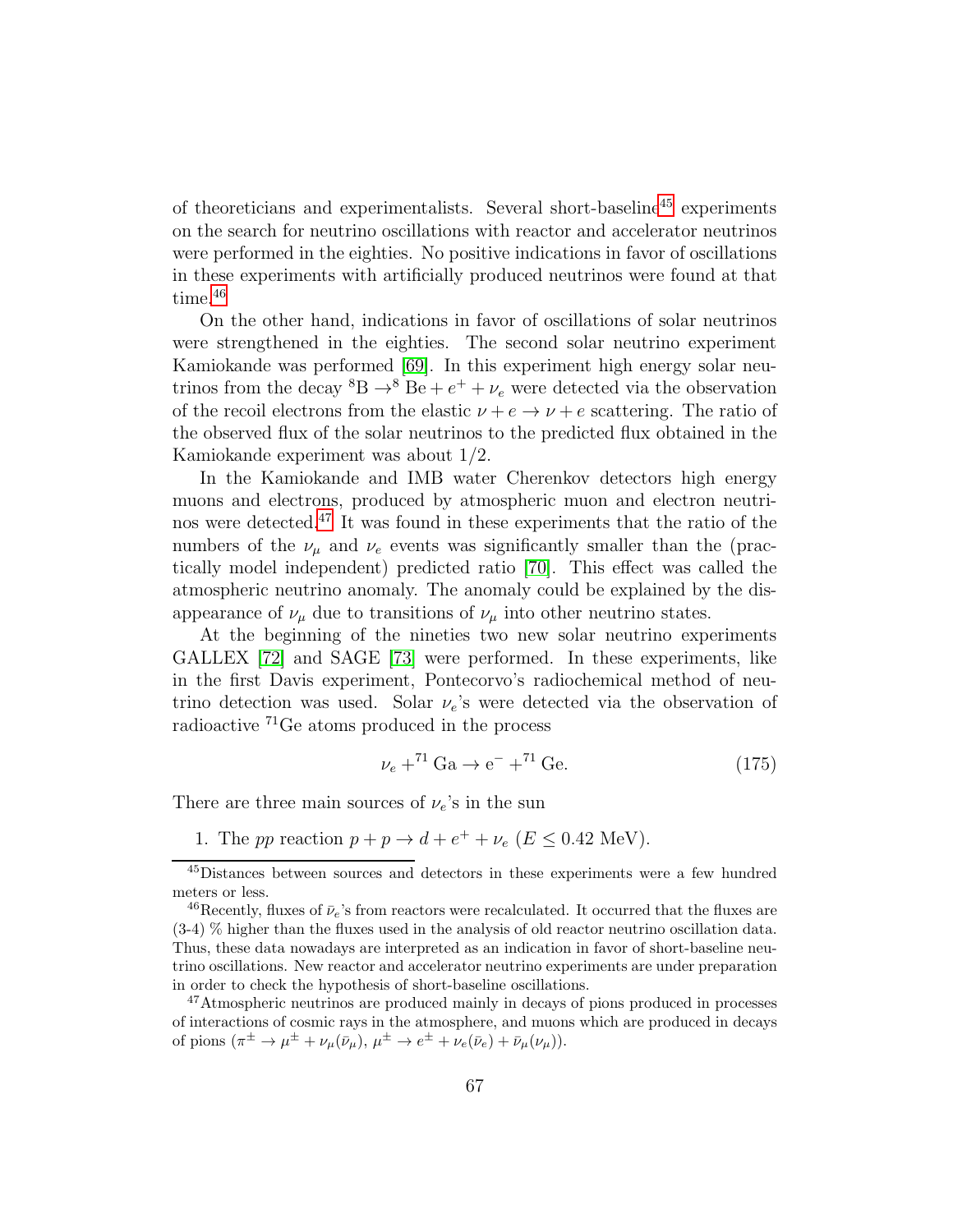of theoreticians and experimentalists. Several short-baseline[45](#page-66-0) experiments on the search for neutrino oscillations with reactor and accelerator neutrinos were performed in the eighties. No positive indications in favor of oscillations in these experiments with artificially produced neutrinos were found at that time.<sup>[46](#page-66-1)</sup>

On the other hand, indications in favor of oscillations of solar neutrinos were strengthened in the eighties. The second solar neutrino experiment Kamiokande was performed [\[69\]](#page-89-2). In this experiment high energy solar neutrinos from the decay  ${}^{8}B \rightarrow {}^{8}Be + e^{+} + \nu_{e}$  were detected via the observation of the recoil electrons from the elastic  $\nu + e \rightarrow \nu + e$  scattering. The ratio of the observed flux of the solar neutrinos to the predicted flux obtained in the Kamiokande experiment was about 1/2.

In the Kamiokande and IMB water Cherenkov detectors high energy muons and electrons, produced by atmospheric muon and electron neutri-nos were detected.<sup>[47](#page-66-2)</sup> It was found in these experiments that the ratio of the numbers of the  $\nu_{\mu}$  and  $\nu_{e}$  events was significantly smaller than the (practically model independent) predicted ratio [\[70\]](#page-89-3). This effect was called the atmospheric neutrino anomaly. The anomaly could be explained by the disappearance of  $\nu_{\mu}$  due to transitions of  $\nu_{\mu}$  into other neutrino states.

At the beginning of the nineties two new solar neutrino experiments GALLEX [\[72\]](#page-89-4) and SAGE [\[73\]](#page-89-5) were performed. In these experiments, like in the first Davis experiment, Pontecorvo's radiochemical method of neutrino detection was used. Solar  $\nu_e$ 's were detected via the observation of radioactive <sup>71</sup>Ge atoms produced in the process

<span id="page-66-3"></span>
$$
\nu_e + {}^{71}Ga \to e^- + {}^{71}Ge. \tag{175}
$$

There are three main sources of  $\nu_e$ 's in the sun

1. The pp reaction  $p + p \rightarrow d + e^+ + \nu_e$  ( $E \le 0.42$  MeV).

<span id="page-66-0"></span><sup>45</sup>Distances between sources and detectors in these experiments were a few hundred meters or less.

<span id="page-66-1"></span><sup>&</sup>lt;sup>46</sup>Recently, fluxes of  $\bar{\nu}_e$ 's from reactors were recalculated. It occurred that the fluxes are (3-4) % higher than the fluxes used in the analysis of old reactor neutrino oscillation data. Thus, these data nowadays are interpreted as an indication in favor of short-baseline neutrino oscillations. New reactor and accelerator neutrino experiments are under preparation in order to check the hypothesis of short-baseline oscillations.

<span id="page-66-2"></span><sup>&</sup>lt;sup>47</sup>Atmospheric neutrinos are produced mainly in decays of pions produced in processes of interactions of cosmic rays in the atmosphere, and muons which are produced in decays of pions  $(\pi^{\pm} \to \mu^{\pm} + \nu_{\mu}(\bar{\nu}_{\mu}), \mu^{\pm} \to e^{\pm} + \nu_{e}(\bar{\nu}_{e}) + \bar{\nu}_{\mu}(\nu_{\mu})).$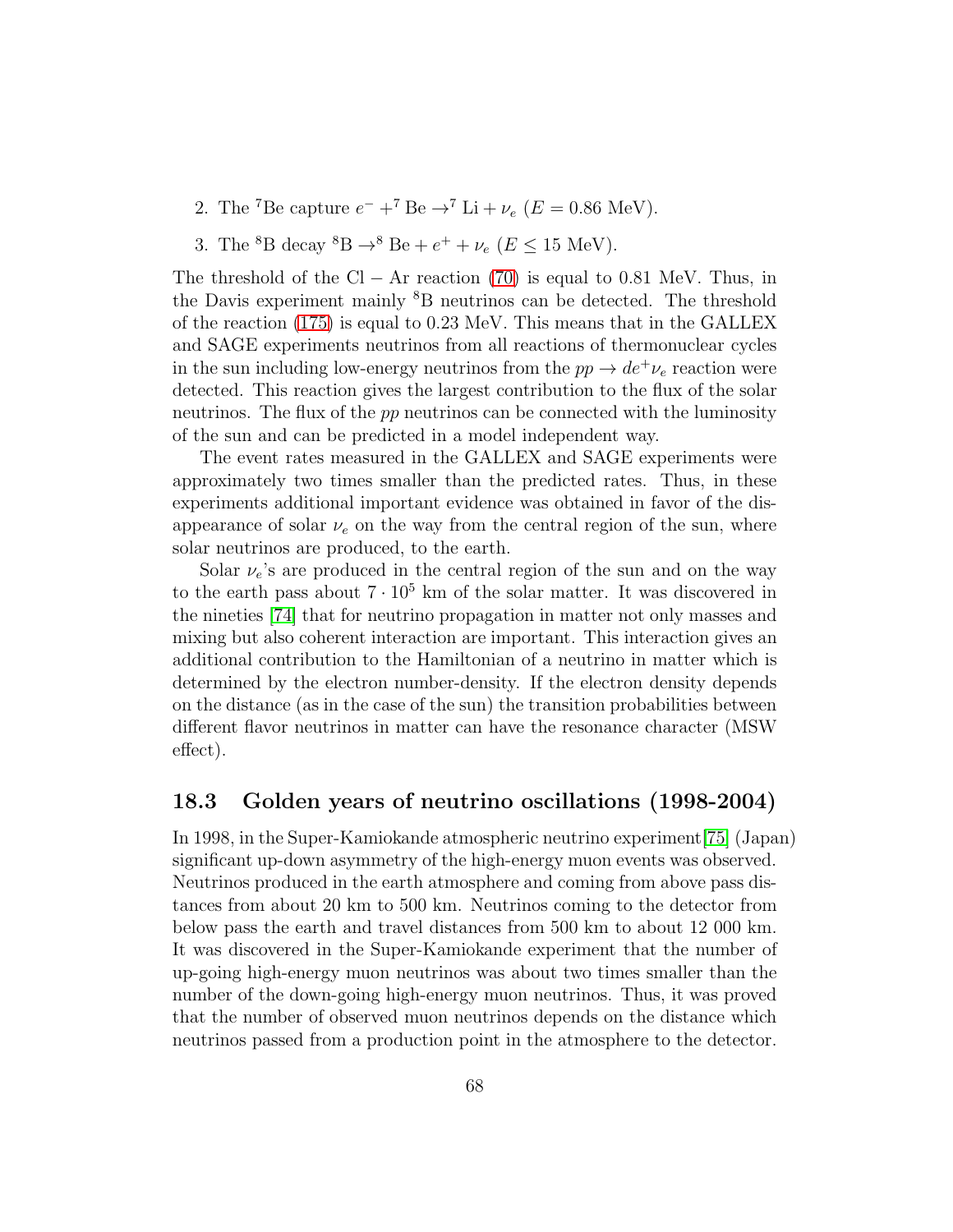- 2. The <sup>7</sup>Be capture  $e^- + ^7$ Be  $\rightarrow ^7$  Li +  $\nu_e$  ( $E = 0.86$  MeV).
- 3. The <sup>8</sup>B decay <sup>8</sup>B  $\rightarrow$ <sup>8</sup> Be +  $e^+ + \nu_e$  ( $E \le 15$  MeV).

The threshold of the Cl  $-$  Ar reaction [\(70\)](#page-27-0) is equal to 0.81 MeV. Thus, in the Davis experiment mainly <sup>8</sup>B neutrinos can be detected. The threshold of the reaction [\(175\)](#page-66-3) is equal to 0.23 MeV. This means that in the GALLEX and SAGE experiments neutrinos from all reactions of thermonuclear cycles in the sun including low-energy neutrinos from the  $pp \to de^+\nu_e$  reaction were detected. This reaction gives the largest contribution to the flux of the solar neutrinos. The flux of the *pp* neutrinos can be connected with the luminosity of the sun and can be predicted in a model independent way.

The event rates measured in the GALLEX and SAGE experiments were approximately two times smaller than the predicted rates. Thus, in these experiments additional important evidence was obtained in favor of the disappearance of solar  $\nu_e$  on the way from the central region of the sun, where solar neutrinos are produced, to the earth.

Solar  $\nu_e$ 's are produced in the central region of the sun and on the way to the earth pass about  $7 \cdot 10^5$  km of the solar matter. It was discovered in the nineties [\[74\]](#page-89-6) that for neutrino propagation in matter not only masses and mixing but also coherent interaction are important. This interaction gives an additional contribution to the Hamiltonian of a neutrino in matter which is determined by the electron number-density. If the electron density depends on the distance (as in the case of the sun) the transition probabilities between different flavor neutrinos in matter can have the resonance character (MSW effect).

### 18.3 Golden years of neutrino oscillations (1998-2004)

In 1998, in the Super-Kamiokande atmospheric neutrino experiment[\[75\]](#page-89-7) (Japan) significant up-down asymmetry of the high-energy muon events was observed. Neutrinos produced in the earth atmosphere and coming from above pass distances from about 20 km to 500 km. Neutrinos coming to the detector from below pass the earth and travel distances from 500 km to about 12 000 km. It was discovered in the Super-Kamiokande experiment that the number of up-going high-energy muon neutrinos was about two times smaller than the number of the down-going high-energy muon neutrinos. Thus, it was proved that the number of observed muon neutrinos depends on the distance which neutrinos passed from a production point in the atmosphere to the detector.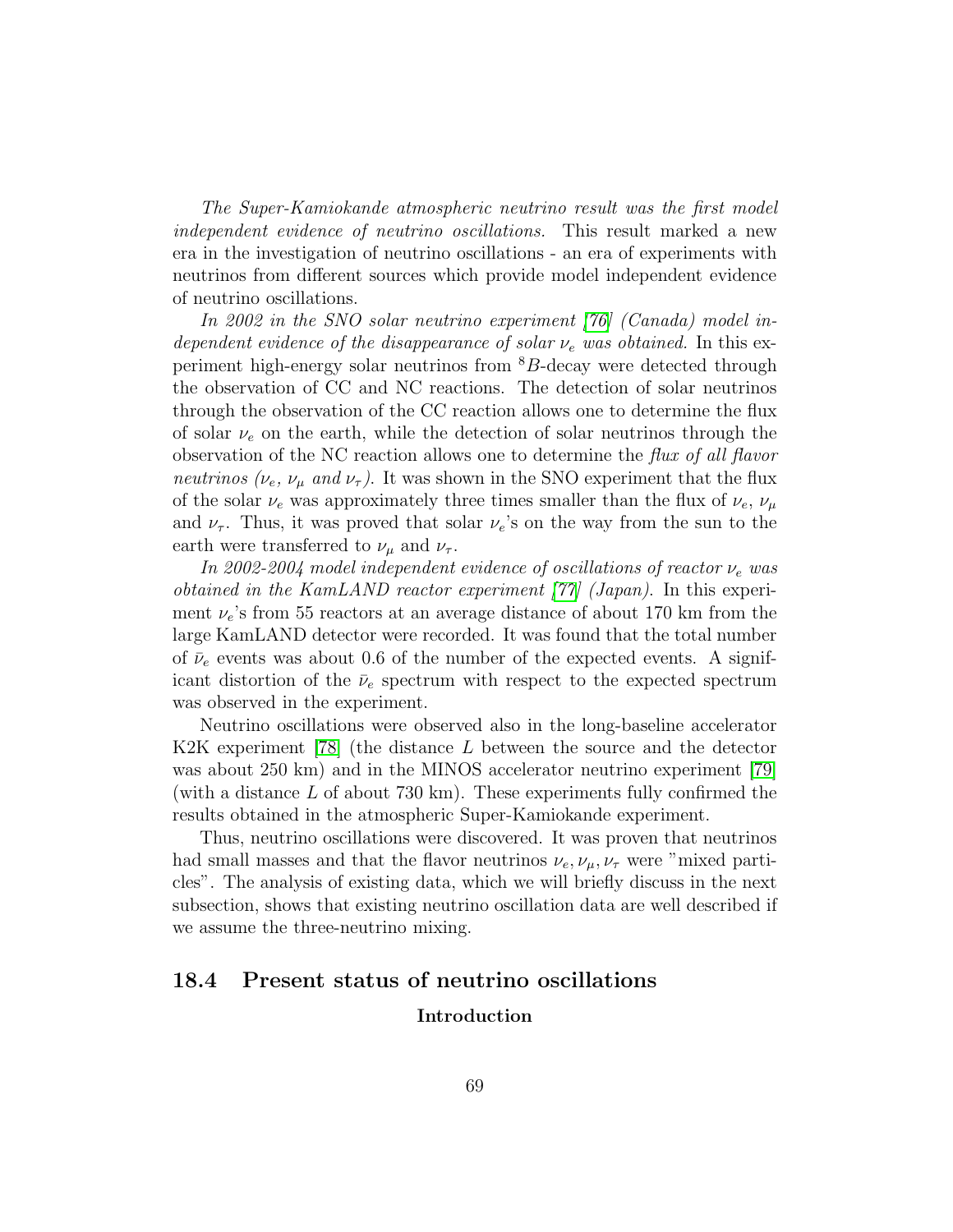The Super-Kamiokande atmospheric neutrino result was the first model independent evidence of neutrino oscillations. This result marked a new era in the investigation of neutrino oscillations - an era of experiments with neutrinos from different sources which provide model independent evidence of neutrino oscillations.

In 2002 in the SNO solar neutrino experiment [\[76\]](#page-89-8) (Canada) model independent evidence of the disappearance of solar  $\nu_e$  was obtained. In this experiment high-energy solar neutrinos from  ${}^{8}B$ -decay were detected through the observation of CC and NC reactions. The detection of solar neutrinos through the observation of the CC reaction allows one to determine the flux of solar  $\nu_e$  on the earth, while the detection of solar neutrinos through the observation of the NC reaction allows one to determine the flux of all flavor neutrinos  $(\nu_e, \nu_\mu$  and  $\nu_\tau)$ . It was shown in the SNO experiment that the flux of the solar  $\nu_e$  was approximately three times smaller than the flux of  $\nu_e$ ,  $\nu_\mu$ and  $\nu_{\tau}$ . Thus, it was proved that solar  $\nu_e$ 's on the way from the sun to the earth were transferred to  $\nu_{\mu}$  and  $\nu_{\tau}$ .

In 2002-2004 model independent evidence of oscillations of reactor  $\nu_e$  was obtained in the KamLAND reactor experiment [\[77\]](#page-89-9) (Japan). In this experiment  $\nu_e$ 's from 55 reactors at an average distance of about 170 km from the large KamLAND detector were recorded. It was found that the total number of  $\bar{\nu}_e$  events was about 0.6 of the number of the expected events. A significant distortion of the  $\bar{\nu}_e$  spectrum with respect to the expected spectrum was observed in the experiment.

Neutrino oscillations were observed also in the long-baseline accelerator K2K experiment [\[78\]](#page-89-10) (the distance L between the source and the detector was about 250 km) and in the MINOS accelerator neutrino experiment [\[79\]](#page-89-11) (with a distance L of about 730 km). These experiments fully confirmed the results obtained in the atmospheric Super-Kamiokande experiment.

Thus, neutrino oscillations were discovered. It was proven that neutrinos had small masses and that the flavor neutrinos  $\nu_e, \nu_\mu, \nu_\tau$  were "mixed particles". The analysis of existing data, which we will briefly discuss in the next subsection, shows that existing neutrino oscillation data are well described if we assume the three-neutrino mixing.

### 18.4 Present status of neutrino oscillations

#### Introduction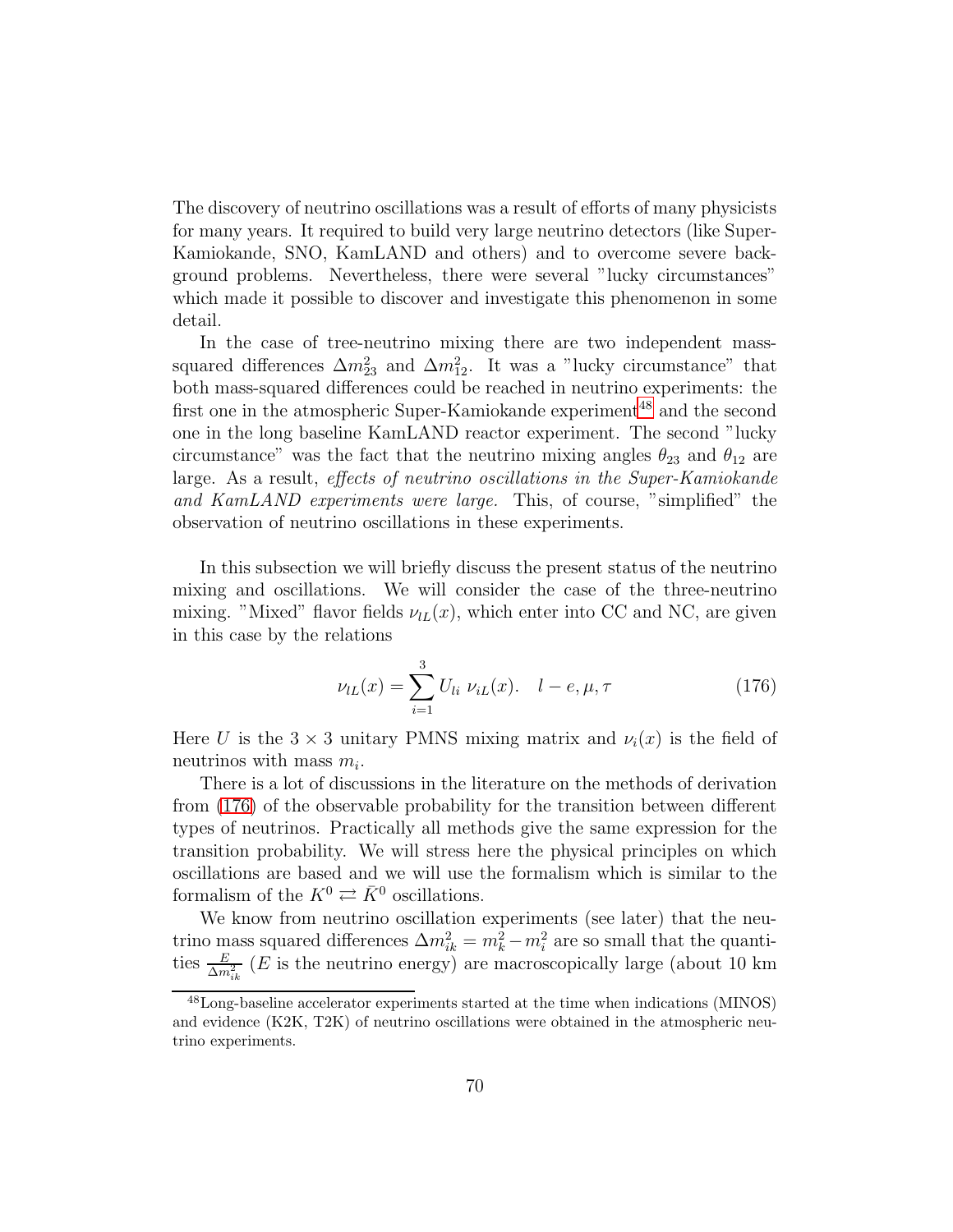The discovery of neutrino oscillations was a result of efforts of many physicists for many years. It required to build very large neutrino detectors (like Super-Kamiokande, SNO, KamLAND and others) and to overcome severe background problems. Nevertheless, there were several "lucky circumstances" which made it possible to discover and investigate this phenomenon in some detail.

In the case of tree-neutrino mixing there are two independent masssquared differences  $\Delta m_{23}^2$  and  $\Delta m_{12}^2$ . It was a "lucky circumstance" that both mass-squared differences could be reached in neutrino experiments: the first one in the atmospheric Super-Kamiokande experiment<sup>[48](#page-69-0)</sup> and the second one in the long baseline KamLAND reactor experiment. The second "lucky circumstance" was the fact that the neutrino mixing angles  $\theta_{23}$  and  $\theta_{12}$  are large. As a result, effects of neutrino oscillations in the Super-Kamiokande and KamLAND experiments were large. This, of course, "simplified" the observation of neutrino oscillations in these experiments.

In this subsection we will briefly discuss the present status of the neutrino mixing and oscillations. We will consider the case of the three-neutrino mixing. "Mixed" flavor fields  $\nu_{LL}(x)$ , which enter into CC and NC, are given in this case by the relations

<span id="page-69-1"></span>
$$
\nu_{lL}(x) = \sum_{i=1}^{3} U_{li} \ \nu_{iL}(x). \quad l - e, \mu, \tau \tag{176}
$$

Here U is the  $3 \times 3$  unitary PMNS mixing matrix and  $\nu_i(x)$  is the field of neutrinos with mass  $m_i$ .

There is a lot of discussions in the literature on the methods of derivation from [\(176\)](#page-69-1) of the observable probability for the transition between different types of neutrinos. Practically all methods give the same expression for the transition probability. We will stress here the physical principles on which oscillations are based and we will use the formalism which is similar to the formalism of the  $K^0 \rightleftarrows \overline{K}^0$  oscillations.

We know from neutrino oscillation experiments (see later) that the neutrino mass squared differences  $\Delta m_{ik}^2 = m_k^2 - m_i^2$  are so small that the quantities  $\frac{E}{\Delta m_{ik}^2}$  (*E* is the neutrino energy) are macroscopically large (about 10 km

<span id="page-69-0"></span><sup>48</sup>Long-baseline accelerator experiments started at the time when indications (MINOS) and evidence (K2K, T2K) of neutrino oscillations were obtained in the atmospheric neutrino experiments.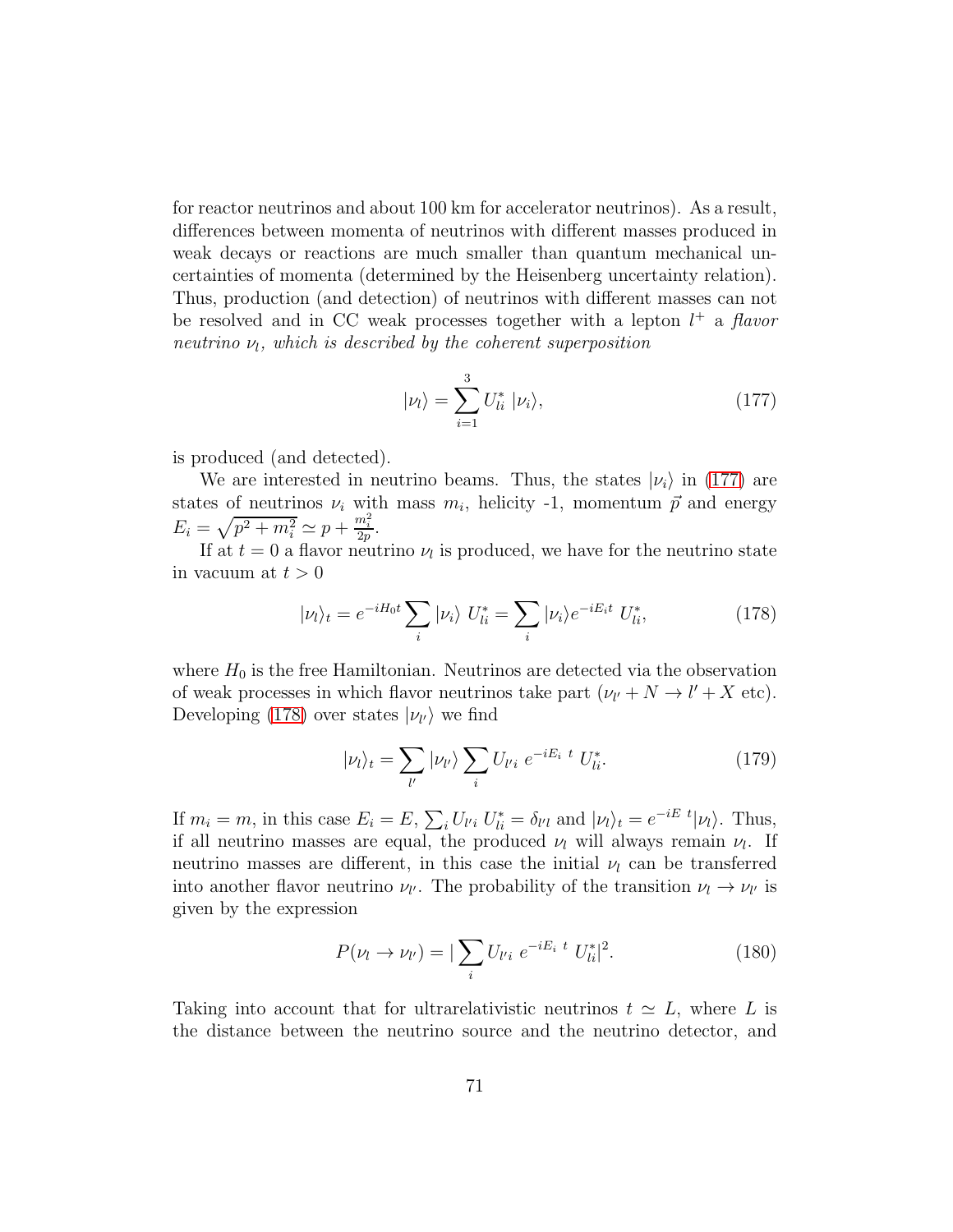for reactor neutrinos and about 100 km for accelerator neutrinos). As a result, differences between momenta of neutrinos with different masses produced in weak decays or reactions are much smaller than quantum mechanical uncertainties of momenta (determined by the Heisenberg uncertainty relation). Thus, production (and detection) of neutrinos with different masses can not be resolved and in CC weak processes together with a lepton  $l^+$  a flavor neutrino  $\nu_l$ , which is described by the coherent superposition

<span id="page-70-0"></span>
$$
|\nu_l\rangle = \sum_{i=1}^3 U_{li}^* |\nu_i\rangle, \qquad (177)
$$

is produced (and detected).

We are interested in neutrino beams. Thus, the states  $|\nu_i\rangle$  in [\(177\)](#page-70-0) are states of neutrinos  $\nu_i$  with mass  $m_i$ , helicity -1, momentum  $\vec{p}$  and energy  $E_i = \sqrt{p^2 + m_i^2} \simeq p + \frac{m_i^2}{2p}.$ 

If at  $t = 0$  a flavor neutrino  $\nu_l$  is produced, we have for the neutrino state in vacuum at  $t > 0$ 

<span id="page-70-1"></span>
$$
|\nu_l\rangle_t = e^{-iH_0t} \sum_i |\nu_i\rangle U_{li}^* = \sum_i |\nu_i\rangle e^{-iE_i t} U_{li}^*,
$$
 (178)

where  $H_0$  is the free Hamiltonian. Neutrinos are detected via the observation of weak processes in which flavor neutrinos take part  $(\nu_l + N \to l' + X$  etc). Developing [\(178\)](#page-70-1) over states  $|\nu_{l'}\rangle$  we find

<span id="page-70-2"></span>
$$
|\nu_l\rangle_t = \sum_{l'} |\nu_{l'}\rangle \sum_i U_{l'i} e^{-iE_i \ t} U_{li}^*.
$$
 (179)

If  $m_i = m$ , in this case  $E_i = E$ ,  $\sum_i U_{l'i} U_{li}^* = \delta_{l'l}$  and  $|\nu_l\rangle_t = e^{-iE_t t} |\nu_l\rangle$ . Thus, if all neutrino masses are equal, the produced  $\nu_l$  will always remain  $\nu_l$ . If neutrino masses are different, in this case the initial  $\nu_l$  can be transferred into another flavor neutrino  $\nu_{l'}$ . The probability of the transition  $\nu_l \to \nu_{l'}$  is given by the expression

$$
P(\nu_l \to \nu_{l'}) = |\sum_i U_{l'i} e^{-iE_i \ t} U_{li}^*|^2.
$$
 (180)

Taking into account that for ultrarelativistic neutrinos  $t \simeq L$ , where L is the distance between the neutrino source and the neutrino detector, and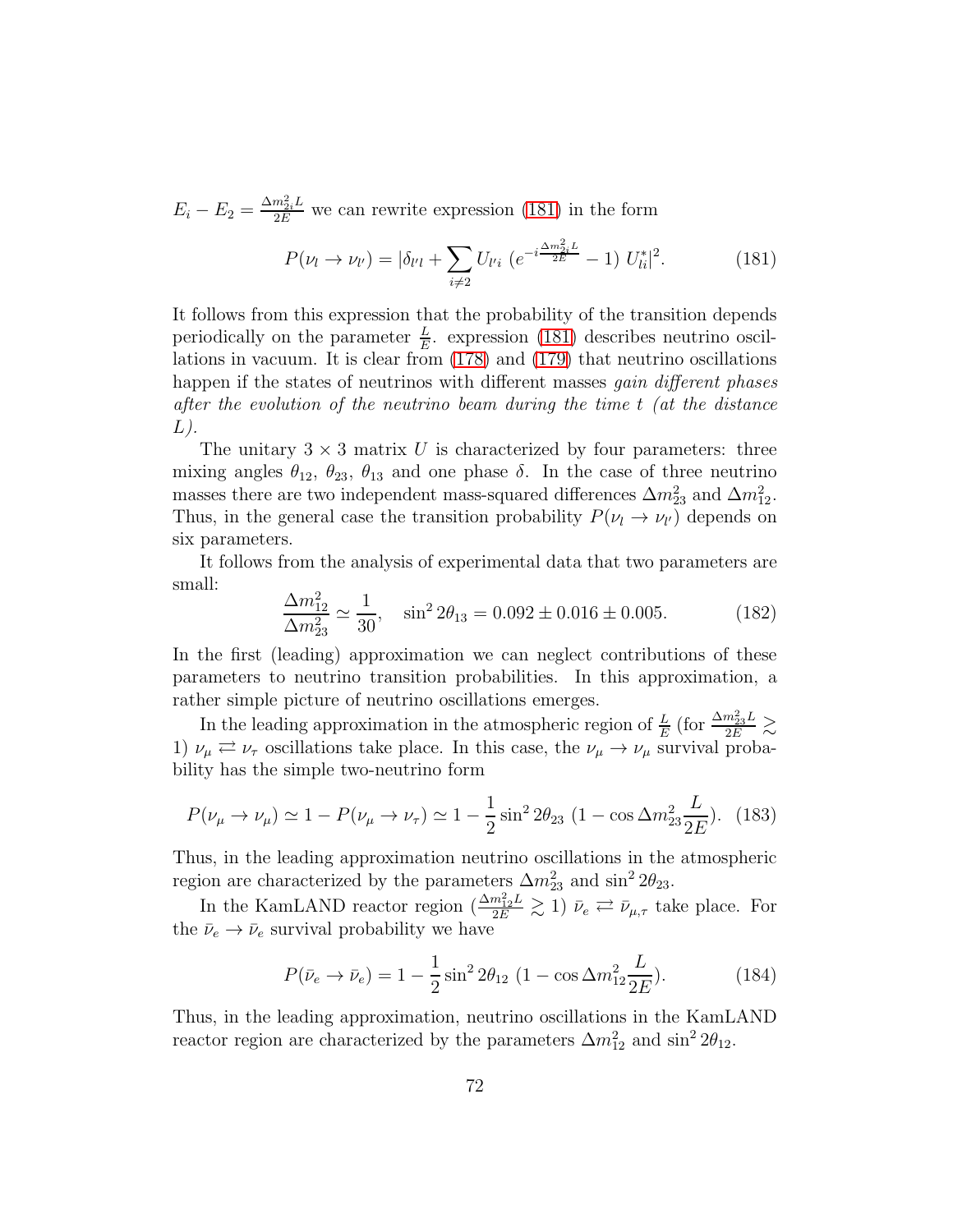$E_i - E_2 = \frac{\Delta m_{2i}^2 L}{2E}$  we can rewrite expression [\(181\)](#page-71-0) in the form

<span id="page-71-0"></span>
$$
P(\nu_l \to \nu_{l'}) = |\delta_{l'l} + \sum_{i \neq 2} U_{l'i} \ (e^{-i\frac{\Delta m_{2i}^2 L}{2E}} - 1) \ U_{li}^*|^2. \tag{181}
$$

It follows from this expression that the probability of the transition depends periodically on the parameter  $\frac{L}{E}$ . expression [\(181\)](#page-71-0) describes neutrino oscillations in vacuum. It is clear from [\(178\)](#page-70-1) and [\(179\)](#page-70-2) that neutrino oscillations happen if the states of neutrinos with different masses *gain different phases* after the evolution of the neutrino beam during the time t (at the distance  $L$ ).

The unitary  $3 \times 3$  matrix U is characterized by four parameters: three mixing angles  $\theta_{12}$ ,  $\theta_{23}$ ,  $\theta_{13}$  and one phase  $\delta$ . In the case of three neutrino masses there are two independent mass-squared differences  $\Delta m_{23}^2$  and  $\Delta m_{12}^2$ . Thus, in the general case the transition probability  $P(\nu_l \to \nu_{l'})$  depends on six parameters.

It follows from the analysis of experimental data that two parameters are small:

$$
\frac{\Delta m_{12}^2}{\Delta m_{23}^2} \simeq \frac{1}{30}, \quad \sin^2 2\theta_{13} = 0.092 \pm 0.016 \pm 0.005. \tag{182}
$$

In the first (leading) approximation we can neglect contributions of these parameters to neutrino transition probabilities. In this approximation, a rather simple picture of neutrino oscillations emerges.

In the leading approximation in the atmospheric region of  $\frac{L}{E}$  (for  $\frac{\Delta m_{23}^2 L}{2E}$ ) 1)  $\nu_{\mu} \rightleftarrows \nu_{\tau}$  oscillations take place. In this case, the  $\nu_{\mu} \rightarrow \nu_{\mu}$  survival probability has the simple two-neutrino form

$$
P(\nu_{\mu} \to \nu_{\mu}) \simeq 1 - P(\nu_{\mu} \to \nu_{\tau}) \simeq 1 - \frac{1}{2} \sin^2 2\theta_{23} \ (1 - \cos \Delta m_{23}^2 \frac{L}{2E}). \tag{183}
$$

Thus, in the leading approximation neutrino oscillations in the atmospheric region are characterized by the parameters  $\Delta m_{23}^2$  and  $\sin^2 2\theta_{23}$ .

In the KamLAND reactor region  $\left(\frac{\Delta m_{12}^2 L}{2E} \gtrsim 1\right) \bar{\nu}_e \rightleftarrows \bar{\nu}_{\mu,\tau}$  take place. For the  $\bar{\nu}_e \rightarrow \bar{\nu}_e$  survival probability we have

$$
P(\bar{\nu}_e \to \bar{\nu}_e) = 1 - \frac{1}{2}\sin^2 2\theta_{12} \ (1 - \cos \Delta m_{12}^2 \frac{L}{2E}). \tag{184}
$$

Thus, in the leading approximation, neutrino oscillations in the KamLAND reactor region are characterized by the parameters  $\Delta m_{12}^2$  and  $\sin^2 2\theta_{12}$ .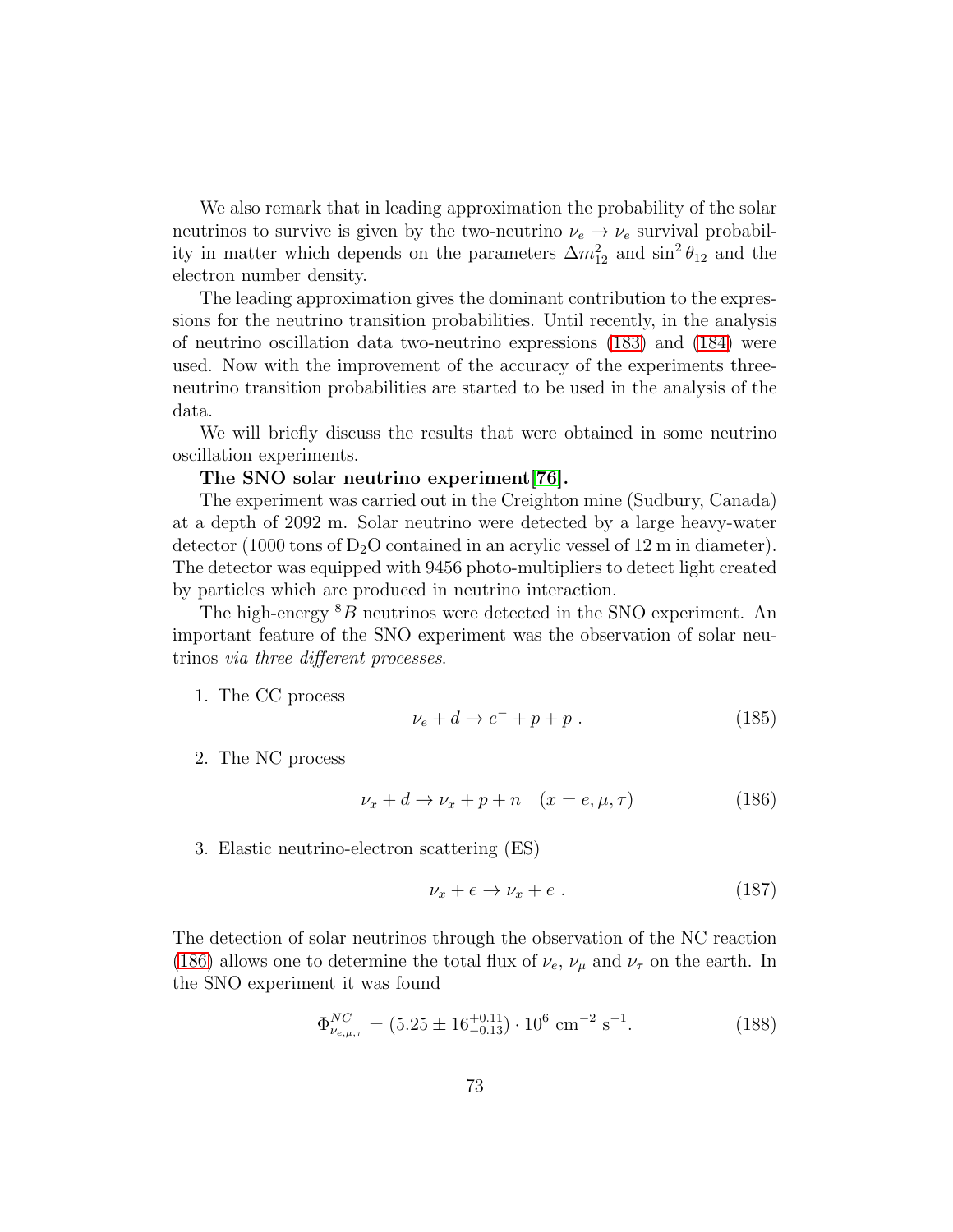We also remark that in leading approximation the probability of the solar neutrinos to survive is given by the two-neutrino  $\nu_e \to \nu_e$  survival probability in matter which depends on the parameters  $\Delta m_{12}^2$  and  $\sin^2 \theta_{12}$  and the electron number density.

The leading approximation gives the dominant contribution to the expressions for the neutrino transition probabilities. Until recently, in the analysis of neutrino oscillation data two-neutrino expressions [\(183\)](#page-71-0) and [\(184\)](#page-71-1) were used. Now with the improvement of the accuracy of the experiments threeneutrino transition probabilities are started to be used in the analysis of the data.

We will briefly discuss the results that were obtained in some neutrino oscillation experiments.

# The SNO solar neutrino experiment[\[76\]](#page-89-0).

The experiment was carried out in the Creighton mine (Sudbury, Canada) at a depth of 2092 m. Solar neutrino were detected by a large heavy-water detector (1000 tons of  $D_2O$  contained in an acrylic vessel of 12 m in diameter). The detector was equipped with 9456 photo-multipliers to detect light created by particles which are produced in neutrino interaction.

The high-energy  ${}^{8}B$  neutrinos were detected in the SNO experiment. An important feature of the SNO experiment was the observation of solar neutrinos via three different processes.

1. The CC process

<span id="page-72-1"></span>
$$
\nu_e + d \rightarrow e^- + p + p \tag{185}
$$

2. The NC process

<span id="page-72-0"></span>
$$
\nu_x + d \to \nu_x + p + n \quad (x = e, \mu, \tau) \tag{186}
$$

3. Elastic neutrino-electron scattering (ES)

$$
\nu_x + e \to \nu_x + e \ . \tag{187}
$$

The detection of solar neutrinos through the observation of the NC reaction [\(186\)](#page-72-0) allows one to determine the total flux of  $\nu_e$ ,  $\nu_\mu$  and  $\nu_\tau$  on the earth. In the SNO experiment it was found

$$
\Phi_{\nu_{e,\mu,\tau}}^{NC} = (5.25 \pm 16^{+0.11}_{-0.13}) \cdot 10^6 \text{ cm}^{-2} \text{ s}^{-1}.
$$
\n(188)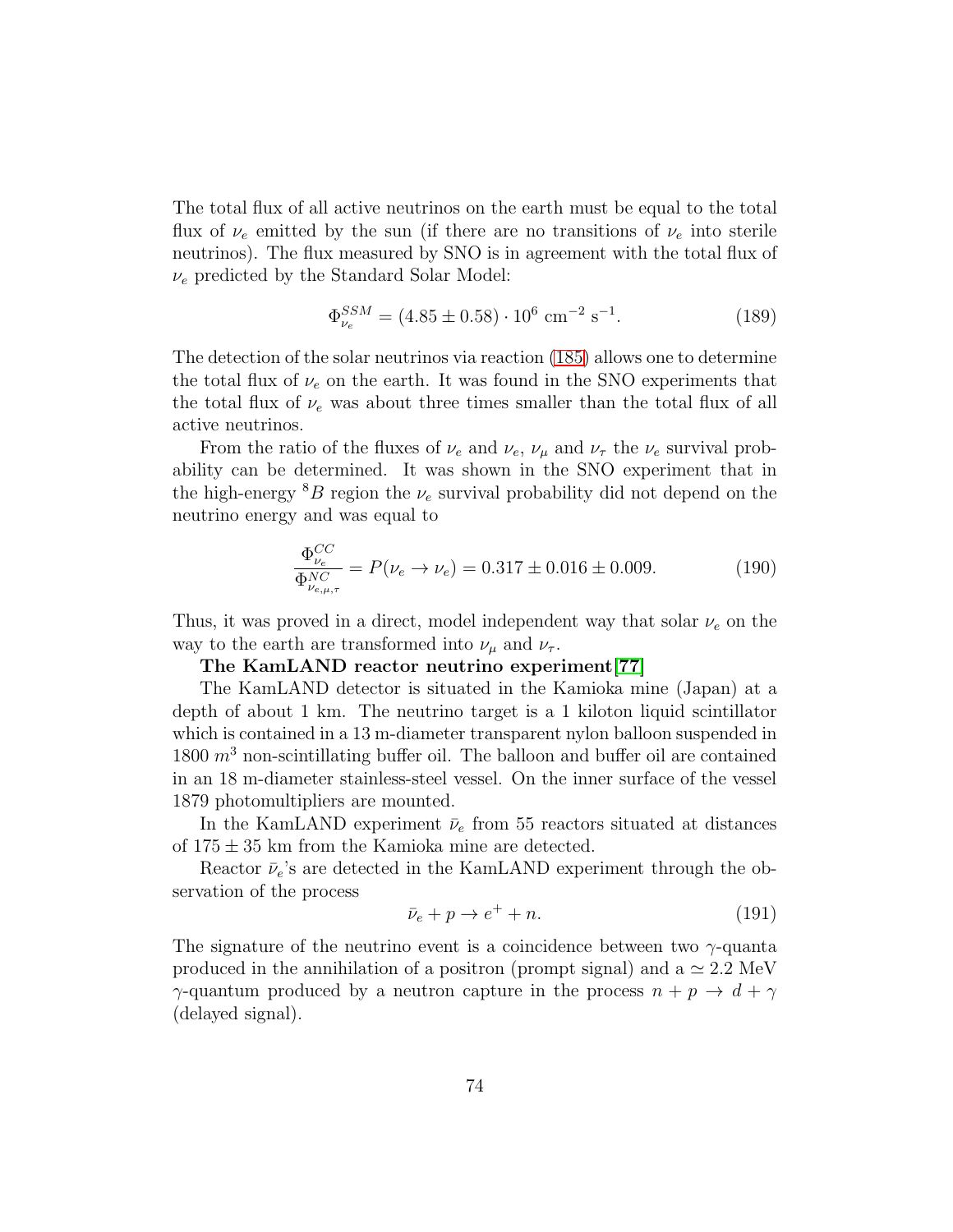The total flux of all active neutrinos on the earth must be equal to the total flux of  $\nu_e$  emitted by the sun (if there are no transitions of  $\nu_e$  into sterile neutrinos). The flux measured by SNO is in agreement with the total flux of  $\nu_e$  predicted by the Standard Solar Model:

$$
\Phi_{\nu_e}^{SSM} = (4.85 \pm 0.58) \cdot 10^6 \text{ cm}^{-2} \text{ s}^{-1}.
$$
\n(189)

The detection of the solar neutrinos via reaction [\(185\)](#page-72-1) allows one to determine the total flux of  $\nu_e$  on the earth. It was found in the SNO experiments that the total flux of  $\nu_e$  was about three times smaller than the total flux of all active neutrinos.

From the ratio of the fluxes of  $\nu_e$  and  $\nu_e$ ,  $\nu_\mu$  and  $\nu_\tau$  the  $\nu_e$  survival probability can be determined. It was shown in the SNO experiment that in the high-energy  ${}^8B$  region the  $\nu_e$  survival probability did not depend on the neutrino energy and was equal to

$$
\frac{\Phi_{\nu_e}^{CC}}{\Phi_{\nu_{e,\mu,\tau}}^{NC}} = P(\nu_e \to \nu_e) = 0.317 \pm 0.016 \pm 0.009.
$$
\n(190)

Thus, it was proved in a direct, model independent way that solar  $\nu_e$  on the way to the earth are transformed into  $\nu_{\mu}$  and  $\nu_{\tau}$ .

## The KamLAND reactor neutrino experiment[\[77\]](#page-89-1)

The KamLAND detector is situated in the Kamioka mine (Japan) at a depth of about 1 km. The neutrino target is a 1 kiloton liquid scintillator which is contained in a 13 m-diameter transparent nylon balloon suspended in 1800  $m<sup>3</sup>$  non-scintillating buffer oil. The balloon and buffer oil are contained in an 18 m-diameter stainless-steel vessel. On the inner surface of the vessel 1879 photomultipliers are mounted.

In the KamLAND experiment  $\bar{\nu}_e$  from 55 reactors situated at distances of  $175 \pm 35$  km from the Kamioka mine are detected.

Reactor  $\bar{\nu}_e$ 's are detected in the KamLAND experiment through the observation of the process

$$
\bar{\nu}_e + p \to e^+ + n. \tag{191}
$$

The signature of the neutrino event is a coincidence between two  $\gamma$ -quanta produced in the annihilation of a positron (prompt signal) and  $a \approx 2.2$  MeV  $\gamma$ -quantum produced by a neutron capture in the process  $n + p \rightarrow d + \gamma$ (delayed signal).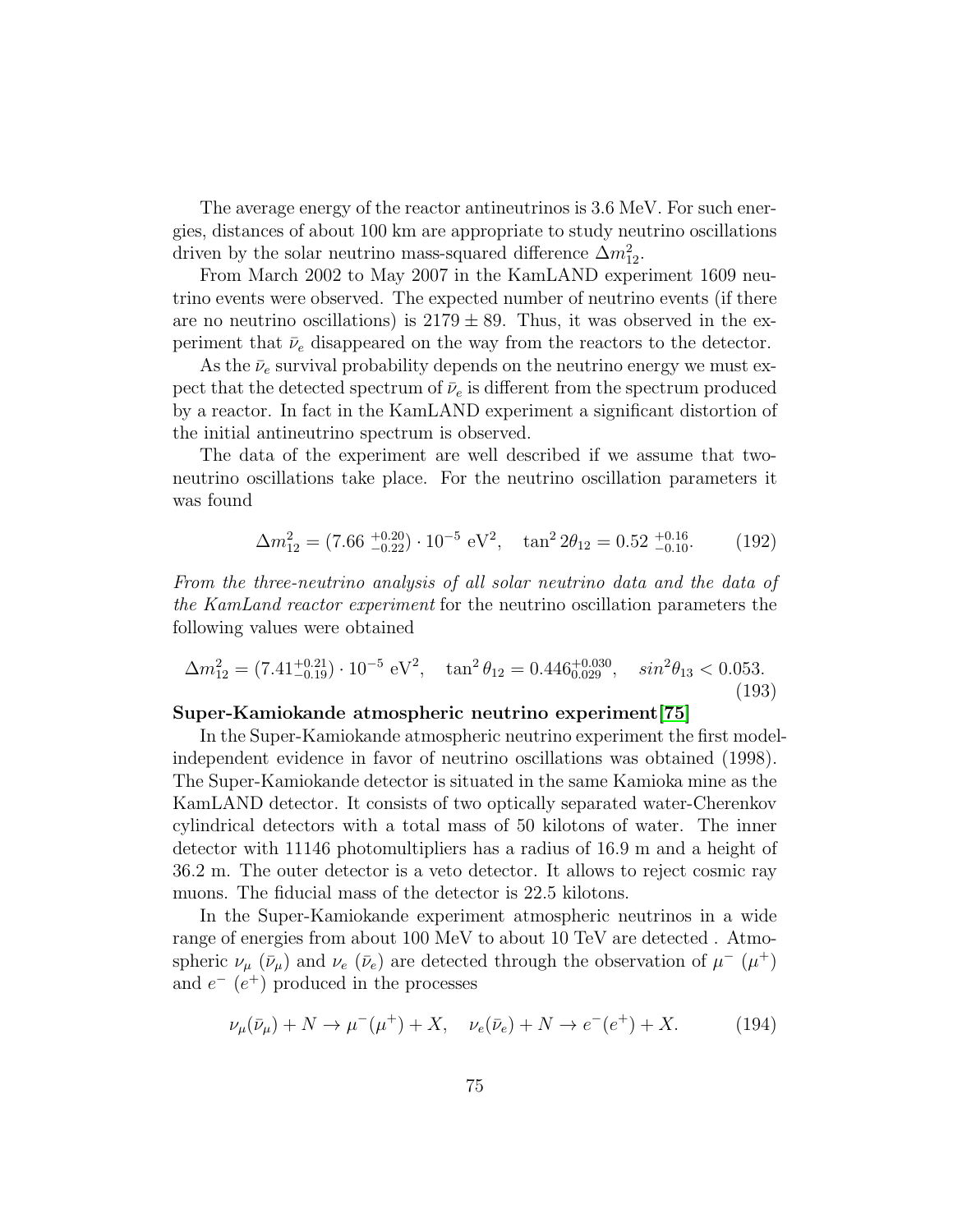The average energy of the reactor antineutrinos is 3.6 MeV. For such energies, distances of about 100 km are appropriate to study neutrino oscillations driven by the solar neutrino mass-squared difference  $\Delta m_{12}^2$ .

From March 2002 to May 2007 in the KamLAND experiment 1609 neutrino events were observed. The expected number of neutrino events (if there are no neutrino oscillations) is  $2179 \pm 89$ . Thus, it was observed in the experiment that  $\bar{\nu}_e$  disappeared on the way from the reactors to the detector.

As the  $\bar{\nu}_e$  survival probability depends on the neutrino energy we must expect that the detected spectrum of  $\bar{\nu}_e$  is different from the spectrum produced by a reactor. In fact in the KamLAND experiment a significant distortion of the initial antineutrino spectrum is observed.

The data of the experiment are well described if we assume that twoneutrino oscillations take place. For the neutrino oscillation parameters it was found

$$
\Delta m_{12}^2 = (7.66 \, \frac{^{+0.20}}{^{-0.22}}) \cdot 10^{-5} \, \text{eV}^2, \quad \tan^2 2\theta_{12} = 0.52 \, \frac{^{+0.16}}{^{-0.10}}. \tag{192}
$$

From the three-neutrino analysis of all solar neutrino data and the data of the KamLand reactor experiment for the neutrino oscillation parameters the following values were obtained

$$
\Delta m_{12}^2 = (7.41^{+0.21}_{-0.19}) \cdot 10^{-5} \text{ eV}^2, \quad \tan^2 \theta_{12} = 0.446^{+0.030}_{0.029}, \quad \sin^2 \theta_{13} < 0.053. \tag{193}
$$

# Super-Kamiokande atmospheric neutrino experiment[\[75\]](#page-89-2)

In the Super-Kamiokande atmospheric neutrino experiment the first modelindependent evidence in favor of neutrino oscillations was obtained (1998). The Super-Kamiokande detector is situated in the same Kamioka mine as the KamLAND detector. It consists of two optically separated water-Cherenkov cylindrical detectors with a total mass of 50 kilotons of water. The inner detector with 11146 photomultipliers has a radius of 16.9 m and a height of 36.2 m. The outer detector is a veto detector. It allows to reject cosmic ray muons. The fiducial mass of the detector is 22.5 kilotons.

In the Super-Kamiokande experiment atmospheric neutrinos in a wide range of energies from about 100 MeV to about 10 TeV are detected . Atmospheric  $\nu_{\mu}$  ( $\bar{\nu}_{\mu}$ ) and  $\nu_{e}$  ( $\bar{\nu}_{e}$ ) are detected through the observation of  $\mu^{-}$  ( $\mu^{+}$ ) and  $e^-$  ( $e^+$ ) produced in the processes

<span id="page-74-0"></span>
$$
\nu_{\mu}(\bar{\nu}_{\mu}) + N \to \mu^{-}(\mu^{+}) + X, \quad \nu_{e}(\bar{\nu}_{e}) + N \to e^{-}(e^{+}) + X. \tag{194}
$$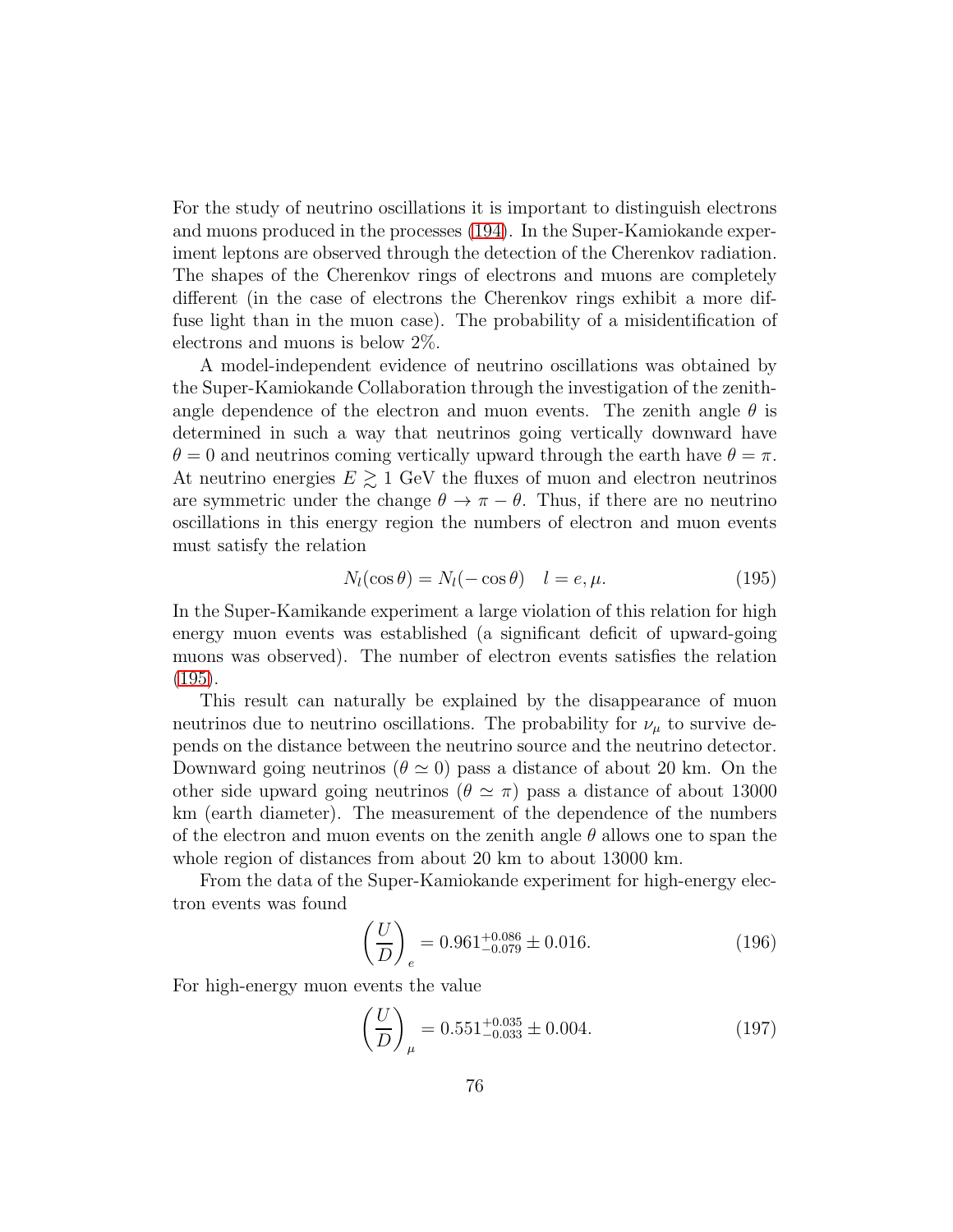For the study of neutrino oscillations it is important to distinguish electrons and muons produced in the processes [\(194\)](#page-74-0). In the Super-Kamiokande experiment leptons are observed through the detection of the Cherenkov radiation. The shapes of the Cherenkov rings of electrons and muons are completely different (in the case of electrons the Cherenkov rings exhibit a more diffuse light than in the muon case). The probability of a misidentification of electrons and muons is below 2%.

A model-independent evidence of neutrino oscillations was obtained by the Super-Kamiokande Collaboration through the investigation of the zenithangle dependence of the electron and muon events. The zenith angle  $\theta$  is determined in such a way that neutrinos going vertically downward have  $\theta = 0$  and neutrinos coming vertically upward through the earth have  $\theta = \pi$ . At neutrino energies  $E \geq 1$  GeV the fluxes of muon and electron neutrinos are symmetric under the change  $\theta \to \pi - \theta$ . Thus, if there are no neutrino oscillations in this energy region the numbers of electron and muon events must satisfy the relation

<span id="page-75-0"></span>
$$
N_l(\cos \theta) = N_l(-\cos \theta) \quad l = e, \mu. \tag{195}
$$

In the Super-Kamikande experiment a large violation of this relation for high energy muon events was established (a significant deficit of upward-going muons was observed). The number of electron events satisfies the relation [\(195\)](#page-75-0).

This result can naturally be explained by the disappearance of muon neutrinos due to neutrino oscillations. The probability for  $\nu_{\mu}$  to survive depends on the distance between the neutrino source and the neutrino detector. Downward going neutrinos ( $\theta \simeq 0$ ) pass a distance of about 20 km. On the other side upward going neutrinos ( $\theta \simeq \pi$ ) pass a distance of about 13000 km (earth diameter). The measurement of the dependence of the numbers of the electron and muon events on the zenith angle  $\theta$  allows one to span the whole region of distances from about 20 km to about 13000 km.

From the data of the Super-Kamiokande experiment for high-energy electron events was found

$$
\left(\frac{U}{D}\right)_e = 0.961^{+0.086}_{-0.079} \pm 0.016. \tag{196}
$$

For high-energy muon events the value

$$
\left(\frac{U}{D}\right)_{\mu} = 0.551^{+0.035}_{-0.033} \pm 0.004. \tag{197}
$$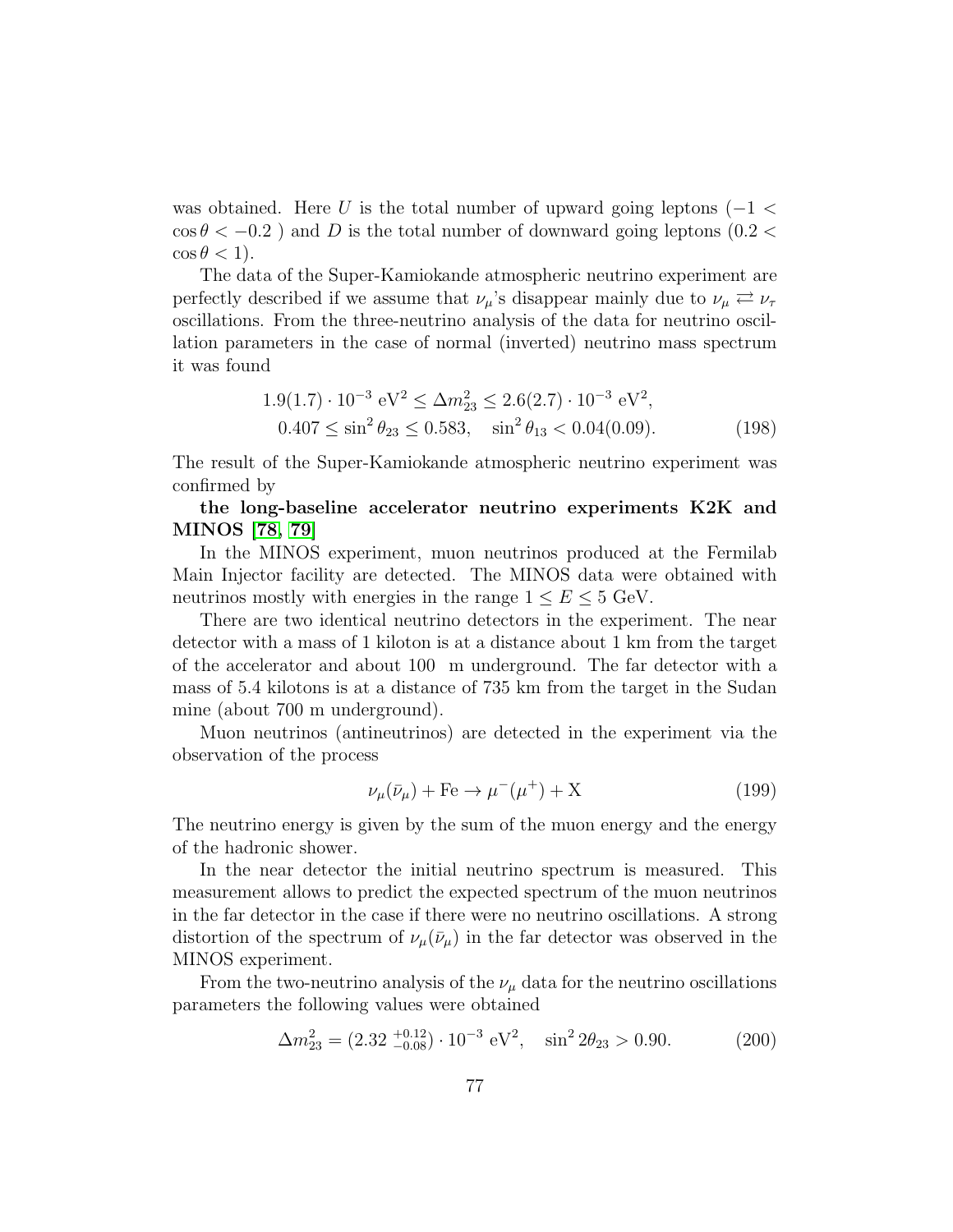was obtained. Here U is the total number of upward going leptons  $(-1 <$  $\cos \theta < -0.2$ ) and D is the total number of downward going leptons (0.2 <  $\cos \theta < 1$ ).

The data of the Super-Kamiokande atmospheric neutrino experiment are perfectly described if we assume that  $\nu_\mu$ 's disappear mainly due to  $\nu_\mu \rightleftarrows \nu_\tau$ oscillations. From the three-neutrino analysis of the data for neutrino oscillation parameters in the case of normal (inverted) neutrino mass spectrum it was found

$$
1.9(1.7) \cdot 10^{-3} \text{ eV}^2 \le \Delta m_{23}^2 \le 2.6(2.7) \cdot 10^{-3} \text{ eV}^2,
$$
  
 
$$
0.407 \le \sin^2 \theta_{23} \le 0.583, \quad \sin^2 \theta_{13} < 0.04(0.09).
$$
 (198)

The result of the Super-Kamiokande atmospheric neutrino experiment was confirmed by

# the long-baseline accelerator neutrino experiments K2K and MINOS [\[78,](#page-89-3) [79\]](#page-89-4)

In the MINOS experiment, muon neutrinos produced at the Fermilab Main Injector facility are detected. The MINOS data were obtained with neutrinos mostly with energies in the range  $1 \le E \le 5$  GeV.

There are two identical neutrino detectors in the experiment. The near detector with a mass of 1 kiloton is at a distance about 1 km from the target of the accelerator and about 100 m underground. The far detector with a mass of 5.4 kilotons is at a distance of 735 km from the target in the Sudan mine (about 700 m underground).

Muon neutrinos (antineutrinos) are detected in the experiment via the observation of the process

$$
\nu_{\mu}(\bar{\nu}_{\mu}) + \text{Fe} \rightarrow \mu^{-}(\mu^{+}) + \text{X}
$$
\n(199)

The neutrino energy is given by the sum of the muon energy and the energy of the hadronic shower.

In the near detector the initial neutrino spectrum is measured. This measurement allows to predict the expected spectrum of the muon neutrinos in the far detector in the case if there were no neutrino oscillations. A strong distortion of the spectrum of  $\nu_{\mu}(\bar{\nu}_{\mu})$  in the far detector was observed in the MINOS experiment.

From the two-neutrino analysis of the  $\nu_{\mu}$  data for the neutrino oscillations parameters the following values were obtained

$$
\Delta m_{23}^2 = (2.32 \, \frac{^{+0.12}}{^{-0.08}}) \cdot 10^{-3} \, \text{eV}^2, \quad \sin^2 2\theta_{23} > 0.90. \tag{200}
$$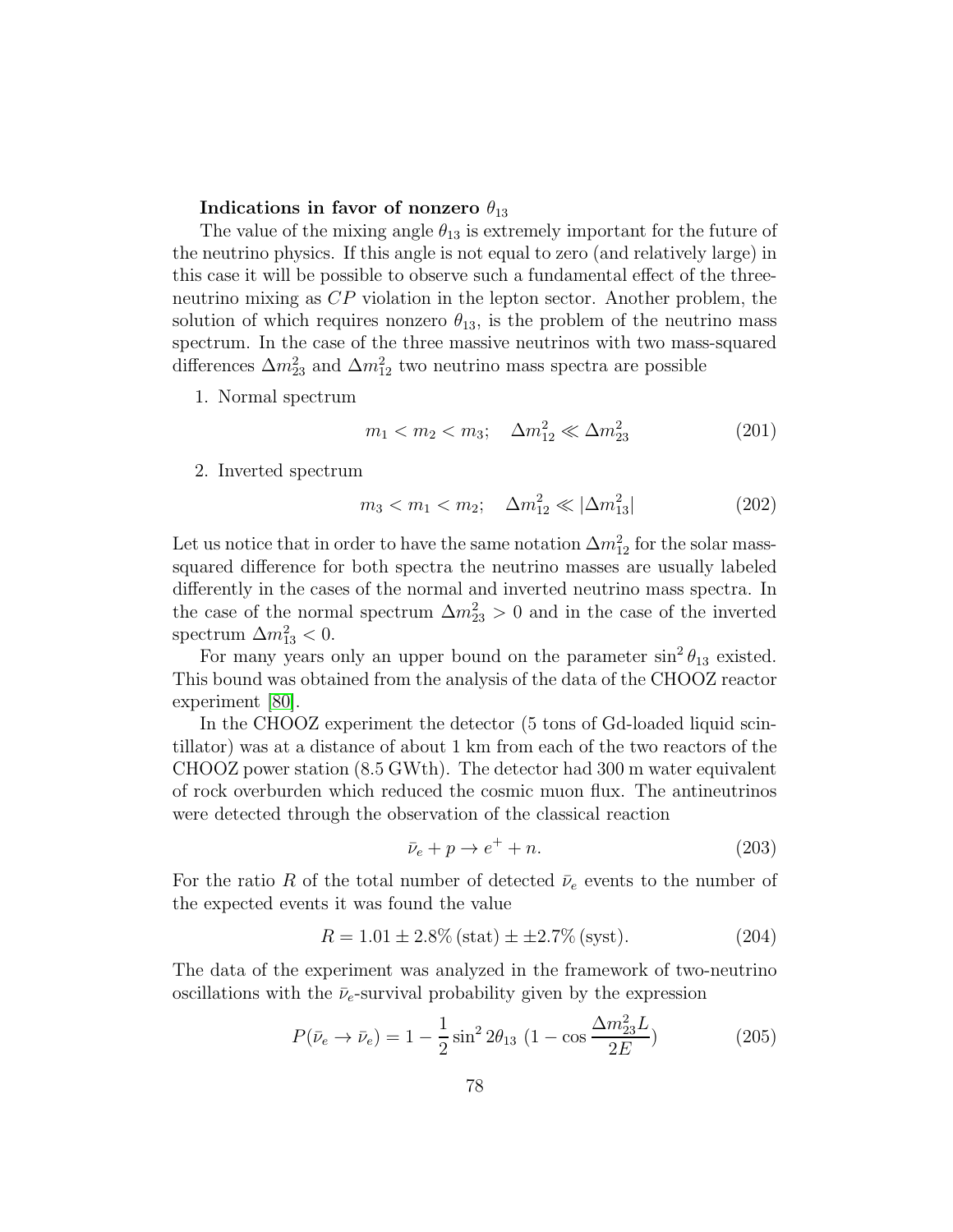## Indications in favor of nonzero  $\theta_{13}$

The value of the mixing angle  $\theta_{13}$  is extremely important for the future of the neutrino physics. If this angle is not equal to zero (and relatively large) in this case it will be possible to observe such a fundamental effect of the threeneutrino mixing as CP violation in the lepton sector. Another problem, the solution of which requires nonzero  $\theta_{13}$ , is the problem of the neutrino mass spectrum. In the case of the three massive neutrinos with two mass-squared differences  $\Delta m_{23}^2$  and  $\Delta m_{12}^2$  two neutrino mass spectra are possible

1. Normal spectrum

$$
m_1 < m_2 < m_3; \quad \Delta m_{12}^2 \ll \Delta m_{23}^2 \tag{201}
$$

2. Inverted spectrum

$$
m_3 < m_1 < m_2; \quad \Delta m_{12}^2 \ll |\Delta m_{13}^2| \tag{202}
$$

Let us notice that in order to have the same notation  $\Delta m_{12}^2$  for the solar masssquared difference for both spectra the neutrino masses are usually labeled differently in the cases of the normal and inverted neutrino mass spectra. In the case of the normal spectrum  $\Delta m_{23}^2 > 0$  and in the case of the inverted spectrum  $\Delta m_{13}^2 < 0$ .

For many years only an upper bound on the parameter  $\sin^2 \theta_{13}$  existed. This bound was obtained from the analysis of the data of the CHOOZ reactor experiment [\[80\]](#page-90-0).

In the CHOOZ experiment the detector (5 tons of Gd-loaded liquid scintillator) was at a distance of about 1 km from each of the two reactors of the CHOOZ power station (8.5 GWth). The detector had 300 m water equivalent of rock overburden which reduced the cosmic muon flux. The antineutrinos were detected through the observation of the classical reaction

$$
\bar{\nu}_e + p \to e^+ + n. \tag{203}
$$

For the ratio R of the total number of detected  $\bar{\nu}_e$  events to the number of the expected events it was found the value

$$
R = 1.01 \pm 2.8\% \text{ (stat)} \pm \pm 2.7\% \text{ (syst)}.
$$
 (204)

The data of the experiment was analyzed in the framework of two-neutrino oscillations with the  $\bar{\nu}_e$ -survival probability given by the expression

$$
P(\bar{\nu}_e \to \bar{\nu}_e) = 1 - \frac{1}{2}\sin^2 2\theta_{13} \left(1 - \cos \frac{\Delta m_{23}^2 L}{2E}\right)
$$
 (205)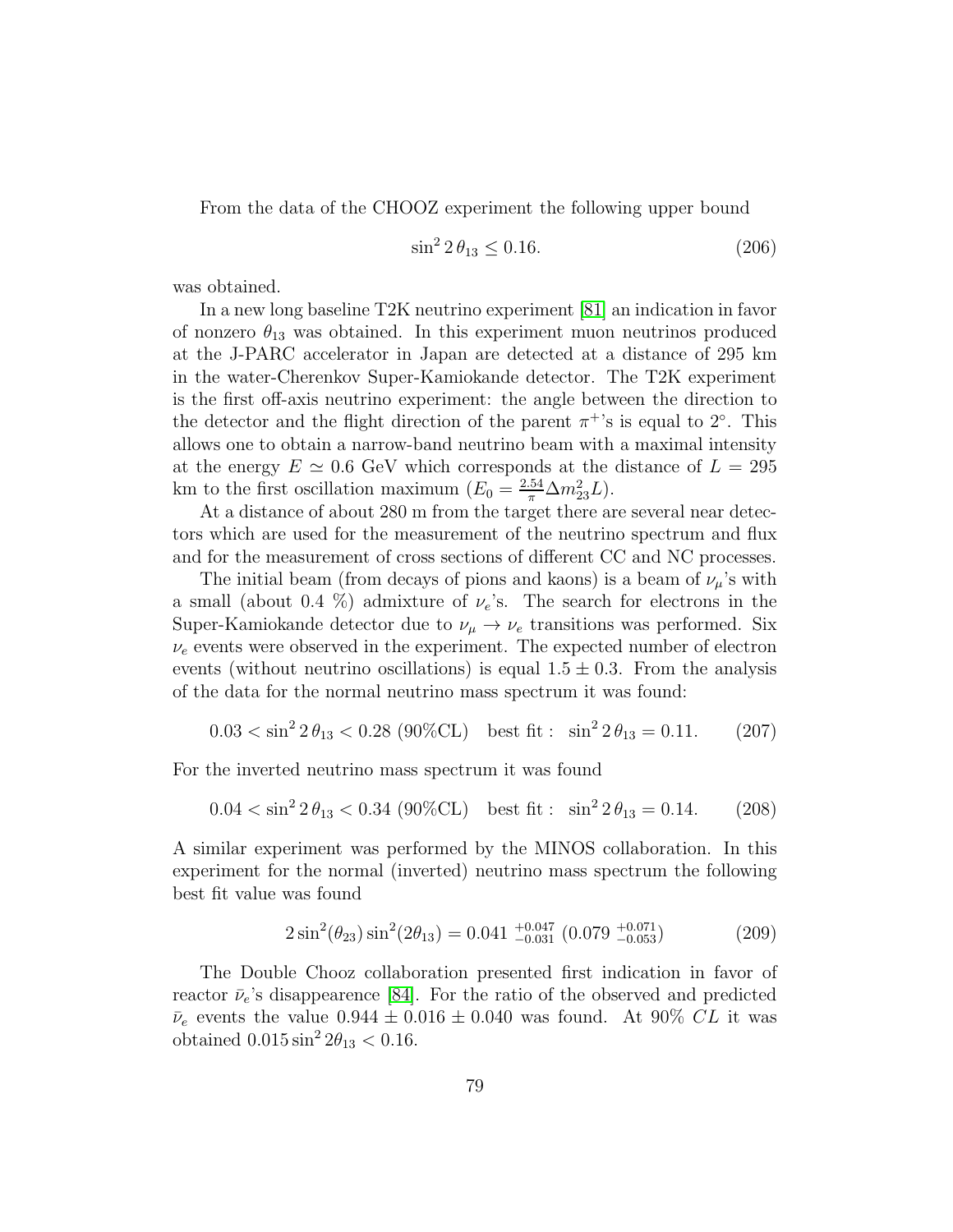From the data of the CHOOZ experiment the following upper bound

$$
\sin^2 2\,\theta_{13} \le 0.16. \tag{206}
$$

was obtained.

In a new long baseline T2K neutrino experiment [\[81\]](#page-90-1) an indication in favor of nonzero  $\theta_{13}$  was obtained. In this experiment muon neutrinos produced at the J-PARC accelerator in Japan are detected at a distance of 295 km in the water-Cherenkov Super-Kamiokande detector. The T2K experiment is the first off-axis neutrino experiment: the angle between the direction to the detector and the flight direction of the parent  $\pi^+$ 's is equal to 2°. This allows one to obtain a narrow-band neutrino beam with a maximal intensity at the energy  $E \simeq 0.6$  GeV which corresponds at the distance of  $L = 295$ km to the first oscillation maximum  $(E_0 = \frac{2.54}{\pi} \Delta m_{23}^2 L)$ .

At a distance of about 280 m from the target there are several near detectors which are used for the measurement of the neutrino spectrum and flux and for the measurement of cross sections of different CC and NC processes.

The initial beam (from decays of pions and kaons) is a beam of  $\nu_\mu$ 's with a small (about 0.4 %) admixture of  $\nu_e$ 's. The search for electrons in the Super-Kamiokande detector due to  $\nu_{\mu} \rightarrow \nu_{e}$  transitions was performed. Six  $\nu_e$  events were observed in the experiment. The expected number of electron events (without neutrino oscillations) is equal  $1.5 \pm 0.3$ . From the analysis of the data for the normal neutrino mass spectrum it was found:

$$
0.03 < \sin^2 2\theta_{13} < 0.28 \ (90\% \text{CL}) \quad \text{best fit}: \ \sin^2 2\theta_{13} = 0.11. \tag{207}
$$

For the inverted neutrino mass spectrum it was found

$$
0.04 < \sin^2 2\theta_{13} < 0.34 \ (90\% \text{CL}) \quad \text{best fit}: \ \sin^2 2\theta_{13} = 0.14. \tag{208}
$$

A similar experiment was performed by the MINOS collaboration. In this experiment for the normal (inverted) neutrino mass spectrum the following best fit value was found

$$
2\sin^2(\theta_{23})\sin^2(2\theta_{13}) = 0.041 \, \, ^{+0.047}_{-0.031} \, (0.079 \, \, ^{+0.071}_{-0.053}) \tag{209}
$$

The Double Chooz collaboration presented first indication in favor of reactor  $\bar{\nu}_e$ 's disappearence [\[84\]](#page-90-2). For the ratio of the observed and predicted  $\bar{\nu}_e$  events the value  $0.944 \pm 0.016 \pm 0.040$  was found. At 90% CL it was obtained  $0.015 \sin^2 2\theta_{13} < 0.16$ .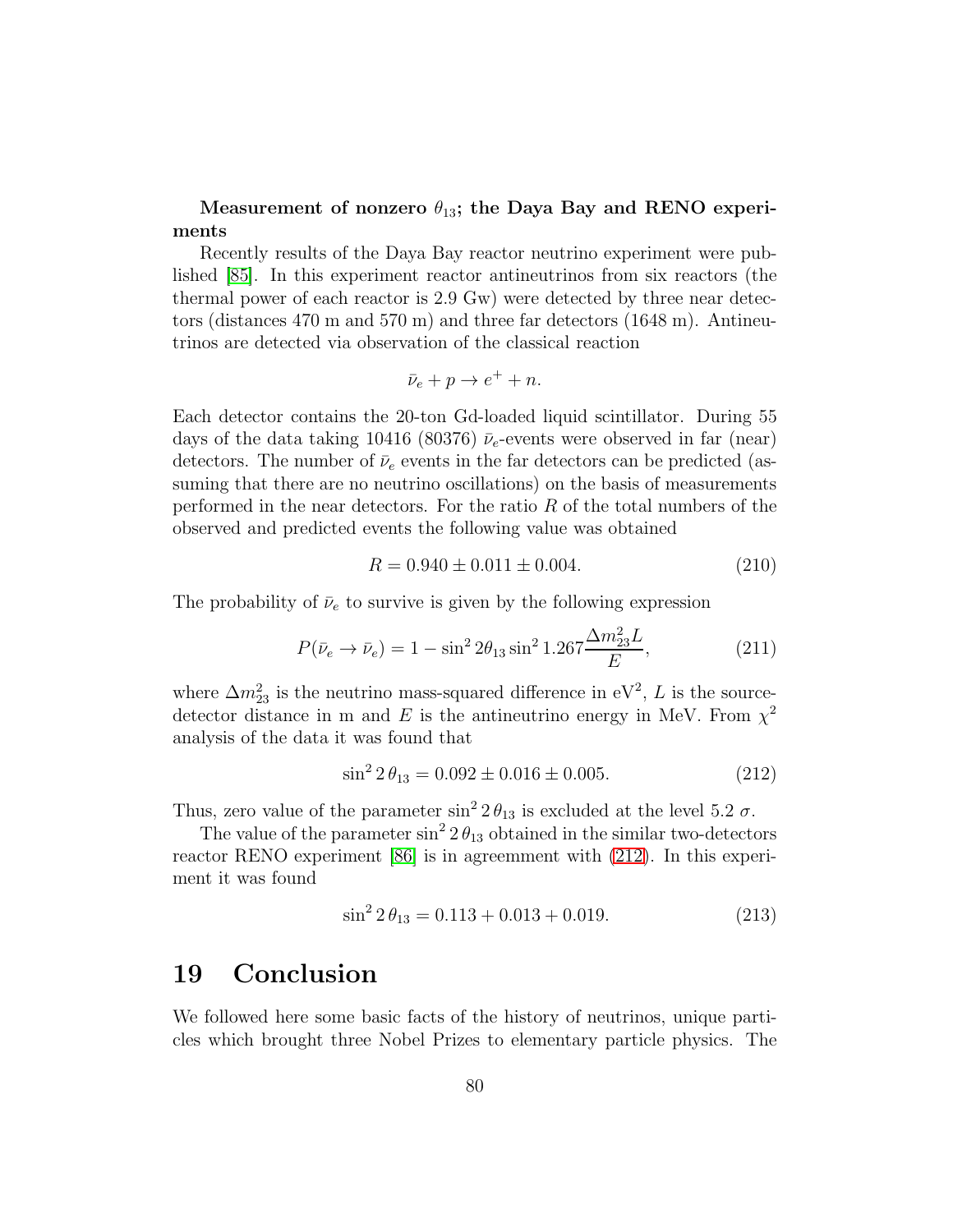# Measurement of nonzero  $\theta_{13}$ ; the Daya Bay and RENO experiments

Recently results of the Daya Bay reactor neutrino experiment were published [\[85\]](#page-90-3). In this experiment reactor antineutrinos from six reactors (the thermal power of each reactor is 2.9 Gw) were detected by three near detectors (distances 470 m and 570 m) and three far detectors (1648 m). Antineutrinos are detected via observation of the classical reaction

$$
\bar{\nu}_e + p \to e^+ + n.
$$

Each detector contains the 20-ton Gd-loaded liquid scintillator. During 55 days of the data taking 10416 (80376)  $\bar{\nu}_e$ -events were observed in far (near) detectors. The number of  $\bar{\nu}_e$  events in the far detectors can be predicted (assuming that there are no neutrino oscillations) on the basis of measurements performed in the near detectors. For the ratio  $R$  of the total numbers of the observed and predicted events the following value was obtained

$$
R = 0.940 \pm 0.011 \pm 0.004. \tag{210}
$$

The probability of  $\bar{\nu}_e$  to survive is given by the following expression

$$
P(\bar{\nu}_e \to \bar{\nu}_e) = 1 - \sin^2 2\theta_{13} \sin^2 1.267 \frac{\Delta m_{23}^2 L}{E},
$$
\n(211)

where  $\Delta m_{23}^2$  is the neutrino mass-squared difference in eV<sup>2</sup>, L is the sourcedetector distance in m and E is the antineutrino energy in MeV. From  $\chi^2$ analysis of the data it was found that

<span id="page-79-0"></span>
$$
\sin^2 2\,\theta_{13} = 0.092 \pm 0.016 \pm 0.005. \tag{212}
$$

Thus, zero value of the parameter  $\sin^2 2\theta_{13}$  is excluded at the level 5.2  $\sigma$ .

The value of the parameter  $\sin^2 2\theta_{13}$  obtained in the similar two-detectors reactor RENO experiment [\[86\]](#page-90-4) is in agreemment with [\(212\)](#page-79-0). In this experiment it was found

$$
\sin^2 2\theta_{13} = 0.113 + 0.013 + 0.019. \tag{213}
$$

# 19 Conclusion

We followed here some basic facts of the history of neutrinos, unique particles which brought three Nobel Prizes to elementary particle physics. The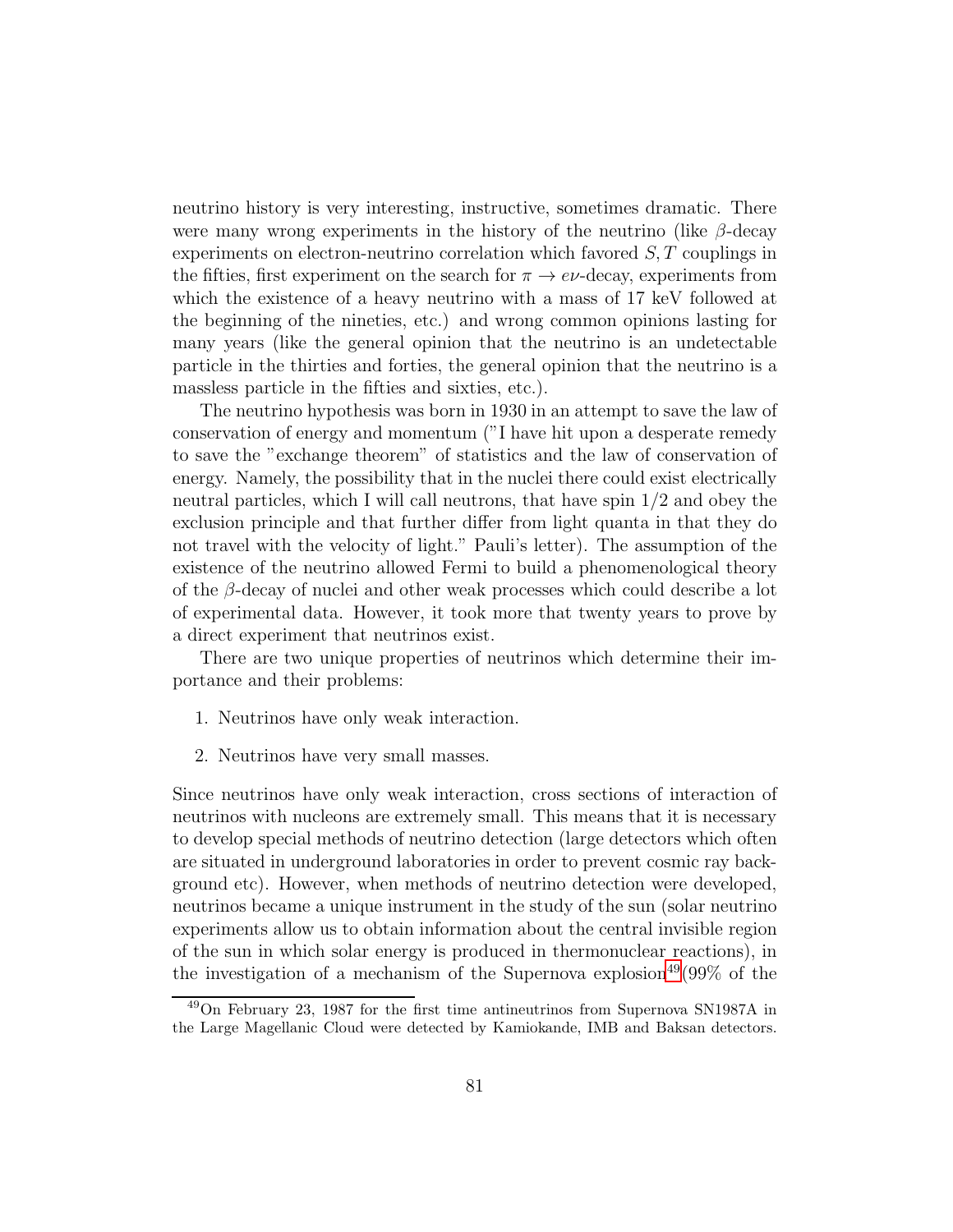neutrino history is very interesting, instructive, sometimes dramatic. There were many wrong experiments in the history of the neutrino (like  $\beta$ -decay experiments on electron-neutrino correlation which favored  $S, T$  couplings in the fifties, first experiment on the search for  $\pi \to e\nu$ -decay, experiments from which the existence of a heavy neutrino with a mass of 17 keV followed at the beginning of the nineties, etc.) and wrong common opinions lasting for many years (like the general opinion that the neutrino is an undetectable particle in the thirties and forties, the general opinion that the neutrino is a massless particle in the fifties and sixties, etc.).

The neutrino hypothesis was born in 1930 in an attempt to save the law of conservation of energy and momentum ("I have hit upon a desperate remedy to save the "exchange theorem" of statistics and the law of conservation of energy. Namely, the possibility that in the nuclei there could exist electrically neutral particles, which I will call neutrons, that have spin 1/2 and obey the exclusion principle and that further differ from light quanta in that they do not travel with the velocity of light." Pauli's letter). The assumption of the existence of the neutrino allowed Fermi to build a phenomenological theory of the β-decay of nuclei and other weak processes which could describe a lot of experimental data. However, it took more that twenty years to prove by a direct experiment that neutrinos exist.

There are two unique properties of neutrinos which determine their importance and their problems:

- 1. Neutrinos have only weak interaction.
- 2. Neutrinos have very small masses.

Since neutrinos have only weak interaction, cross sections of interaction of neutrinos with nucleons are extremely small. This means that it is necessary to develop special methods of neutrino detection (large detectors which often are situated in underground laboratories in order to prevent cosmic ray background etc). However, when methods of neutrino detection were developed, neutrinos became a unique instrument in the study of the sun (solar neutrino experiments allow us to obtain information about the central invisible region of the sun in which solar energy is produced in thermonuclear reactions), in the investigation of a mechanism of the Supernova explosion<sup>[49](#page-80-0)</sup> $(99\%$  of the

<span id="page-80-0"></span><sup>49</sup>On February 23, 1987 for the first time antineutrinos from Supernova SN1987A in the Large Magellanic Cloud were detected by Kamiokande, IMB and Baksan detectors.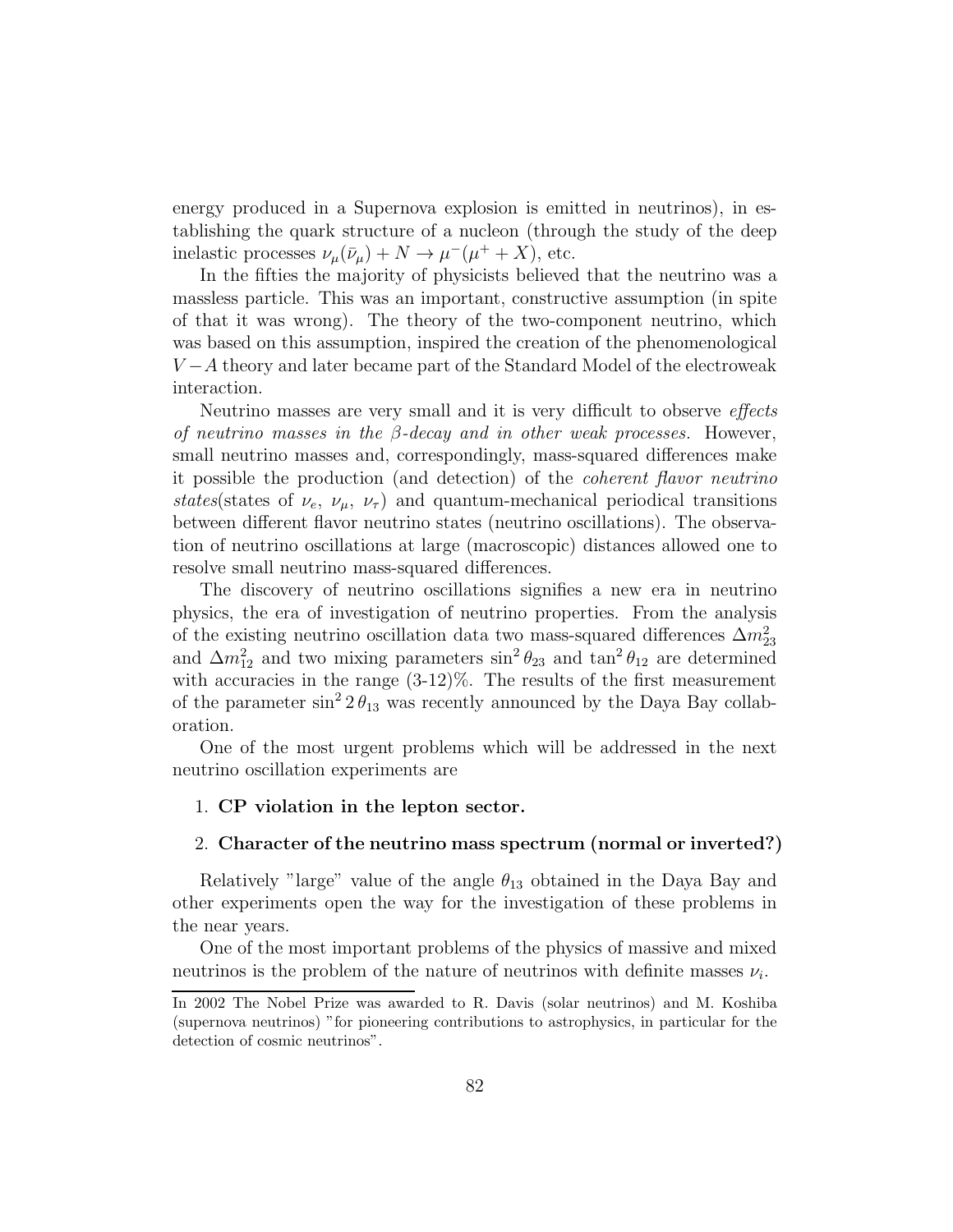energy produced in a Supernova explosion is emitted in neutrinos), in establishing the quark structure of a nucleon (through the study of the deep inelastic processes  $\nu_{\mu}(\bar{\nu}_{\mu}) + N \rightarrow \mu^{-}(\mu^{+} + X)$ , etc.

In the fifties the majority of physicists believed that the neutrino was a massless particle. This was an important, constructive assumption (in spite of that it was wrong). The theory of the two-component neutrino, which was based on this assumption, inspired the creation of the phenomenological  $V - A$  theory and later became part of the Standard Model of the electroweak interaction.

Neutrino masses are very small and it is very difficult to observe effects of neutrino masses in the  $\beta$ -decay and in other weak processes. However, small neutrino masses and, correspondingly, mass-squared differences make it possible the production (and detection) of the coherent flavor neutrino states of  $\nu_e$ ,  $\nu_\mu$ ,  $\nu_\tau$ ) and quantum-mechanical periodical transitions between different flavor neutrino states (neutrino oscillations). The observation of neutrino oscillations at large (macroscopic) distances allowed one to resolve small neutrino mass-squared differences.

The discovery of neutrino oscillations signifies a new era in neutrino physics, the era of investigation of neutrino properties. From the analysis of the existing neutrino oscillation data two mass-squared differences  $\Delta m^2_{23}$ and  $\Delta m_{12}^2$  and two mixing parameters  $\sin^2 \theta_{23}$  and  $\tan^2 \theta_{12}$  are determined with accuracies in the range  $(3-12)\%$ . The results of the first measurement of the parameter  $\sin^2 2\theta_{13}$  was recently announced by the Daya Bay collaboration.

One of the most urgent problems which will be addressed in the next neutrino oscillation experiments are

#### 1. CP violation in the lepton sector.

## 2. Character of the neutrino mass spectrum (normal or inverted?)

Relatively "large" value of the angle  $\theta_{13}$  obtained in the Daya Bay and other experiments open the way for the investigation of these problems in the near years.

One of the most important problems of the physics of massive and mixed neutrinos is the problem of the nature of neutrinos with definite masses  $\nu_i$ .

In 2002 The Nobel Prize was awarded to R. Davis (solar neutrinos) and M. Koshiba (supernova neutrinos) "for pioneering contributions to astrophysics, in particular for the detection of cosmic neutrinos".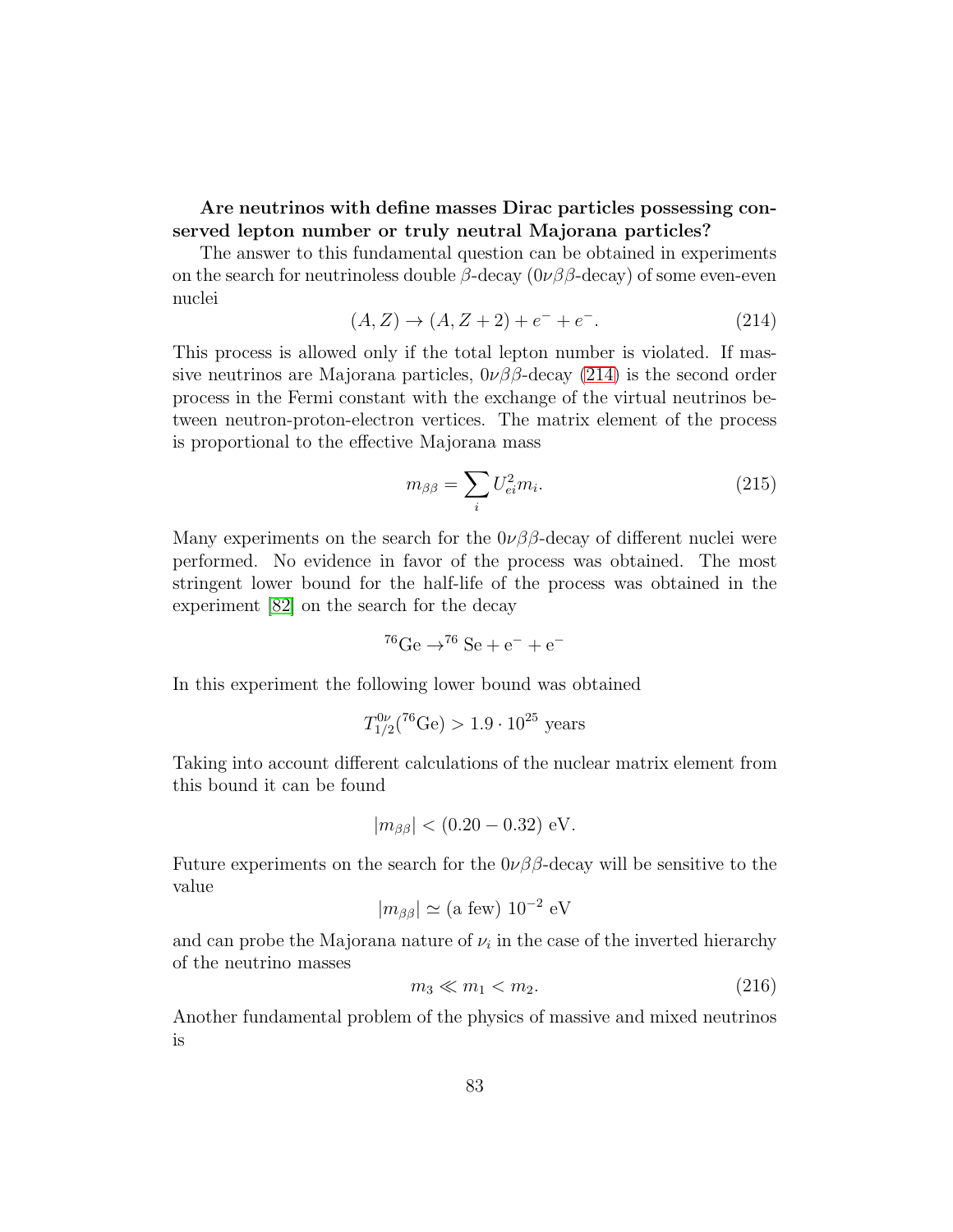# Are neutrinos with define masses Dirac particles possessing conserved lepton number or truly neutral Majorana particles?

The answer to this fundamental question can be obtained in experiments on the search for neutrinoless double  $\beta$ -decay ( $0\nu\beta\beta$ -decay) of some even-even nuclei

<span id="page-82-0"></span>
$$
(A, Z) \to (A, Z + 2) + e^- + e^-. \tag{214}
$$

This process is allowed only if the total lepton number is violated. If massive neutrinos are Majorana particles,  $0\nu\beta\beta$ -decay [\(214\)](#page-82-0) is the second order process in the Fermi constant with the exchange of the virtual neutrinos between neutron-proton-electron vertices. The matrix element of the process is proportional to the effective Majorana mass

$$
m_{\beta\beta} = \sum_{i} U_{ei}^2 m_i. \tag{215}
$$

Many experiments on the search for the  $0\nu\beta\beta$ -decay of different nuclei were performed. No evidence in favor of the process was obtained. The most stringent lower bound for the half-life of the process was obtained in the experiment [\[82\]](#page-90-5) on the search for the decay

$$
^{76}Ge \rightarrow ^{76}Se + e^- + e^-
$$

In this experiment the following lower bound was obtained

$$
T_{1/2}^{0\nu}({}^{76}\text{Ge}) > 1.9 \cdot 10^{25} \text{ years}
$$

Taking into account different calculations of the nuclear matrix element from this bound it can be found

$$
|m_{\beta\beta}| < (0.20 - 0.32) \text{ eV}.
$$

Future experiments on the search for the  $0\nu\beta\beta$ -decay will be sensitive to the value

$$
|m_{\beta\beta}| \simeq (\text{a few}) \; 10^{-2} \; \text{eV}
$$

and can probe the Majorana nature of  $\nu_i$  in the case of the inverted hierarchy of the neutrino masses

<span id="page-82-1"></span>
$$
m_3 \ll m_1 < m_2. \tag{216}
$$

Another fundamental problem of the physics of massive and mixed neutrinos is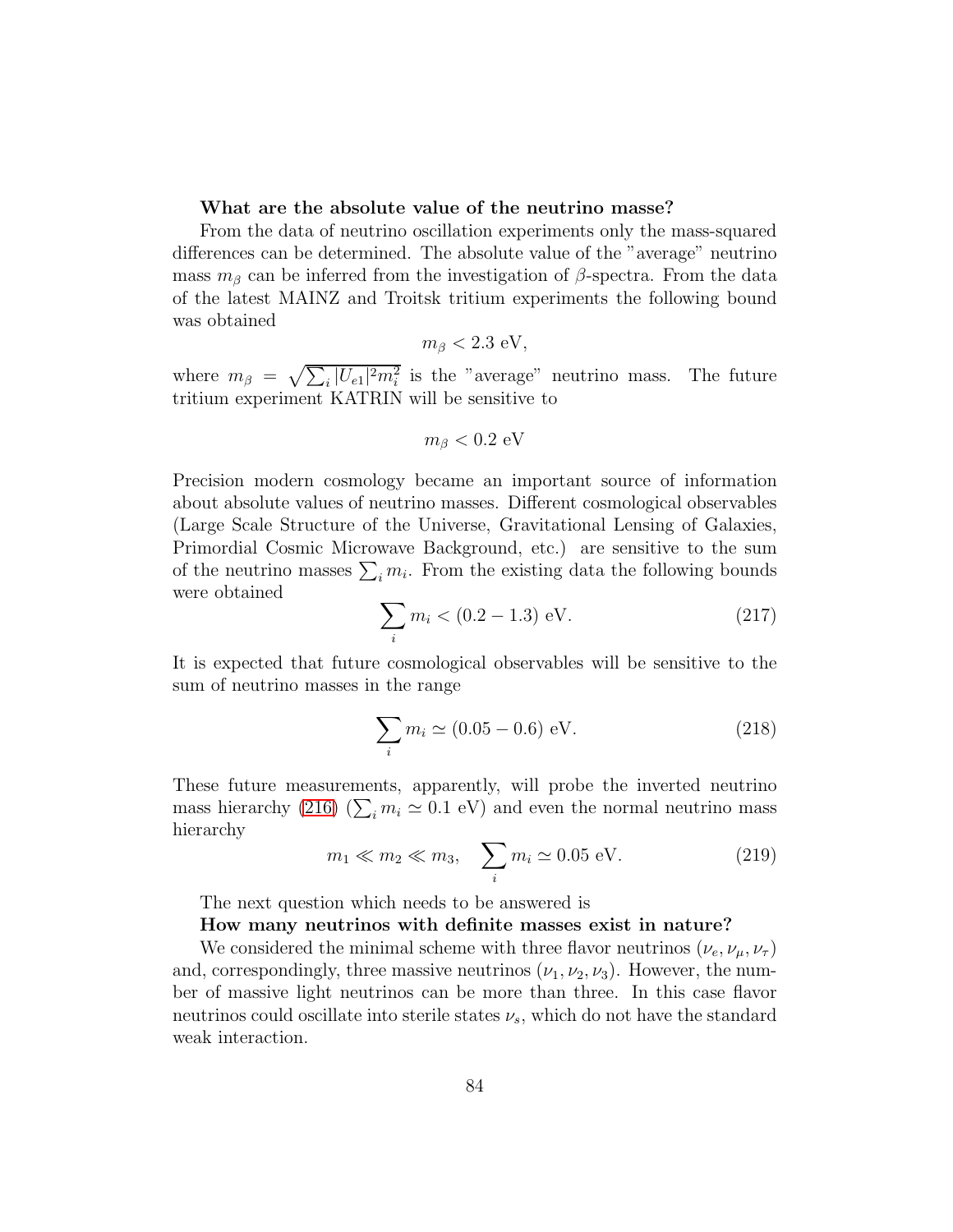## What are the absolute value of the neutrino masse?

From the data of neutrino oscillation experiments only the mass-squared differences can be determined. The absolute value of the "average" neutrino mass  $m_\beta$  can be inferred from the investigation of  $\beta$ -spectra. From the data of the latest MAINZ and Troitsk tritium experiments the following bound was obtained

$$
m_{\beta} < 2.3 \text{ eV},
$$

where  $m_{\beta} = \sqrt{\sum_i |U_{e1}|^2 m_i^2}$  is the "average" neutrino mass. The future tritium experiment KATRIN will be sensitive to

$$
m_{\beta} < 0.2 \text{ eV}
$$

Precision modern cosmology became an important source of information about absolute values of neutrino masses. Different cosmological observables (Large Scale Structure of the Universe, Gravitational Lensing of Galaxies, Primordial Cosmic Microwave Background, etc.) are sensitive to the sum of the neutrino masses  $\sum_i m_i$ . From the existing data the following bounds were obtained

$$
\sum_{i} m_i < (0.2 - 1.3) \text{ eV}.\tag{217}
$$

It is expected that future cosmological observables will be sensitive to the sum of neutrino masses in the range

$$
\sum_{i} m_i \simeq (0.05 - 0.6) \text{ eV}.
$$
 (218)

These future measurements, apparently, will probe the inverted neutrino mass hierarchy [\(216\)](#page-82-1) ( $\sum_i m_i \simeq 0.1$  eV) and even the normal neutrino mass hierarchy

$$
m_1 \ll m_2 \ll m_3, \quad \sum_i m_i \simeq 0.05 \text{ eV}.
$$
 (219)

The next question which needs to be answered is

## How many neutrinos with definite masses exist in nature?

We considered the minimal scheme with three flavor neutrinos  $(\nu_e, \nu_\mu, \nu_\tau)$ and, correspondingly, three massive neutrinos  $(\nu_1, \nu_2, \nu_3)$ . However, the number of massive light neutrinos can be more than three. In this case flavor neutrinos could oscillate into sterile states  $\nu_s$ , which do not have the standard weak interaction.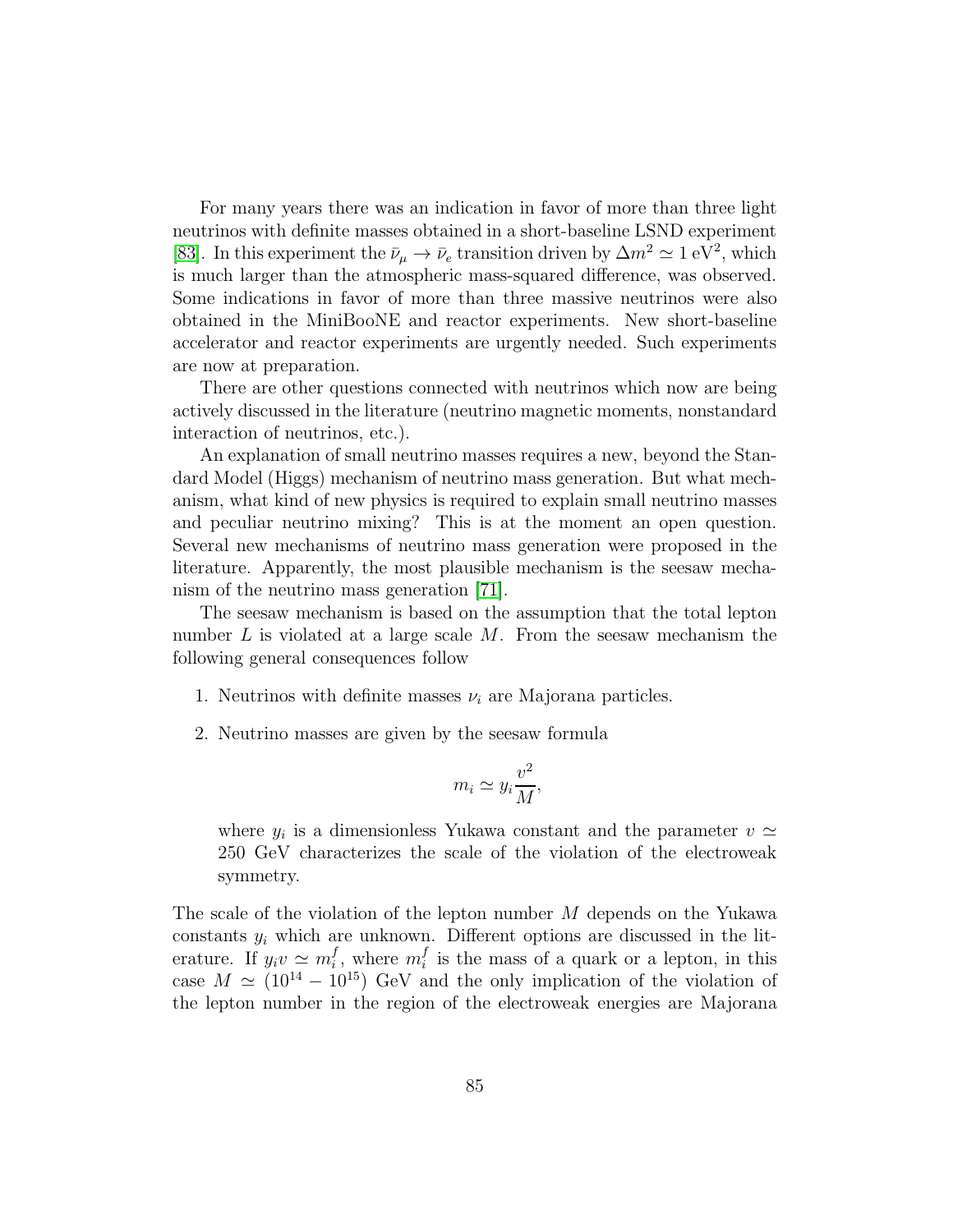For many years there was an indication in favor of more than three light neutrinos with definite masses obtained in a short-baseline LSND experiment [\[83\]](#page-90-6). In this experiment the  $\bar{\nu}_{\mu} \to \bar{\nu}_{e}$  transition driven by  $\Delta m^2 \simeq 1 \text{ eV}^2$ , which is much larger than the atmospheric mass-squared difference, was observed. Some indications in favor of more than three massive neutrinos were also obtained in the MiniBooNE and reactor experiments. New short-baseline accelerator and reactor experiments are urgently needed. Such experiments are now at preparation.

There are other questions connected with neutrinos which now are being actively discussed in the literature (neutrino magnetic moments, nonstandard interaction of neutrinos, etc.).

An explanation of small neutrino masses requires a new, beyond the Standard Model (Higgs) mechanism of neutrino mass generation. But what mechanism, what kind of new physics is required to explain small neutrino masses and peculiar neutrino mixing? This is at the moment an open question. Several new mechanisms of neutrino mass generation were proposed in the literature. Apparently, the most plausible mechanism is the seesaw mechanism of the neutrino mass generation [\[71\]](#page-89-5).

The seesaw mechanism is based on the assumption that the total lepton number  $L$  is violated at a large scale  $M$ . From the seesaw mechanism the following general consequences follow

- 1. Neutrinos with definite masses  $\nu_i$  are Majorana particles.
- 2. Neutrino masses are given by the seesaw formula

$$
m_i \simeq y_i \frac{v^2}{M},
$$

where  $y_i$  is a dimensionless Yukawa constant and the parameter  $v \simeq$ 250 GeV characterizes the scale of the violation of the electroweak symmetry.

The scale of the violation of the lepton number M depends on the Yukawa constants  $y_i$  which are unknown. Different options are discussed in the literature. If  $y_i v \simeq m_i^f$  $i$ <sup>f</sup>, where  $m_i$ <sup>f</sup>  $i<sub>i</sub>$  is the mass of a quark or a lepton, in this case  $M \simeq (10^{14} - 10^{15})$  GeV and the only implication of the violation of the lepton number in the region of the electroweak energies are Majorana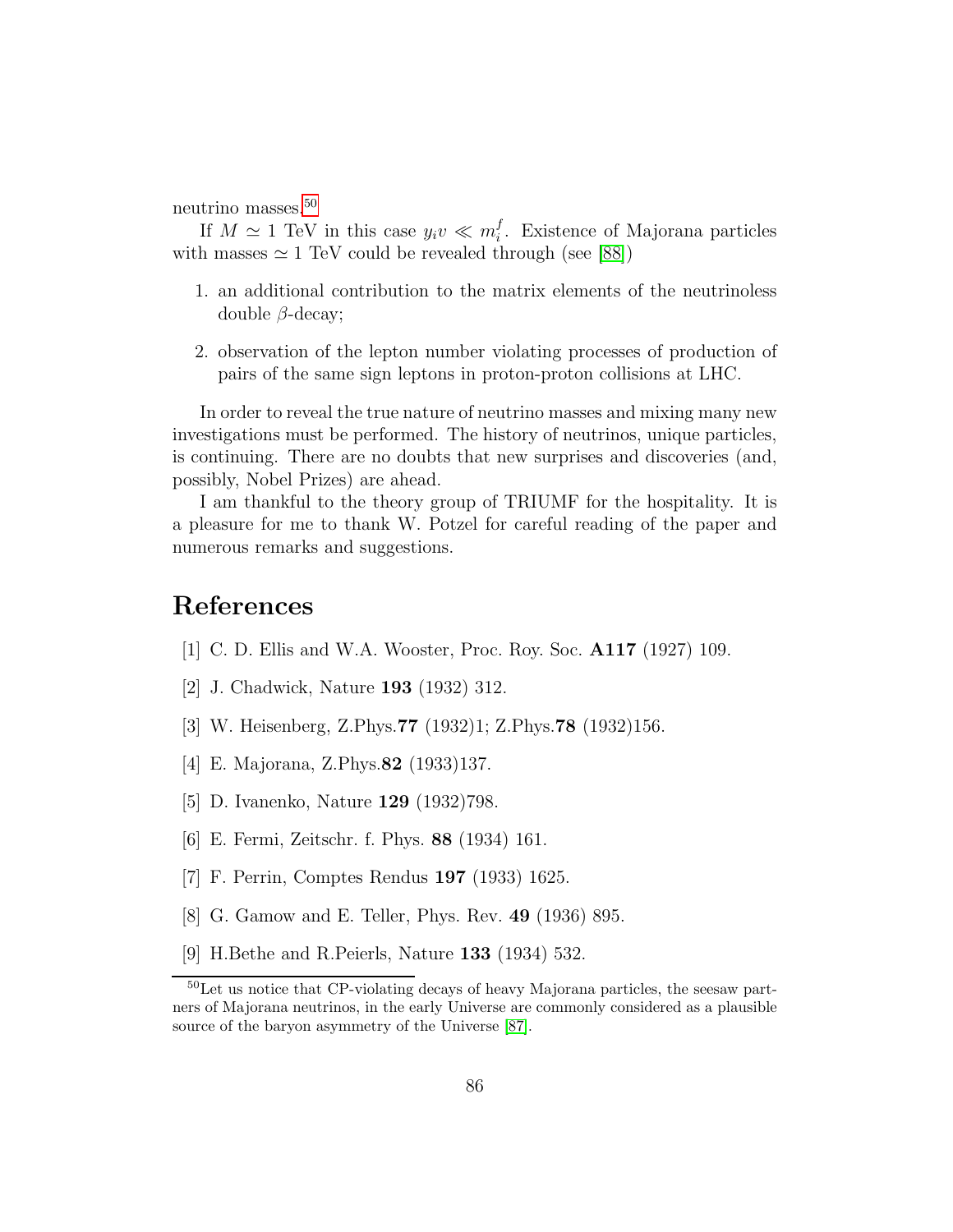neutrino masses.[50](#page-85-0)

If  $M \simeq 1$  TeV in this case  $y_i v \ll m_i^f$  $i<sup>I</sup>$ . Existence of Majorana particles with masses  $\simeq 1$  TeV could be revealed through (see [\[88\]](#page-90-7))

- 1. an additional contribution to the matrix elements of the neutrinoless double β-decay;
- 2. observation of the lepton number violating processes of production of pairs of the same sign leptons in proton-proton collisions at LHC.

In order to reveal the true nature of neutrino masses and mixing many new investigations must be performed. The history of neutrinos, unique particles, is continuing. There are no doubts that new surprises and discoveries (and, possibly, Nobel Prizes) are ahead.

I am thankful to the theory group of TRIUMF for the hospitality. It is a pleasure for me to thank W. Potzel for careful reading of the paper and numerous remarks and suggestions.

# References

- [1] C. D. Ellis and W.A. Wooster, Proc. Roy. Soc. A117 (1927) 109.
- [2] J. Chadwick, Nature 193 (1932) 312.
- [3] W. Heisenberg, Z.Phys.77 (1932)1; Z.Phys.78 (1932)156.
- [4] E. Majorana, Z.Phys.82 (1933)137.
- [5] D. Ivanenko, Nature 129 (1932)798.
- [6] E. Fermi, Zeitschr. f. Phys. 88 (1934) 161.
- [7] F. Perrin, Comptes Rendus 197 (1933) 1625.
- [8] G. Gamow and E. Teller, Phys. Rev. 49 (1936) 895.
- [9] H.Bethe and R.Peierls, Nature 133 (1934) 532.

<span id="page-85-0"></span><sup>50</sup>Let us notice that CP-violating decays of heavy Majorana particles, the seesaw partners of Majorana neutrinos, in the early Universe are commonly considered as a plausible source of the baryon asymmetry of the Universe [\[87\]](#page-90-8).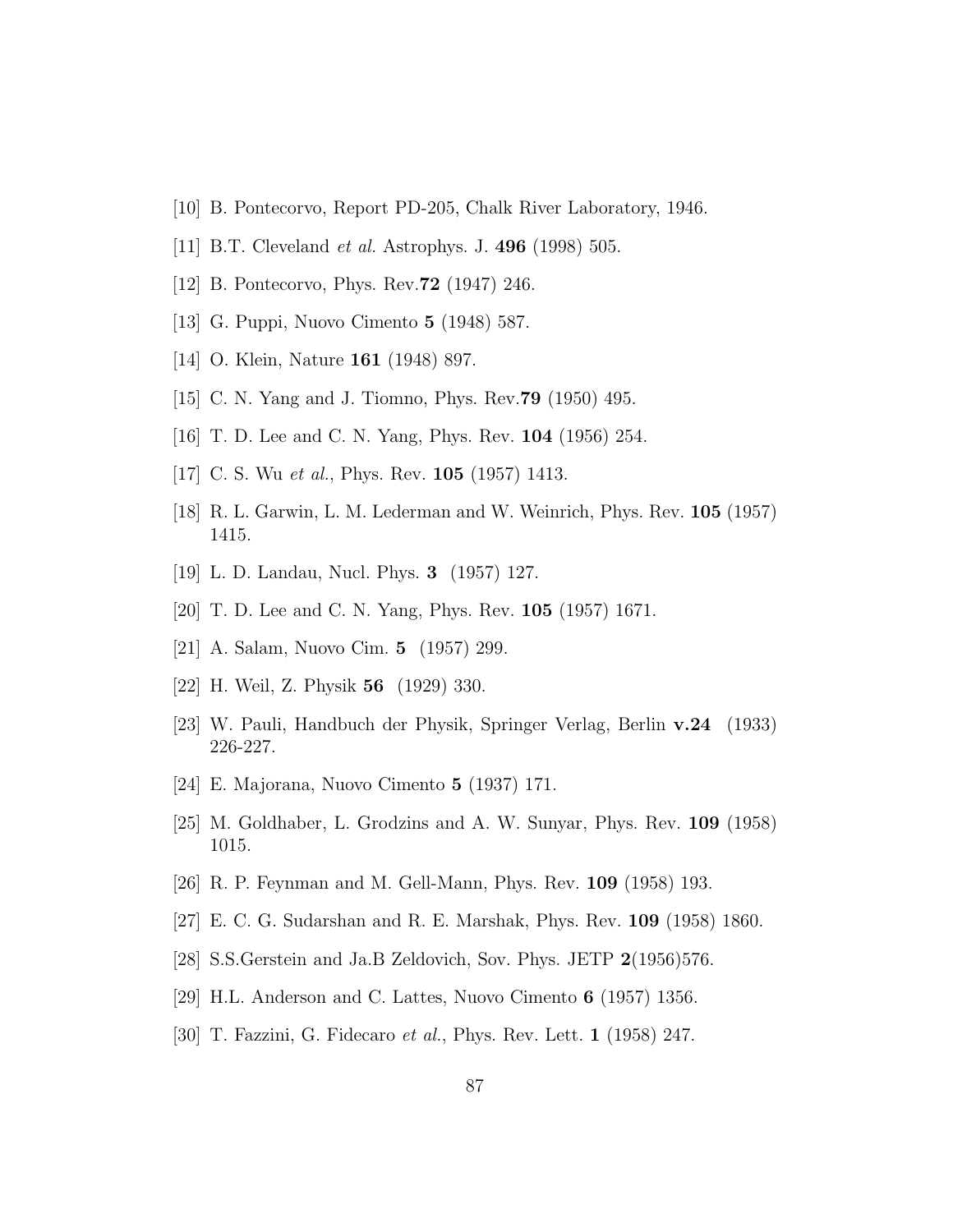- [10] B. Pontecorvo, Report PD-205, Chalk River Laboratory, 1946.
- [11] B.T. Cleveland et al. Astrophys. J. 496 (1998) 505.
- [12] B. Pontecorvo, Phys. Rev.72 (1947) 246.
- [13] G. Puppi, Nuovo Cimento 5 (1948) 587.
- [14] O. Klein, Nature **161** (1948) 897.
- [15] C. N. Yang and J. Tiomno, Phys. Rev.79 (1950) 495.
- [16] T. D. Lee and C. N. Yang, Phys. Rev. 104 (1956) 254.
- [17] C. S. Wu *et al.*, Phys. Rev. **105** (1957) 1413.
- [18] R. L. Garwin, L. M. Lederman and W. Weinrich, Phys. Rev. 105 (1957) 1415.
- [19] L. D. Landau, Nucl. Phys. 3 (1957) 127.
- [20] T. D. Lee and C. N. Yang, Phys. Rev. 105 (1957) 1671.
- [21] A. Salam, Nuovo Cim. 5 (1957) 299.
- [22] H. Weil, Z. Physik 56 (1929) 330.
- [23] W. Pauli, Handbuch der Physik, Springer Verlag, Berlin v.24 (1933) 226-227.
- [24] E. Majorana, Nuovo Cimento 5 (1937) 171.
- [25] M. Goldhaber, L. Grodzins and A. W. Sunyar, Phys. Rev. 109 (1958) 1015.
- [26] R. P. Feynman and M. Gell-Mann, Phys. Rev. 109 (1958) 193.
- [27] E. C. G. Sudarshan and R. E. Marshak, Phys. Rev. 109 (1958) 1860.
- [28] S.S.Gerstein and Ja.B Zeldovich, Sov. Phys. JETP 2(1956)576.
- [29] H.L. Anderson and C. Lattes, Nuovo Cimento 6 (1957) 1356.
- [30] T. Fazzini, G. Fidecaro et al., Phys. Rev. Lett. 1 (1958) 247.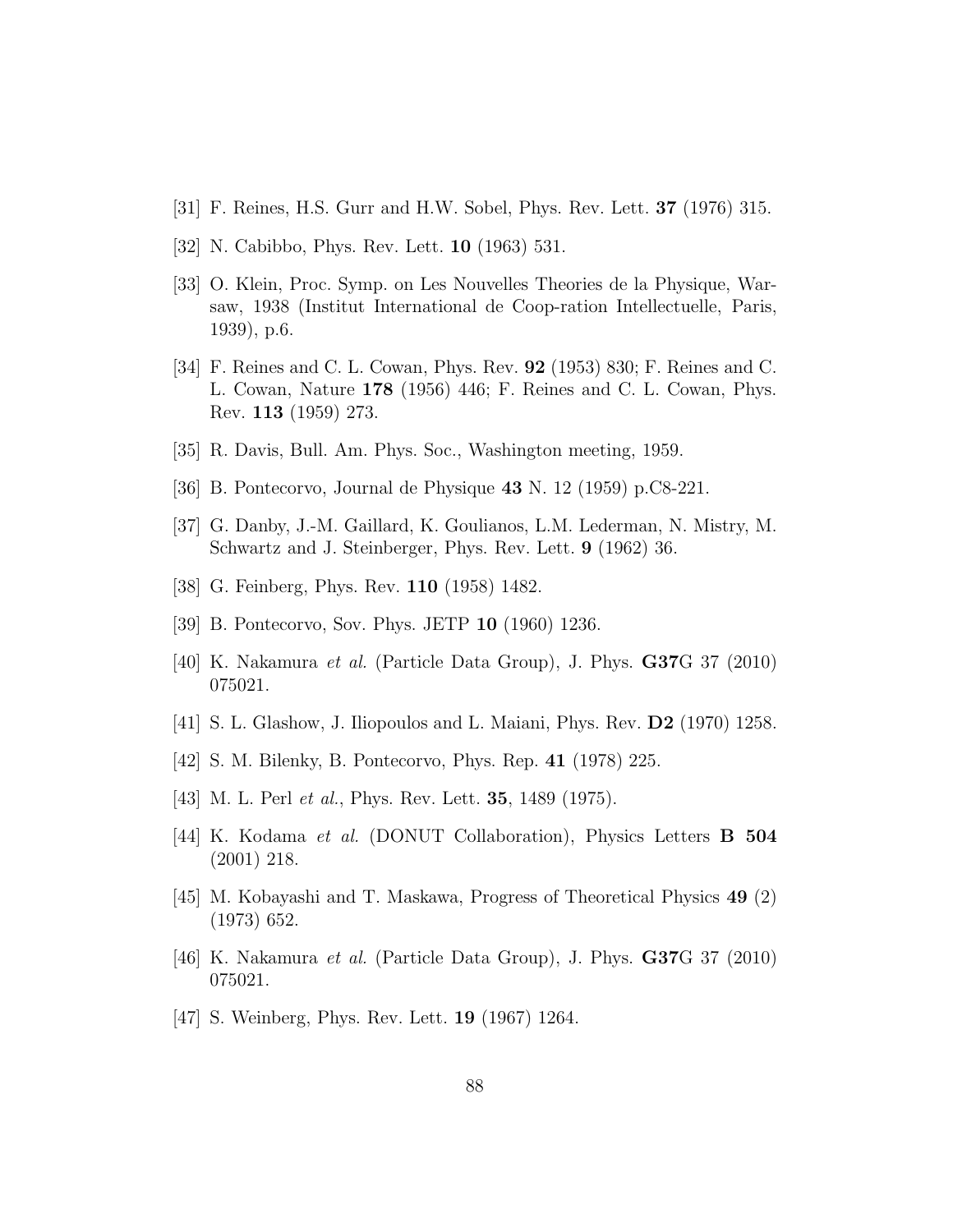- [31] F. Reines, H.S. Gurr and H.W. Sobel, Phys. Rev. Lett. 37 (1976) 315.
- [32] N. Cabibbo, Phys. Rev. Lett. 10 (1963) 531.
- [33] O. Klein, Proc. Symp. on Les Nouvelles Theories de la Physique, Warsaw, 1938 (Institut International de Coop-ration Intellectuelle, Paris, 1939), p.6.
- [34] F. Reines and C. L. Cowan, Phys. Rev. 92 (1953) 830; F. Reines and C. L. Cowan, Nature 178 (1956) 446; F. Reines and C. L. Cowan, Phys. Rev. 113 (1959) 273.
- [35] R. Davis, Bull. Am. Phys. Soc., Washington meeting, 1959.
- [36] B. Pontecorvo, Journal de Physique 43 N. 12 (1959) p.C8-221.
- [37] G. Danby, J.-M. Gaillard, K. Goulianos, L.M. Lederman, N. Mistry, M. Schwartz and J. Steinberger, Phys. Rev. Lett. 9 (1962) 36.
- [38] G. Feinberg, Phys. Rev. 110 (1958) 1482.
- [39] B. Pontecorvo, Sov. Phys. JETP 10 (1960) 1236.
- [40] K. Nakamura et al. (Particle Data Group), J. Phys. G37G 37 (2010) 075021.
- [41] S. L. Glashow, J. Iliopoulos and L. Maiani, Phys. Rev. D2 (1970) 1258.
- [42] S. M. Bilenky, B. Pontecorvo, Phys. Rep. 41 (1978) 225.
- [43] M. L. Perl *et al.*, Phys. Rev. Lett. **35**, 1489 (1975).
- [44] K. Kodama *et al.* (DONUT Collaboration), Physics Letters **B** 504 (2001) 218.
- [45] M. Kobayashi and T. Maskawa, Progress of Theoretical Physics 49 (2) (1973) 652.
- [46] K. Nakamura et al. (Particle Data Group), J. Phys. G37G 37 (2010) 075021.
- [47] S. Weinberg, Phys. Rev. Lett. **19** (1967) 1264.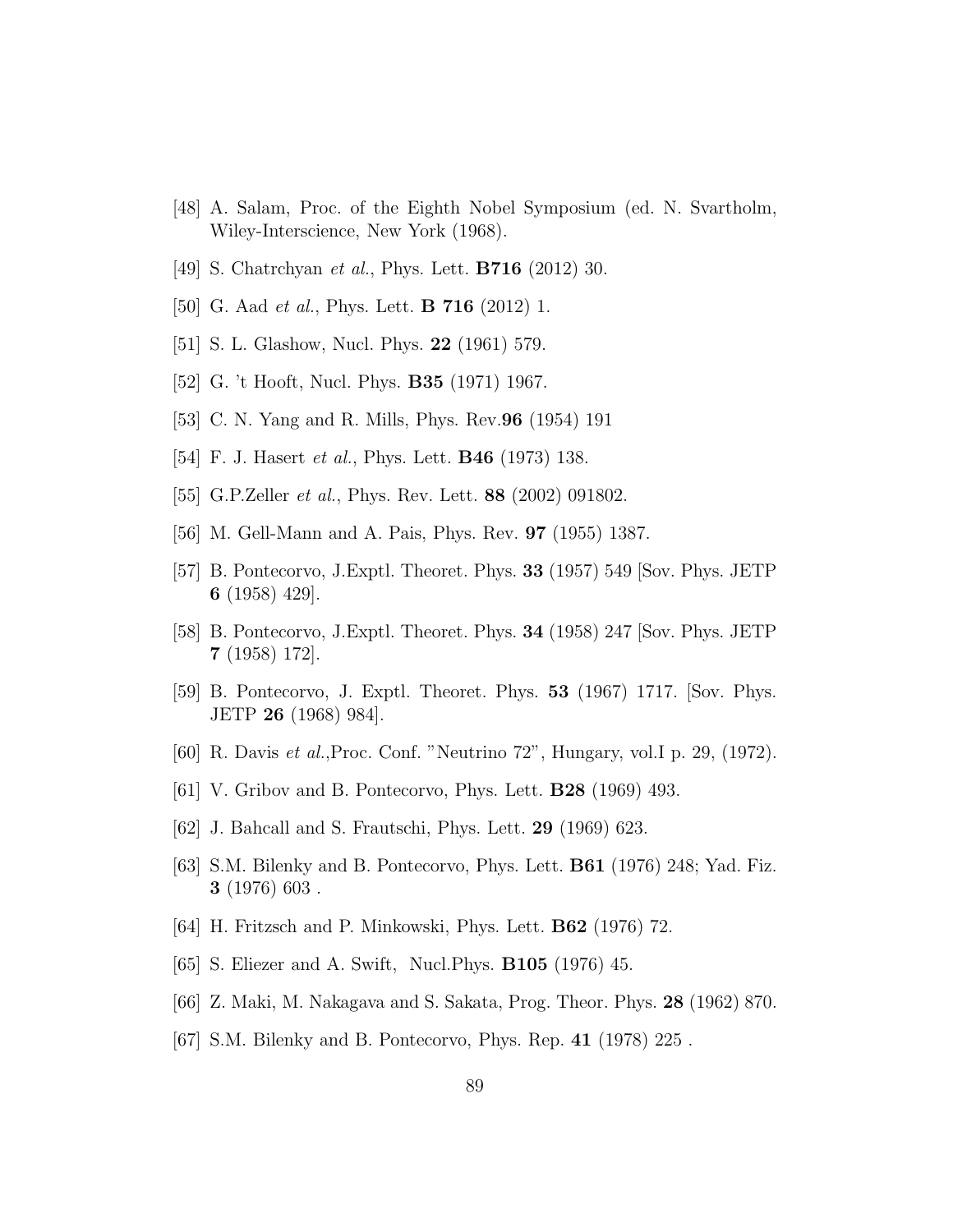- [48] A. Salam, Proc. of the Eighth Nobel Symposium (ed. N. Svartholm, Wiley-Interscience, New York (1968).
- [49] S. Chatrchyan *et al.*, Phys. Lett. **B716** (2012) 30.
- [50] G. Aad *et al.*, Phys. Lett. **B 716** (2012) 1.
- [51] S. L. Glashow, Nucl. Phys. **22** (1961) 579.
- [52] G. 't Hooft, Nucl. Phys. B35 (1971) 1967.
- [53] C. N. Yang and R. Mills, Phys. Rev.96 (1954) 191
- [54] F. J. Hasert *et al.*, Phys. Lett. **B46** (1973) 138.
- [55] G.P.Zeller *et al.*, Phys. Rev. Lett. **88** (2002) 091802.
- [56] M. Gell-Mann and A. Pais, Phys. Rev. 97 (1955) 1387.
- [57] B. Pontecorvo, J.Exptl. Theoret. Phys. 33 (1957) 549 [Sov. Phys. JETP 6 (1958) 429].
- [58] B. Pontecorvo, J.Exptl. Theoret. Phys. 34 (1958) 247 [Sov. Phys. JETP 7 (1958) 172].
- [59] B. Pontecorvo, J. Exptl. Theoret. Phys. 53 (1967) 1717. [Sov. Phys. JETP 26 (1968) 984].
- [60] R. Davis et al.,Proc. Conf. "Neutrino 72", Hungary, vol.I p. 29, (1972).
- [61] V. Gribov and B. Pontecorvo, Phys. Lett. B28 (1969) 493.
- [62] J. Bahcall and S. Frautschi, Phys. Lett. 29 (1969) 623.
- [63] S.M. Bilenky and B. Pontecorvo, Phys. Lett. B61 (1976) 248; Yad. Fiz. 3 (1976) 603 .
- [64] H. Fritzsch and P. Minkowski, Phys. Lett. B62 (1976) 72.
- [65] S. Eliezer and A. Swift, Nucl.Phys. B105 (1976) 45.
- [66] Z. Maki, M. Nakagava and S. Sakata, Prog. Theor. Phys. 28 (1962) 870.
- [67] S.M. Bilenky and B. Pontecorvo, Phys. Rep. 41 (1978) 225 .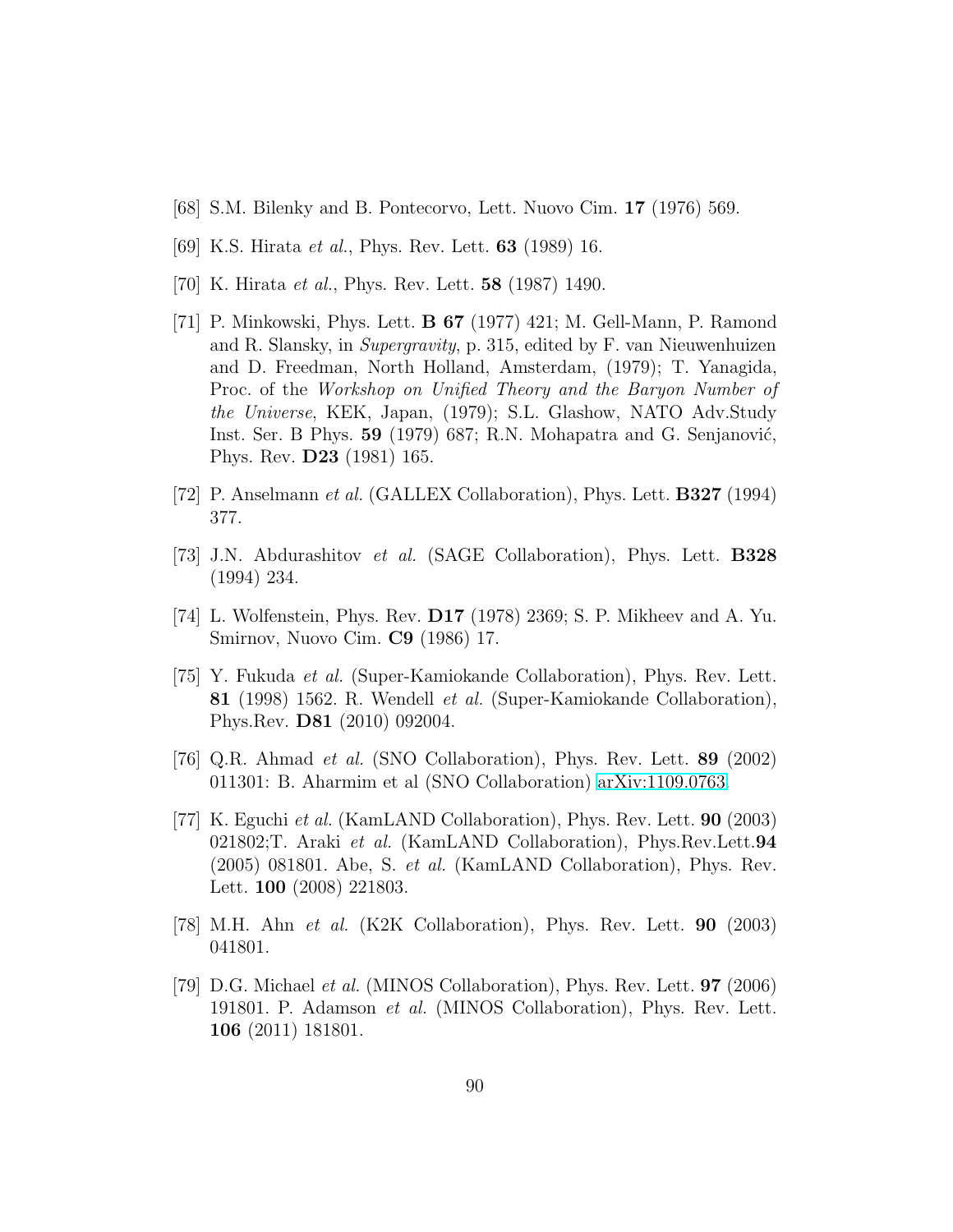- [68] S.M. Bilenky and B. Pontecorvo, Lett. Nuovo Cim. 17 (1976) 569.
- [69] K.S. Hirata *et al.*, Phys. Rev. Lett. **63** (1989) 16.
- <span id="page-89-5"></span>[70] K. Hirata et al., Phys. Rev. Lett. 58 (1987) 1490.
- [71] P. Minkowski, Phys. Lett. B 67 (1977) 421; M. Gell-Mann, P. Ramond and R. Slansky, in Supergravity, p. 315, edited by F. van Nieuwenhuizen and D. Freedman, North Holland, Amsterdam, (1979); T. Yanagida, Proc. of the Workshop on Unified Theory and the Baryon Number of the Universe, KEK, Japan, (1979); S.L. Glashow, NATO Adv.Study Inst. Ser. B Phys. 59 (1979) 687; R.N. Mohapatra and G. Senjanović, Phys. Rev. D23 (1981) 165.
- [72] P. Anselmann et al. (GALLEX Collaboration), Phys. Lett. B327 (1994) 377.
- [73] J.N. Abdurashitov et al. (SAGE Collaboration), Phys. Lett. **B328** (1994) 234.
- <span id="page-89-2"></span>[74] L. Wolfenstein, Phys. Rev. D17 (1978) 2369; S. P. Mikheev and A. Yu. Smirnov, Nuovo Cim. C9 (1986) 17.
- [75] Y. Fukuda et al. (Super-Kamiokande Collaboration), Phys. Rev. Lett. 81 (1998) 1562. R. Wendell et al. (Super-Kamiokande Collaboration), Phys.Rev. D81 (2010) 092004.
- <span id="page-89-1"></span><span id="page-89-0"></span>[76] Q.R. Ahmad *et al.* (SNO Collaboration), Phys. Rev. Lett. **89** (2002) 011301: B. Aharmim et al (SNO Collaboration) [arXiv:1109.0763.](http://arxiv.org/abs/1109.0763)
- [77] K. Eguchi et al. (KamLAND Collaboration), Phys. Rev. Lett. 90 (2003) 021802;T. Araki et al. (KamLAND Collaboration), Phys.Rev.Lett.94 (2005) 081801. Abe, S. et al. (KamLAND Collaboration), Phys. Rev. Lett. 100 (2008) 221803.
- <span id="page-89-4"></span><span id="page-89-3"></span>[78] M.H. Ahn et al. (K2K Collaboration), Phys. Rev. Lett. 90 (2003) 041801.
- [79] D.G. Michael et al. (MINOS Collaboration), Phys. Rev. Lett. 97 (2006) 191801. P. Adamson et al. (MINOS Collaboration), Phys. Rev. Lett. 106 (2011) 181801.